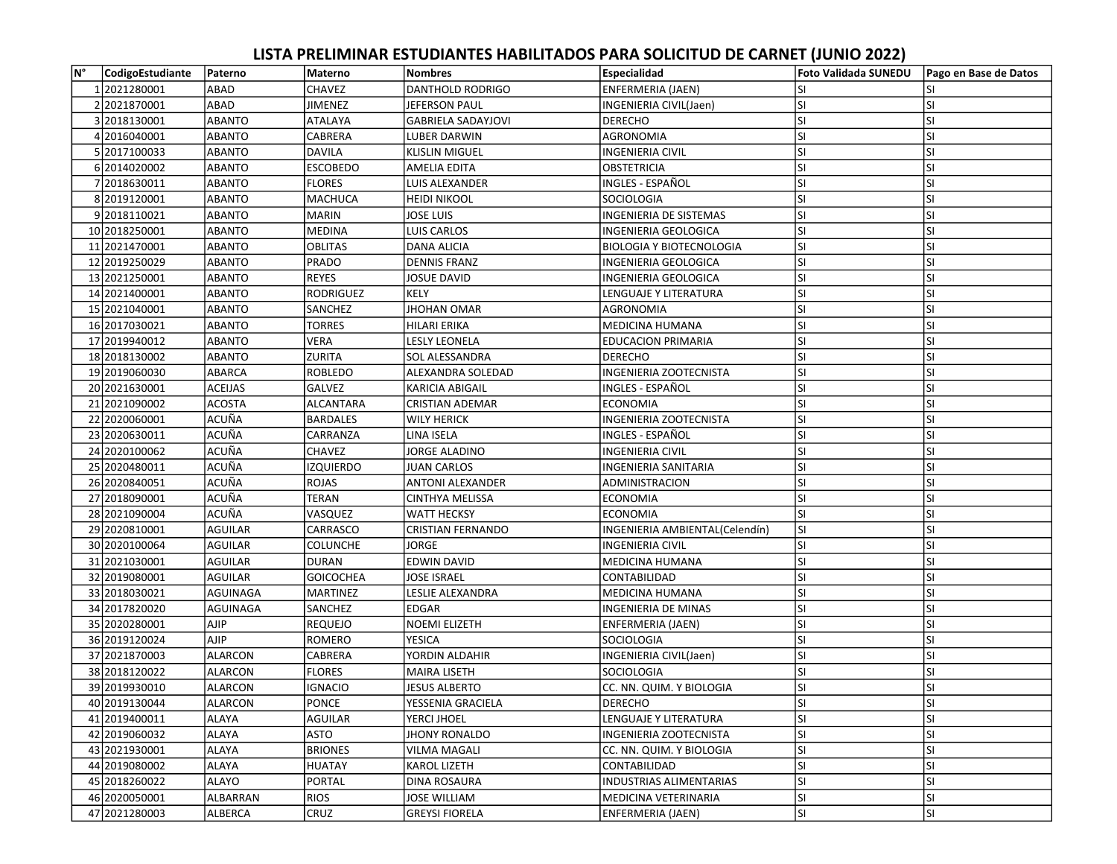## LISTA PRELIMINAR ESTUDIANTES HABILITADOS PARA SOLICITUD DE CARNET (JUNIO 2022)

| lм° | CodigoEstudiante | Paterno         | Materno          | <b>Nombres</b>            | Especialidad                    | Foto Validada SUNEDU | Pago en Base de Datos |
|-----|------------------|-----------------|------------------|---------------------------|---------------------------------|----------------------|-----------------------|
|     | 12021280001      | ABAD            | CHAVEZ           | DANTHOLD RODRIGO          | ENFERMERIA (JAEN)               | SI                   | SI                    |
|     | 2 2021870001     | ABAD            | <b>JIMENEZ</b>   | JEFERSON PAUL             | INGENIERIA CIVIL(Jaen)          | lsı                  | <b>SI</b>             |
|     | 3 2018130001     | <b>ABANTO</b>   | ATALAYA          | <b>GABRIELA SADAYJOVI</b> | <b>DERECHO</b>                  | lsı                  | <b>SI</b>             |
|     | 4 2016040001     | <b>ABANTO</b>   | <b>CABRERA</b>   | LUBER DARWIN              | <b>AGRONOMIA</b>                | lsı                  | SI                    |
|     | 5 2017100033     | <b>ABANTO</b>   | <b>DAVILA</b>    | <b>KLISLIN MIGUEL</b>     | <b>INGENIERIA CIVIL</b>         | lsı                  | <b>SI</b>             |
|     | 6 2014020002     | <b>ABANTO</b>   | <b>ESCOBEDO</b>  | <b>AMELIA EDITA</b>       | <b>OBSTETRICIA</b>              | SI                   | SI                    |
|     | 7 2018630011     | <b>ABANTO</b>   | <b>FLORES</b>    | LUIS ALEXANDER            | INGLES - ESPAÑOL                | lsı                  | <b>SI</b>             |
|     | 8 2019120001     | <b>ABANTO</b>   | <b>MACHUCA</b>   | HEIDI NIKOOL              | SOCIOLOGIA                      | lsı                  | SI                    |
|     | 92018110021      | <b>ABANTO</b>   | MARIN            | <b>JOSE LUIS</b>          | <b>INGENIERIA DE SISTEMAS</b>   | lsı                  | <b>SI</b>             |
|     | 10 2018250001    | <b>ABANTO</b>   | <b>MEDINA</b>    | LUIS CARLOS               | <b>INGENIERIA GEOLOGICA</b>     | SI                   | SI                    |
|     | 11 2021470001    | <b>ABANTO</b>   | <b>OBLITAS</b>   | DANA ALICIA               | <b>BIOLOGIA Y BIOTECNOLOGIA</b> | lsı                  | <b>SI</b>             |
|     | 12 2019 2500 29  | <b>ABANTO</b>   | PRADO            | <b>DENNIS FRANZ</b>       | <b>INGENIERIA GEOLOGICA</b>     | lsı                  | SI                    |
|     | 13 2021250001    | <b>ABANTO</b>   | <b>REYES</b>     | <b>JOSUE DAVID</b>        | <b>INGENIERIA GEOLOGICA</b>     | SI                   | SI                    |
|     | 14 2021400001    | <b>ABANTO</b>   | RODRIGUEZ        | KELY                      | LENGUAJE Y LITERATURA           | SI                   | <b>SI</b>             |
|     | 15 2021040001    | <b>ABANTO</b>   | SANCHEZ          | IHOHAN OMAR               | AGRONOMIA                       | SI.                  | SI                    |
|     | 16 2017030021    | <b>ABANTO</b>   | TORRES           | HILARI ERIKA              | <b>MEDICINA HUMANA</b>          | lsı                  | <b>SI</b>             |
|     | 17 2019940012    | <b>ABANTO</b>   | <b>VERA</b>      | <b>LESLY LEONELA</b>      | <b>EDUCACION PRIMARIA</b>       | lsı                  | SI                    |
|     | 18 2018 1300 02  | <b>ABANTO</b>   | ZURITA           | SOL ALESSANDRA            | <b>DERECHO</b>                  | lsı                  | <b>SI</b>             |
|     | 19 2019060030    | ABARCA          | ROBLEDO          | ALEXANDRA SOLEDAD         | <b>INGENIERIA ZOOTECNISTA</b>   | lsı                  | SI                    |
|     | 20 20 216 30001  | <b>ACEIJAS</b>  | <b>GALVEZ</b>    | KARICIA ABIGAIL           | INGLES - ESPAÑOL                | SI                   | <b>SI</b>             |
|     | 21 2021090002    | <b>ACOSTA</b>   | ALCANTARA        | CRISTIAN ADEMAR           | <b>ECONOMIA</b>                 | SI                   | <b>SI</b>             |
|     | 22 2020060001    | ACUÑA           | <b>BARDALES</b>  | WILY HERICK               | INGENIERIA ZOOTECNISTA          | lsı                  | <b>SI</b>             |
|     | 23 2020630011    | ACUÑA           | CARRANZA         | LINA ISELA                | INGLES - ESPAÑOL                | lsı                  | <b>SI</b>             |
|     | 24 2020100062    | ACUÑA           | CHAVEZ           | JORGE ALADINO             | <b>INGENIERIA CIVIL</b>         | SI                   | SI                    |
|     | 25 2020480011    | ACUÑA           | <b>IZQUIERDO</b> | JUAN CARLOS               | <b>INGENIERIA SANITARIA</b>     | lsı                  | SI                    |
|     | 26 2020840051    | ACUÑA           | ROJAS            | <b>ANTONI ALEXANDER</b>   | ADMINISTRACION                  | lsı                  | SI                    |
|     | 27 2018090001    | ACUÑA           | <b>TERAN</b>     | <b>CINTHYA MELISSA</b>    | <b>ECONOMIA</b>                 | lsı                  | lsı                   |
|     | 28 2021090004    | ACUÑA           | VASQUEZ          | WATT HECKSY               | <b>ECONOMIA</b>                 | SI.                  | SI                    |
|     | 29 2020810001    | <b>AGUILAR</b>  | CARRASCO         | CRISTIAN FERNANDO         | INGENIERIA AMBIENTAL(Celendín)  | <b>SI</b>            | SI                    |
|     | 30 2020 100064   | <b>AGUILAR</b>  | COLUNCHE         | JORGE                     | <b>INGENIERIA CIVIL</b>         | SI.                  | <b>SI</b>             |
|     | 31 2021030001    | <b>AGUILAR</b>  | <b>DURAN</b>     | <b>EDWIN DAVID</b>        | <b>MEDICINA HUMANA</b>          | SI                   | SI                    |
|     | 32 2019 08 0001  | <b>AGUILAR</b>  | <b>GOICOCHEA</b> | JOSE ISRAEL               | CONTABILIDAD                    | SI                   | <b>SI</b>             |
|     | 33 2018030021    | <b>AGUINAGA</b> | <b>MARTINEZ</b>  | LESLIE ALEXANDRA          | MEDICINA HUMANA                 | lsı                  | SI                    |
|     | 34 20178 20020   | AGUINAGA        | <b>SANCHEZ</b>   | EDGAR                     | <b>INGENIERIA DE MINAS</b>      | lsı                  | <b>SI</b>             |
|     | 35 2020280001    | <b>AJIP</b>     | <b>REQUEJO</b>   | NOEMI ELIZETH             | ENFERMERIA (JAEN)               | lsı                  | <b>SI</b>             |
|     | 36 2019 1200 24  | <b>AJIP</b>     | ROMERO           | YESICA                    | <b>SOCIOLOGIA</b>               | lsı                  | <b>SI</b>             |
|     | 37 2021870003    | <b>ALARCON</b>  | CABRERA          | YORDIN ALDAHIR            | INGENIERIA CIVIL(Jaen)          | lsı                  | <b>SI</b>             |
|     | 38 2018 1200 22  | ALARCON         | <b>FLORES</b>    | <b>MAIRA LISETH</b>       | <b>SOCIOLOGIA</b>               | SI.                  | <b>SI</b>             |
|     | 39 2019930010    | ALARCON         | <b>IGNACIO</b>   | <b>JESUS ALBERTO</b>      | CC. NN. QUIM. Y BIOLOGIA        | lsı                  | <b>SI</b>             |
|     | 40 2019 1300 44  | <b>ALARCON</b>  | PONCE            | YESSENIA GRACIELA         | <b>DERECHO</b>                  | lsı                  | lsı                   |
|     | 41 2019400011    | ALAYA           | AGUILAR          | YERCI JHOEL               | LENGUAJE Y LITERATURA           | lsı                  | SI                    |
|     | 42 2019060032    | ALAYA           | ASTO             | JHONY RONALDO             | <b>INGENIERIA ZOOTECNISTA</b>   | <b>SI</b>            | <b>SI</b>             |
|     | 43 2021930001    | ALAYA           | <b>BRIONES</b>   | VILMA MAGALI              | CC. NN. QUIM. Y BIOLOGIA        | SI.                  | <b>SI</b>             |
|     | 44 2019 080002   | ALAYA           | HUATAY           | KAROL LIZETH              | CONTABILIDAD                    | SI.                  | SI                    |
|     | 45 2018260022    | <b>ALAYO</b>    | PORTAL           | <b>DINA ROSAURA</b>       | <b>INDUSTRIAS ALIMENTARIAS</b>  | SI.                  | <b>SI</b>             |
|     | 46 2020050001    | ALBARRAN        | <b>RIOS</b>      | JOSE WILLIAM              | MEDICINA VETERINARIA            | <b>SI</b>            | SI                    |
|     | 47 2021280003    | ALBERCA         | CRUZ             | <b>GREYSI FIORELA</b>     | <b>ENFERMERIA (JAEN)</b>        | sı                   | SI                    |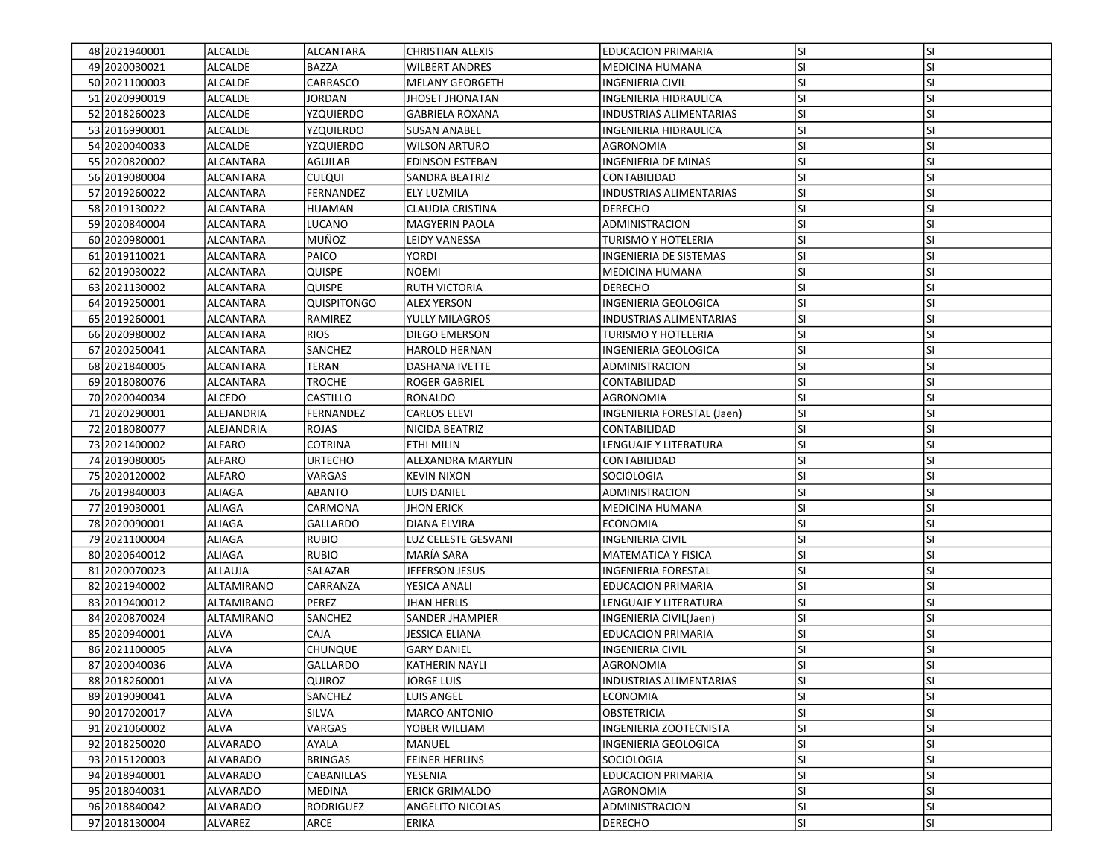| 48 2021940001    | ALCALDE           | ALCANTARA        | <b>CHRISTIAN ALEXIS</b> | <b>EDUCACION PRIMARIA</b>      | <b>SI</b> | <b>SI</b> |
|------------------|-------------------|------------------|-------------------------|--------------------------------|-----------|-----------|
| 49 2020030021    | ALCALDE           | <b>BAZZA</b>     | <b>WILBERT ANDRES</b>   | MEDICINA HUMANA                | SI        | SI        |
| 50 2021100003    | ALCALDE           | CARRASCO         | <b>MELANY GEORGETH</b>  | <b>INGENIERIA CIVIL</b>        | <b>SI</b> | SI        |
| 51 2020990019    | ALCALDE           | <b>JORDAN</b>    | JHOSET JHONATAN         | INGENIERIA HIDRAULICA          | SI        | SI        |
| 52 2018 2600 23  | <b>ALCALDE</b>    | <b>YZQUIERDO</b> | <b>GABRIELA ROXANA</b>  | <b>INDUSTRIAS ALIMENTARIAS</b> | <b>SI</b> | SI        |
| 53 2016990001    | <b>ALCALDE</b>    | YZQUIERDO        | <b>SUSAN ANABEL</b>     | INGENIERIA HIDRAULICA          | <b>SI</b> | SI        |
| 54 2020040033    | <b>ALCALDE</b>    | YZQUIERDO        | <b>WILSON ARTURO</b>    | AGRONOMIA                      | <b>SI</b> | SI        |
| 55 2020820002    | <b>ALCANTARA</b>  | AGUILAR          | <b>EDINSON ESTEBAN</b>  | INGENIERIA DE MINAS            | <b>SI</b> | SI        |
| 56 2019080004    | <b>ALCANTARA</b>  | <b>CULQUI</b>    | SANDRA BEATRIZ          | CONTABILIDAD                   | <b>SI</b> | SI        |
| 57 2019 2600 22  | <b>ALCANTARA</b>  | FERNANDEZ        | ELY LUZMILA             | INDUSTRIAS ALIMENTARIAS        | SI        | SI        |
| 58 2019 1300 22  | ALCANTARA         | <b>HUAMAN</b>    | CLAUDIA CRISTINA        | <b>DERECHO</b>                 | SI        | SI        |
| 59 2020840004    | <b>ALCANTARA</b>  | <b>LUCANO</b>    | <b>MAGYERIN PAOLA</b>   | <b>ADMINISTRACION</b>          | <b>SI</b> | SI        |
| 60 2020980001    | <b>ALCANTARA</b>  | MUÑOZ            | <b>LEIDY VANESSA</b>    | TURISMO Y HOTELERIA            | SI        | SI        |
| 61 2019 1100 21  | <b>ALCANTARA</b>  | PAICO            | YORDI                   | INGENIERIA DE SISTEMAS         | <b>SI</b> | SI        |
| 62 2019 030 022  | ALCANTARA         | <b>QUISPE</b>    | <b>NOEMI</b>            | <b>MEDICINA HUMANA</b>         | <b>SI</b> | SI        |
| 63 2021130002    | ALCANTARA         | <b>QUISPE</b>    | <b>RUTH VICTORIA</b>    | <b>DERECHO</b>                 | <b>SI</b> | SI        |
| 64 2019 250001   | <b>ALCANTARA</b>  | Quispitongo      | <b>ALEX YERSON</b>      | INGENIERIA GEOLOGICA           | SI        | SI        |
| 65 2019 260001   | ALCANTARA         | RAMIREZ          | YULLY MILAGROS          | <b>INDUSTRIAS ALIMENTARIAS</b> | SI        | SI        |
| 66 2020980002    | ALCANTARA         | <b>RIOS</b>      | DIEGO EMERSON           | <b>TURISMO Y HOTELERIA</b>     | <b>SI</b> | SI        |
| 67 2020250041    | <b>ALCANTARA</b>  | SANCHEZ          | <b>HAROLD HERNAN</b>    | INGENIERIA GEOLOGICA           | <b>SI</b> | SI        |
| 68 2021840005    | <b>ALCANTARA</b>  | <b>TERAN</b>     | DASHANA IVETTE          | ADMINISTRACION                 | SI        | SI        |
| 69 2018 08 00 76 | ALCANTARA         | <b>TROCHE</b>    | ROGER GABRIEL           | CONTABILIDAD                   | SI        | SI        |
| 70 2020040034    | ALCEDO            | CASTILLO         | RONALDO                 | AGRONOMIA                      | <b>SI</b> | SI        |
| 71 2020 290001   | ALEJANDRIA        | <b>FERNANDEZ</b> | <b>CARLOS ELEVI</b>     | INGENIERIA FORESTAL (Jaen)     | SI        | SI        |
| 72 2018080077    | ALEJANDRIA        | ROJAS            | NICIDA BEATRIZ          | CONTABILIDAD                   | SI        | SI        |
| 73 2021400002    | <b>ALFARO</b>     | COTRINA          | ETHI MILIN              | LENGUAJE Y LITERATURA          | SI        | SI        |
| 74 2019 08 000 5 | <b>ALFARO</b>     | <b>URTECHO</b>   | ALEXANDRA MARYLIN       | CONTABILIDAD                   | <b>SI</b> | SI        |
| 75 2020120002    | <b>ALFARO</b>     | VARGAS           | <b>KEVIN NIXON</b>      | SOCIOLOGIA                     | <b>SI</b> | SI        |
| 76 2019 840003   | ALIAGA            | ABANTO           | LUIS DANIEL             | ADMINISTRACION                 | SI        | SI        |
| 77 2019 030001   | ALIAGA            | CARMONA          | JHON ERICK              | <b>MEDICINA HUMANA</b>         | <b>SI</b> | SI        |
| 78 2020090001    | <b>ALIAGA</b>     | GALLARDO         | DIANA ELVIRA            | <b>ECONOMIA</b>                | <b>SI</b> | SI        |
| 79 2021100004    | ALIAGA            | <b>RUBIO</b>     | LUZ CELESTE GESVANI     | <b>INGENIERIA CIVIL</b>        | SI        | SI        |
| 80 2020 640012   | <b>ALIAGA</b>     | <b>RUBIO</b>     | MARÍA SARA              | MATEMATICA Y FISICA            | SI        | SI        |
| 81 2020070023    | <b>ALLAUJA</b>    | SALAZAR          | JEFERSON JESUS          | <b>INGENIERIA FORESTAL</b>     | <b>SI</b> | SI        |
| 82 2021940002    | <b>ALTAMIRANO</b> | CARRANZA         | YESICA ANALI            | <b>EDUCACION PRIMARIA</b>      | SI        | SI        |
| 83 2019400012    | ALTAMIRANO        | PEREZ            | JHAN HERLIS             | LENGUAJE Y LITERATURA          | <b>SI</b> | SI        |
| 84 2020 8700 24  | ALTAMIRANO        | SANCHEZ          | SANDER JHAMPIER         | INGENIERIA CIVIL(Jaen)         | <b>SI</b> | SI        |
| 85 2020940001    | <b>ALVA</b>       | CAJA             | JESSICA ELIANA          | <b>EDUCACION PRIMARIA</b>      | SI        | SI        |
| 86 2021100005    | <b>ALVA</b>       | CHUNQUE          | <b>GARY DANIEL</b>      | INGENIERIA CIVIL               | SI        | SI        |
| 87 2020040036    | <b>ALVA</b>       | <b>GALLARDO</b>  | <b>KATHERIN NAYLI</b>   | AGRONOMIA                      | SI        | SI        |
| 88 2018 260001   | <b>ALVA</b>       | QUIROZ           | <b>JORGE LUIS</b>       | INDUSTRIAS ALIMENTARIAS        | lsı       | ΙSΙ       |
| 89 2019090041    | <b>ALVA</b>       | SANCHEZ          | LUIS ANGEL              | <b>ECONOMIA</b>                | lsı       | SI        |
| 90 2017020017    | <b>ALVA</b>       | SILVA            | MARCO ANTONIO           | <b>OBSTETRICIA</b>             | SI        | SI        |
| 91 2021060002    | ALVA              | VARGAS           | YOBER WILLIAM           | INGENIERIA ZOOTECNISTA         | <b>SI</b> | SI        |
| 92 2018250020    | <b>ALVARADO</b>   | <b>AYALA</b>     | MANUEL                  | INGENIERIA GEOLOGICA           | SI        | SI        |
| 93 2015 120003   | <b>ALVARADO</b>   | <b>BRINGAS</b>   | FEINER HERLINS          | SOCIOLOGIA                     | SI        | SI        |
| 94 2018 940001   | <b>ALVARADO</b>   | CABANILLAS       | YESENIA                 | <b>EDUCACION PRIMARIA</b>      | SI        | SI        |
| 95 2018040031    | <b>ALVARADO</b>   | <b>MEDINA</b>    | <b>ERICK GRIMALDO</b>   | AGRONOMIA                      | SI        | SI        |
| 96 2018 840042   | <b>ALVARADO</b>   | <b>RODRIGUEZ</b> | ANGELITO NICOLAS        | ADMINISTRACION                 | <b>SI</b> | SI        |
| 97 2018130004    | ALVAREZ           | ARCE             | <b>ERIKA</b>            | <b>DERECHO</b>                 | SI        | SI        |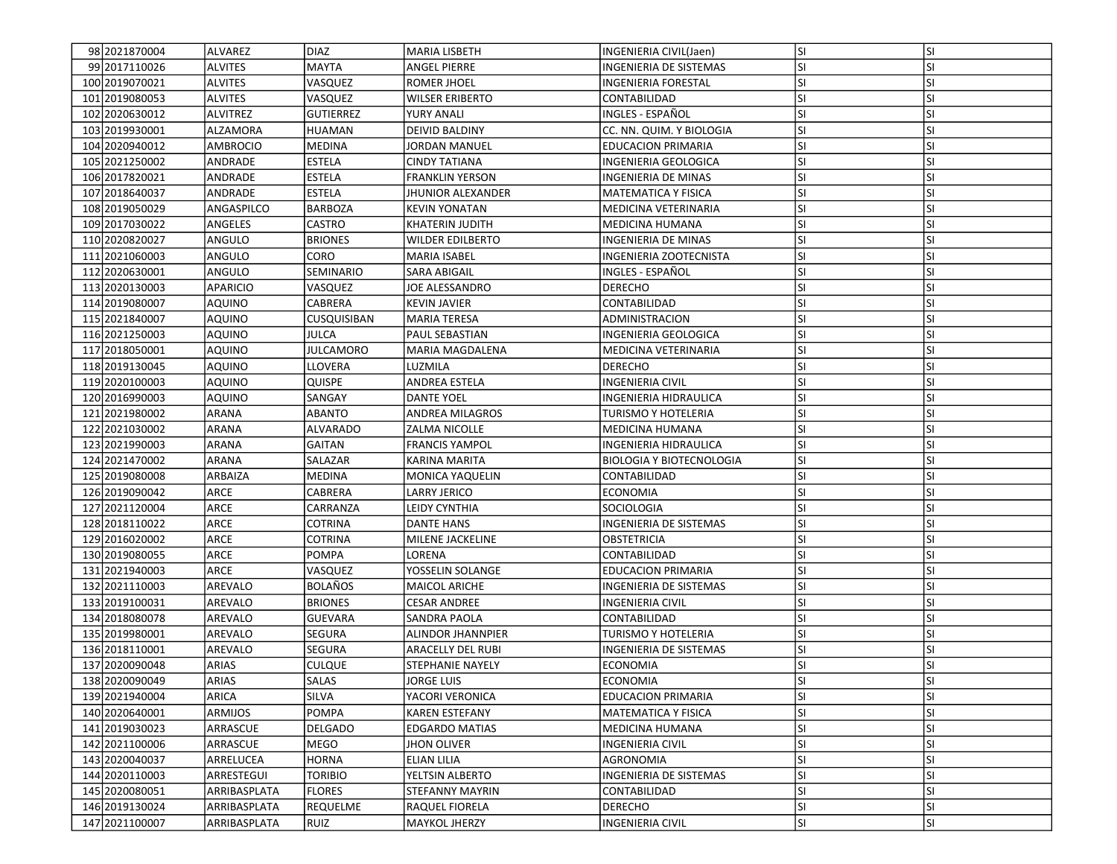| lsı<br><b>SI</b><br>98 2021870004<br>ALVAREZ<br><b>DIAZ</b><br><b>MARIA LISBETH</b><br>INGENIERIA CIVIL(Jaen)<br>SI<br>99 2017110026<br><b>ALVITES</b><br>MAYTA<br>SI.<br><b>ANGEL PIERRE</b><br>INGENIERIA DE SISTEMAS<br><b>ALVITES</b><br>VASQUEZ<br><b>SI</b><br><b>SI</b><br>100 2019 070 021<br><b>ROMER JHOEL</b><br>INGENIERIA FORESTAL |  |
|-------------------------------------------------------------------------------------------------------------------------------------------------------------------------------------------------------------------------------------------------------------------------------------------------------------------------------------------------|--|
|                                                                                                                                                                                                                                                                                                                                                 |  |
|                                                                                                                                                                                                                                                                                                                                                 |  |
|                                                                                                                                                                                                                                                                                                                                                 |  |
| <b>SI</b><br><b>ALVITES</b><br>VASQUEZ<br>lsı<br>101 2019 080053<br><b>WILSER ERIBERTO</b><br>CONTABILIDAD                                                                                                                                                                                                                                      |  |
| <b>SI</b><br><b>ALVITREZ</b><br><b>GUTIERREZ</b><br><b>SI</b><br>102 2020 630012<br>YURY ANALI<br>INGLES - ESPAÑOL                                                                                                                                                                                                                              |  |
| lsı<br><b>SI</b><br>ALZAMORA<br>103 2019 930001<br><b>HUAMAN</b><br><b>DEIVID BALDINY</b><br>CC. NN. QUIM. Y BIOLOGIA                                                                                                                                                                                                                           |  |
| <b>AMBROCIO</b><br>SI.<br>SI<br>104 2020 9400 12<br>MEDINA<br>JORDAN MANUEL<br><b>EDUCACION PRIMARIA</b>                                                                                                                                                                                                                                        |  |
| <b>SI</b><br><b>SI</b><br>105 2021250002<br>ANDRADE<br><b>ESTELA</b><br><b>CINDY TATIANA</b><br>INGENIERIA GEOLOGICA                                                                                                                                                                                                                            |  |
| SI<br>SI.<br>106 2017820021<br>ANDRADE<br>ESTELA<br><b>FRANKLIN YERSON</b><br>INGENIERIA DE MINAS                                                                                                                                                                                                                                               |  |
| <b>ESTELA</b><br><b>SI</b><br><b>SI</b><br>ANDRADE<br>107 2018 6400 37<br><b>JHUNIOR ALEXANDER</b><br><b>MATEMATICA Y FISICA</b>                                                                                                                                                                                                                |  |
| <b>SI</b><br>ANGASPILCO<br>lsı<br>108 2019 050029<br><b>BARBOZA</b><br><b>KEVIN YONATAN</b><br>MEDICINA VETERINARIA                                                                                                                                                                                                                             |  |
| <b>SI</b><br>ANGELES<br>CASTRO<br><b>SI</b><br>109 2017030022<br>MEDICINA HUMANA<br>KHATERIN JUDITH                                                                                                                                                                                                                                             |  |
| <b>SI</b><br><b>SI</b><br>110 2020 8200 27<br>ANGULO<br><b>BRIONES</b><br><b>WILDER EDILBERTO</b><br><b>INGENIERIA DE MINAS</b>                                                                                                                                                                                                                 |  |
| <b>SI</b><br><b>SI</b><br>111 2021060003<br>ANGULO<br>CORO<br><b>MARIA ISABEL</b><br>INGENIERIA ZOOTECNISTA                                                                                                                                                                                                                                     |  |
| <b>SI</b><br><b>SI</b><br>112 2020 630001<br>ANGULO<br>SEMINARIO<br>INGLES - ESPAÑOL<br>SARA ABIGAIL                                                                                                                                                                                                                                            |  |
| <b>SI</b><br><b>SI</b><br><b>APARICIO</b><br>113 2020130003<br>VASQUEZ<br>JOE ALESSANDRO<br>DERECHO                                                                                                                                                                                                                                             |  |
| <b>SI</b><br><b>SI</b><br>114 2019 080007<br>AQUINO<br>CABRERA<br><b>KEVIN JAVIER</b><br>CONTABILIDAD                                                                                                                                                                                                                                           |  |
| lsı<br><b>SI</b><br>115 2021840007<br>CUSQUISIBAN<br>AQUINO<br><b>MARIA TERESA</b><br>ADMINISTRACION                                                                                                                                                                                                                                            |  |
| <b>SI</b><br>lsı<br>116 2021250003<br>AQUINO<br>JULCA<br><b>PAUL SEBASTIAN</b><br>INGENIERIA GEOLOGICA                                                                                                                                                                                                                                          |  |
| <b>SI</b><br><b>JULCAMORO</b><br>SI.<br>117 2018 050001<br>AQUINO<br><b>MARIA MAGDALENA</b><br>MEDICINA VETERINARIA                                                                                                                                                                                                                             |  |
| <b>SI</b><br><b>SI</b><br>LLOVERA<br>118 2019 1300 45<br>AQUINO<br>LUZMILA<br><b>DERECHO</b>                                                                                                                                                                                                                                                    |  |
| <b>SI</b><br>SI<br>119 2020 100003<br>AQUINO<br>QUISPE<br>ANDREA ESTELA<br>INGENIERIA CIVIL                                                                                                                                                                                                                                                     |  |
| <b>SI</b><br><b>SI</b><br>120 2016990003<br>AQUINO<br>SANGAY<br>DANTE YOEL<br>INGENIERIA HIDRAULICA                                                                                                                                                                                                                                             |  |
| lsı<br><b>SI</b><br>ABANTO<br>121 2021 980002<br>ARANA<br><b>ANDREA MILAGROS</b><br>TURISMO Y HOTELERIA                                                                                                                                                                                                                                         |  |
| <b>SI</b><br><b>SI</b><br>122 2021030002<br>ARANA<br><b>ALVARADO</b><br>ZALMA NICOLLE<br><b>MEDICINA HUMANA</b>                                                                                                                                                                                                                                 |  |
| lsı<br><b>SI</b><br>INGENIERIA HIDRAULICA                                                                                                                                                                                                                                                                                                       |  |
| 123 2021990003<br>ARANA<br>GAITAN<br><b>FRANCIS YAMPOL</b><br><b>SI</b>                                                                                                                                                                                                                                                                         |  |
| SALAZAR<br>SI.<br>124 2021470002<br>ARANA<br><b>BIOLOGIA Y BIOTECNOLOGIA</b><br>KARINA MARITA                                                                                                                                                                                                                                                   |  |
| <b>SI</b><br><b>SI</b><br>125 2019080008<br>ARBAIZA<br>MEDINA<br><b>MONICA YAQUELIN</b><br>CONTABILIDAD                                                                                                                                                                                                                                         |  |
| <b>SI</b><br><b>SI</b><br>126 2019090042<br>ARCE<br>CABRERA<br>LARRY JERICO<br><b>ECONOMIA</b>                                                                                                                                                                                                                                                  |  |
| <b>SI</b><br><b>SI</b><br>127 2021120004<br>ARCE<br>CARRANZA<br>LEIDY CYNTHIA<br>SOCIOLOGIA                                                                                                                                                                                                                                                     |  |
| <b>SI</b><br><b>SI</b><br>ARCE<br>128 2018 1100 22<br>COTRINA<br>DANTE HANS<br>INGENIERIA DE SISTEMAS                                                                                                                                                                                                                                           |  |
| <b>SI</b><br><b>SI</b><br>ARCE<br><b>COTRINA</b><br>129 2016020002<br>MILENE JACKELINE<br>OBSTETRICIA                                                                                                                                                                                                                                           |  |
| lsı<br><b>SI</b><br>ARCE<br><b>POMPA</b><br>130 2019 080055<br>LORENA<br>CONTABILIDAD                                                                                                                                                                                                                                                           |  |
| ARCE<br>VASQUEZ<br>YOSSELIN SOLANGE<br>SI.<br><b>SI</b><br>131 2021 940003<br><b>EDUCACION PRIMARIA</b>                                                                                                                                                                                                                                         |  |
| <b>SI</b><br>AREVALO<br><b>BOLAÑOS</b><br><b>SI</b><br>132 2021110003<br><b>MAICOL ARICHE</b><br><b>INGENIERIA DE SISTEMAS</b>                                                                                                                                                                                                                  |  |
| <b>SI</b><br>SI<br>AREVALO<br><b>BRIONES</b><br>133 2019 1000 31<br><b>CESAR ANDREE</b><br>INGENIERIA CIVIL                                                                                                                                                                                                                                     |  |
| <b>SI</b><br><b>SI</b><br>AREVALO<br><b>GUEVARA</b><br>134 2018 080078<br>SANDRA PAOLA<br>CONTABILIDAD                                                                                                                                                                                                                                          |  |
| <b>SI</b><br>SI<br>135 2019980001<br>AREVALO<br>SEGURA<br><b>ALINDOR JHANNPIER</b><br>TURISMO Y HOTELERIA                                                                                                                                                                                                                                       |  |
| SI<br><b>SI</b><br>136 2018110001<br>AREVALO<br>SEGURA<br><b>ARACELLY DEL RUBI</b><br>INGENIERIA DE SISTEMAS                                                                                                                                                                                                                                    |  |
| <b>SI</b><br>lsı<br>137 2020090048<br>ARIAS<br><b>CULQUE</b><br>STEPHANIE NAYELY<br><b>ECONOMIA</b>                                                                                                                                                                                                                                             |  |
| 138 2020090049<br>SALAS<br>lsı<br>ARIAS<br><b>JORGE LUIS</b><br>ECONOMIA<br>ΙSΙ                                                                                                                                                                                                                                                                 |  |
| lsı<br><b>SI</b><br>139 2021940004<br>ARICA<br>SILVA<br>YACORI VERONICA<br><b>EDUCACION PRIMARIA</b>                                                                                                                                                                                                                                            |  |
| SI.<br>SI<br>140 2020 640001<br>ARMIJOS<br>POMPA<br><b>KAREN ESTEFANY</b><br><b>MATEMATICA Y FISICA</b>                                                                                                                                                                                                                                         |  |
| <b>SI</b><br><b>SI</b><br>141 2019 030023<br>DELGADO<br>ARRASCUE<br><b>EDGARDO MATIAS</b><br>MEDICINA HUMANA                                                                                                                                                                                                                                    |  |
| SI.<br><b>SI</b><br><b>MEGO</b><br>142 2021100006<br>ARRASCUE<br>JHON OLIVER<br>INGENIERIA CIVIL                                                                                                                                                                                                                                                |  |
| <b>HORNA</b><br><b>SI</b><br><b>SI</b><br>143 2020040037<br>ARRELUCEA<br>ELIAN LILIA<br>AGRONOMIA                                                                                                                                                                                                                                               |  |
| lsı<br>SI<br>144 2020110003<br>ARRESTEGUI<br><b>TORIBIO</b><br>YELTSIN ALBERTO<br>INGENIERIA DE SISTEMAS                                                                                                                                                                                                                                        |  |
| <b>SI</b><br><b>SI</b><br>145 2020080051<br>ARRIBASPLATA<br><b>FLORES</b><br>CONTABILIDAD<br>STEFANNY MAYRIN                                                                                                                                                                                                                                    |  |
| <b>SI</b><br>SI<br>146 2019130024<br>ARRIBASPLATA<br><b>REQUELME</b><br><b>RAQUEL FIORELA</b><br><b>DERECHO</b>                                                                                                                                                                                                                                 |  |
| SI<br>147 2021100007<br>SI.<br>ARRIBASPLATA<br>RUIZ<br>MAYKOL JHERZY<br><b>INGENIERIA CIVIL</b>                                                                                                                                                                                                                                                 |  |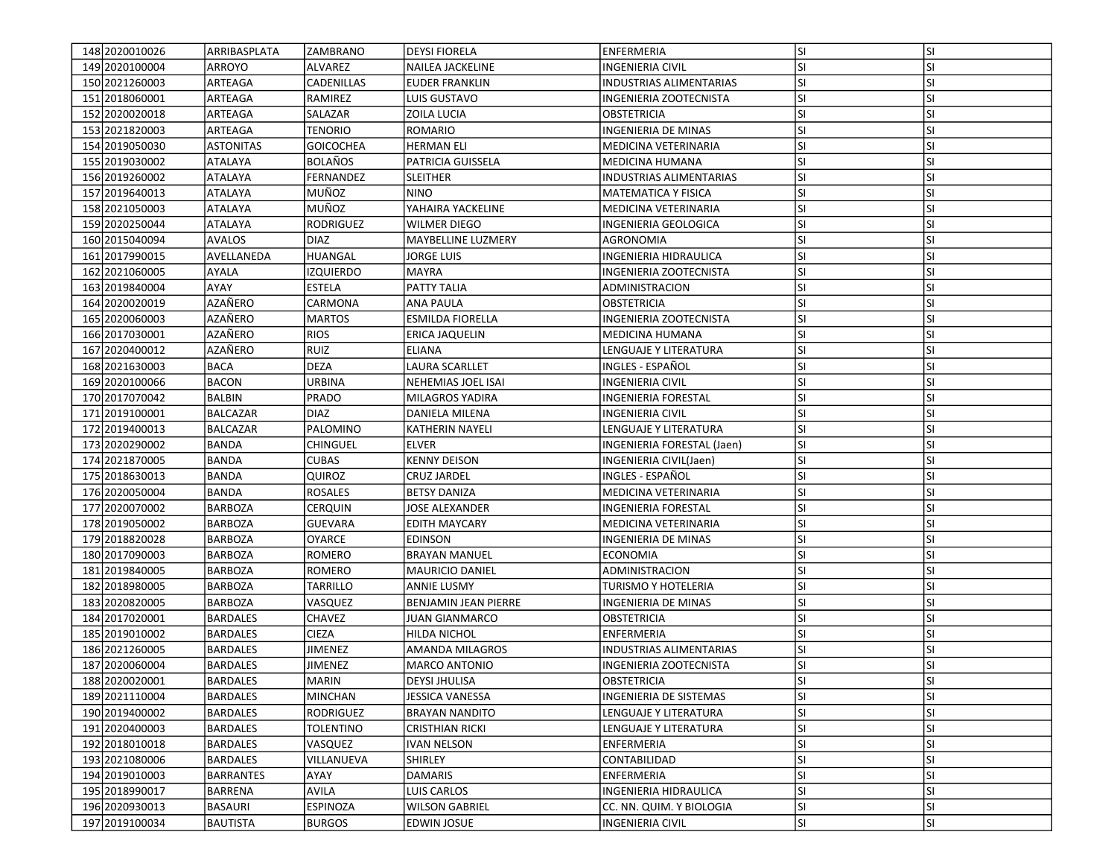| 148 2020010026   | <b>ARRIBASPLATA</b> | <b>ZAMBRANO</b>  | <b>DEYSI FIORELA</b>        | <b>ENFERMERIA</b>              | lsı       | <b>SI</b> |
|------------------|---------------------|------------------|-----------------------------|--------------------------------|-----------|-----------|
| 149 2020 100004  | <b>ARROYO</b>       | ALVAREZ          | <b>NAILEA JACKELINE</b>     | INGENIERIA CIVIL               | SI.       | SI        |
| 150 2021260003   | ARTEAGA             | CADENILLAS       | <b>EUDER FRANKLIN</b>       | <b>INDUSTRIAS ALIMENTARIAS</b> | <b>SI</b> | <b>SI</b> |
| 151 2018060001   | ARTEAGA             | RAMIREZ          | <b>LUIS GUSTAVO</b>         | INGENIERIA ZOOTECNISTA         | <b>SI</b> | <b>SI</b> |
| 152 2020 020018  | ARTEAGA             | SALAZAR          | ZOILA LUCIA                 | <b>OBSTETRICIA</b>             | <b>SI</b> | <b>SI</b> |
| 153 20218 2000 3 | ARTEAGA             | TENORIO          | <b>ROMARIO</b>              | INGENIERIA DE MINAS            | <b>SI</b> | <b>SI</b> |
| 154 2019 050030  | <b>ASTONITAS</b>    | <b>GOICOCHEA</b> | <b>HERMAN ELI</b>           | MEDICINA VETERINARIA           | <b>SI</b> | <b>SI</b> |
| 155 2019 030002  | <b>ATALAYA</b>      | <b>BOLAÑOS</b>   | PATRICIA GUISSELA           | MEDICINA HUMANA                | <b>SI</b> | SI        |
| 156 2019 26000 2 | <b>ATALAYA</b>      | FERNANDEZ        | <b>SLEITHER</b>             | INDUSTRIAS ALIMENTARIAS        | SI.       | <b>SI</b> |
| 157 2019 640013  | <b>ATALAYA</b>      | MUÑOZ            | <b>NINO</b>                 | <b>MATEMATICA Y FISICA</b>     | <b>SI</b> | <b>SI</b> |
| 158 2021050003   | ATALAYA             | MUÑOZ            | YAHAIRA YACKELINE           | MEDICINA VETERINARIA           | <b>SI</b> | <b>SI</b> |
| 159 2020250044   | ATALAYA             | <b>RODRIGUEZ</b> | <b>WILMER DIEGO</b>         | INGENIERIA GEOLOGICA           | <b>SI</b> | <b>SI</b> |
| 160 2015 040094  | <b>AVALOS</b>       | <b>DIAZ</b>      | <b>MAYBELLINE LUZMERY</b>   | AGRONOMIA                      | <b>SI</b> | <b>SI</b> |
| 161 2017990015   | AVELLANEDA          | HUANGAL          | <b>JORGE LUIS</b>           | INGENIERIA HIDRAULICA          | <b>SI</b> | <b>SI</b> |
| 162 2021060005   | <b>AYALA</b>        | <b>IZQUIERDO</b> | MAYRA                       | INGENIERIA ZOOTECNISTA         | <b>SI</b> | SI        |
| 163 2019840004   | AYAY                | ESTELA           | PATTY TALIA                 | ADMINISTRACION                 | <b>SI</b> | SI        |
| 164 2020020019   | AZAÑERO             | CARMONA          | ANA PAULA                   | OBSTETRICIA                    | SI.       | <b>SI</b> |
| 165 2020060003   | AZAÑERO             | <b>MARTOS</b>    | <b>ESMILDA FIORELLA</b>     | <b>INGENIERIA ZOOTECNISTA</b>  | <b>SI</b> | <b>SI</b> |
| 166 2017030001   | AZAÑERO             | <b>RIOS</b>      | ERICA JAQUELIN              | <b>MEDICINA HUMANA</b>         | <b>SI</b> | <b>SI</b> |
| 167 2020400012   | AZAÑERO             | RUIZ             | ELIANA                      | LENGUAJE Y LITERATURA          | <b>SI</b> | <b>SI</b> |
| 168 2021630003   | <b>BACA</b>         | <b>DEZA</b>      | LAURA SCARLLET              | INGLES - ESPAÑOL               | <b>SI</b> | <b>SI</b> |
| 169 2020 100066  | <b>BACON</b>        | URBINA           | NEHEMIAS JOEL ISAI          | <b>INGENIERIA CIVIL</b>        | <b>SI</b> | SI        |
| 170 2017070042   | BALBIN              | <b>PRADO</b>     | MILAGROS YADIRA             | <b>INGENIERIA FORESTAL</b>     | SI.       | <b>SI</b> |
| 171 2019 100001  | <b>BALCAZAR</b>     | <b>DIAZ</b>      | DANIELA MILENA              | <b>INGENIERIA CIVIL</b>        | <b>SI</b> | SI        |
| 172 2019400013   | <b>BALCAZAR</b>     | PALOMINO         | <b>KATHERIN NAYELI</b>      | LENGUAJE Y LITERATURA          | SI.       | <b>SI</b> |
| 173 2020290002   | <b>BANDA</b>        | CHINGUEL         | <b>ELVER</b>                | INGENIERIA FORESTAL (Jaen)     | <b>SI</b> | <b>SI</b> |
| 174 2021870005   | <b>BANDA</b>        | <b>CUBAS</b>     | <b>KENNY DEISON</b>         | INGENIERIA CIVIL(Jaen)         | <b>SI</b> | <b>SI</b> |
| 175 2018 630013  | <b>BANDA</b>        | QUIROZ           | <b>CRUZ JARDEL</b>          | INGLES - ESPAÑOL               | lsı       | <b>SI</b> |
| 176 2020050004   | BANDA               | <b>ROSALES</b>   | <b>BETSY DANIZA</b>         | MEDICINA VETERINARIA           | <b>SI</b> | SI        |
| 177 2020070002   | <b>BARBOZA</b>      | CERQUIN          | <b>JOSE ALEXANDER</b>       | INGENIERIA FORESTAL            | <b>SI</b> | <b>SI</b> |
| 178 2019050002   | <b>BARBOZA</b>      | <b>GUEVARA</b>   | EDITH MAYCARY               | MEDICINA VETERINARIA           | SI.       | SI        |
| 179 2018820028   | <b>BARBOZA</b>      | <b>OYARCE</b>    | <b>EDINSON</b>              | <b>INGENIERIA DE MINAS</b>     | <b>SI</b> | <b>SI</b> |
| 180 2017090003   | <b>BARBOZA</b>      | ROMERO           | <b>BRAYAN MANUEL</b>        | <b>ECONOMIA</b>                | <b>SI</b> | <b>SI</b> |
| 181 2019 840005  | <b>BARBOZA</b>      | <b>ROMERO</b>    | <b>MAURICIO DANIEL</b>      | ADMINISTRACION                 | SI.       | <b>SI</b> |
| 182 2018 980005  | <b>BARBOZA</b>      | TARRILLO         | ANNIE LUSMY                 | TURISMO Y HOTELERIA            | lsı       | <b>SI</b> |
| 183 2020 820005  | <b>BARBOZA</b>      | VASQUEZ          | <b>BENJAMIN JEAN PIERRE</b> | INGENIERIA DE MINAS            | SI        | <b>SI</b> |
| 184 2017020001   | <b>BARDALES</b>     | CHAVEZ           | <b>JUAN GIANMARCO</b>       | OBSTETRICIA                    | <b>SI</b> | <b>SI</b> |
| 185 2019010002   | <b>BARDALES</b>     | <b>CIEZA</b>     | HILDA NICHOL                | ENFERMERIA                     | <b>SI</b> | SI        |
| 186 2021260005   | <b>BARDALES</b>     | JIMENEZ          | <b>AMANDA MILAGROS</b>      | <b>INDUSTRIAS ALIMENTARIAS</b> | <b>SI</b> | <b>SI</b> |
| 187 2020060004   | <b>BARDALES</b>     | <b>JIMENEZ</b>   | <b>MARCO ANTONIO</b>        | INGENIERIA ZOOTECNISTA         | SI        | SI        |
| 188 2020020001   | BARDALES            | MARIN            | <b>DEYSI JHULISA</b>        | OBSTETRICIA                    | SI.       | ΙSΙ       |
| 189 2021110004   | <b>BARDALES</b>     | MINCHAN          | <b>JESSICA VANESSA</b>      | INGENIERIA DE SISTEMAS         | SI.       | <b>SI</b> |
| 190 2019400002   | <b>BARDALES</b>     | <b>RODRIGUEZ</b> | <b>BRAYAN NANDITO</b>       | <b>LENGUAJE Y LITERATURA</b>   | SI        | <b>SI</b> |
| 191 2020400003   | <b>BARDALES</b>     | TOLENTINO        | <b>CRISTHIAN RICKI</b>      | LENGUAJE Y LITERATURA          | SI.       | <b>SI</b> |
| 192 2018010018   | <b>BARDALES</b>     | VASQUEZ          | IVAN NELSON                 | ENFERMERIA                     | SI.       | SI        |
| 193 2021080006   | <b>BARDALES</b>     | VILLANUEVA       | SHIRLEY                     | CONTABILIDAD                   | <b>SI</b> | <b>SI</b> |
| 194 2019010003   | <b>BARRANTES</b>    | AYAY             | DAMARIS                     | ENFERMERIA                     | <b>SI</b> | SI        |
| 195 2018990017   | <b>BARRENA</b>      | AVILA            | LUIS CARLOS                 | INGENIERIA HIDRAULICA          | <b>SI</b> | <b>SI</b> |
| 196 2020930013   | <b>BASAURI</b>      | <b>ESPINOZA</b>  | <b>WILSON GABRIEL</b>       | CC. NN. QUIM. Y BIOLOGIA       | SI.       | SI        |
| 197 2019100034   | <b>BAUTISTA</b>     | <b>BURGOS</b>    | <b>EDWIN JOSUE</b>          | <b>INGENIERIA CIVIL</b>        | SI.       | SI        |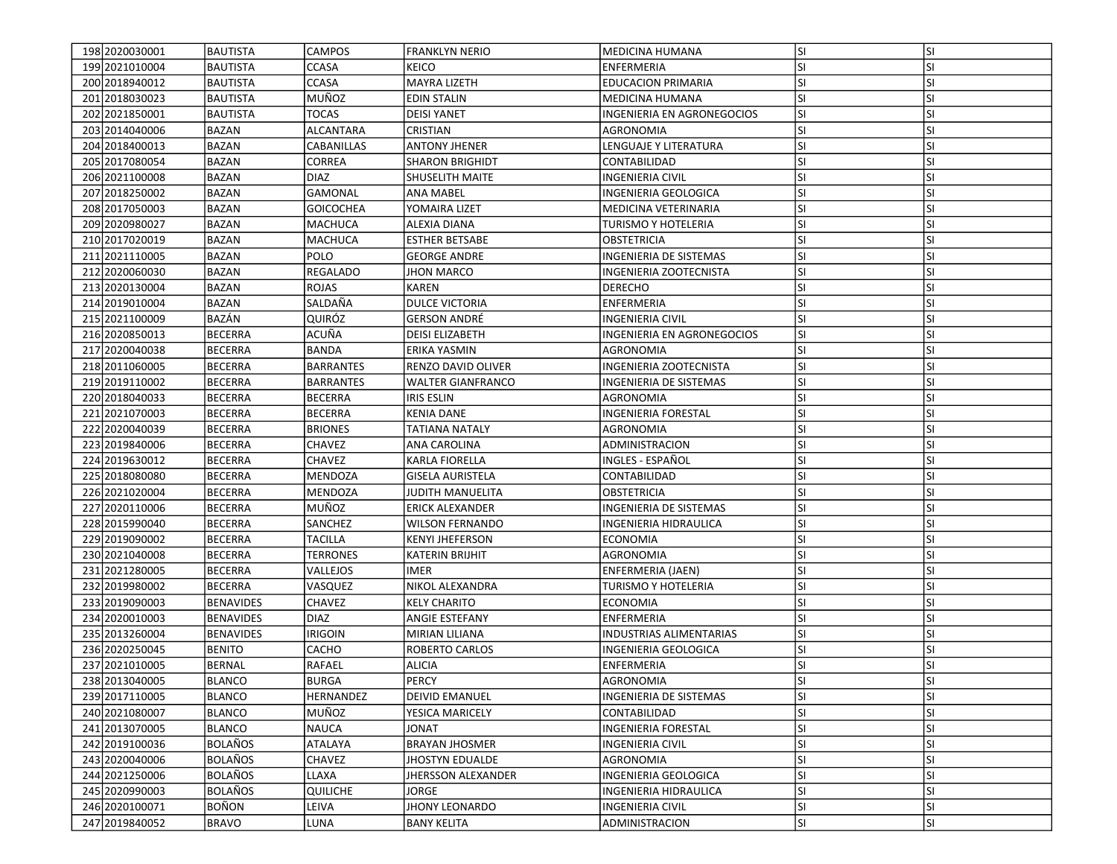| 198 2020030001    | BAUTISTA         | <b>CAMPOS</b>    | <b>FRANKLYN NERIO</b>     | <b>MEDICINA HUMANA</b>        | lsı       | <b>SI</b> |
|-------------------|------------------|------------------|---------------------------|-------------------------------|-----------|-----------|
| 199 2021010004    | <b>BAUTISTA</b>  | CCASA            | <b>KEICO</b>              | ENFERMERIA                    | <b>SI</b> | SI        |
| 200 2018940012    | BAUTISTA         | CCASA            | <b>MAYRA LIZETH</b>       | <b>EDUCACION PRIMARIA</b>     | <b>SI</b> | <b>SI</b> |
| 201 2018030023    | <b>BAUTISTA</b>  | MUÑOZ            | <b>EDIN STALIN</b>        | MEDICINA HUMANA               | <b>SI</b> | <b>SI</b> |
| 202 2021850001    | <b>BAUTISTA</b>  | <b>TOCAS</b>     | <b>DEISI YANET</b>        | INGENIERIA EN AGRONEGOCIOS    | <b>SI</b> | <b>SI</b> |
| 203 2014 040006   | <b>BAZAN</b>     | ALCANTARA        | CRISTIAN                  | AGRONOMIA                     | <b>SI</b> | <b>SI</b> |
| 204 2018400013    | <b>BAZAN</b>     | CABANILLAS       | <b>ANTONY JHENER</b>      | <b>LENGUAJE Y LITERATURA</b>  | <b>SI</b> | <b>SI</b> |
| 205 2017080054    | <b>BAZAN</b>     | CORREA           | <b>SHARON BRIGHIDT</b>    | CONTABILIDAD                  | <b>SI</b> | SI        |
| 206 2021100008    | BAZAN            | <b>DIAZ</b>      | SHUSELITH MAITE           | INGENIERIA CIVIL              | <b>SI</b> | <b>SI</b> |
| 207 2018 250002   | <b>BAZAN</b>     | <b>GAMONAL</b>   | <b>ANA MABEL</b>          | INGENIERIA GEOLOGICA          | lsı       | <b>SI</b> |
| 208 2017050003    | <b>BAZAN</b>     | <b>GOICOCHEA</b> | YOMAIRA LIZET             | MEDICINA VETERINARIA          | <b>SI</b> | <b>SI</b> |
| 209 2020 9800 27  | <b>BAZAN</b>     | MACHUCA          | <b>ALEXIA DIANA</b>       | TURISMO Y HOTELERIA           | lsı       | <b>SI</b> |
| 210 20170 20019   | <b>BAZAN</b>     | <b>MACHUCA</b>   | <b>ESTHER BETSABE</b>     | <b>OBSTETRICIA</b>            | <b>SI</b> | <b>SI</b> |
| 211 2021110005    | <b>BAZAN</b>     | POLO             | <b>GEORGE ANDRE</b>       | <b>INGENIERIA DE SISTEMAS</b> | lsı       | <b>SI</b> |
| 212 2020060030    | BAZAN            | <b>REGALADO</b>  | <b>JHON MARCO</b>         | INGENIERIA ZOOTECNISTA        | <b>SI</b> | SI        |
| 213 2020130004    | BAZAN            | <b>ROJAS</b>     | KAREN                     | <b>DERECHO</b>                | <b>SI</b> | <b>SI</b> |
| 214 2019010004    | <b>BAZAN</b>     | SALDAÑA          | <b>DULCE VICTORIA</b>     | ENFERMERIA                    | SI.       | <b>SI</b> |
| 215 2021100009    | BAZÁN            | QUIRÓZ           | <b>GERSON ANDRÉ</b>       | INGENIERIA CIVIL              | <b>SI</b> | <b>SI</b> |
| 216 2020850013    | <b>BECERRA</b>   | ACUÑA            | <b>DEISI ELIZABETH</b>    | INGENIERIA EN AGRONEGOCIOS    | lsı       | <b>SI</b> |
| 217 2020040038    | <b>BECERRA</b>   | <b>BANDA</b>     | ERIKA YASMIN              | AGRONOMIA                     | <b>SI</b> | <b>SI</b> |
| 218 2011060005    | <b>BECERRA</b>   | <b>BARRANTES</b> | RENZO DAVID OLIVER        | <b>INGENIERIA ZOOTECNISTA</b> | lsı       | <b>SI</b> |
| 219 2019 110002   | <b>BECERRA</b>   | BARRANTES        | <b>WALTER GIANFRANCO</b>  | INGENIERIA DE SISTEMAS        | <b>SI</b> | SI        |
| 220 2018040033    | <b>BECERRA</b>   | <b>BECERRA</b>   | <b>IRIS ESLIN</b>         | AGRONOMIA                     | <b>SI</b> | <b>SI</b> |
| 221 2021070003    | <b>BECERRA</b>   | <b>BECERRA</b>   | <b>KENIA DANE</b>         | INGENIERIA FORESTAL           | <b>SI</b> | <b>SI</b> |
| 222 2020040039    | <b>BECERRA</b>   | <b>BRIONES</b>   | <b>TATIANA NATALY</b>     | <b>AGRONOMIA</b>              | <b>SI</b> | <b>SI</b> |
| 223 2019840006    | <b>BECERRA</b>   | <b>CHAVEZ</b>    | ANA CAROLINA              | ADMINISTRACION                | <b>SI</b> | <b>SI</b> |
| 224 2019 630012   | <b>BECERRA</b>   | <b>CHAVEZ</b>    | KARLA FIORELLA            | INGLES - ESPAÑOL              | <b>SI</b> | <b>SI</b> |
| 225 2018080080    | <b>BECERRA</b>   | MENDOZA          | <b>GISELA AURISTELA</b>   | CONTABILIDAD                  | lsı       | <b>SI</b> |
| 226 2021020004    | <b>BECERRA</b>   | MENDOZA          | JUDITH MANUELITA          | OBSTETRICIA                   | <b>SI</b> | SI        |
| 227 2020110006    | <b>BECERRA</b>   | MUÑOZ            | <b>ERICK ALEXANDER</b>    | INGENIERIA DE SISTEMAS        | <b>SI</b> | <b>SI</b> |
| 228 2015990040    | <b>BECERRA</b>   | SANCHEZ          | <b>WILSON FERNANDO</b>    | INGENIERIA HIDRAULICA         | SI.       | SI        |
| 229 2019090002    | <b>BECERRA</b>   | <b>TACILLA</b>   | <b>KENYI JHEFERSON</b>    | <b>ECONOMIA</b>               | <b>SI</b> | <b>SI</b> |
| 230 2021040008    | <b>BECERRA</b>   | <b>TERRONES</b>  | <b>KATERIN BRIJHIT</b>    | AGRONOMIA                     | lsı       | <b>SI</b> |
| 231 2021 280005   | <b>BECERRA</b>   | VALLEJOS         | <b>IMER</b>               | ENFERMERIA (JAEN)             | <b>SI</b> | <b>SI</b> |
| 232 2019980002    | <b>BECERRA</b>   | VASQUEZ          | NIKOL ALEXANDRA           | TURISMO Y HOTELERIA           | lsı       | <b>SI</b> |
| 233 2019 09 000 3 | <b>BENAVIDES</b> | <b>CHAVEZ</b>    | <b>KELY CHARITO</b>       | <b>ECONOMIA</b>               | <b>SI</b> | SI        |
| 234 2020010003    | <b>BENAVIDES</b> | <b>DIAZ</b>      | <b>ANGIE ESTEFANY</b>     | ENFERMERIA                    | <b>SI</b> | <b>SI</b> |
| 235 2013 260004   | <b>BENAVIDES</b> | <b>IRIGOIN</b>   | MIRIAN LILIANA            | INDUSTRIAS ALIMENTARIAS       | <b>SI</b> | <b>SI</b> |
| 236 2020250045    | <b>BENITO</b>    | CACHO            | <b>ROBERTO CARLOS</b>     | INGENIERIA GEOLOGICA          | SI.       | <b>SI</b> |
| 237 2021010005    | BERNAL           | RAFAEL           | <b>ALICIA</b>             | <b>ENFERMERIA</b>             | <b>SI</b> | <b>SI</b> |
| 238 2013040005    | <b>BLANCO</b>    | <b>BURGA</b>     | <b>PERCY</b>              | AGRONOMIA                     | SI.       | ΙSΙ       |
| 239 2017110005    | <b>BLANCO</b>    | HERNANDEZ        | <b>DEIVID EMANUEL</b>     | <b>INGENIERIA DE SISTEMAS</b> | SI.       | <b>SI</b> |
| 240 2021080007    | <b>BLANCO</b>    | MUÑOZ            | YESICA MARICELY           | CONTABILIDAD                  | <b>SI</b> | <b>SI</b> |
| 241 2013 070 005  | <b>BLANCO</b>    | <b>NAUCA</b>     | JONAT                     | INGENIERIA FORESTAL           | <b>SI</b> | SI        |
| 242 2019100036    | <b>BOLAÑOS</b>   | ATALAYA          | <b>BRAYAN JHOSMER</b>     | INGENIERIA CIVIL              | <b>SI</b> | <b>SI</b> |
| 243 2020040006    | <b>BOLAÑOS</b>   | <b>CHAVEZ</b>    | JHOSTYN EDUALDE           | AGRONOMIA                     | <b>SI</b> | <b>SI</b> |
| 244 2021250006    | <b>BOLAÑOS</b>   | LLAXA            | <b>JHERSSON ALEXANDER</b> | INGENIERIA GEOLOGICA          | <b>SI</b> | <b>SI</b> |
| 245 2020990003    | <b>BOLAÑOS</b>   | QUILICHE         | JORGE                     | INGENIERIA HIDRAULICA         | <b>SI</b> | <b>SI</b> |
| 246 2020100071    | BOÑON            | LEIVA            | <b>JHONY LEONARDO</b>     | <b>INGENIERIA CIVIL</b>       | SI.       | <b>SI</b> |
| 247 2019840052    | <b>BRAVO</b>     | LUNA             | <b>BANY KELITA</b>        | ADMINISTRACION                | SI.       | SI        |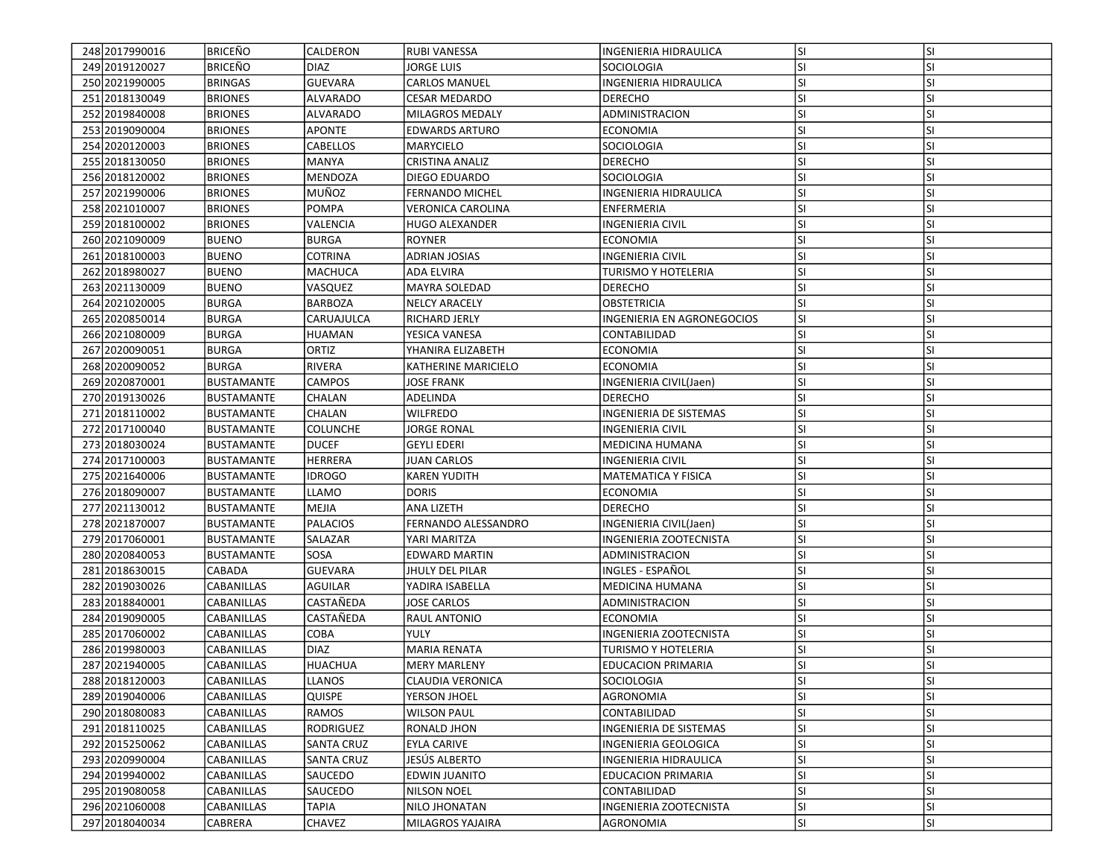| 248 2017990016   | <b>BRICEÑO</b>    | <b>CALDERON</b>   | RUBI VANESSA             | INGENIERIA HIDRAULICA         | <b>SI</b> | <b>SI</b> |
|------------------|-------------------|-------------------|--------------------------|-------------------------------|-----------|-----------|
| 249 2019 1200 27 | <b>BRICEÑO</b>    | <b>DIAZ</b>       | IORGE LUIS               | <b>SOCIOLOGIA</b>             | SI        | SI        |
| 250 2021990005   | <b>BRINGAS</b>    | <b>GUEVARA</b>    | <b>CARLOS MANUEL</b>     | <b>INGENIERIA HIDRAULICA</b>  | SI        | SI        |
| 251 2018 1300 49 | <b>BRIONES</b>    | <b>ALVARADO</b>   | <b>CESAR MEDARDO</b>     | <b>DERECHO</b>                | SI        | SI        |
| 252 2019840008   | <b>BRIONES</b>    | ALVARADO          | MILAGROS MEDALY          | ADMINISTRACION                | SI        | SI        |
| 253 2019090004   | <b>BRIONES</b>    | <b>APONTE</b>     | <b>EDWARDS ARTURO</b>    | <b>ECONOMIA</b>               | SI        | SI        |
| 254 2020 120003  | <b>BRIONES</b>    | CABELLOS          |                          | SOCIOLOGIA                    |           | SI        |
|                  |                   |                   | MARYCIELO                |                               | <b>SI</b> |           |
| 255 2018 1300 50 | <b>BRIONES</b>    | MANYA             | <b>CRISTINA ANALIZ</b>   | <b>DERECHO</b>                | ΙSΙ       | SI        |
| 256 2018120002   | <b>BRIONES</b>    | MENDOZA           | DIEGO EDUARDO            | SOCIOLOGIA                    | <b>SI</b> | SI        |
| 257 2021990006   | <b>BRIONES</b>    | MUÑOZ             | <b>FERNANDO MICHEL</b>   | INGENIERIA HIDRAULICA         | SI        | SI        |
| 258 2021010007   | <b>BRIONES</b>    | <b>POMPA</b>      | <b>VERONICA CAROLINA</b> | <b>ENFERMERIA</b>             | SI        | SI        |
| 259 2018 100002  | <b>BRIONES</b>    | VALENCIA          | HUGO ALEXANDER           | <b>INGENIERIA CIVIL</b>       | <b>SI</b> | SI        |
| 260 2021090009   | <b>BUENO</b>      | <b>BURGA</b>      | <b>ROYNER</b>            | <b>ECONOMIA</b>               | <b>SI</b> | SI        |
| 261 2018 100003  | <b>BUENO</b>      | COTRINA           | ADRIAN JOSIAS            | <b>INGENIERIA CIVIL</b>       | SI        | SI        |
| 262 2018 9800 27 | <b>BUENO</b>      | MACHUCA           | ADA ELVIRA               | <b>TURISMO Y HOTELERIA</b>    | SI        | SI        |
| 263 2021130009   | <b>BUENO</b>      | VASQUEZ           | MAYRA SOLEDAD            | <b>DERECHO</b>                | SI        | SI        |
| 264 2021020005   | <b>BURGA</b>      | BARBOZA           | <b>NELCY ARACELY</b>     | OBSTETRICIA                   | <b>SI</b> | SI        |
| 265 2020850014   | <b>BURGA</b>      | CARUAJULCA        | RICHARD JERLY            | INGENIERIA EN AGRONEGOCIOS    | SI        | SI        |
| 266 2021080009   | <b>BURGA</b>      | <b>HUAMAN</b>     | YESICA VANESA            | CONTABILIDAD                  | <b>SI</b> | SI        |
| 267 2020090051   | <b>BURGA</b>      | ORTIZ             | YHANIRA ELIZABETH        | <b>ECONOMIA</b>               | <b>SI</b> | SI        |
| 268 2020090052   | <b>BURGA</b>      | RIVERA            | KATHERINE MARICIELO      | <b>ECONOMIA</b>               | SI        | SI        |
| 269 2020 870001  | <b>BUSTAMANTE</b> | <b>CAMPOS</b>     | JOSE FRANK               | INGENIERIA CIVIL(Jaen)        | SI        | SI        |
| 270 2019130026   | <b>BUSTAMANTE</b> | CHALAN            | ADELINDA                 | <b>DERECHO</b>                | <b>SI</b> | SI        |
| 271 2018110002   | <b>BUSTAMANTE</b> | CHALAN            | <b>WILFREDO</b>          | <b>INGENIERIA DE SISTEMAS</b> | SI        | SI        |
| 272 2017100040   | BUSTAMANTE        | <b>COLUNCHE</b>   | <b>JORGE RONAL</b>       | <b>INGENIERIA CIVIL</b>       | SI        | SI        |
| 273 2018030024   | <b>BUSTAMANTE</b> | <b>DUCEF</b>      | <b>GEYLI EDERI</b>       | IMEDICINA HUMANA              | <b>SI</b> | SI        |
| 274 2017100003   | <b>BUSTAMANTE</b> | <b>HERRERA</b>    | JUAN CARLOS              | <b>INGENIERIA CIVIL</b>       | SI        | SI        |
| 275 2021640006   | BUSTAMANTE        | <b>IDROGO</b>     | <b>KAREN YUDITH</b>      | <b>MATEMATICA Y FISICA</b>    | <b>SI</b> | SI        |
| 276 2018090007   | <b>BUSTAMANTE</b> | <b>LLAMO</b>      | <b>DORIS</b>             | <b>ECONOMIA</b>               | <b>SI</b> | SI        |
| 277 2021130012   | BUSTAMANTE        | MEJIA             | ANA LIZETH               | <b>DERECHO</b>                | SI        | SI        |
| 278 2021870007   | <b>BUSTAMANTE</b> | <b>PALACIOS</b>   | FERNANDO ALESSANDRO      | INGENIERIA CIVIL(Jaen)        | SI        | SI        |
| 279 2017060001   | BUSTAMANTE        | SALAZAR           | YARI MARITZA             | INGENIERIA ZOOTECNISTA        | SI        | SI        |
| 280 2020 8400 53 | <b>BUSTAMANTE</b> | SOSA              | <b>EDWARD MARTIN</b>     | ADMINISTRACION                | <b>SI</b> | SI        |
| 281 2018 630015  | <b>CABADA</b>     | <b>GUEVARA</b>    | JHULY DEL PILAR          | INGLES - ESPAÑOL              | <b>SI</b> | SI        |
| 282 2019 030 026 | <b>CABANILLAS</b> | <b>AGUILAR</b>    | YADIRA ISABELLA          | MEDICINA HUMANA               | SI        | SI        |
| 283 2018840001   | <b>CABANILLAS</b> | CASTAÑEDA         | JOSE CARLOS              | ADMINISTRACION                | SI        | SI        |
| 284 2019090005   | CABANILLAS        | CASTAÑEDA         | RAUL ANTONIO             | <b>ECONOMIA</b>               | <b>SI</b> | SI        |
| 285 2017060002   | CABANILLAS        | COBA              | YULY                     | INGENIERIA ZOOTECNISTA        | SI        | SI        |
| 286 2019980003   | <b>CABANILLAS</b> | <b>DIAZ</b>       | MARIA RENATA             | TURISMO Y HOTELERIA           | SI        | SI        |
| 287 2021940005   | <b>CABANILLAS</b> | <b>HUACHUA</b>    | <b>MERY MARLENY</b>      | <b>EDUCACION PRIMARIA</b>     | SI        | SI        |
| 288 2018 120003  | <b>CABANILLAS</b> | LLANOS            | CLAUDIA VERONICA         | SOCIOLOGIA                    | lsı       | ΙSΙ       |
| 289 2019 040006  | <b>CABANILLAS</b> | <b>QUISPE</b>     | YERSON JHOEL             | AGRONOMIA                     | SI        | SI        |
| 290 2018080083   | <b>CABANILLAS</b> | RAMOS             | <b>WILSON PAUL</b>       | CONTABILIDAD                  |           | SI        |
|                  |                   |                   |                          |                               | SI        |           |
| 291 2018 1100 25 | CABANILLAS        | RODRIGUEZ         | RONALD JHON              | INGENIERIA DE SISTEMAS        | SI        | SI        |
| 292 2015 2500 62 | CABANILLAS        | <b>SANTA CRUZ</b> | EYLA CARIVE              | INGENIERIA GEOLOGICA          | SI        | SI        |
| 293 2020990004   | <b>CABANILLAS</b> | <b>SANTA CRUZ</b> | JESÚS ALBERTO            | INGENIERIA HIDRAULICA         | SI        | SI        |
| 294 2019940002   | <b>CABANILLAS</b> | SAUCEDO           | EDWIN JUANITO            | <b>EDUCACION PRIMARIA</b>     | SI        | SI        |
| 295 2019 080058  | <b>CABANILLAS</b> | <b>SAUCEDO</b>    | <b>NILSON NOEL</b>       | CONTABILIDAD                  | <b>SI</b> | SI        |
| 296 2021060008   | <b>CABANILLAS</b> | <b>TAPIA</b>      | NILO JHONATAN            | INGENIERIA ZOOTECNISTA        | <b>SI</b> | SI        |
| 297 2018040034   | CABRERA           | <b>CHAVEZ</b>     | MILAGROS YAJAIRA         | AGRONOMIA                     | SI        | SI        |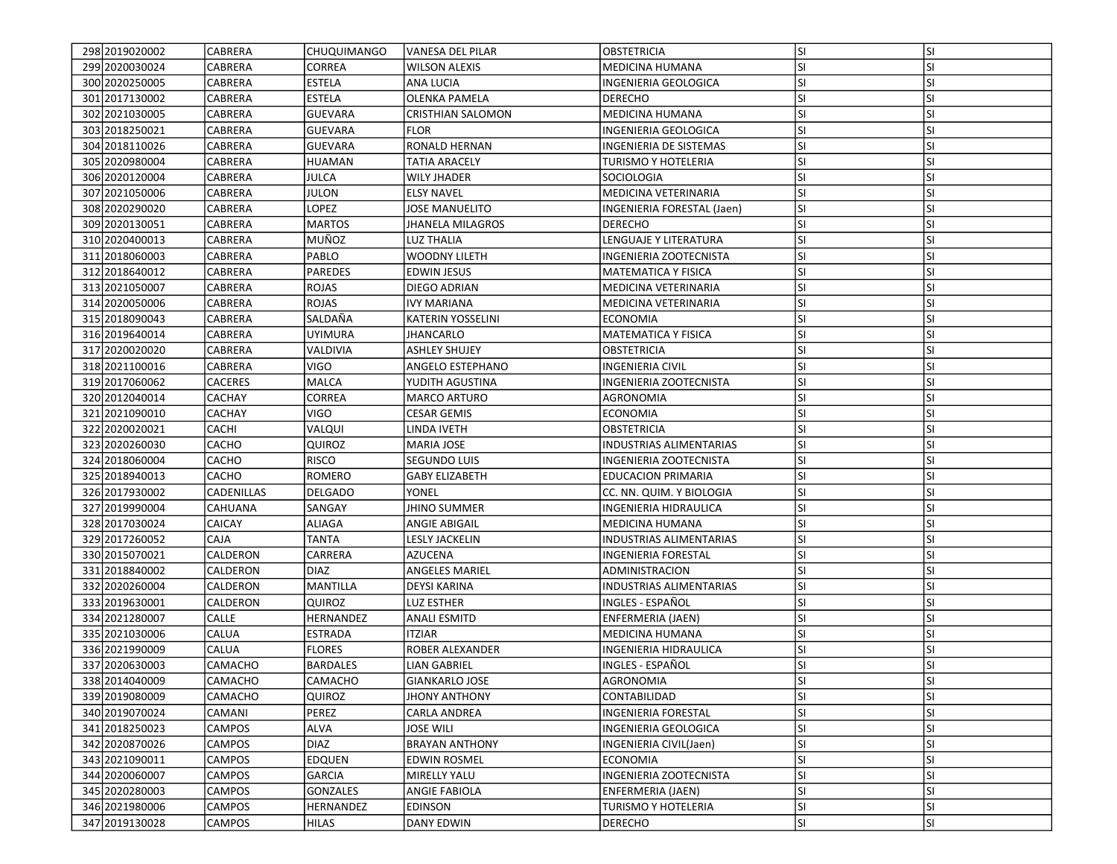| 298 2019 02000 2  | CABRERA         | <b>CHUQUIMANGO</b> | VANESA DEL PILAR          | OBSTETRICIA                    | lsı        | <b>SI</b> |
|-------------------|-----------------|--------------------|---------------------------|--------------------------------|------------|-----------|
| 299 2020 0300 24  | CABRERA         | CORREA             | <b>WILSON ALEXIS</b>      | MEDICINA HUMANA                | SI.        | SI        |
| 300 2020 250005   | <b>CABRERA</b>  | <b>ESTELA</b>      | <b>ANA LUCIA</b>          | INGENIERIA GEOLOGICA           | <b>SI</b>  | <b>SI</b> |
| 301 2017 1300 02  | <b>CABRERA</b>  | <b>ESTELA</b>      | <b>OLENKA PAMELA</b>      | <b>DERECHO</b>                 | lsı        | <b>SI</b> |
| 302 2021030005    | <b>CABRERA</b>  | <b>GUEVARA</b>     | <b>CRISTHIAN SALOMON</b>  | <b>MEDICINA HUMANA</b>         | SI.        | <b>SI</b> |
| 303 2018 2500 21  | CABRERA         | GUEVARA            | <b>FLOR</b>               | INGENIERIA GEOLOGICA           | lsı        | <b>SI</b> |
| 304 2018 1100 26  | CABRERA         | GUEVARA            | RONALD HERNAN             | INGENIERIA DE SISTEMAS         | SI.        | SI        |
| 305 2020 980004   | CABRERA         | HUAMAN             | TATIA ARACELY             | TURISMO Y HOTELERIA            | <b>SI</b>  | <b>SI</b> |
| 306 2020120004    | CABRERA         | <b>JULCA</b>       | WILY JHADER               | SOCIOLOGIA                     | <b>SI</b>  | <b>SI</b> |
| 307 2021050006    | <b>CABRERA</b>  | <b>JULON</b>       | <b>ELSY NAVEL</b>         | MEDICINA VETERINARIA           | <b>SI</b>  | <b>SI</b> |
| 308 2020290020    | <b>CABRERA</b>  | LOPEZ              | <b>JOSE MANUELITO</b>     | INGENIERIA FORESTAL (Jaen)     | lsı        | <b>SI</b> |
| 309 2020130051    | <b>CABRERA</b>  | <b>MARTOS</b>      | <b>JHANELA MILAGROS</b>   | <b>DERECHO</b>                 | <b>SI</b>  | <b>SI</b> |
| 310 2020400013    | CABRERA         | MUÑOZ              | <b>LUZ THALIA</b>         | LENGUAJE Y LITERATURA          | <b>SI</b>  | <b>SI</b> |
| 311 2018060003    | CABRERA         | PABLO              | <b>WOODNY LILETH</b>      | INGENIERIA ZOOTECNISTA         | <b>SI</b>  | <b>SI</b> |
| 312 2018 640012   | CABRERA         | PAREDES            | <b>EDWIN JESUS</b>        | MATEMATICA Y FISICA            | <b>SI</b>  | <b>SI</b> |
| 313 2021050007    | CABRERA         | <b>ROJAS</b>       | DIEGO ADRIAN              | MEDICINA VETERINARIA           | <b>SI</b>  | SI        |
| 314 2020050006    | CABRERA         | ROJAS              | <b>IVY MARIANA</b>        | MEDICINA VETERINARIA           | <b>SI</b>  | <b>SI</b> |
| 315 2018090043    | <b>CABRERA</b>  | SALDAÑA            | <b>KATERIN YOSSELINI</b>  | <b>ECONOMIA</b>                | <b>SI</b>  | <b>SI</b> |
| 316 2019 640014   | <b>CABRERA</b>  | <b>UYIMURA</b>     | <b>JHANCARLO</b>          | MATEMATICA Y FISICA            | lsı        | <b>SI</b> |
| 317 2020020020    | CABRERA         | VALDIVIA           | <b>ASHLEY SHUJEY</b>      | OBSTETRICIA                    | <b>SI</b>  | <b>SI</b> |
| 318 2021100016    | <b>CABRERA</b>  | VIGO               | ANGELO ESTEPHANO          | INGENIERIA CIVIL               | <b>SI</b>  | <b>SI</b> |
| 319 2017060062    | <b>CACERES</b>  | MALCA              | YUDITH AGUSTINA           | INGENIERIA ZOOTECNISTA         | <b>SI</b>  | SI        |
| 320 2012040014    | <b>CACHAY</b>   | CORREA             | <b>MARCO ARTURO</b>       | AGRONOMIA                      | <b>SI</b>  | <b>SI</b> |
| 321 2021 090010   | CACHAY          | VIGO               | <b>CESAR GEMIS</b>        | ECONOMIA                       | lsı        | <b>SI</b> |
| 322 2020020021    | <b>CACHI</b>    | VALQUI             | LINDA IVETH               | <b>OBSTETRICIA</b>             | <b>SI</b>  | <b>SI</b> |
| 323 2020 2600 30  | CACHO           | QUIROZ             | <b>MARIA JOSE</b>         | <b>INDUSTRIAS ALIMENTARIAS</b> | lsı        | <b>SI</b> |
| 324 2018060004    | CACHO           | <b>RISCO</b>       | SEGUNDO LUIS              | INGENIERIA ZOOTECNISTA         | <b>SI</b>  | <b>SI</b> |
| 325 2018 940013   | <b>CACHO</b>    | ROMERO             | <b>GABY ELIZABETH</b>     | <b>EDUCACION PRIMARIA</b>      | <b>SI</b>  | <b>SI</b> |
| 326 2017930002    | CADENILLAS      | <b>DELGADO</b>     | YONEL                     | CC. NN. QUIM. Y BIOLOGIA       | <b>SI</b>  | SI        |
| 327 2019990004    | <b>CAHUANA</b>  | SANGAY             | <b>JHINO SUMMER</b>       | INGENIERIA HIDRAULICA          | <b>SI</b>  | <b>SI</b> |
| 328 2017030024    | <b>CAICAY</b>   | <b>ALIAGA</b>      | ANGIE ABIGAIL             | MEDICINA HUMANA                | <b>SI</b>  | <b>SI</b> |
| 329 2017260052    | <b>CAJA</b>     | <b>TANTA</b>       | LESLY JACKELIN            | INDUSTRIAS ALIMENTARIAS        | <b>SI</b>  | <b>SI</b> |
| 330 2015 070 021  | CALDERON        | CARRERA            | AZUCENA                   | <b>INGENIERIA FORESTAL</b>     | <b>SI</b>  | <b>SI</b> |
| 331 2018840002    | CALDERON        | <b>DIAZ</b>        | <b>ANGELES MARIEL</b>     | ADMINISTRACION                 | SI.        | <b>SI</b> |
| 332 2020 260004   | CALDERON        | <b>MANTILLA</b>    | <b>DEYSI KARINA</b>       | <b>INDUSTRIAS ALIMENTARIAS</b> | <b>SI</b>  | <b>SI</b> |
| 333 2019 630001   | <b>CALDERON</b> | QUIROZ             | LUZ ESTHER                | INGLES - ESPAÑOL               | <b>SI</b>  | SI        |
| 334 2021 280007   | CALLE           | HERNANDEZ          | ANALI ESMITD              | ENFERMERIA (JAEN)              | <b>SI</b>  | SI        |
| 335 2021030006    | CALUA           | <b>ESTRADA</b>     | ITZIAR                    | MEDICINA HUMANA                | <b>SI</b>  | <b>SI</b> |
| 336 2021990009    | CALUA           | <b>FLORES</b>      | ROBER ALEXANDER           | INGENIERIA HIDRAULICA          | SI         | <b>SI</b> |
| 337 2020 630003   | <b>CAMACHO</b>  | <b>BARDALES</b>    | <b>LIAN GABRIEL</b>       | INGLES - ESPAÑOL               | lsı        | <b>SI</b> |
| 338 2014040009    | CAMACHO         | CAMACHO            | <b>GIANKARLO JOSE</b>     | AGRONOMIA                      | SI.        | ΙSΙ       |
| 339 2019 08 000 9 | CAMACHO         | QUIROZ             | <b>JHONY ANTHONY</b>      | CONTABILIDAD                   | lsı        | <b>SI</b> |
| 340 2019 070 024  | CAMANI          | PEREZ              |                           | <b>INGENIERIA FORESTAL</b>     | <b>SI</b>  | SI        |
| 341 2018 2500 23  | <b>CAMPOS</b>   | <b>ALVA</b>        | CARLA ANDREA<br>JOSE WILI | INGENIERIA GEOLOGICA           | SI.        | SI        |
| 342 2020870026    | <b>CAMPOS</b>   | <b>DIAZ</b>        |                           | INGENIERIA CIVIL(Jaen)         |            | <b>SI</b> |
| 343 2021090011    | <b>CAMPOS</b>   | <b>EDQUEN</b>      | <b>BRAYAN ANTHONY</b>     | <b>ECONOMIA</b>                | SI.<br>SI. | <b>SI</b> |
| 344 2020060007    | <b>CAMPOS</b>   | <b>GARCIA</b>      | EDWIN ROSMEL              |                                |            |           |
|                   |                 |                    | <b>MIRELLY YALU</b>       | INGENIERIA ZOOTECNISTA         | SI.        | SI        |
| 345 2020 280003   | <b>CAMPOS</b>   | GONZALES           | <b>ANGIE FABIOLA</b>      | ENFERMERIA (JAEN)              | <b>SI</b>  | SI        |
| 346 2021980006    | <b>CAMPOS</b>   | HERNANDEZ          | <b>EDINSON</b>            | TURISMO Y HOTELERIA            | SI.        | SI        |
| 347 2019130028    | <b>CAMPOS</b>   | <b>HILAS</b>       | <b>DANY EDWIN</b>         | <b>DERECHO</b>                 | SI.        | SI        |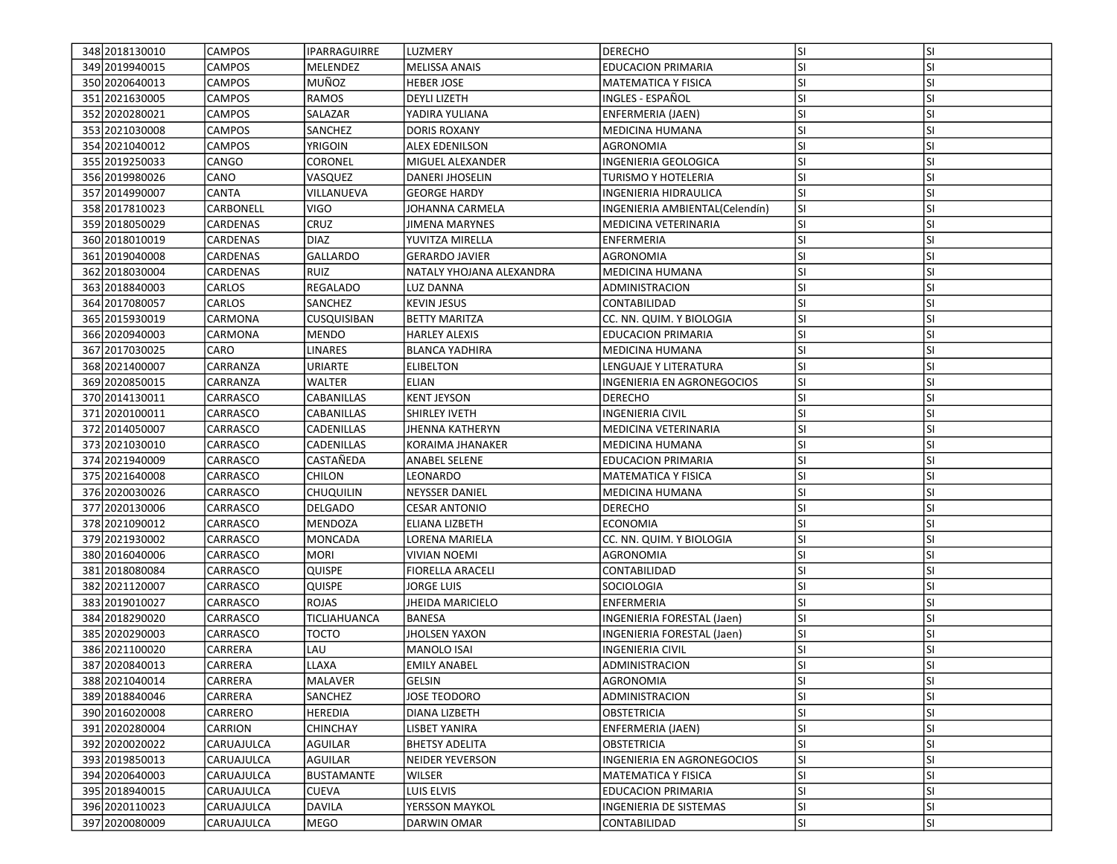| 348 2018 1300 10 | <b>CAMPOS</b>     | IPARRAGUIRRE       | LUZMERY                  | <b>DERECHO</b>                 | lsı       | <b>SI</b> |
|------------------|-------------------|--------------------|--------------------------|--------------------------------|-----------|-----------|
| 349 2019 940015  | <b>CAMPOS</b>     | MELENDEZ           | MELISSA ANAIS            | <b>EDUCACION PRIMARIA</b>      | SI        | SI        |
| 350 2020 640013  | <b>CAMPOS</b>     | MUÑOZ              | <b>HEBER JOSE</b>        | <b>MATEMATICA Y FISICA</b>     | SI        | SI        |
| 351 2021630005   | <b>CAMPOS</b>     | <b>RAMOS</b>       | <b>DEYLI LIZETH</b>      | INGLES - ESPAÑOL               | SI        | SI        |
| 352 2020 2800 21 | <b>CAMPOS</b>     | SALAZAR            | YADIRA YULIANA           | ENFERMERIA (JAEN)              | <b>SI</b> | SI        |
| 353 2021030008   | <b>CAMPOS</b>     | <b>SANCHEZ</b>     | DORIS ROXANY             | <b>MEDICINA HUMANA</b>         | SI        | SI        |
| 354 2021040012   | <b>CAMPOS</b>     | YRIGOIN            | <b>ALEX EDENILSON</b>    | AGRONOMIA                      | SI        | SI        |
| 355 2019 2500 33 | CANGO             | CORONEL            | MIGUEL ALEXANDER         | INGENIERIA GEOLOGICA           | <b>SI</b> | SI        |
| 356 2019980026   | CANO              | VASQUEZ            | DANERI JHOSELIN          | TURISMO Y HOTELERIA            | SI        | SI        |
| 357 2014 990007  | <b>CANTA</b>      | VILLANUEVA         | <b>GEORGE HARDY</b>      | INGENIERIA HIDRAULICA          | SI        | SI        |
| 358 20178 10023  | <b>CARBONELL</b>  | <b>VIGO</b>        | JOHANNA CARMELA          | INGENIERIA AMBIENTAL(Celendín) | SI        | SI        |
| 359 2018050029   | CARDENAS          | <b>CRUZ</b>        | <b>JIMENA MARYNES</b>    | MEDICINA VETERINARIA           | <b>SI</b> | SI        |
| 360 2018010019   | CARDENAS          | <b>DIAZ</b>        | YUVITZA MIRELLA          | <b>ENFERMERIA</b>              | <b>SI</b> | SI        |
| 361 2019 040008  | CARDENAS          | <b>GALLARDO</b>    | <b>GERARDO JAVIER</b>    | <b>AGRONOMIA</b>               | SI        | SI        |
| 362 2018 030004  | CARDENAS          | <b>RUIZ</b>        | NATALY YHOJANA ALEXANDRA | MEDICINA HUMANA                | SI        | SI        |
| 363 2018840003   | CARLOS            | REGALADO           | LUZ DANNA                | ADMINISTRACION                 | SI        | SI        |
| 364 2017080057   | <b>CARLOS</b>     | SANCHEZ            | <b>KEVIN JESUS</b>       | CONTABILIDAD                   | <b>SI</b> | SI        |
| 365 2015 930019  | CARMONA           | <b>CUSQUISIBAN</b> | <b>BETTY MARITZA</b>     | CC. NN. QUIM. Y BIOLOGIA       | SI        | SI        |
| 366 2020 940003  | CARMONA           | <b>MENDO</b>       | <b>HARLEY ALEXIS</b>     | <b>EDUCACION PRIMARIA</b>      | SI        | SI        |
| 367 2017 0300 25 | CARO              | <b>LINARES</b>     | <b>BLANCA YADHIRA</b>    | <b>MEDICINA HUMANA</b>         | <b>SI</b> | SI        |
| 368 2021400007   | CARRANZA          | URIARTE            | <b>ELIBELTON</b>         | <b>LENGUAJE Y LITERATURA</b>   | <b>SI</b> | SI        |
| 369 2020 850015  | CARRANZA          | WALTER             | ELIAN                    | INGENIERIA EN AGRONEGOCIOS     | SI        | SI        |
| 370 2014130011   | CARRASCO          | CABANILLAS         | <b>KENT JEYSON</b>       | <b>DERECHO</b>                 | <b>SI</b> | SI        |
| 371 2020 1000 11 | CARRASCO          | CABANILLAS         | SHIRLEY IVETH            | <b>INGENIERIA CIVIL</b>        | <b>SI</b> | SI        |
| 372 2014 050007  | <b>CARRASCO</b>   | <b>CADENILLAS</b>  | <b>JHENNA KATHERYN</b>   | MEDICINA VETERINARIA           | SI        | SI        |
| 373 2021030010   | CARRASCO          | CADENILLAS         | <b>KORAIMA JHANAKER</b>  | MEDICINA HUMANA                | SI        | SI        |
| 374 2021940009   | <b>CARRASCO</b>   | CASTAÑEDA          | ANABEL SELENE            | <b>EDUCACION PRIMARIA</b>      | SI        | SI        |
| 375 2021640008   | <b>CARRASCO</b>   | CHILON             | LEONARDO                 | <b>MATEMATICA Y FISICA</b>     | SI        | SI        |
| 376 2020030026   | <b>CARRASCO</b>   | CHUQUILIN          | <b>NEYSSER DANIEL</b>    | MEDICINA HUMANA                | SI        | SI        |
| 377 2020130006   | CARRASCO          | <b>DELGADO</b>     | <b>CESAR ANTONIO</b>     | <b>DERECHO</b>                 | <b>SI</b> | SI        |
| 378 2021090012   | CARRASCO          | MENDOZA            | ELIANA LIZBETH           | <b>ECONOMIA</b>                | <b>SI</b> | SI        |
| 379 2021 930002  | <b>CARRASCO</b>   | <b>MONCADA</b>     | LORENA MARIELA           | CC. NN. QUIM. Y BIOLOGIA       | SI        | SI        |
| 380 2016040006   | CARRASCO          | <b>MORI</b>        | <b>VIVIAN NOEMI</b>      | <b>AGRONOMIA</b>               | <b>SI</b> | SI        |
| 381 2018 080084  | CARRASCO          | <b>QUISPE</b>      | <b>FIORELLA ARACELI</b>  | CONTABILIDAD                   | <b>SI</b> | SI        |
| 382 2021120007   | CARRASCO          | QUISPE             | JORGE LUIS               | SOCIOLOGIA                     | <b>SI</b> | SI        |
| 383 2019 010027  | <b>CARRASCO</b>   | ROJAS              | JHEIDA MARICIELO         | <b>ENFERMERIA</b>              | SI        | SI        |
| 384 2018 2900 20 | CARRASCO          | TICLIAHUANCA       | <b>BANESA</b>            | INGENIERIA FORESTAL (Jaen)     | <b>SI</b> | SI        |
| 385 2020290003   | CARRASCO          | <b>TOCTO</b>       | JHOLSEN YAXON            | INGENIERIA FORESTAL (Jaen)     | SI        | SI        |
| 386 2021100020   | CARRERA           | LAU                | <b>MANOLO ISAI</b>       | INGENIERIA CIVIL               | SI        | SI        |
| 387 2020 840013  | CARRERA           | LLAXA              | <b>EMILY ANABEL</b>      | ADMINISTRACION                 | SI        | SI        |
| 388 2021040014   | <b>CARRERA</b>    | MALAVER            | GELSIN                   | <b>AGRONOMIA</b>               | lsı       | ΙSΙ       |
| 3892018840046    | CARRERA           | <b>SANCHEZ</b>     | <b>JOSE TEODORO</b>      | ADMINISTRACION                 | lsı       | SI        |
| 390 2016020008   | CARRERO           | HEREDIA            | DIANA LIZBETH            | <b>OBSTETRICIA</b>             | SI        | SI        |
| 391 2020 280004  | <b>CARRION</b>    | CHINCHAY           | LISBET YANIRA            | ENFERMERIA (JAEN)              | <b>SI</b> | SI        |
| 392 2020020022   | CARUAJULCA        | AGUILAR            | <b>BHETSY ADELITA</b>    | OBSTETRICIA                    | SI        | SI        |
| 393 2019850013   | <b>CARUAJULCA</b> | AGUILAR            | <b>NEIDER YEVERSON</b>   | INGENIERIA EN AGRONEGOCIOS     | SI        | SI        |
| 394 2020 640003  | <b>CARUAJULCA</b> | <b>BUSTAMANTE</b>  | WILSER                   | <b>MATEMATICA Y FISICA</b>     | SI        | SI        |
| 395 2018 940015  | <b>CARUAJULCA</b> | <b>CUEVA</b>       | LUIS ELVIS               | EDUCACION PRIMARIA             | SI        | SI        |
| 396 2020 110023  | <b>CARUAJULCA</b> | <b>DAVILA</b>      | YERSSON MAYKOL           | <b>INGENIERIA DE SISTEMAS</b>  | <b>SI</b> | SI        |
| 397 2020080009   | <b>CARUAJULCA</b> | MEGO               | DARWIN OMAR              | CONTABILIDAD                   | SI        | SI        |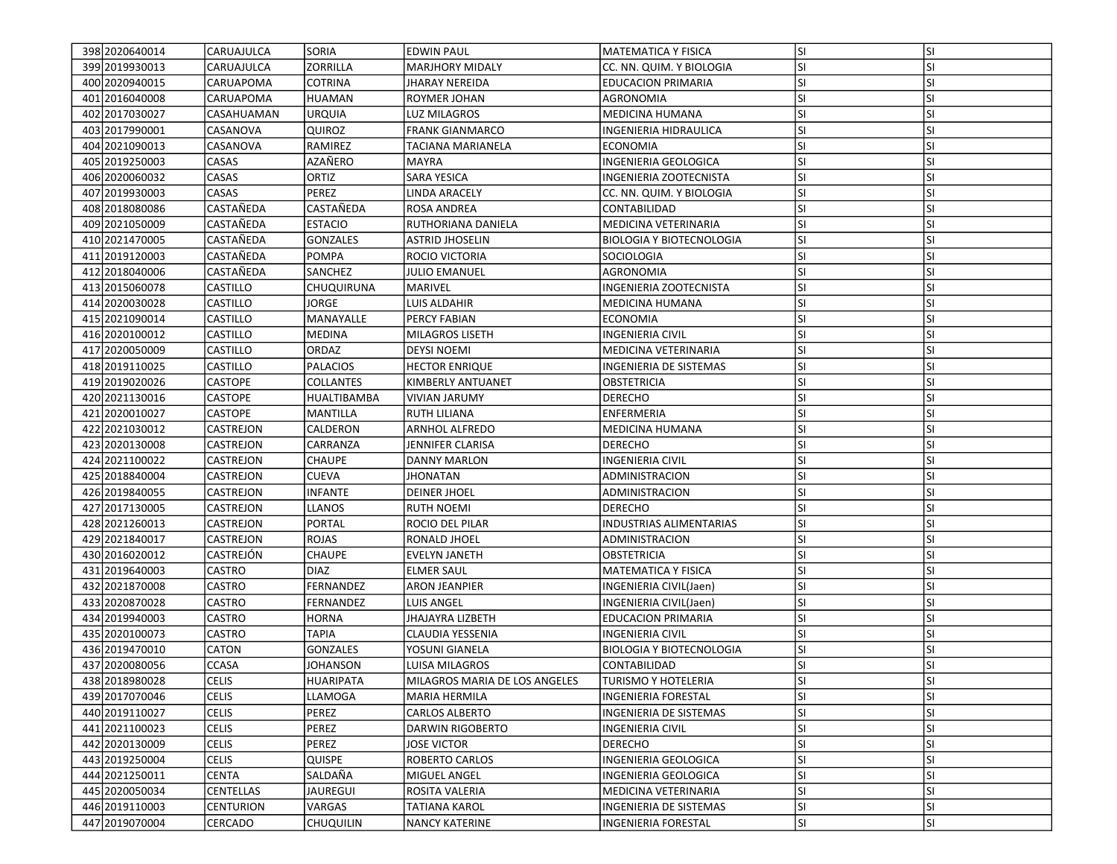| 398 2020 640014  | CARUAJULCA       | SORIA            | <b>EDWIN PAUL</b>             | <b>MATEMATICA Y FISICA</b>      | lsı       | <b>SI</b> |
|------------------|------------------|------------------|-------------------------------|---------------------------------|-----------|-----------|
| 399 2019 930013  | CARUAJULCA       | ZORRILLA         | <b>MARJHORY MIDALY</b>        | CC. NN. QUIM. Y BIOLOGIA        | SI.       | SI        |
| 400 2020 940015  | CARUAPOMA        | <b>COTRINA</b>   | <b>JHARAY NEREIDA</b>         | <b>EDUCACION PRIMARIA</b>       | <b>SI</b> | SI        |
| 401 2016 040008  | CARUAPOMA        | <b>HUAMAN</b>    | ROYMER JOHAN                  | AGRONOMIA                       | lsı       | <b>SI</b> |
| 402 2017 030 027 | CASAHUAMAN       | <b>URQUIA</b>    | LUZ MILAGROS                  | MEDICINA HUMANA                 | <b>SI</b> | <b>SI</b> |
| 403 2017990001   | CASANOVA         | QUIROZ           | <b>FRANK GIANMARCO</b>        | INGENIERIA HIDRAULICA           | lsı       | <b>SI</b> |
| 404 2021090013   | CASANOVA         | RAMIREZ          | TACIANA MARIANELA             | <b>ECONOMIA</b>                 | <b>SI</b> | <b>SI</b> |
|                  |                  | AZAÑERO          |                               |                                 | <b>SI</b> | <b>SI</b> |
| 405 2019 250003  | CASAS            |                  | MAYRA                         | INGENIERIA GEOLOGICA            |           |           |
| 406 2020060032   | CASAS            | ORTIZ            | SARA YESICA                   | INGENIERIA ZOOTECNISTA          | <b>SI</b> | SI        |
| 407 2019 930003  | CASAS            | PEREZ            | LINDA ARACELY                 | CC. NN. QUIM. Y BIOLOGIA        | <b>SI</b> | <b>SI</b> |
| 408 2018 080086  | CASTAÑEDA        | CASTAÑEDA        | <b>ROSA ANDREA</b>            | CONTABILIDAD                    | lsı       | <b>SI</b> |
| 409 2021050009   | CASTAÑEDA        | <b>ESTACIO</b>   | RUTHORIANA DANIELA            | MEDICINA VETERINARIA            | <b>SI</b> | <b>SI</b> |
| 410 2021470005   | CASTAÑEDA        | <b>GONZALES</b>  | <b>ASTRID JHOSELIN</b>        | <b>BIOLOGIA Y BIOTECNOLOGIA</b> | <b>SI</b> | <b>SI</b> |
| 411 2019 120003  | CASTAÑEDA        | <b>POMPA</b>     | ROCIO VICTORIA                | <b>SOCIOLOGIA</b>               | <b>SI</b> | <b>SI</b> |
| 412 2018 040006  | CASTAÑEDA        | SANCHEZ          | <b>JULIO EMANUEL</b>          | AGRONOMIA                       | <b>SI</b> | <b>SI</b> |
| 413 2015060078   | CASTILLO         | CHUQUIRUNA       | MARIVEL                       | INGENIERIA ZOOTECNISTA          | <b>SI</b> | SI        |
| 414 2020 0300 28 | CASTILLO         | JORGE            | LUIS ALDAHIR                  | MEDICINA HUMANA                 | <b>SI</b> | <b>SI</b> |
| 415 2021090014   | <b>CASTILLO</b>  | MANAYALLE        | PERCY FABIAN                  | <b>ECONOMIA</b>                 | <b>SI</b> | SI        |
| 416 2020 1000 12 | CASTILLO         | <b>MEDINA</b>    | <b>MILAGROS LISETH</b>        | INGENIERIA CIVIL                | lsı       | <b>SI</b> |
| 417 2020050009   | <b>CASTILLO</b>  | ORDAZ            | <b>DEYSI NOEMI</b>            | MEDICINA VETERINARIA            | <b>SI</b> | <b>SI</b> |
| 418 2019 110025  | <b>CASTILLO</b>  | <b>PALACIOS</b>  | <b>HECTOR ENRIQUE</b>         | INGENIERIA DE SISTEMAS          | <b>SI</b> | SI        |
| 419 2019 020026  | <b>CASTOPE</b>   | <b>COLLANTES</b> | KIMBERLY ANTUANET             | <b>OBSTETRICIA</b>              | <b>SI</b> | SI        |
| 420 2021130016   | <b>CASTOPE</b>   | HUALTIBAMBA      | VIVIAN JARUMY                 | <b>DERECHO</b>                  | SI.       | <b>SI</b> |
| 421 2020010027   | <b>CASTOPE</b>   | MANTILLA         | <b>RUTH LILIANA</b>           | ENFERMERIA                      | lsı       | <b>SI</b> |
| 422 2021030012   | CASTREJON        | CALDERON         | <b>ARNHOL ALFREDO</b>         | <b>MEDICINA HUMANA</b>          | <b>SI</b> | <b>SI</b> |
| 423 2020130008   | CASTREJON        | CARRANZA         | JENNIFER CLARISA              | <b>DERECHO</b>                  | lsı       | <b>SI</b> |
| 424 2021100022   | CASTREJON        | <b>CHAUPE</b>    | <b>DANNY MARLON</b>           | INGENIERIA CIVIL                | <b>SI</b> | <b>SI</b> |
| 425 2018840004   | <b>CASTREJON</b> | <b>CUEVA</b>     | <b>JHONATAN</b>               | ADMINISTRACION                  | <b>SI</b> | <b>SI</b> |
| 426 2019 840055  | CASTREJON        | <b>INFANTE</b>   | <b>DEINER JHOEL</b>           | ADMINISTRACION                  | SI.       | SI        |
| 427 2017 130005  | CASTREJON        | <b>LLANOS</b>    | RUTH NOEMI                    | <b>DERECHO</b>                  | <b>SI</b> | <b>SI</b> |
| 428 2021260013   | CASTREJON        | <b>PORTAL</b>    | ROCIO DEL PILAR               | INDUSTRIAS ALIMENTARIAS         | <b>SI</b> | <b>SI</b> |
| 429 2021840017   | CASTREJON        | <b>ROJAS</b>     | RONALD JHOEL                  | ADMINISTRACION                  | lsı       | SI        |
| 430 2016 020012  | CASTREJÓN        | <b>CHAUPE</b>    | <b>EVELYN JANETH</b>          | OBSTETRICIA                     | <b>SI</b> | <b>SI</b> |
| 431 2019 640003  | <b>CASTRO</b>    | <b>DIAZ</b>      | <b>ELMER SAUL</b>             | MATEMATICA Y FISICA             | <b>SI</b> | <b>SI</b> |
| 432 2021870008   | <b>CASTRO</b>    | FERNANDEZ        | <b>ARON JEANPIER</b>          | INGENIERIA CIVIL(Jaen)          | <b>SI</b> | <b>SI</b> |
| 433 2020 8700 28 | <b>CASTRO</b>    | <b>FERNANDEZ</b> | <b>LUIS ANGEL</b>             | INGENIERIA CIVIL(Jaen)          | <b>SI</b> | SI        |
| 434 2019 940003  | CASTRO           | <b>HORNA</b>     | JHAJAYRA LIZBETH              | <b>EDUCACION PRIMARIA</b>       | SI.       | <b>SI</b> |
| 435 2020100073   | CASTRO           | TAPIA            | CLAUDIA YESSENIA              | INGENIERIA CIVIL                | <b>SI</b> | <b>SI</b> |
| 436 2019470010   | CATON            | GONZALES         | YOSUNI GIANELA                | <b>BIOLOGIA Y BIOTECNOLOGIA</b> | SI        | <b>SI</b> |
| 437 2020 080056  | <b>CCASA</b>     | <b>JOHANSON</b>  | LUISA MILAGROS                | CONTABILIDAD                    | lsı       | <b>SI</b> |
| 438 2018 980028  | <b>CELIS</b>     | <b>HUARIPATA</b> | MILAGROS MARIA DE LOS ANGELES | TURISMO Y HOTELERIA             | lsı       | ΙSΙ       |
| 439 2017070046   | <b>CELIS</b>     | LLAMOGA          | MARIA HERMILA                 | INGENIERIA FORESTAL             | lsı       | <b>SI</b> |
| 440 2019 1100 27 | <b>CELIS</b>     | PEREZ            | <b>CARLOS ALBERTO</b>         | INGENIERIA DE SISTEMAS          | SI.       | SI        |
| 441 2021100023   | <b>CELIS</b>     | PEREZ            | DARWIN RIGOBERTO              | INGENIERIA CIVIL                | <b>SI</b> | SI        |
| 442 2020130009   | <b>CELIS</b>     | PEREZ            | JOSE VICTOR                   | DERECHO                         | SI.       | <b>SI</b> |
| 443 2019250004   | <b>CELIS</b>     | QUISPE           | ROBERTO CARLOS                | INGENIERIA GEOLOGICA            | <b>SI</b> | <b>SI</b> |
| 444 2021250011   | <b>CENTA</b>     | SALDAÑA          | <b>MIGUEL ANGEL</b>           | INGENIERIA GEOLOGICA            | <b>SI</b> | SI        |
| 445 2020050034   | <b>CENTELLAS</b> | <b>JAUREGUI</b>  | ROSITA VALERIA                | MEDICINA VETERINARIA            | <b>SI</b> | SI        |
| 446 2019110003   | <b>CENTURION</b> | VARGAS           | TATIANA KAROL                 | INGENIERIA DE SISTEMAS          | SI.       | SI        |
| 447 2019 070 004 | <b>CERCADO</b>   | CHUQUILIN        | <b>NANCY KATERINE</b>         | <b>INGENIERIA FORESTAL</b>      | SI.       | SI        |
|                  |                  |                  |                               |                                 |           |           |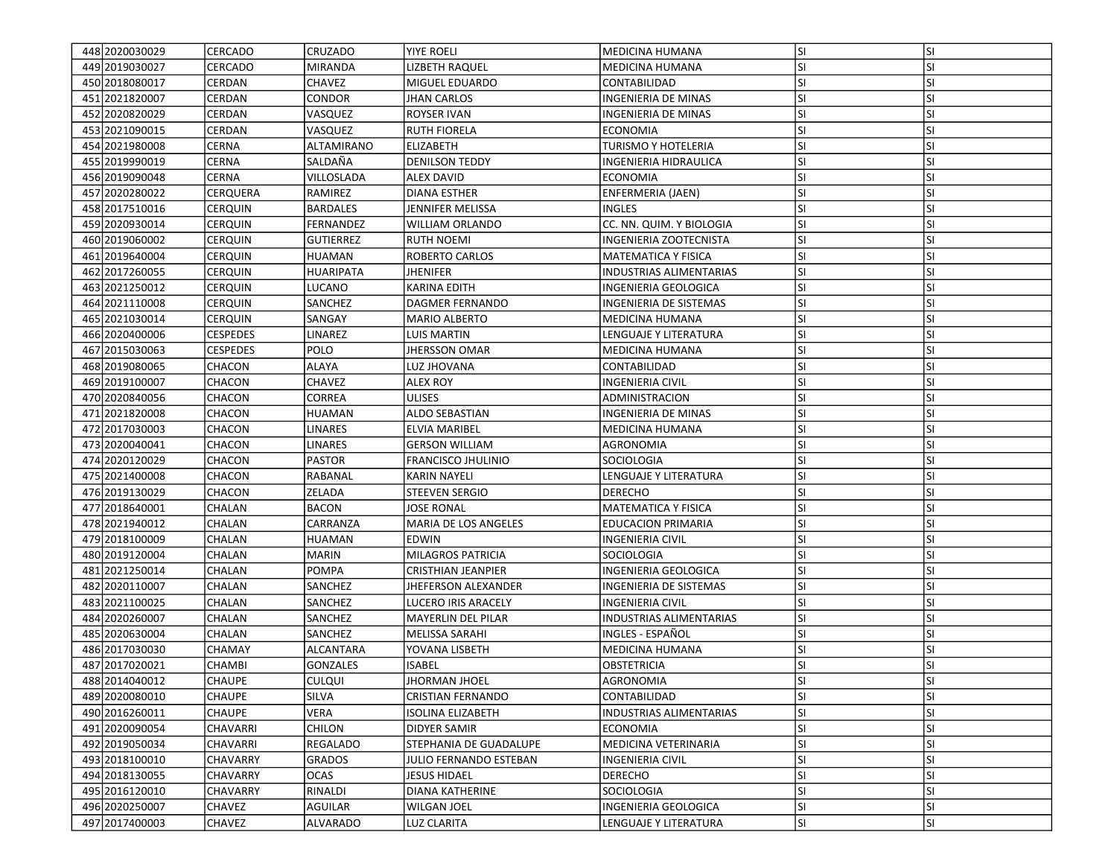| 448 2020 030029   | <b>CERCADO</b>  | <b>CRUZADO</b>    | <b>YIYE ROELI</b>         | MEDICINA HUMANA               | <b>SI</b> | <b>SI</b> |
|-------------------|-----------------|-------------------|---------------------------|-------------------------------|-----------|-----------|
| 449 2019 030027   | <b>CERCADO</b>  | <b>MIRANDA</b>    | LIZBETH RAQUEL            | <b>MEDICINA HUMANA</b>        | SI        | SI        |
| 450 2018 080017   | <b>CERDAN</b>   | <b>CHAVEZ</b>     | MIGUEL EDUARDO            | CONTABILIDAD                  | SI        | SI        |
| 451 2021 820007   | <b>CERDAN</b>   | <b>CONDOR</b>     | JHAN CARLOS               | INGENIERIA DE MINAS           | <b>SI</b> | SI        |
| 452 2020 8200 29  | <b>CERDAN</b>   | VASQUEZ           | ROYSER IVAN               | INGENIERIA DE MINAS           | SI        | SI        |
| 453 2021090015    | CERDAN          | VASQUEZ           | <b>RUTH FIORELA</b>       | <b>ECONOMIA</b>               | SI        | SI        |
| 454 2021 980008   | <b>CERNA</b>    | <b>ALTAMIRANO</b> |                           |                               |           | SI        |
|                   |                 |                   | <b>ELIZABETH</b>          | <b>TURISMO Y HOTELERIA</b>    | SI        |           |
| 455 2019 90019    | <b>CERNA</b>    | SALDAÑA           | <b>DENILSON TEDDY</b>     | <b>INGENIERIA HIDRAULICA</b>  | <b>SI</b> | SI        |
| 456 2019090048    | CERNA           | VILLOSLADA        | ALEX DAVID                | ECONOMIA                      | SI        | SI        |
| 457 2020 2800 22  | <b>CERQUERA</b> | RAMIREZ           | <b>DIANA ESTHER</b>       | ENFERMERIA (JAEN)             | SI        | SI        |
| 458 2017510016    | <b>CERQUIN</b>  | <b>BARDALES</b>   | <b>JENNIFER MELISSA</b>   | <b>INGLES</b>                 | SI        | SI        |
| 459 2020 930014   | <b>CERQUIN</b>  | FERNANDEZ         | <b>WILLIAM ORLANDO</b>    | CC. NN. QUIM. Y BIOLOGIA      | SI        | SI        |
| 460 2019 060002   | <b>CERQUIN</b>  | <b>GUTIERREZ</b>  | <b>RUTH NOEMI</b>         | INGENIERIA ZOOTECNISTA        | SI        | SI        |
| 461 2019 640004   | <b>CERQUIN</b>  | HUAMAN            | ROBERTO CARLOS            | MATEMATICA Y FISICA           | SI        | SI        |
| 462 2017260055    | <b>CERQUIN</b>  | <b>HUARIPATA</b>  | <b>JHENIFER</b>           | INDUSTRIAS ALIMENTARIAS       | <b>SI</b> | SI        |
| 463 2021250012    | <b>CERQUIN</b>  | LUCANO            | KARINA EDITH              | INGENIERIA GEOLOGICA          | SI        | SI        |
| 464 2021110008    | <b>CERQUIN</b>  | SANCHEZ           | DAGMER FERNANDO           | INGENIERIA DE SISTEMAS        | SI        | SI        |
| 465 2021030014    | <b>CERQUIN</b>  | SANGAY            | <b>MARIO ALBERTO</b>      | <b>MEDICINA HUMANA</b>        | SI        | SI        |
| 466 2020400006    | <b>CESPEDES</b> | LINAREZ           | LUIS MARTIN               | <b>LENGUAJE Y LITERATURA</b>  | SI        | SI        |
| 467 2015 030063   | <b>CESPEDES</b> | POLO              | <b>JHERSSON OMAR</b>      | <b>MEDICINA HUMANA</b>        | SI        | SI        |
| 468 2019 080065   | <b>CHACON</b>   | ALAYA             | LUZ JHOVANA               | CONTABILIDAD                  | SI        | SI        |
| 469 2019 100007   | <b>CHACON</b>   | CHAVEZ            | <b>ALEX ROY</b>           | INGENIERIA CIVIL              | SI        | SI        |
| 470 2020 840056   | CHACON          | CORREA            | <b>ULISES</b>             | ADMINISTRACION                | SI        | SI        |
| 471 2021 820008   | <b>CHACON</b>   | HUAMAN            | <b>ALDO SEBASTIAN</b>     | <b>INGENIERIA DE MINAS</b>    | SI        | SI        |
| 472 2017030003    | <b>CHACON</b>   | <b>LINARES</b>    | <b>ELVIA MARIBEL</b>      | MEDICINA HUMANA               | SI        | SI        |
| 473 2020040041    | <b>CHACON</b>   | LINARES           | <b>GERSON WILLIAM</b>     | AGRONOMIA                     | ΙSΙ       | SI        |
| 474 2020 1200 29  | <b>CHACON</b>   | <b>PASTOR</b>     | <b>FRANCISCO JHULINIO</b> | <b>SOCIOLOGIA</b>             | <b>SI</b> | SI        |
| 475 2021400008    | <b>CHACON</b>   | RABANAL           | <b>KARIN NAYELI</b>       | LENGUAJE Y LITERATURA         | <b>SI</b> | SI        |
| 476 2019 1300 29  | <b>CHACON</b>   | ZELADA            | STEEVEN SERGIO            | <b>DERECHO</b>                | <b>SI</b> | SI        |
| 477 2018 640001   | CHALAN          | BACON             | JOSE RONAL                | <b>MATEMATICA Y FISICA</b>    | SI        | SI        |
| 478 2021940012    | CHALAN          | CARRANZA          | MARIA DE LOS ANGELES      | <b>EDUCACION PRIMARIA</b>     | SI        | SI        |
| 479 2018 100009   | <b>CHALAN</b>   | <b>HUAMAN</b>     | EDWIN                     | INGENIERIA CIVIL              | SI        | SI        |
| 480 2019 120004   | CHALAN          | <b>MARIN</b>      | MILAGROS PATRICIA         | <b>SOCIOLOGIA</b>             | <b>SI</b> | SI        |
| 481 2021 250014   | <b>CHALAN</b>   | <b>POMPA</b>      | <b>CRISTHIAN JEANPIER</b> | INGENIERIA GEOLOGICA          | <b>SI</b> | SI        |
| 482 2020110007    | CHALAN          | SANCHEZ           | JHEFERSON ALEXANDER       | <b>INGENIERIA DE SISTEMAS</b> | SI        | SI        |
| 483 2021100025    | <b>CHALAN</b>   | SANCHEZ           | LUCERO IRIS ARACELY       | INGENIERIA CIVIL              | <b>SI</b> | SI        |
| 484 2020 260007   | CHALAN          | SANCHEZ           | MAYERLIN DEL PILAR        | INDUSTRIAS ALIMENTARIAS       | SI        | SI        |
| 485 2020 630004   | CHALAN          | SANCHEZ           | MELISSA SARAHI            | INGLES - ESPAÑOL              | <b>SI</b> | SI        |
| 486 2017030030    | CHAMAY          | <b>ALCANTARA</b>  | YOVANA LISBETH            | MEDICINA HUMANA               | SI        | SI        |
| 487 2017 0200 21  | <b>CHAMBI</b>   | <b>GONZALES</b>   | <b>ISABEL</b>             | <b>OBSTETRICIA</b>            | SI        | SI        |
| 488 2014 04 00 12 | <b>CHAUPE</b>   | <b>CULQUI</b>     |                           |                               | lsı       |           |
| 489 2020080010    |                 |                   | JHORMAN JHOEL             | AGRONOMIA                     | lsı       | ΙSΙ<br>SI |
|                   | <b>CHAUPE</b>   | SILVA             | <b>CRISTIAN FERNANDO</b>  | CONTABILIDAD                  |           |           |
| 490 2016 260011   | <b>CHAUPE</b>   | VERA              | <b>ISOLINA ELIZABETH</b>  | INDUSTRIAS ALIMENTARIAS       | SI        | SI        |
| 491 2020090054    | <b>CHAVARRI</b> | <b>CHILON</b>     | DIDYER SAMIR              | <b>ECONOMIA</b>               | <b>SI</b> | SI        |
| 492 2019 050034   | <b>CHAVARRI</b> | REGALADO          | STEPHANIA DE GUADALUPE    | MEDICINA VETERINARIA          | SI        | SI        |
| 493 2018 100010   | <b>CHAVARRY</b> | <b>GRADOS</b>     | IULIO FERNANDO ESTEBAN    | <b>INGENIERIA CIVIL</b>       | SI        | SI        |
| 494 2018 1300 55  | <b>CHAVARRY</b> | <b>OCAS</b>       | JESUS HIDAEL              | <b>DERECHO</b>                | SI        | SI        |
| 495 2016 1200 10  | <b>CHAVARRY</b> | RINALDI           | DIANA KATHERINE           | SOCIOLOGIA                    | <b>SI</b> | SI        |
| 496 2020250007    | <b>CHAVEZ</b>   | <b>AGUILAR</b>    | WILGAN JOEL               | INGENIERIA GEOLOGICA          | <b>SI</b> | SI        |
| 497 2017400003    | <b>CHAVEZ</b>   | <b>ALVARADO</b>   | <b>LUZ CLARITA</b>        | LENGUAJE Y LITERATURA         | SI        | SI        |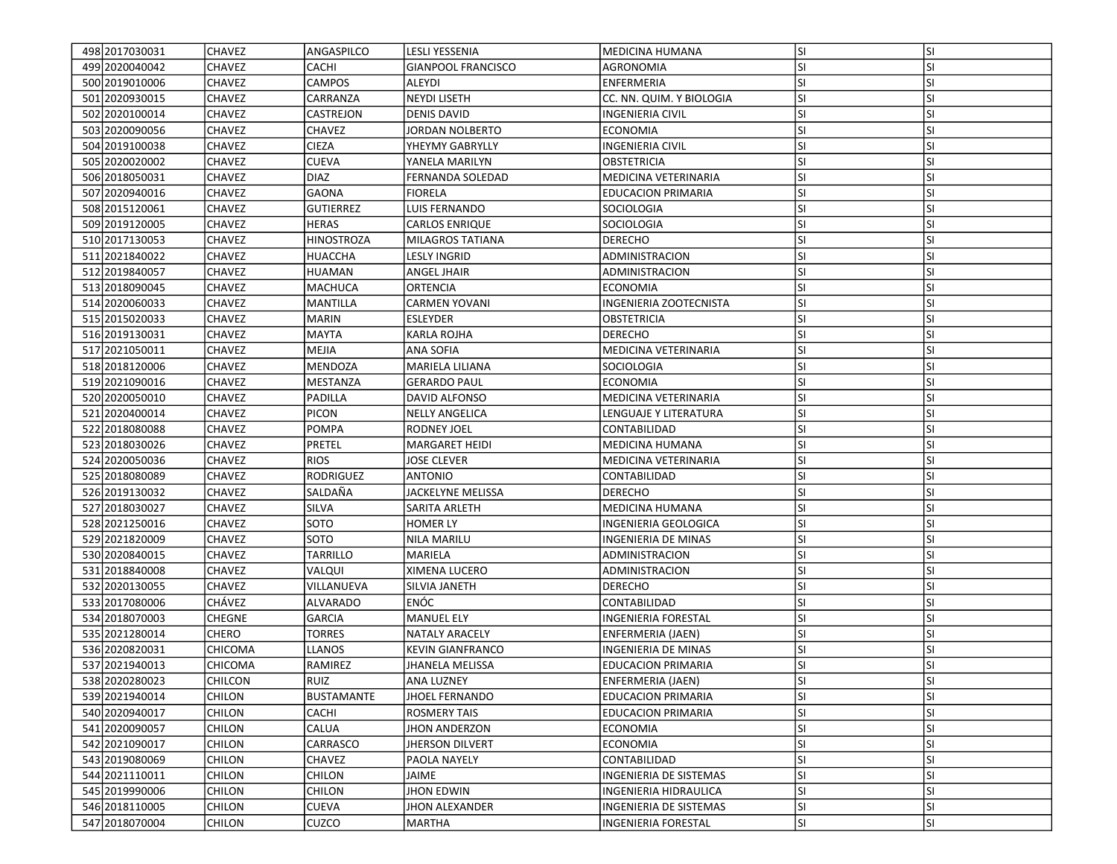| 498 2017030031    | <b>CHAVEZ</b>                  | ANGASPILCO             | LESLI YESSENIA            | MEDICINA HUMANA<br><b>AGRONOMIA</b>             | <b>SI</b><br>SI | <b>SI</b> |
|-------------------|--------------------------------|------------------------|---------------------------|-------------------------------------------------|-----------------|-----------|
| 499 2020 040 042  | <b>CHAVEZ</b><br><b>CHAVEZ</b> | CACHI<br><b>CAMPOS</b> | <b>GIANPOOL FRANCISCO</b> |                                                 |                 | SI        |
| 500 2019010006    |                                |                        | ALEYDI                    | ENFERMERIA                                      | <b>SI</b>       | SI        |
| 501 2020 930015   | <b>CHAVEZ</b>                  | CARRANZA               | <b>NEYDI LISETH</b>       | CC. NN. QUIM. Y BIOLOGIA                        | <b>SI</b>       | SI        |
| 502 2020100014    | <b>CHAVEZ</b>                  | CASTREJON              | <b>DENIS DAVID</b>        | <b>INGENIERIA CIVIL</b>                         | SI              | SI        |
| 503 2020090056    | <b>CHAVEZ</b>                  | CHAVEZ                 | JORDAN NOLBERTO           | <b>ECONOMIA</b>                                 | <b>SI</b>       | SI        |
| 504 2019 1000 38  | <b>CHAVEZ</b>                  | <b>CIEZA</b>           | YHEYMY GABRYLLY           | <b>INGENIERIA CIVIL</b>                         | SI              | SI        |
| 505 2020 02000 2  | <b>CHAVEZ</b>                  | <b>CUEVA</b>           | YANELA MARILYN            | <b>OBSTETRICIA</b>                              | <b>SI</b>       | SI        |
| 506 2018050031    | <b>CHAVEZ</b>                  | <b>DIAZ</b>            | FERNANDA SOLEDAD          | MEDICINA VETERINARIA                            | SI              | SI        |
| 507 2020940016    | <b>CHAVEZ</b>                  | <b>GAONA</b>           | <b>FIORELA</b>            | <b>EDUCACION PRIMARIA</b>                       | SI              | SI        |
| 508 2015 1200 61  | <b>CHAVEZ</b>                  | <b>GUTIERREZ</b>       | <b>LUIS FERNANDO</b>      | <b>SOCIOLOGIA</b>                               | SI              | SI        |
| 509 2019 120005   | <b>CHAVEZ</b>                  | <b>HERAS</b>           | <b>CARLOS ENRIQUE</b>     | SOCIOLOGIA                                      | ΙSΙ             | SI        |
| 510 2017 1300 53  | <b>CHAVEZ</b>                  | <b>HINOSTROZA</b>      | MILAGROS TATIANA          | <b>DERECHO</b>                                  | SI              | SI        |
| 511 2021840022    | <b>CHAVEZ</b>                  | HUACCHA                | LESLY INGRID              | ADMINISTRACION                                  | SI              | SI        |
| 512 2019 8400 57  | <b>CHAVEZ</b>                  | <b>HUAMAN</b>          | ANGEL JHAIR               | ADMINISTRACION                                  | <b>SI</b>       | SI        |
| 513 2018 090045   | <b>CHAVEZ</b>                  | MACHUCA                | ORTENCIA                  | ECONOMIA                                        | SI              | SI        |
| 514 2020060033    | <b>CHAVEZ</b>                  | MANTILLA               | <b>CARMEN YOVANI</b>      | INGENIERIA ZOOTECNISTA                          | SI              | SI        |
| 515 2015 020033   | <b>CHAVEZ</b>                  | MARIN                  | <b>ESLEYDER</b>           | <b>OBSTETRICIA</b>                              | SI              | SI        |
| 516 2019 1300 31  | <b>CHAVEZ</b>                  | <b>MAYTA</b>           | <b>KARLA ROJHA</b>        | <b>DERECHO</b>                                  | ΙSΙ             | SI        |
| 517 2021050011    | <b>CHAVEZ</b>                  | <b>MEJIA</b>           | <b>ANA SOFIA</b>          | <b>MEDICINA VETERINARIA</b>                     | SI              | SI        |
| 518 2018 120006   | <b>CHAVEZ</b>                  | <b>MENDOZA</b>         | <b>MARIELA LILIANA</b>    | SOCIOLOGIA                                      | <b>SI</b>       | SI        |
| 519 2021090016    | <b>CHAVEZ</b>                  | MESTANZA               | <b>GERARDO PAUL</b>       | <b>ECONOMIA</b>                                 | <b>SI</b>       | SI        |
| 520 2020050010    | <b>CHAVEZ</b>                  | PADILLA                | DAVID ALFONSO             | MEDICINA VETERINARIA                            | SI              | SI        |
| 521 2020400014    | <b>CHAVEZ</b>                  | <b>PICON</b>           | <b>NELLY ANGELICA</b>     | LENGUAJE Y LITERATURA                           | SI              | SI        |
| 522 2018080088    | <b>CHAVEZ</b>                  | POMPA                  | RODNEY JOEL               | CONTABILIDAD                                    | SI              | SI        |
| 523 2018 030 026  | <b>CHAVEZ</b>                  | <b>PRETEL</b>          | <b>MARGARET HEIDI</b>     | IMEDICINA HUMANA                                | <b>SI</b>       | SI        |
| 524 2020050036    | <b>CHAVEZ</b>                  | <b>RIOS</b>            | JOSE CLEVER               | MEDICINA VETERINARIA                            | SI              | SI        |
| 525 2018080089    | <b>CHAVEZ</b>                  | RODRIGUEZ              | <b>ANTONIO</b>            | CONTABILIDAD                                    | <b>SI</b>       | SI        |
| 526 2019 1300 32  | <b>CHAVEZ</b>                  | SALDAÑA                | JACKELYNE MELISSA         | DERECHO                                         | <b>SI</b>       | SI        |
| 527 2018030027    | <b>CHAVEZ</b>                  | SILVA                  | SARITA ARLETH             | MEDICINA HUMANA                                 | SI              | SI        |
| 528 2021250016    | <b>CHAVEZ</b>                  | SOTO                   | <b>HOMER LY</b>           | INGENIERIA GEOLOGICA                            | SI              | SI        |
| 529 20218 20009   | <b>CHAVEZ</b>                  | SOTO                   | <b>NILA MARILU</b>        | INGENIERIA DE MINAS                             | SI              | SI        |
| 530 2020 840015   | <b>CHAVEZ</b>                  | <b>TARRILLO</b>        | MARIELA                   | ADMINISTRACION                                  | ΙSΙ             | SI        |
| 531 2018 840008   | <b>CHAVEZ</b>                  | VALQUI                 | XIMENA LUCERO             | ADMINISTRACION                                  | SI              | SI        |
| 532 2020130055    | <b>CHAVEZ</b>                  | VILLANUEVA             | SILVIA JANETH             | <b>DERECHO</b>                                  | <b>SI</b>       | SI        |
| 533 2017080006    | <b>CHÁVEZ</b>                  | ALVARADO               | ENÓC                      | CONTABILIDAD                                    | <b>SI</b>       | SI        |
| 534 2018 070003   | <b>CHEGNE</b>                  | GARCIA                 | <b>MANUEL ELY</b>         | INGENIERIA FORESTAL                             | SI              | SI        |
| 535 2021280014    | <b>CHERO</b>                   | TORRES                 | <b>NATALY ARACELY</b>     | ENFERMERIA (JAEN)                               | SI              | SI        |
| 536 20208 20031   | <b>CHICOMA</b>                 | LLANOS                 | <b>KEVIN GIANFRANCO</b>   | INGENIERIA DE MINAS                             | SI              | SI        |
| 537 2021940013    | <b>CHICOMA</b>                 | RAMIREZ                | <b>JHANELA MELISSA</b>    | <b>EDUCACION PRIMARIA</b>                       | SI              | SI        |
| 538 2020 2800 23  | <b>CHILCON</b>                 | RUIZ                   | <b>ANA LUZNEY</b>         | <b>ENFERMERIA (JAEN)</b>                        | lsı             | ΙSΙ       |
| 539 2021940014    | <b>CHILON</b>                  | <b>BUSTAMANTE</b>      | <b>JHOEL FERNANDO</b>     | <b>EDUCACION PRIMARIA</b>                       | SI              | SI        |
| 540 2020 940017   | <b>CHILON</b>                  | CACHI                  | <b>ROSMERY TAIS</b>       | <b>EDUCACION PRIMARIA</b>                       | SI              | SI        |
| 541 2020090057    | <b>CHILON</b>                  | CALUA                  | <b>IHON ANDERZON</b>      | <b>ECONOMIA</b>                                 | <b>SI</b>       | SI        |
| 542 2021090017    | <b>CHILON</b>                  | CARRASCO               | <b>JHERSON DILVERT</b>    | <b>ECONOMIA</b>                                 | <b>SI</b>       | SI        |
| 543 2019 08 00 69 | <b>CHILON</b>                  | CHAVEZ                 | PAOLA NAYELY              | CONTABILIDAD                                    | SI              | SI        |
| 544 2021110011    | <b>CHILON</b>                  | <b>CHILON</b>          | JAIME                     |                                                 | <b>SI</b>       | SI        |
| 545 2019 90006    | <b>CHILON</b>                  | CHILON                 | <b>JHON EDWIN</b>         | INGENIERIA DE SISTEMAS<br>INGENIERIA HIDRAULICA | <b>SI</b>       | SI        |
| 546 2018 110005   | <b>CHILON</b>                  |                        |                           |                                                 |                 |           |
|                   |                                | <b>CUEVA</b>           | <b>JHON ALEXANDER</b>     | INGENIERIA DE SISTEMAS                          | <b>SI</b>       | SI        |
| 547 2018070004    | <b>CHILON</b>                  | CUZCO                  | MARTHA                    | INGENIERIA FORESTAL                             | SI              | SI        |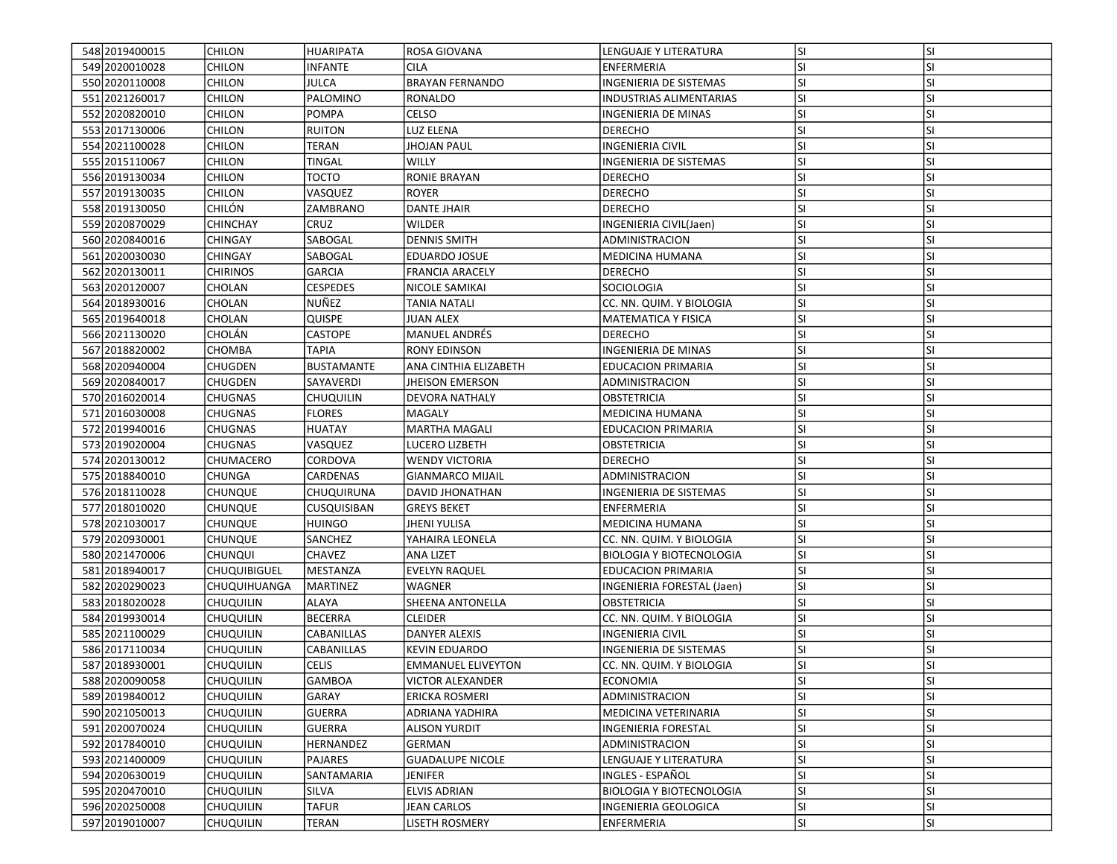| 548 2019400015   | <b>CHILON</b>       | <b>HUARIPATA</b>   | <b>ROSA GIOVANA</b>       | LENGUAJE Y LITERATURA           | lsı       | <b>SI</b> |
|------------------|---------------------|--------------------|---------------------------|---------------------------------|-----------|-----------|
| 549 2020010028   | <b>CHILON</b>       | INFANTE            | CILA                      | ENFERMERIA                      | SI.       | SI        |
| 550 2020110008   | <b>CHILON</b>       | <b>JULCA</b>       | <b>BRAYAN FERNANDO</b>    | INGENIERIA DE SISTEMAS          | <b>SI</b> | <b>SI</b> |
| 551 2021260017   | <b>CHILON</b>       | PALOMINO           | <b>RONALDO</b>            | INDUSTRIAS ALIMENTARIAS         | <b>SI</b> | <b>SI</b> |
| 552 2020 820010  | <b>CHILON</b>       | <b>POMPA</b>       | CELSO                     | <b>INGENIERIA DE MINAS</b>      | <b>SI</b> | <b>SI</b> |
| 553 2017130006   | <b>CHILON</b>       | <b>RUITON</b>      | LUZ ELENA                 | <b>DERECHO</b>                  | <b>SI</b> | <b>SI</b> |
| 554 2021100028   | <b>CHILON</b>       | <b>TERAN</b>       | <b>JHOJAN PAUL</b>        | INGENIERIA CIVIL                | <b>SI</b> | <b>SI</b> |
| 555 2015 1100 67 | <b>CHILON</b>       | TINGAL             | WILLY                     | INGENIERIA DE SISTEMAS          | <b>SI</b> | <b>SI</b> |
| 556 2019 1300 34 | <b>CHILON</b>       | тосто              | RONIE BRAYAN              | <b>DERECHO</b>                  | <b>SI</b> | <b>SI</b> |
| 557 2019130035   | <b>CHILON</b>       | VASQUEZ            | <b>ROYER</b>              | <b>DERECHO</b>                  | lsı       | <b>SI</b> |
| 558 2019130050   | <b>CHILÓN</b>       | ZAMBRANO           | <b>DANTE JHAIR</b>        | <b>DERECHO</b>                  | <b>SI</b> | <b>SI</b> |
| 559 2020 8700 29 | <b>CHINCHAY</b>     | CRUZ               | <b>WILDER</b>             | INGENIERIA CIVIL(Jaen)          | lsı       | <b>SI</b> |
| 560 2020840016   | <b>CHINGAY</b>      | SABOGAL            | <b>DENNIS SMITH</b>       | ADMINISTRACION                  | <b>SI</b> | <b>SI</b> |
| 561 2020 030030  | <b>CHINGAY</b>      | SABOGAL            | EDUARDO JOSUE             | <b>MEDICINA HUMANA</b>          | <b>SI</b> | <b>SI</b> |
| 562 2020 1300 11 | <b>CHIRINOS</b>     | <b>GARCIA</b>      | <b>FRANCIA ARACELY</b>    | <b>DERECHO</b>                  | <b>SI</b> | SI        |
| 563 2020120007   | CHOLAN              | CESPEDES           | NICOLE SAMIKAI            | SOCIOLOGIA                      | <b>SI</b> | <b>SI</b> |
| 564 2018 930016  | CHOLAN              | NUÑEZ              | TANIA NATALI              | CC. NN. QUIM. Y BIOLOGIA        | <b>SI</b> | SI        |
| 565 2019 640018  | <b>CHOLAN</b>       | QUISPE             | <b>JUAN ALEX</b>          | <b>MATEMATICA Y FISICA</b>      | <b>SI</b> | <b>SI</b> |
| 566 2021130020   | <b>CHOLÁN</b>       | <b>CASTOPE</b>     | <b>MANUEL ANDRES</b>      | <b>DERECHO</b>                  | lsı       | <b>SI</b> |
| 567 2018820002   | <b>CHOMBA</b>       | <b>TAPIA</b>       | <b>RONY EDINSON</b>       | INGENIERIA DE MINAS             | <b>SI</b> | <b>SI</b> |
| 568 2020940004   | <b>CHUGDEN</b>      | <b>BUSTAMANTE</b>  | ANA CINTHIA ELIZABETH     | <b>EDUCACION PRIMARIA</b>       | lsı       | <b>SI</b> |
| 569 2020840017   | <b>CHUGDEN</b>      | SAYAVERDI          | <b>JHEISON EMERSON</b>    | ADMINISTRACION                  | <b>SI</b> | <b>SI</b> |
| 570 2016 020014  | <b>CHUGNAS</b>      | Chuquilin          | DEVORA NATHALY            | <b>OBSTETRICIA</b>              | SI.       | <b>SI</b> |
| 571 2016030008   | <b>CHUGNAS</b>      | <b>FLORES</b>      | <b>MAGALY</b>             | MEDICINA HUMANA                 | <b>SI</b> | <b>SI</b> |
| 572 2019940016   | <b>CHUGNAS</b>      | <b>HUATAY</b>      | <b>MARTHA MAGALI</b>      | <b>EDUCACION PRIMARIA</b>       | <b>SI</b> | <b>SI</b> |
| 573 2019020004   | <b>CHUGNAS</b>      | VASQUEZ            | LUCERO LIZBETH            | OBSTETRICIA                     | lsı       | <b>SI</b> |
| 574 2020130012   | CHUMACERO           | CORDOVA            | <b>WENDY VICTORIA</b>     | <b>DERECHO</b>                  | <b>SI</b> | <b>SI</b> |
| 575 2018840010   | <b>CHUNGA</b>       | CARDENAS           | <b>GIANMARCO MIJAIL</b>   | ADMINISTRACION                  | lsı       | <b>SI</b> |
| 576 2018 110028  | <b>CHUNQUE</b>      | CHUQUIRUNA         | <b>DAVID JHONATHAN</b>    | INGENIERIA DE SISTEMAS          | <b>SI</b> | SI        |
| 577 2018010020   | <b>CHUNQUE</b>      | <b>CUSQUISIBAN</b> | <b>GREYS BEKET</b>        | <b>ENFERMERIA</b>               | <b>SI</b> | <b>SI</b> |
| 578 2021030017   | <b>CHUNQUE</b>      | HUINGO             | <b>JHENI YULISA</b>       | MEDICINA HUMANA                 | <b>SI</b> | SI        |
| 579 2020 930001  | <b>CHUNQUE</b>      | SANCHEZ            | YAHAIRA LEONELA           | CC. NN. QUIM. Y BIOLOGIA        | SI.       | <b>SI</b> |
| 580 2021470006   | <b>CHUNQUI</b>      | <b>CHAVEZ</b>      | ANA LIZET                 | <b>BIOLOGIA Y BIOTECNOLOGIA</b> | lsı       | <b>SI</b> |
| 581 2018 940017  | <b>CHUQUIBIGUEL</b> | MESTANZA           | <b>EVELYN RAQUEL</b>      | <b>EDUCACION PRIMARIA</b>       | SI.       | <b>SI</b> |
| 582 2020 2900 23 | <b>CHUQUIHUANGA</b> | <b>MARTINEZ</b>    | WAGNER                    | INGENIERIA FORESTAL (Jaen)      | lsı       | <b>SI</b> |
| 583 2018 020028  | <b>CHUQUILIN</b>    | <b>ALAYA</b>       | SHEENA ANTONELLA          | <b>OBSTETRICIA</b>              | <b>SI</b> | SI        |
| 584 2019 930014  | <b>CHUQUILIN</b>    | <b>BECERRA</b>     | <b>CLEIDER</b>            | CC. NN. QUIM. Y BIOLOGIA        | <b>SI</b> | <b>SI</b> |
| 585 2021100029   | <b>CHUQUILIN</b>    | CABANILLAS         | DANYER ALEXIS             | INGENIERIA CIVIL                | <b>SI</b> | <b>SI</b> |
| 586 2017110034   | <b>CHUQUILIN</b>    | CABANILLAS         | <b>KEVIN EDUARDO</b>      | INGENIERIA DE SISTEMAS          | <b>SI</b> | <b>SI</b> |
| 587 2018930001   | <b>CHUQUILIN</b>    | <b>CELIS</b>       | <b>EMMANUEL ELIVEYTON</b> | CC. NN. QUIM. Y BIOLOGIA        | SI        | SI        |
| 588 2020090058   | <b>CHUQUILIN</b>    | GAMBOA             | <b>VICTOR ALEXANDER</b>   | <b>ECONOMIA</b>                 | SI.       | ΙSΙ       |
| 589 2019 840012  | <b>CHUQUILIN</b>    | GARAY              | <b>ERICKA ROSMERI</b>     | ADMINISTRACION                  | SI.       | <b>SI</b> |
| 590 2021050013   | <b>CHUQUILIN</b>    | <b>GUERRA</b>      | ADRIANA YADHIRA           | MEDICINA VETERINARIA            | <b>SI</b> | SI        |
| 591 2020070024   | <b>CHUQUILIN</b>    | <b>GUERRA</b>      | <b>ALISON YURDIT</b>      | INGENIERIA FORESTAL             | SI.       | <b>SI</b> |
| 592 2017840010   | <b>CHUQUILIN</b>    | HERNANDEZ          | GERMAN                    | ADMINISTRACION                  | <b>SI</b> | SI        |
| 593 2021400009   | <b>CHUQUILIN</b>    | PAJARES            | <b>GUADALUPE NICOLE</b>   | LENGUAJE Y LITERATURA           | <b>SI</b> | <b>SI</b> |
| 594 2020 630019  | <b>CHUQUILIN</b>    | SANTAMARIA         | <b>JENIFER</b>            | INGLES - ESPAÑOL                | <b>SI</b> | <b>SI</b> |
| 595 2020470010   | <b>CHUQUILIN</b>    | SILVA              | <b>ELVIS ADRIAN</b>       | <b>BIOLOGIA Y BIOTECNOLOGIA</b> | SI.       | <b>SI</b> |
| 596 2020250008   | <b>CHUQUILIN</b>    | <b>TAFUR</b>       | <b>JEAN CARLOS</b>        | INGENIERIA GEOLOGICA            | SI.       | SI        |
| 597 2019010007   | <b>CHUQUILIN</b>    | TERAN              | LISETH ROSMERY            | ENFERMERIA                      | SI.       | SI        |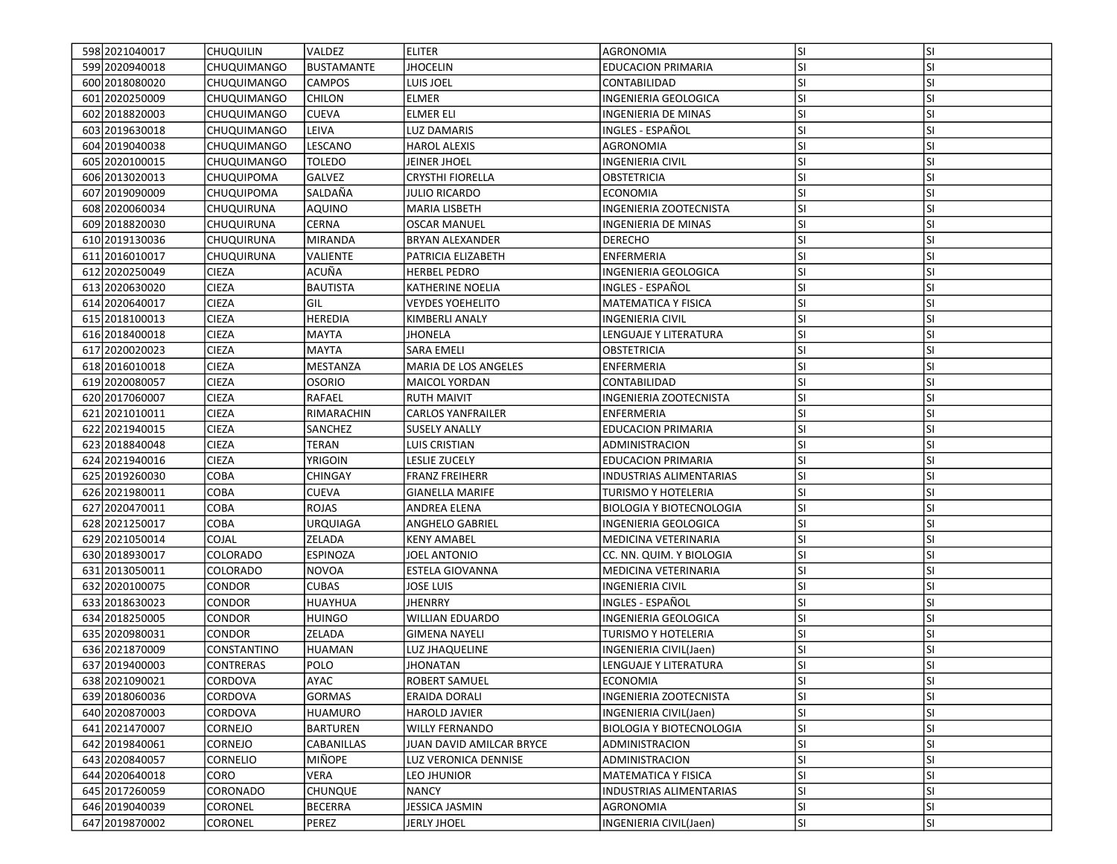| 598 2021040017   | <b>CHUQUILIN</b>   | <b>VALDEZ</b>     | <b>ELITER</b>            | AGRONOMIA                       | lsı       | <b>SI</b> |
|------------------|--------------------|-------------------|--------------------------|---------------------------------|-----------|-----------|
| 599 2020 940018  | <b>CHUQUIMANGO</b> | <b>BUSTAMANTE</b> | <b>JHOCELIN</b>          | <b>EDUCACION PRIMARIA</b>       | SI        | SI        |
| 600 2018 080 020 | <b>CHUQUIMANGO</b> | <b>CAMPOS</b>     | LUIS JOEL                | CONTABILIDAD                    | SI        | SI        |
| 601 2020 250009  | <b>CHUQUIMANGO</b> | <b>CHILON</b>     | <b>ELMER</b>             | INGENIERIA GEOLOGICA            | <b>SI</b> | SI        |
| 602 2018 820003  | <b>CHUQUIMANGO</b> | <b>CUEVA</b>      | <b>ELMER ELI</b>         | <b>INGENIERIA DE MINAS</b>      | SI        | SI        |
| 603 2019 630018  | <b>CHUQUIMANGO</b> | LEIVA             | LUZ DAMARIS              | INGLES - ESPAÑOL                | SI        | SI        |
| 604 2019 040038  | <b>CHUQUIMANGO</b> | LESCANO           | <b>HAROL ALEXIS</b>      | AGRONOMIA                       | SI        | SI        |
| 605 2020 100015  | <b>CHUQUIMANGO</b> | <b>TOLEDO</b>     | JEINER JHOEL             | <b>INGENIERIA CIVIL</b>         | SI        | SI        |
| 606 2013020013   | <b>CHUQUIPOMA</b>  | GALVEZ            | <b>CRYSTHI FIORELLA</b>  | OBSTETRICIA                     | SI        | SI        |
| 607 2019 090009  | <b>CHUQUIPOMA</b>  | SALDAÑA           | JULIO RICARDO            | <b>ECONOMIA</b>                 | SI        | SI        |
| 608 2020060034   | <b>CHUQUIRUNA</b>  | AQUINO            | MARIA LISBETH            | INGENIERIA ZOOTECNISTA          | SI        | SI        |
| 609 2018 820030  | CHUQUIRUNA         | <b>CERNA</b>      | <b>OSCAR MANUEL</b>      | <b>INGENIERIA DE MINAS</b>      | SI        | SI        |
| 610 2019 1300 36 | <b>CHUQUIRUNA</b>  | <b>MIRANDA</b>    | <b>BRYAN ALEXANDER</b>   | <b>DERECHO</b>                  | SI        | SI        |
| 611 2016010017   | CHUQUIRUNA         | VALIENTE          | PATRICIA ELIZABETH       | <b>ENFERMERIA</b>               | SI        | SI        |
| 612 2020250049   | <b>CIEZA</b>       | ACUÑA             | <b>HERBEL PEDRO</b>      | INGENIERIA GEOLOGICA            | SI        | SI        |
| 613 2020 6300 20 | <b>CIEZA</b>       | BAUTISTA          | KATHERINE NOELIA         | INGLES - ESPAÑOL                | SI        | SI        |
| 614 2020 640017  | <b>CIEZA</b>       | GIL               | <b>VEYDES YOEHELITO</b>  | <b>MATEMATICA Y FISICA</b>      | SI        | SI        |
| 615 2018 100013  | <b>CIEZA</b>       | <b>HEREDIA</b>    | KIMBERLI ANALY           | <b>INGENIERIA CIVIL</b>         | SI        | SI        |
| 616 2018400018   | <b>CIEZA</b>       | <b>MAYTA</b>      | JHONELA                  | LENGUAJE Y LITERATURA           | <b>SI</b> | SI        |
| 617 2020 020023  | <b>CIEZA</b>       | <b>MAYTA</b>      | <b>SARA EMELI</b>        | <b>OBSTETRICIA</b>              | <b>SI</b> | SI        |
| 618 2016010018   | <b>CIEZA</b>       | MESTANZA          | MARIA DE LOS ANGELES     | <b>ENFERMERIA</b>               | SI        | SI        |
| 619 2020 080057  | <b>CIEZA</b>       | OSORIO            | <b>MAICOL YORDAN</b>     | CONTABILIDAD                    | <b>SI</b> | SI        |
| 620 2017060007   | <b>CIEZA</b>       | RAFAEL            | <b>RUTH MAIVIT</b>       | INGENIERIA ZOOTECNISTA          | SI        | SI        |
| 621 2021010011   | <b>CIEZA</b>       | RIMARACHIN        | <b>CARLOS YANFRAILER</b> | <b>ENFERMERIA</b>               | SI        | SI        |
| 622 2021940015   | <b>CIEZA</b>       | <b>SANCHEZ</b>    | <b>SUSELY ANALLY</b>     | <b>EDUCACION PRIMARIA</b>       | SI        | SI        |
| 623 2018840048   | <b>CIEZA</b>       | <b>TERAN</b>      | <b>LUIS CRISTIAN</b>     | ADMINISTRACION                  | lsı       | SI        |
| 624 2021940016   | <b>CIEZA</b>       | <b>YRIGOIN</b>    | LESLIE ZUCELY            | <b>EDUCACION PRIMARIA</b>       | SI        | SI        |
| 625 2019 260030  | <b>COBA</b>        | CHINGAY           | <b>FRANZ FREIHERR</b>    | <b>INDUSTRIAS ALIMENTARIAS</b>  | <b>SI</b> | SI        |
| 626 2021980011   | <b>COBA</b>        | CUEVA             | <b>GIANELLA MARIFE</b>   | <b>TURISMO Y HOTELERIA</b>      | <b>SI</b> | SI        |
| 627 2020470011   | COBA               | ROJAS             | ANDREA ELENA             | <b>BIOLOGIA Y BIOTECNOLOGIA</b> | SI        | SI        |
| 628 2021250017   | <b>COBA</b>        | <b>URQUIAGA</b>   | <b>ANGHELO GABRIEL</b>   | INGENIERIA GEOLOGICA            | SI        | SI        |
| 629 2021050014   | <b>COJAL</b>       | ZELADA            | <b>KENY AMABEL</b>       | MEDICINA VETERINARIA            | SI        | SI        |
| 630 2018 930017  | <b>COLORADO</b>    | <b>ESPINOZA</b>   | JOEL ANTONIO             | CC. NN. QUIM. Y BIOLOGIA        | lsı       | SI        |
| 631 2013 050011  | <b>COLORADO</b>    | NOVOA             | ESTELA GIOVANNA          | MEDICINA VETERINARIA            | SI        | SI        |
| 632 2020 100075  | <b>CONDOR</b>      | <b>CUBAS</b>      | <b>JOSE LUIS</b>         | <b>INGENIERIA CIVIL</b>         | SI        | SI        |
| 633 2018 630023  | <b>CONDOR</b>      | HUAYHUA           | <b>JHENRRY</b>           | INGLES - ESPAÑOL                | <b>SI</b> | SI        |
| 634 2018250005   | <b>CONDOR</b>      | HUINGO            | <b>WILLIAN EDUARDO</b>   | INGENIERIA GEOLOGICA            | SI        | SI        |
| 635 2020 9800 31 | <b>CONDOR</b>      | <b>ZELADA</b>     | <b>GIMENA NAYELI</b>     | TURISMO Y HOTELERIA             | SI        | SI        |
| 636 2021870009   | CONSTANTINO        | HUAMAN            | LUZ JHAQUELINE           | INGENIERIA CIVIL(Jaen)          | SI        | SI        |
| 637 2019400003   | <b>CONTRERAS</b>   | <b>POLO</b>       | <b>JHONATAN</b>          | LENGUAJE Y LITERATURA           | SI        | SI        |
| 638 2021090021   | <b>CORDOVA</b>     | AYAC              | ROBERT SAMUEL            | <b>ECONOMIA</b>                 | lsı       | ΙSΙ       |
| 639 2018060036   | <b>CORDOVA</b>     | <b>GORMAS</b>     | ERAIDA DORALI            | <b>INGENIERIA ZOOTECNISTA</b>   | SI        | SI        |
| 640 2020 870003  | CORDOVA            | <b>HUAMURO</b>    | HAROLD JAVIER            | INGENIERIA CIVIL(Jaen)          | SI        | SI        |
| 641 2021470007   | <b>CORNEJO</b>     | <b>BARTUREN</b>   | <b>WILLY FERNANDO</b>    | <b>BIOLOGIA Y BIOTECNOLOGIA</b> | SI        | SI        |
| 642 2019 8400 61 | CORNEJO            | CABANILLAS        | IUAN DAVID AMILCAR BRYCE | ADMINISTRACION                  | SI        | SI        |
| 643 2020840057   | <b>CORNELIO</b>    | MIÑOPE            | LUZ VERONICA DENNISE     | ADMINISTRACION                  | SI        | SI        |
| 644 2020 640018  | CORO               | VERA              | LEO JHUNIOR              | <b>MATEMATICA Y FISICA</b>      | SI        | SI        |
| 645 2017260059   | <b>CORONADO</b>    | <b>CHUNQUE</b>    | <b>NANCY</b>             | <b>INDUSTRIAS ALIMENTARIAS</b>  | <b>SI</b> | SI        |
| 646 2019 040039  | <b>CORONEL</b>     | <b>BECERRA</b>    | JESSICA JASMIN           | AGRONOMIA                       | <b>SI</b> | SI        |
| 647 2019870002   | <b>CORONEL</b>     | PEREZ             | <b>JERLY JHOEL</b>       | INGENIERIA CIVIL(Jaen)          | SI        | SI        |
|                  |                    |                   |                          |                                 |           |           |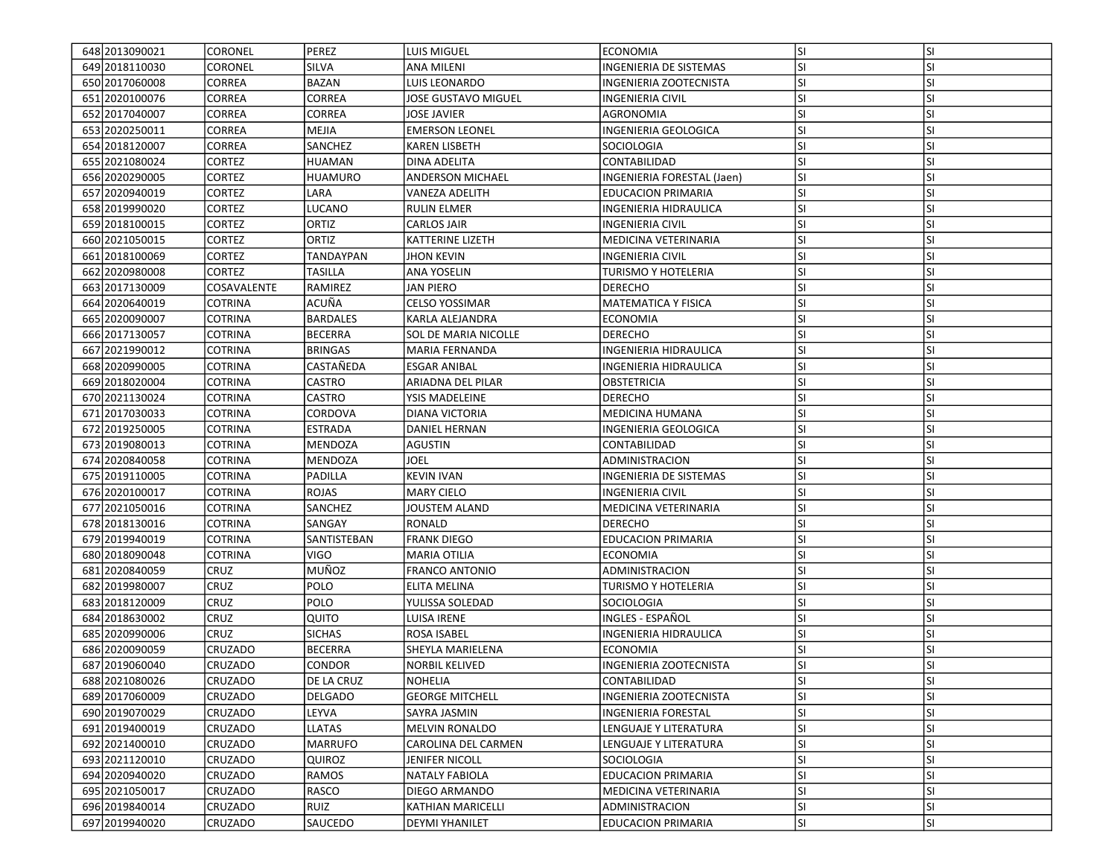| 648 2013 0900 21 | <b>CORONEL</b> | PEREZ           | LUIS MIGUEL             | <b>ECONOMIA</b>               | lsı       | <b>SI</b> |
|------------------|----------------|-----------------|-------------------------|-------------------------------|-----------|-----------|
| 649 2018 110030  | <b>CORONEL</b> | <b>SILVA</b>    | ANA MILENI              | <b>INGENIERIA DE SISTEMAS</b> | SI        | SI        |
| 650 2017060008   | <b>CORREA</b>  | <b>BAZAN</b>    | LUIS LEONARDO           | INGENIERIA ZOOTECNISTA        | SI        | SI        |
| 651 2020 100076  | <b>CORREA</b>  | <b>CORREA</b>   | JOSE GUSTAVO MIGUEL     | <b>INGENIERIA CIVIL</b>       | SI        | SI        |
| 652 2017040007   | <b>CORREA</b>  | CORREA          | JOSE JAVIER             | AGRONOMIA                     | ΙSΙ       | SI        |
| 653 2020250011   | <b>CORREA</b>  | MEJIA           | <b>EMERSON LEONEL</b>   | INGENIERIA GEOLOGICA          | SI        | SI        |
| 654 2018 120007  | <b>CORREA</b>  | SANCHEZ         | <b>KAREN LISBETH</b>    | <b>SOCIOLOGIA</b>             | SI        | SI        |
| 655 2021080024   | <b>CORTEZ</b>  | HUAMAN          | DINA ADELITA            | CONTABILIDAD                  | <b>SI</b> | SI        |
| 656 2020290005   | <b>CORTEZ</b>  | HUAMURO         | <b>ANDERSON MICHAEL</b> | INGENIERIA FORESTAL (Jaen)    | SI        | SI        |
| 657 2020940019   | <b>CORTEZ</b>  | LARA            | <b>VANEZA ADELITH</b>   | <b>EDUCACION PRIMARIA</b>     | SI        | SI        |
| 658 2019 900 20  | <b>CORTEZ</b>  | LUCANO          | <b>RULIN ELMER</b>      | <b>INGENIERIA HIDRAULICA</b>  | SI        | SI        |
| 659 2018 100015  | <b>CORTEZ</b>  | <b>ORTIZ</b>    | CARLOS JAIR             | <b>INGENIERIA CIVIL</b>       | SI        | SI        |
| 660 2021050015   | <b>CORTEZ</b>  | ORTIZ           | <b>KATTERINE LIZETH</b> | MEDICINA VETERINARIA          | SI        | SI        |
| 661 2018 100069  | <b>CORTEZ</b>  | TANDAYPAN       | <b>JHON KEVIN</b>       | INGENIERIA CIVIL              | SI        | SI        |
| 662 2020 980008  | <b>CORTEZ</b>  | TASILLA         | ANA YOSELIN             | <b>TURISMO Y HOTELERIA</b>    | <b>SI</b> | SI        |
| 663 2017130009   | COSAVALENTE    | RAMIREZ         | JAN PIERO               | <b>DERECHO</b>                | SI        | SI        |
| 664 2020 640019  | <b>COTRINA</b> | ACUÑA           | <b>CELSO YOSSIMAR</b>   | <b>MATEMATICA Y FISICA</b>    | SI        | SI        |
| 665 2020090007   | <b>COTRINA</b> | <b>BARDALES</b> | KARLA ALEJANDRA         | <b>ECONOMIA</b>               | SI        | SI        |
| 666 2017130057   | <b>COTRINA</b> | <b>BECERRA</b>  | SOL DE MARIA NICOLLE    | <b>DERECHO</b>                | SI        | SI        |
| 667 2021990012   | <b>COTRINA</b> | <b>BRINGAS</b>  | MARIA FERNANDA          | INGENIERIA HIDRAULICA         | SI        | SI        |
| 668 2020990005   | <b>COTRINA</b> | CASTAÑEDA       | <b>ESGAR ANIBAL</b>     | INGENIERIA HIDRAULICA         | SI        | SI        |
| 669 2018 020004  | <b>COTRINA</b> | CASTRO          | ARIADNA DEL PILAR       | OBSTETRICIA                   | SI        | SI        |
| 670 2021130024   | <b>COTRINA</b> | CASTRO          | YSIS MADELEINE          | <b>DERECHO</b>                | SI        | SI        |
| 671 2017 0300 33 | <b>COTRINA</b> | CORDOVA         | DIANA VICTORIA          | <b>MEDICINA HUMANA</b>        | SI        | SI        |
| 672 2019 250005  | <b>COTRINA</b> | <b>ESTRADA</b>  | DANIEL HERNAN           | INGENIERIA GEOLOGICA          | SI        | SI        |
| 673 2019 080013  | <b>COTRINA</b> | <b>MENDOZA</b>  | AGUSTIN                 | CONTABILIDAD                  | <b>SI</b> | SI        |
| 674 2020 840058  | <b>COTRINA</b> | <b>MENDOZA</b>  | JOEL                    | ADMINISTRACION                | <b>SI</b> | SI        |
| 675 2019 110005  | <b>COTRINA</b> | PADILLA         | <b>KEVIN IVAN</b>       | <b>INGENIERIA DE SISTEMAS</b> | <b>SI</b> | SI        |
| 676 2020 1000 17 | <b>COTRINA</b> | <b>ROJAS</b>    | <b>MARY CIELO</b>       | INGENIERIA CIVIL              | <b>SI</b> | SI        |
| 677 2021050016   | <b>COTRINA</b> | SANCHEZ         | JOUSTEM ALAND           | MEDICINA VETERINARIA          | SI        | SI        |
| 678 2018 1300 16 | <b>COTRINA</b> | SANGAY          | RONALD                  | <b>DERECHO</b>                | <b>SI</b> | SI        |
| 679 2019940019   | <b>COTRINA</b> | SANTISTEBAN     | <b>FRANK DIEGO</b>      | <b>EDUCACION PRIMARIA</b>     | SI        | SI        |
| 680 2018090048   | <b>COTRINA</b> | <b>VIGO</b>     | <b>MARIA OTILIA</b>     | <b>ECONOMIA</b>               | <b>SI</b> | SI        |
| 681 2020 840059  | CRUZ           | MUÑOZ           | <b>FRANCO ANTONIO</b>   | ADMINISTRACION                | <b>SI</b> | SI        |
| 682 2019 980007  | CRUZ           | POLO            | ELITA MELINA            | <b>TURISMO Y HOTELERIA</b>    | <b>SI</b> | SI        |
| 683 2018 120009  | <b>CRUZ</b>    | POLO            | YULISSA SOLEDAD         | <b>SOCIOLOGIA</b>             | SI        | SI        |
| 684 2018 630002  | <b>CRUZ</b>    | QUITO           | LUISA IRENE             | INGLES - ESPAÑOL              | <b>SI</b> | SI        |
| 685 2020990006   | <b>CRUZ</b>    | <b>SICHAS</b>   | ROSA ISABEL             | INGENIERIA HIDRAULICA         | SI        | SI        |
| 686 2020090059   | CRUZADO        | <b>BECERRA</b>  | SHEYLA MARIELENA        | <b>ECONOMIA</b>               | SI        | SI        |
| 687 2019 060 040 | <b>CRUZADO</b> | CONDOR          | <b>NORBIL KELIVED</b>   | INGENIERIA ZOOTECNISTA        | <b>SI</b> | SI        |
| 688 2021080026   | <b>CRUZADO</b> | DE LA CRUZ      | <b>NOHELIA</b>          | CONTABILIDAD                  | lsı       | ΙSΙ       |
| 689 2017060009   | <b>CRUZADO</b> | DELGADO         | <b>GEORGE MITCHELL</b>  | <b>INGENIERIA ZOOTECNISTA</b> | SI        | SI        |
| 690 2019 070 029 | <b>CRUZADO</b> | LEYVA           | SAYRA JASMIN            | INGENIERIA FORESTAL           | SI        | SI        |
| 691 2019 400019  | CRUZADO        | <b>LLATAS</b>   | MELVIN RONALDO          | LENGUAJE Y LITERATURA         | SI        | SI        |
| 692 2021400010   | CRUZADO        | <b>MARRUFO</b>  | CAROLINA DEL CARMEN     | LENGUAJE Y LITERATURA         | SI        | SI        |
| 693 2021120010   | <b>CRUZADO</b> | QUIROZ          | JENIFER NICOLL          | SOCIOLOGIA                    | SI        | SI        |
| 694 2020 940020  | <b>CRUZADO</b> | RAMOS           | <b>NATALY FABIOLA</b>   | <b>EDUCACION PRIMARIA</b>     | SI        | SI        |
| 695 2021050017   | <b>CRUZADO</b> | RASCO           | DIEGO ARMANDO           | MEDICINA VETERINARIA          | <b>SI</b> | SI        |
| 696 2019 840014  | <b>CRUZADO</b> | RUIZ            | KATHIAN MARICELLI       | <b>ADMINISTRACION</b>         | <b>SI</b> | SI        |
| 697 2019 940020  | <b>CRUZADO</b> | <b>SAUCEDO</b>  | <b>DEYMI YHANILET</b>   | <b>EDUCACION PRIMARIA</b>     | SI        | SI        |
|                  |                |                 |                         |                               |           |           |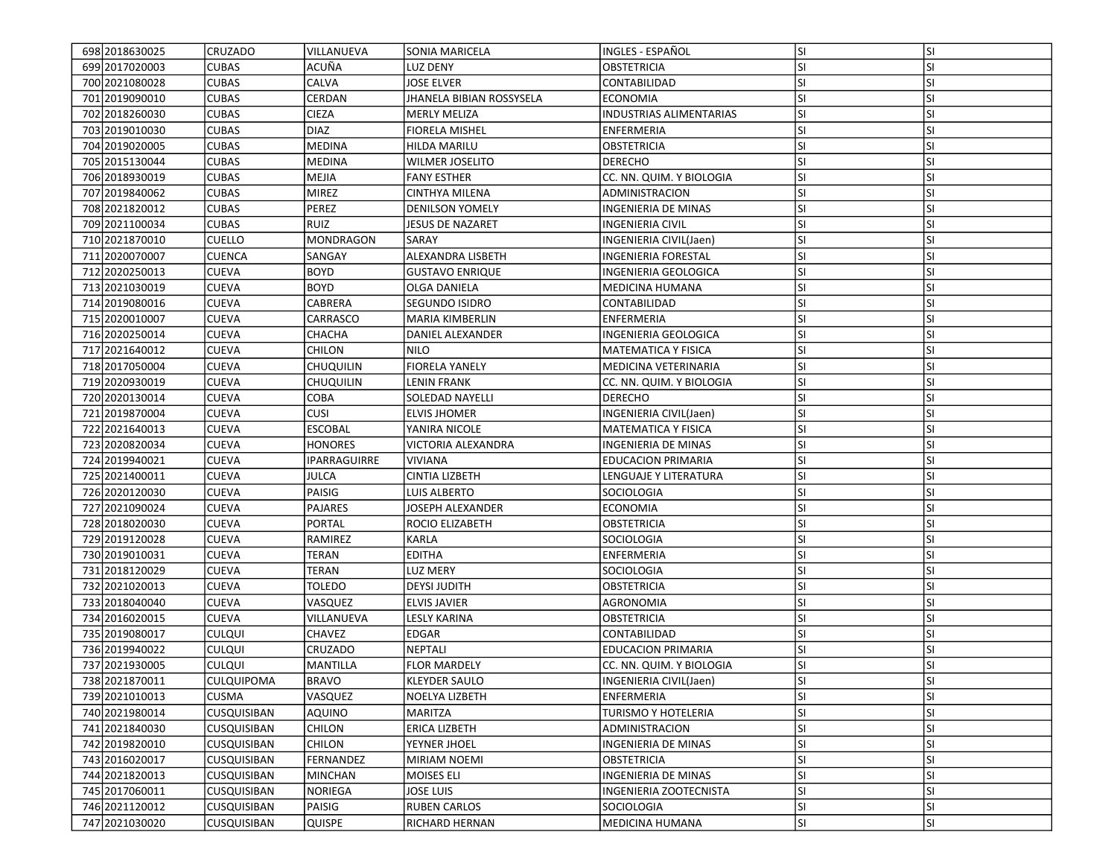| 698 2018 6300 25 | CRUZADO            | VILLANUEVA       | <b>SONIA MARICELA</b>    | INGLES - ESPAÑOL               | lsı       | <b>SI</b> |
|------------------|--------------------|------------------|--------------------------|--------------------------------|-----------|-----------|
| 699 20170 2000 3 | <b>CUBAS</b>       | ACUÑA            | LUZ DENY                 | <b>OBSTETRICIA</b>             | SI.       | SI        |
| 700 2021080028   | <b>CUBAS</b>       | CALVA            | <b>JOSE ELVER</b>        | CONTABILIDAD                   | <b>SI</b> | <b>SI</b> |
| 701 2019090010   | <b>CUBAS</b>       | CERDAN           | JHANELA BIBIAN ROSSYSELA | <b>ECONOMIA</b>                | <b>SI</b> | <b>SI</b> |
| 702 2018 260030  | <b>CUBAS</b>       | <b>CIEZA</b>     | <b>MERLY MELIZA</b>      | <b>INDUSTRIAS ALIMENTARIAS</b> | <b>SI</b> | <b>SI</b> |
| 703 2019010030   | <b>CUBAS</b>       | <b>DIAZ</b>      | <b>FIORELA MISHEL</b>    | <b>ENFERMERIA</b>              | <b>SI</b> | <b>SI</b> |
| 704 2019 020005  | <b>CUBAS</b>       | <b>MEDINA</b>    | HILDA MARILU             | <b>OBSTETRICIA</b>             | <b>SI</b> | <b>SI</b> |
| 705 2015 1300 44 | <b>CUBAS</b>       | <b>MEDINA</b>    | <b>WILMER JOSELITO</b>   | <b>DERECHO</b>                 | <b>SI</b> | <b>SI</b> |
| 706 2018 930019  | <b>CUBAS</b>       | MEJIA            | <b>FANY ESTHER</b>       | CC. NN. QUIM. Y BIOLOGIA       | SI.       | <b>SI</b> |
| 707 2019840062   | <b>CUBAS</b>       | <b>MIREZ</b>     | CINTHYA MILENA           | ADMINISTRACION                 | lsı       | <b>SI</b> |
| 708 2021820012   | <b>CUBAS</b>       | PEREZ            | <b>DENILSON YOMELY</b>   | INGENIERIA DE MINAS            | <b>SI</b> | SI        |
| 709 2021100034   | <b>CUBAS</b>       | <b>RUIZ</b>      | <b>JESUS DE NAZARET</b>  | INGENIERIA CIVIL               | lsı       | <b>SI</b> |
| 710 2021870010   | <b>CUELLO</b>      | <b>MONDRAGON</b> | SARAY                    | INGENIERIA CIVIL(Jaen)         | <b>SI</b> | <b>SI</b> |
| 711 2020070007   | <b>CUENCA</b>      | SANGAY           | ALEXANDRA LISBETH        | INGENIERIA FORESTAL            | lsı       | <b>SI</b> |
| 712 2020 2500 13 | <b>CUEVA</b>       | <b>BOYD</b>      | <b>GUSTAVO ENRIQUE</b>   | INGENIERIA GEOLOGICA           | <b>SI</b> | SI        |
| 713 2021030019   | <b>CUEVA</b>       | <b>BOYD</b>      | OLGA DANIELA             | MEDICINA HUMANA                | <b>SI</b> | <b>SI</b> |
| 714 2019 080016  | <b>CUEVA</b>       | CABRERA          | <b>SEGUNDO ISIDRO</b>    | CONTABILIDAD                   | <b>SI</b> | <b>SI</b> |
| 715 2020010007   | <b>CUEVA</b>       | CARRASCO         | <b>MARIA KIMBERLIN</b>   | ENFERMERIA                     | lsı       | <b>SI</b> |
| 716 2020250014   | <b>CUEVA</b>       | CHACHA           | DANIEL ALEXANDER         | INGENIERIA GEOLOGICA           | lsı       | <b>SI</b> |
| 717 2021640012   | <b>CUEVA</b>       | CHILON           | <b>NILO</b>              | MATEMATICA Y FISICA            | <b>SI</b> | <b>SI</b> |
| 718 2017050004   | <b>CUEVA</b>       | <b>CHUQUILIN</b> | <b>FIORELA YANELY</b>    | MEDICINA VETERINARIA           | lsı       | <b>SI</b> |
| 719 2020 930019  | <b>CUEVA</b>       | <b>CHUQUILIN</b> | LENIN FRANK              | CC. NN. QUIM. Y BIOLOGIA       | SI        | <b>SI</b> |
| 720 2020130014   | <b>CUEVA</b>       | СОВА             | SOLEDAD NAYELLI          | <b>DERECHO</b>                 | <b>SI</b> | <b>SI</b> |
| 721 2019 870004  | <b>CUEVA</b>       | <b>CUSI</b>      | <b>ELVIS JHOMER</b>      | INGENIERIA CIVIL(Jaen)         | <b>SI</b> | <b>SI</b> |
| 722 2021640013   | <b>CUEVA</b>       | <b>ESCOBAL</b>   | YANIRA NICOLE            | MATEMATICA Y FISICA            | <b>SI</b> | <b>SI</b> |
| 723 2020820034   | <b>CUEVA</b>       | <b>HONORES</b>   | VICTORIA ALEXANDRA       | INGENIERIA DE MINAS            | lsı       | <b>SI</b> |
| 724 2019940021   | <b>CUEVA</b>       | IPARRAGUIRRE     | <b>VIVIANA</b>           | <b>EDUCACION PRIMARIA</b>      | <b>SI</b> | <b>SI</b> |
| 725 2021400011   | <b>CUEVA</b>       | JULCA            | <b>CINTIA LIZBETH</b>    | LENGUAJE Y LITERATURA          | lsı       | <b>SI</b> |
| 726 2020120030   | <b>CUEVA</b>       | PAISIG           | LUIS ALBERTO             | SOCIOLOGIA                     | <b>SI</b> | <b>SI</b> |
| 727 2021090024   | <b>CUEVA</b>       | <b>PAJARES</b>   | JOSEPH ALEXANDER         | <b>ECONOMIA</b>                | <b>SI</b> | <b>SI</b> |
| 728 2018020030   | <b>CUEVA</b>       | <b>PORTAL</b>    | ROCIO ELIZABETH          | OBSTETRICIA                    | <b>SI</b> | <b>SI</b> |
| 729 2019 1200 28 | <b>CUEVA</b>       | RAMIREZ          | KARLA                    | SOCIOLOGIA                     | <b>SI</b> | <b>SI</b> |
| 730 2019010031   | <b>CUEVA</b>       | <b>TERAN</b>     | <b>EDITHA</b>            | <b>ENFERMERIA</b>              | lsı       | <b>SI</b> |
| 731 2018 1200 29 | <b>CUEVA</b>       | <b>TERAN</b>     | <b>LUZ MERY</b>          | SOCIOLOGIA                     | <b>SI</b> | <b>SI</b> |
| 732 20210 20013  | <b>CUEVA</b>       | <b>TOLEDO</b>    | <b>DEYSI JUDITH</b>      | <b>OBSTETRICIA</b>             | lsı       | <b>SI</b> |
| 733 2018 040 040 | <b>CUEVA</b>       | VASQUEZ          | <b>ELVIS JAVIER</b>      | AGRONOMIA                      | <b>SI</b> | <b>SI</b> |
| 734 2016020015   | <b>CUEVA</b>       | VILLANUEVA       | LESLY KARINA             | OBSTETRICIA                    | <b>SI</b> | <b>SI</b> |
| 735 2019 080017  | <b>CULQUI</b>      | <b>CHAVEZ</b>    | EDGAR                    | CONTABILIDAD                   | <b>SI</b> | <b>SI</b> |
| 736 2019940022   | <b>CULQUI</b>      | CRUZADO          | NEPTALI                  | EDUCACION PRIMARIA             | <b>SI</b> | <b>SI</b> |
| 737 2021930005   | <b>CULQUI</b>      | <b>MANTILLA</b>  | <b>FLOR MARDELY</b>      | CC. NN. QUIM. Y BIOLOGIA       | SI        | SI        |
| 738 2021870011   | <b>CULQUIPOMA</b>  | <b>BRAVO</b>     | <b>KLEYDER SAULO</b>     | INGENIERIA CIVIL(Jaen)         | SI.       | <b>SI</b> |
| 739 2021010013   | <b>CUSMA</b>       | VASQUEZ          | NOELYA LIZBETH           | ENFERMERIA                     | SI.       | <b>SI</b> |
| 740 2021980014   | <b>CUSQUISIBAN</b> | AQUINO           | <b>MARITZA</b>           | TURISMO Y HOTELERIA            | <b>SI</b> | SI        |
| 741 2021840030   | <b>CUSQUISIBAN</b> | CHILON           | <b>ERICA LIZBETH</b>     | ADMINISTRACION                 | SI.       | <b>SI</b> |
| 742 2019 820010  | CUSQUISIBAN        | <b>CHILON</b>    | YEYNER JHOEL             | INGENIERIA DE MINAS            | <b>SI</b> | SI        |
| 743 2016020017   | <b>CUSQUISIBAN</b> | FERNANDEZ        | MIRIAM NOEMI             | OBSTETRICIA                    | <b>SI</b> | <b>SI</b> |
| 744 20218 20013  | <b>CUSQUISIBAN</b> | <b>MINCHAN</b>   | <b>MOISES ELI</b>        | INGENIERIA DE MINAS            | <b>SI</b> | SI        |
| 745 2017060011   | CUSQUISIBAN        | NORIEGA          | <b>JOSE LUIS</b>         | INGENIERIA ZOOTECNISTA         | SI.       | <b>SI</b> |
| 746 2021120012   | <b>CUSQUISIBAN</b> | PAISIG           | <b>RUBEN CARLOS</b>      | SOCIOLOGIA                     | SI.       | SI        |
| 747 2021030020   | <b>CUSQUISIBAN</b> | QUISPE           | RICHARD HERNAN           | MEDICINA HUMANA                | SI.       | SI        |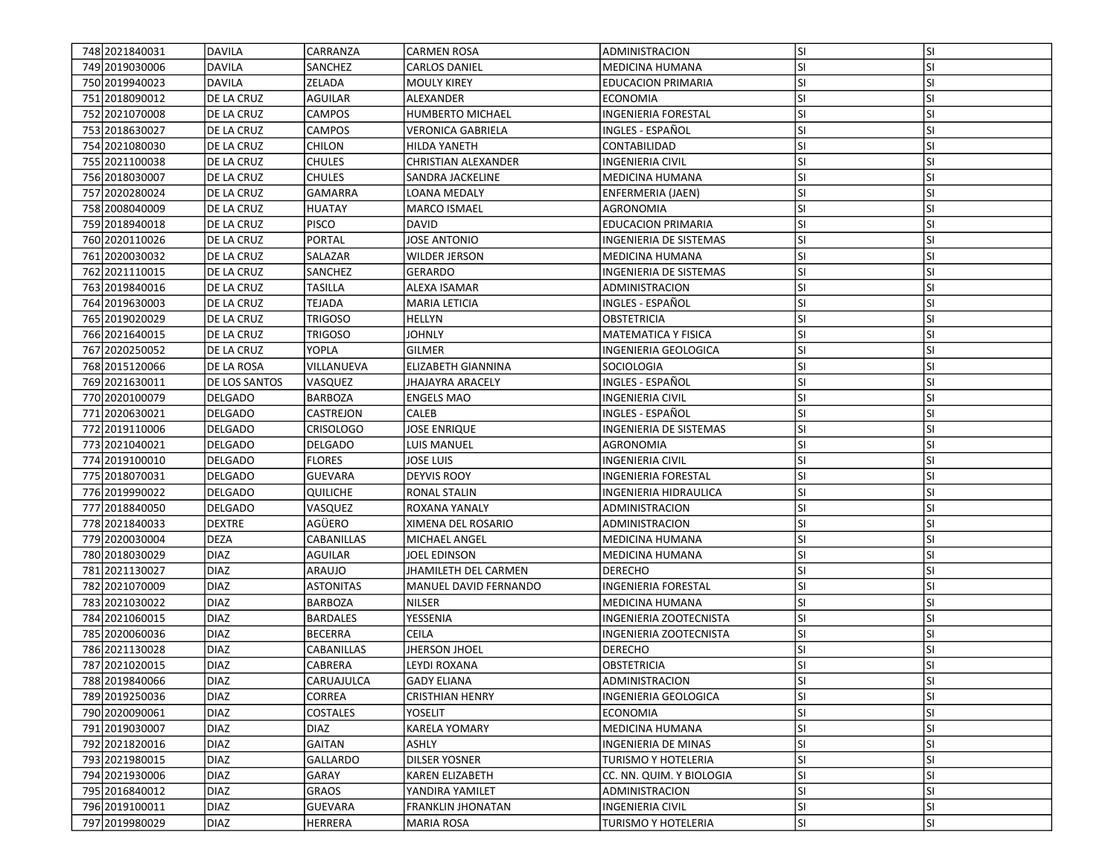| 748 2021840031<br>749 2019 030006 | DAVILA<br><b>DAVILA</b> | CARRANZA<br>SANCHEZ | <b>CARMEN ROSA</b><br><b>CARLOS DANIEL</b> | ADMINISTRACION<br><b>MEDICINA HUMANA</b> | lsı<br>SI. | <b>SI</b><br>SI |
|-----------------------------------|-------------------------|---------------------|--------------------------------------------|------------------------------------------|------------|-----------------|
| 750 2019 940023                   | DAVILA                  | ZELADA              | <b>MOULY KIREY</b>                         | <b>EDUCACION PRIMARIA</b>                | <b>SI</b>  | <b>SI</b>       |
|                                   | DE LA CRUZ              | <b>AGUILAR</b>      | <b>ALEXANDER</b>                           | <b>ECONOMIA</b>                          | lsı        | <b>SI</b>       |
| 751 2018 090012                   |                         |                     |                                            |                                          |            |                 |
| 752 2021070008                    | <b>DE LA CRUZ</b>       | <b>CAMPOS</b>       | <b>HUMBERTO MICHAEL</b>                    | <b>INGENIERIA FORESTAL</b>               | SI.        | <b>SI</b>       |
| 753 2018 630027                   | DE LA CRUZ              | <b>CAMPOS</b>       | <b>VERONICA GABRIELA</b>                   | INGLES - ESPAÑOL                         | lsı        | <b>SI</b>       |
| 754 2021080030                    | DE LA CRUZ              | CHILON              | <b>HILDA YANETH</b>                        | CONTABILIDAD                             | <b>SI</b>  | SI              |
| 755 2021100038                    | DE LA CRUZ              | <b>CHULES</b>       | CHRISTIAN ALEXANDER                        | INGENIERIA CIVIL                         | <b>SI</b>  | <b>SI</b>       |
| 756 2018030007                    | DE LA CRUZ              | <b>CHULES</b>       | SANDRA JACKELINE                           | MEDICINA HUMANA                          | <b>SI</b>  | <b>SI</b>       |
| 757 2020280024                    | DE LA CRUZ              | <b>GAMARRA</b>      | LOANA MEDALY                               | <b>ENFERMERIA (JAEN)</b>                 | <b>SI</b>  | <b>SI</b>       |
| 758 2008040009                    | DE LA CRUZ              | <b>HUATAY</b>       | <b>MARCO ISMAEL</b>                        | AGRONOMIA                                | lsı        | <b>SI</b>       |
| 759 2018 940018                   | DE LA CRUZ              | <b>PISCO</b>        | <b>DAVID</b>                               | <b>EDUCACION PRIMARIA</b>                | <b>SI</b>  | <b>SI</b>       |
| 760 2020110026                    | DE LA CRUZ              | <b>PORTAL</b>       | <b>JOSE ANTONIO</b>                        | INGENIERIA DE SISTEMAS                   | <b>SI</b>  | <b>SI</b>       |
| 761 2020 030032                   | DE LA CRUZ              | SALAZAR             | <b>WILDER JERSON</b>                       | MEDICINA HUMANA                          | <b>SI</b>  | <b>SI</b>       |
| 762 2021110015                    | DE LA CRUZ              | SANCHEZ             | GERARDO                                    | INGENIERIA DE SISTEMAS                   | SI.        | <b>SI</b>       |
| 763 2019 840016                   | DE LA CRUZ              | TASILLA             | ALEXA ISAMAR                               | ADMINISTRACION                           | <b>SI</b>  | <b>SI</b>       |
| 764 2019 630003                   | DE LA CRUZ              | TEJADA              | <b>MARIA LETICIA</b>                       | INGLES - ESPAÑOL                         | <b>SI</b>  | <b>SI</b>       |
| 765 2019 020029                   | DE LA CRUZ              | <b>TRIGOSO</b>      | <b>HELLYN</b>                              | OBSTETRICIA                              | <b>SI</b>  | <b>SI</b>       |
| 766 2021640015                    | DE LA CRUZ              | <b>TRIGOSO</b>      | JOHNLY                                     | <b>MATEMATICA Y FISICA</b>               | SI.        | <b>SI</b>       |
| 767 2020 2500 52                  | DE LA CRUZ              | YOPLA               | <b>GILMER</b>                              | <b>INGENIERIA GEOLOGICA</b>              | SI.        | <b>SI</b>       |
| 768 2015 120066                   | <b>DE LA ROSA</b>       | VILLANUEVA          | <b>ELIZABETH GIANNINA</b>                  | SOCIOLOGIA                               | <b>SI</b>  | <b>SI</b>       |
| 769 2021 630011                   | <b>DE LOS SANTOS</b>    | VASQUEZ             | JHAJAYRA ARACELY                           | INGLES - ESPAÑOL                         | <b>SI</b>  | <b>SI</b>       |
| 770 2020 100079                   | <b>DELGADO</b>          | BARBOZA             | <b>ENGELS MAO</b>                          | INGENIERIA CIVIL                         | <b>SI</b>  | <b>SI</b>       |
| 771 2020 6300 21                  | <b>DELGADO</b>          | CASTREJON           | CALEB                                      | INGLES - ESPAÑOL                         | lsı        | <b>SI</b>       |
| 772 2019110006                    | DELGADO                 | <b>CRISOLOGO</b>    | JOSE ENRIQUE                               | INGENIERIA DE SISTEMAS                   | <b>SI</b>  | SI              |
| 773 2021040021                    | <b>DELGADO</b>          | DELGADO             | LUIS MANUEL                                | AGRONOMIA                                | lsı        | <b>SI</b>       |
| 774 2019 1000 10                  | DELGADO                 | <b>FLORES</b>       | JOSE LUIS                                  | <b>INGENIERIA CIVIL</b>                  | <b>SI</b>  | <b>SI</b>       |
| 775 2018070031                    | <b>DELGADO</b>          | <b>GUEVARA</b>      | <b>DEYVIS ROOY</b>                         | <b>INGENIERIA FORESTAL</b>               | <b>SI</b>  | <b>SI</b>       |
| 776 2019990022                    | <b>DELGADO</b>          | QUILICHE            | <b>RONAL STALIN</b>                        | INGENIERIA HIDRAULICA                    | SI.        | <b>SI</b>       |
| 777 2018840050                    | <b>DELGADO</b>          | VASQUEZ             | ROXANA YANALY                              | ADMINISTRACION                           | SI.        | <b>SI</b>       |
| 778 2021840033                    | <b>DEXTRE</b>           | AGÜERO              | XIMENA DEL ROSARIO                         | ADMINISTRACION                           | <b>SI</b>  | <b>SI</b>       |
| 779 2020030004                    | <b>DEZA</b>             | CABANILLAS          | MICHAEL ANGEL                              | <b>MEDICINA HUMANA</b>                   | <b>SI</b>  | <b>SI</b>       |
| 780 2018 030 029                  | DIAZ                    | AGUILAR             | JOEL EDINSON                               | MEDICINA HUMANA                          | <b>SI</b>  | <b>SI</b>       |
| 781 2021130027                    | DIAZ                    | ARAUJO              | <b>JHAMILETH DEL CARMEN</b>                | <b>DERECHO</b>                           | <b>SI</b>  | <b>SI</b>       |
| 782 2021070009                    | DIAZ                    | <b>ASTONITAS</b>    | MANUEL DAVID FERNANDO                      | <b>INGENIERIA FORESTAL</b>               | <b>SI</b>  | <b>SI</b>       |
| 783 2021030022                    | <b>DIAZ</b>             | <b>BARBOZA</b>      | <b>NILSER</b>                              | <b>MEDICINA HUMANA</b>                   | <b>SI</b>  | SI              |
| 784 2021060015                    | <b>DIAZ</b>             | <b>BARDALES</b>     | YESSENIA                                   | INGENIERIA ZOOTECNISTA                   | <b>SI</b>  | <b>SI</b>       |
| 785 2020060036                    | <b>DIAZ</b>             | <b>BECERRA</b>      | CEILA                                      | INGENIERIA ZOOTECNISTA                   | SI.        | <b>SI</b>       |
| 786 2021130028                    | <b>DIAZ</b>             | CABANILLAS          | <b>JHERSON JHOEL</b>                       | <b>DERECHO</b>                           | <b>SI</b>  | <b>SI</b>       |
| 787 2021020015                    | DIAZ                    | CABRERA             | LEYDI ROXANA                               | <b>OBSTETRICIA</b>                       | lsı        | <b>SI</b>       |
| 788 2019 840066                   | DIAZ                    | CARUAJULCA          | <b>GADY ELIANA</b>                         | ADMINISTRACION                           | lsı        | SI              |
| 789 2019 2500 36                  | DIAZ                    | CORREA              | <b>CRISTHIAN HENRY</b>                     | INGENIERIA GEOLOGICA                     | lsı        | <b>SI</b>       |
| 790 2020090061                    | DIAZ                    | COSTALES            | YOSELIT                                    | <b>ECONOMIA</b>                          | <b>SI</b>  | <b>SI</b>       |
| 791 2019 030007                   | <b>DIAZ</b>             | <b>DIAZ</b>         | KARELA YOMARY                              | MEDICINA HUMANA                          | <b>SI</b>  | <b>SI</b>       |
| 792 2021820016                    | DIAZ                    | GAITAN              | ASHLY                                      | INGENIERIA DE MINAS                      | SI.        | <b>SI</b>       |
| 793 2021980015                    | <b>DIAZ</b>             | <b>GALLARDO</b>     | <b>DILSER YOSNER</b>                       | TURISMO Y HOTELERIA                      | <b>SI</b>  | <b>SI</b>       |
| 794 2021930006                    | <b>DIAZ</b>             | GARAY               | <b>KAREN ELIZABETH</b>                     | CC. NN. QUIM. Y BIOLOGIA                 | <b>SI</b>  | <b>SI</b>       |
| 795 2016840012                    | DIAZ                    | GRAOS               | YANDIRA YAMILET                            | ADMINISTRACION                           | <b>SI</b>  | <b>SI</b>       |
| 796 2019 100011                   | <b>DIAZ</b>             | <b>GUEVARA</b>      | <b>FRANKLIN JHONATAN</b>                   | <b>INGENIERIA CIVIL</b>                  | <b>SI</b>  | SI              |
| 797 2019980029                    | <b>DIAZ</b>             | HERRERA             | <b>MARIA ROSA</b>                          | TURISMO Y HOTELERIA                      | SI.        | SI              |
|                                   |                         |                     |                                            |                                          |            |                 |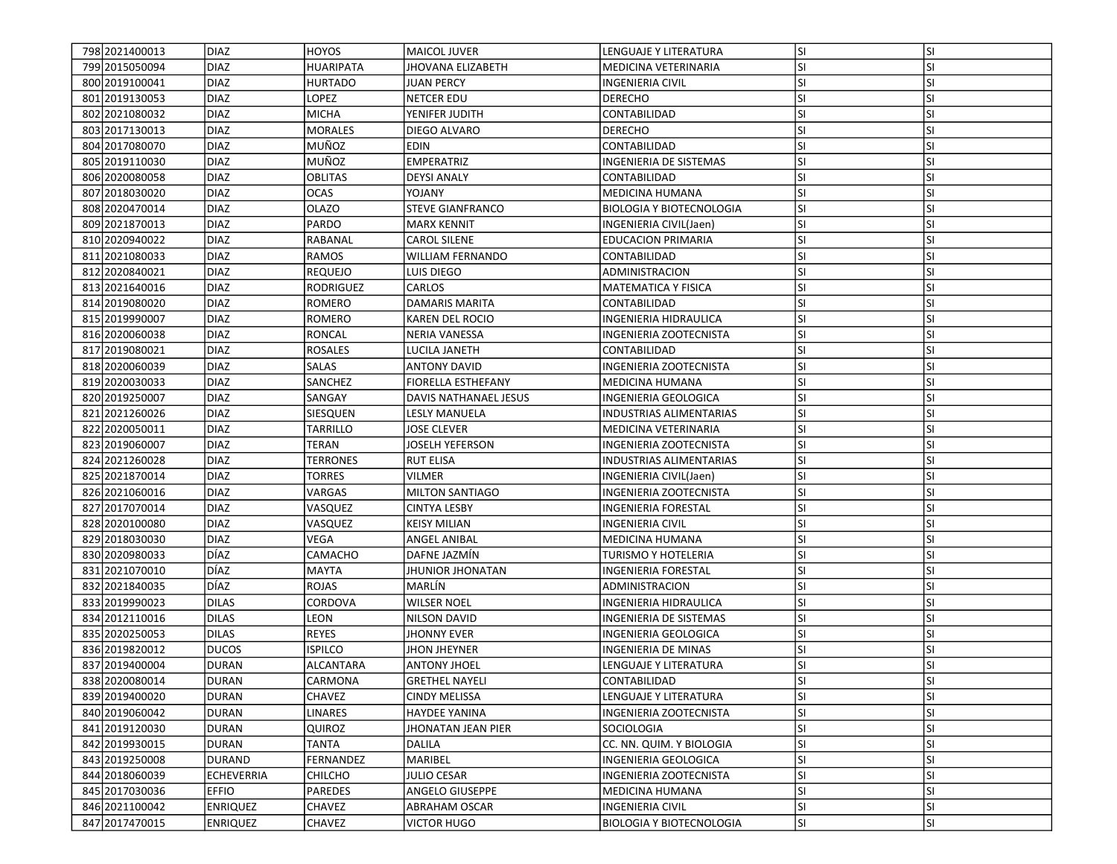| 798 2021400013   | DIAZ                | HOYOS                              | <b>MAICOL JUVER</b>       | LENGUAJE Y LITERATURA           | lsı       | <b>SI</b> |
|------------------|---------------------|------------------------------------|---------------------------|---------------------------------|-----------|-----------|
| 799 2015 050094  | <b>DIAZ</b><br>DIAZ | <b>HUARIPATA</b><br><b>HURTADO</b> | <b>JHOVANA ELIZABETH</b>  | MEDICINA VETERINARIA            | SI.       | SI        |
| 800 2019 100041  |                     |                                    | <b>JUAN PERCY</b>         | <b>INGENIERIA CIVIL</b>         | <b>SI</b> | <b>SI</b> |
| 801 2019 1300 53 | <b>DIAZ</b>         | LOPEZ                              | <b>NETCER EDU</b>         | <b>DERECHO</b>                  | lsı       | SI        |
| 802 2021080032   | <b>DIAZ</b>         | <b>MICHA</b>                       | YENIFER JUDITH            | CONTABILIDAD                    | <b>SI</b> | <b>SI</b> |
| 803 2017130013   | <b>DIAZ</b>         | <b>MORALES</b>                     | DIEGO ALVARO              | <b>DERECHO</b>                  | lsı.      | <b>SI</b> |
| 804 2017080070   | <b>DIAZ</b>         | MUÑOZ                              | EDIN                      | CONTABILIDAD                    | <b>SI</b> | SI        |
| 805 2019 110030  | <b>DIAZ</b>         | MUÑOZ                              | <b>EMPERATRIZ</b>         | INGENIERIA DE SISTEMAS          | <b>SI</b> | <b>SI</b> |
| 806 2020080058   | <b>DIAZ</b>         | OBLITAS                            | <b>DEYSI ANALY</b>        | CONTABILIDAD                    | <b>SI</b> | <b>SI</b> |
| 807 2018030020   | DIAZ                | <b>OCAS</b>                        | YOJANY                    | MEDICINA HUMANA                 | <b>SI</b> | <b>SI</b> |
| 808 2020470014   | <b>DIAZ</b>         | <b>OLAZO</b>                       | <b>STEVE GIANFRANCO</b>   | <b>BIOLOGIA Y BIOTECNOLOGIA</b> | lsı       | <b>SI</b> |
| 809 2021870013   | <b>DIAZ</b>         | PARDO                              | <b>MARX KENNIT</b>        | INGENIERIA CIVIL(Jaen)          | <b>SI</b> | <b>SI</b> |
| 810 2020940022   | <b>DIAZ</b>         | RABANAL                            | <b>CAROL SILENE</b>       | <b>EDUCACION PRIMARIA</b>       | <b>SI</b> | <b>SI</b> |
| 811 2021080033   | <b>DIAZ</b>         | RAMOS                              | <b>WILLIAM FERNANDO</b>   | CONTABILIDAD                    | <b>SI</b> | <b>SI</b> |
| 812 2020 8400 21 | <b>DIAZ</b>         | <b>REQUEJO</b>                     | luis diego                | ADMINISTRACION                  | <b>SI</b> | <b>SI</b> |
| 813 2021640016   | <b>DIAZ</b>         | RODRIGUEZ                          | CARLOS                    | MATEMATICA Y FISICA             | <b>SI</b> | <b>SI</b> |
| 814 2019 080020  | <b>DIAZ</b>         | ROMERO                             | DAMARIS MARITA            | CONTABILIDAD                    | <b>SI</b> | <b>SI</b> |
| 815 2019990007   | <b>DIAZ</b>         | ROMERO                             | KAREN DEL ROCIO           | INGENIERIA HIDRAULICA           | <b>SI</b> | <b>SI</b> |
| 816 2020060038   | <b>DIAZ</b>         | <b>RONCAL</b>                      | <b>NERIA VANESSA</b>      | <b>INGENIERIA ZOOTECNISTA</b>   | SI.       | <b>SI</b> |
| 817 2019 0800 21 | <b>DIAZ</b>         | <b>ROSALES</b>                     | LUCILA JANETH             | CONTABILIDAD                    | <b>SI</b> | <b>SI</b> |
| 818 2020060039   | <b>DIAZ</b>         | <b>SALAS</b>                       | <b>ANTONY DAVID</b>       | INGENIERIA ZOOTECNISTA          | <b>SI</b> | <b>SI</b> |
| 819 2020 030033  | <b>DIAZ</b>         | SANCHEZ                            | <b>FIORELLA ESTHEFANY</b> | <b>MEDICINA HUMANA</b>          | <b>SI</b> | SI        |
| 820 2019 250007  | <b>DIAZ</b>         | SANGAY                             | DAVIS NATHANAEL JESUS     | INGENIERIA GEOLOGICA            | <b>SI</b> | SI        |
| 821 2021 2600 26 | <b>DIAZ</b>         | SIESQUEN                           | LESLY MANUELA             | INDUSTRIAS ALIMENTARIAS         | <b>SI</b> | <b>SI</b> |
| 822 2020050011   | <b>DIAZ</b>         | TARRILLO                           | JOSE CLEVER               | MEDICINA VETERINARIA            | <b>SI</b> | <b>SI</b> |
| 823 2019 060007  | <b>DIAZ</b>         | TERAN                              | <b>JOSELH YEFERSON</b>    | <b>INGENIERIA ZOOTECNISTA</b>   | lsı       | <b>SI</b> |
| 824 2021260028   | <b>DIAZ</b>         | TERRONES                           | <b>RUT ELISA</b>          | <b>INDUSTRIAS ALIMENTARIAS</b>  | <b>SI</b> | <b>SI</b> |
| 825 2021870014   | <b>DIAZ</b>         | TORRES                             | <b>VILMER</b>             | INGENIERIA CIVIL(Jaen)          | <b>SI</b> | <b>SI</b> |
| 826 2021060016   | <b>DIAZ</b>         | VARGAS                             | <b>MILTON SANTIAGO</b>    | INGENIERIA ZOOTECNISTA          | SI.       | SI        |
| 827 2017 070014  | <b>DIAZ</b>         | VASQUEZ                            | CINTYA LESBY              | INGENIERIA FORESTAL             | <b>SI</b> | <b>SI</b> |
| 828 2020100080   | <b>DIAZ</b>         | VASQUEZ                            | <b>KEISY MILIAN</b>       | <b>INGENIERIA CIVIL</b>         | <b>SI</b> | <b>SI</b> |
| 829 2018030030   | <b>DIAZ</b>         | <b>VEGA</b>                        | ANGEL ANIBAL              | <b>MEDICINA HUMANA</b>          | <b>SI</b> | <b>SI</b> |
| 830 2020 9800 33 | DÍAZ                | CAMACHO                            | DAFNE JAZMIN              | TURISMO Y HOTELERIA             | <b>SI</b> | <b>SI</b> |
| 831 2021 070 010 | DÍAZ                | <b>MAYTA</b>                       | <b>JHUNIOR JHONATAN</b>   | <b>INGENIERIA FORESTAL</b>      | <b>SI</b> | <b>SI</b> |
| 832 2021840035   | DÍAZ                | <b>ROJAS</b>                       | MARLÍN                    | ADMINISTRACION                  | lsı       | <b>SI</b> |
| 833 2019 90023   | <b>DILAS</b>        | CORDOVA                            | <b>WILSER NOEL</b>        | INGENIERIA HIDRAULICA           | <b>SI</b> | SI        |
| 834 2012 110016  | <b>DILAS</b>        | LEON                               | NILSON DAVID              | INGENIERIA DE SISTEMAS          | <b>SI</b> | <b>SI</b> |
| 835 2020250053   | <b>DILAS</b>        | <b>REYES</b>                       | <b>JHONNY EVER</b>        | INGENIERIA GEOLOGICA            | <b>SI</b> | <b>SI</b> |
| 836 2019 820012  | <b>DUCOS</b>        | <b>ISPILCO</b>                     | <b>JHON JHEYNER</b>       | INGENIERIA DE MINAS             | <b>SI</b> | <b>SI</b> |
| 837 2019 400004  | <b>DURAN</b>        | ALCANTARA                          | <b>ANTONY JHOEL</b>       | <b>LENGUAJE Y LITERATURA</b>    | SI        | <b>SI</b> |
| 838 2020080014   | <b>DURAN</b>        | <b>CARMONA</b>                     | <b>GRETHEL NAYELI</b>     | CONTABILIDAD                    | lsı       | ΙSΙ       |
| 839 2019400020   | <b>DURAN</b>        | CHAVEZ                             | <b>CINDY MELISSA</b>      | LENGUAJE Y LITERATURA           | lsı       | <b>SI</b> |
| 840 2019 060 042 | DURAN               | <b>LINARES</b>                     | <b>HAYDEE YANINA</b>      | INGENIERIA ZOOTECNISTA          | <b>SI</b> | SI        |
| 841 2019 1200 30 | <b>DURAN</b>        | QUIROZ                             | <b>JHONATAN JEAN PIER</b> | SOCIOLOGIA                      | <b>SI</b> | SI        |
| 842 2019 930015  | DURAN               | TANTA                              | DALILA                    | CC. NN. QUIM. Y BIOLOGIA        | SI.       | <b>SI</b> |
| 843 2019 250008  | DURAND              | FERNANDEZ                          | MARIBEL                   | INGENIERIA GEOLOGICA            | <b>SI</b> | SI        |
| 844 2018060039   | ECHEVERRIA          | <b>CHILCHO</b>                     | <b>JULIO CESAR</b>        | INGENIERIA ZOOTECNISTA          | <b>SI</b> | SI        |
| 845 2017030036   | <b>EFFIO</b>        | PAREDES                            | ANGELO GIUSEPPE           | MEDICINA HUMANA                 | SI.       | SI        |
| 846 2021100042   | <b>ENRIQUEZ</b>     | <b>CHAVEZ</b>                      | ABRAHAM OSCAR             | INGENIERIA CIVIL                | <b>SI</b> | <b>SI</b> |
|                  |                     |                                    |                           |                                 |           |           |
| 847 2017470015   | <b>ENRIQUEZ</b>     | CHAVEZ                             | <b>VICTOR HUGO</b>        | <b>BIOLOGIA Y BIOTECNOLOGIA</b> | SI.       | SI        |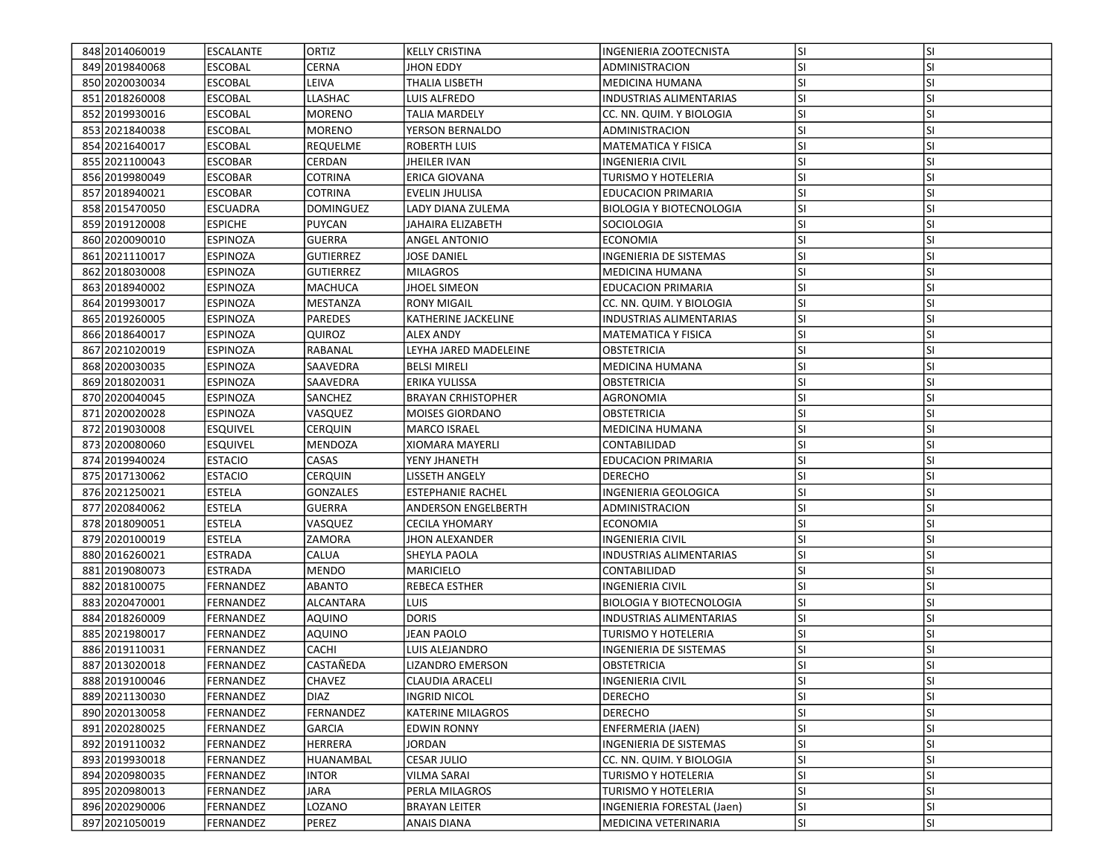| 848 2014 060019  | <b>ESCALANTE</b> | ORTIZ            | <b>KELLY CRISTINA</b>     | INGENIERIA ZOOTECNISTA          | <b>SI</b> | <b>SI</b> |
|------------------|------------------|------------------|---------------------------|---------------------------------|-----------|-----------|
| 849 2019 840068  | <b>ESCOBAL</b>   | CERNA            | JHON EDDY                 | ADMINISTRACION                  | SI        | SI        |
| 850 2020 030034  | <b>ESCOBAL</b>   | LEIVA            | THALIA LISBETH            | <b>MEDICINA HUMANA</b>          | <b>SI</b> | SI        |
| 851 2018 260008  | <b>ESCOBAL</b>   | LLASHAC          | LUIS ALFREDO              | <b>INDUSTRIAS ALIMENTARIAS</b>  | SI        | SI        |
| 852 2019 930016  | <b>ESCOBAL</b>   | <b>MORENO</b>    | <b>TALIA MARDELY</b>      | CC. NN. QUIM. Y BIOLOGIA        | <b>SI</b> | SI        |
| 853 2021840038   | <b>ESCOBAL</b>   | <b>MORENO</b>    | YERSON BERNALDO           | ADMINISTRACION                  | <b>SI</b> | SI        |
| 854 2021640017   | <b>ESCOBAL</b>   | REQUELME         | <b>ROBERTH LUIS</b>       | <b>MATEMATICA Y FISICA</b>      | SI        | SI        |
| 855 2021100043   | <b>ESCOBAR</b>   | CERDAN           | JHEILER IVAN              | <b>INGENIERIA CIVIL</b>         | SI        | SI        |
| 856 2019 980049  | <b>ESCOBAR</b>   | COTRINA          | ERICA GIOVANA             | TURISMO Y HOTELERIA             | SI        | SI        |
| 857 2018 9400 21 | <b>ESCOBAR</b>   | COTRINA          | EVELIN JHULISA            | <b>EDUCACION PRIMARIA</b>       | SI        | SI        |
| 858 2015470050   | <b>ESCUADRA</b>  | <b>DOMINGUEZ</b> | LADY DIANA ZULEMA         | <b>BIOLOGIA Y BIOTECNOLOGIA</b> | SI        | SI        |
| 859 2019 120008  | <b>ESPICHE</b>   | <b>PUYCAN</b>    | JAHAIRA ELIZABETH         | <b>SOCIOLOGIA</b>               | lsı       | SI        |
| 860 2020090010   | <b>ESPINOZA</b>  | <b>GUERRA</b>    | ANGEL ANTONIO             | <b>ECONOMIA</b>                 | <b>SI</b> | SI        |
| 861 2021110017   | <b>ESPINOZA</b>  | <b>GUTIERREZ</b> | JOSE DANIEL               | <b>INGENIERIA DE SISTEMAS</b>   | <b>SI</b> | SI        |
| 862 2018 030008  | <b>ESPINOZA</b>  | <b>GUTIERREZ</b> | <b>MILAGROS</b>           | <b>MEDICINA HUMANA</b>          | <b>SI</b> | SI        |
| 863 2018 940002  | <b>ESPINOZA</b>  | MACHUCA          | JHOEL SIMEON              | EDUCACION PRIMARIA              | <b>SI</b> | SI        |
| 864 2019 930017  | <b>ESPINOZA</b>  | MESTANZA         | <b>RONY MIGAIL</b>        | CC. NN. QUIM. Y BIOLOGIA        | SI        | SI        |
| 865 2019 260005  | <b>ESPINOZA</b>  | PAREDES          | KATHERINE JACKELINE       | INDUSTRIAS ALIMENTARIAS         | SI        | SI        |
| 866 2018 640017  | <b>ESPINOZA</b>  | QUIROZ           | <b>ALEX ANDY</b>          | <b>MATEMATICA Y FISICA</b>      | <b>SI</b> | SI        |
| 867 2021 020019  | <b>ESPINOZA</b>  | RABANAL          | LEYHA JARED MADELEINE     | <b>OBSTETRICIA</b>              | <b>SI</b> | SI        |
| 868 2020 030 035 | <b>ESPINOZA</b>  | SAAVEDRA         | <b>BELSI MIRELI</b>       | <b>MEDICINA HUMANA</b>          | SI        | SI        |
| 869 2018 020031  | <b>ESPINOZA</b>  | SAAVEDRA         | ERIKA YULISSA             | <b>OBSTETRICIA</b>              | SI        | SI        |
| 870 2020 040 045 | <b>ESPINOZA</b>  | SANCHEZ          | <b>BRAYAN CRHISTOPHER</b> | AGRONOMIA                       | SI        | SI        |
| 871 2020 020028  | <b>ESPINOZA</b>  | VASQUEZ          | <b>MOISES GIORDANO</b>    | OBSTETRICIA                     | SI        | SI        |
| 872 2019 030008  | <b>ESQUIVEL</b>  | CERQUIN          | MARCO ISRAEL              | <b>MEDICINA HUMANA</b>          | SI        | SI        |
| 873 2020080060   | <b>ESQUIVEL</b>  | <b>MENDOZA</b>   | <b>XIOMARA MAYERLI</b>    | CONTABILIDAD                    | SI        | SI        |
| 874 2019 940024  | <b>ESTACIO</b>   | CASAS            | YENY JHANETH              | <b>EDUCACION PRIMARIA</b>       | SI        | SI        |
| 875 2017130062   | <b>ESTACIO</b>   | CERQUIN          | LISSETH ANGELY            | <b>DERECHO</b>                  | <b>SI</b> | SI        |
| 876 2021250021   | <b>ESTELA</b>    | <b>GONZALES</b>  | <b>ESTEPHANIE RACHEL</b>  | INGENIERIA GEOLOGICA            | SI        | SI        |
| 877 2020 8400 62 | <b>ESTELA</b>    | <b>GUERRA</b>    | ANDERSON ENGELBERTH       | ADMINISTRACION                  | <b>SI</b> | SI        |
| 878 2018090051   | <b>ESTELA</b>    | VASQUEZ          | <b>CECILA YHOMARY</b>     | <b>ECONOMIA</b>                 | <b>SI</b> | SI        |
| 879 2020 100019  | <b>ESTELA</b>    | ZAMORA           | <b>JHON ALEXANDER</b>     | <b>INGENIERIA CIVIL</b>         | SI        | SI        |
| 880 2016 260 021 | <b>ESTRADA</b>   | CALUA            | SHEYLA PAOLA              | <b>INDUSTRIAS ALIMENTARIAS</b>  | SI        | SI        |
| 881 2019 080073  | <b>ESTRADA</b>   | <b>MENDO</b>     | MARICIELO                 | CONTABILIDAD                    | <b>SI</b> | SI        |
| 882 2018 100075  | FERNANDEZ        | <b>ABANTO</b>    | REBECA ESTHER             | <b>INGENIERIA CIVIL</b>         | <b>SI</b> | SI        |
| 883 2020 470001  | FERNANDEZ        | ALCANTARA        | LUIS.                     | <b>BIOLOGIA Y BIOTECNOLOGIA</b> | SI        | SI        |
| 884 2018 260009  | FERNANDEZ        | <b>AQUINO</b>    | <b>DORIS</b>              | <b>INDUSTRIAS ALIMENTARIAS</b>  | <b>SI</b> | SI        |
| 885 2021980017   | FERNANDEZ        | <b>AQUINO</b>    | JEAN PAOLO                | TURISMO Y HOTELERIA             | SI        | SI        |
| 886 2019110031   | FERNANDEZ        | CACHI            | LUIS ALEJANDRO            | INGENIERIA DE SISTEMAS          | SI        | SI        |
| 887 2013 020018  | FERNANDEZ        | CASTAÑEDA        | LIZANDRO EMERSON          | <b>OBSTETRICIA</b>              | SI        | SI        |
| 888 2019100046   | FERNANDEZ        | <b>CHAVEZ</b>    | <b>CLAUDIA ARACELI</b>    | <b>INGENIERIA CIVIL</b>         | lsı       | ΙSΙ       |
| 889 2021130030   | FERNANDEZ        | <b>DIAZ</b>      | <b>INGRID NICOL</b>       | <b>DERECHO</b>                  | SI        | SI        |
| 890 2020130058   | FERNANDEZ        | FERNANDEZ        | KATERINE MILAGROS         | <b>DERECHO</b>                  | SI        | SI        |
| 891 2020 2800 25 | FERNANDEZ        | <b>GARCIA</b>    | EDWIN RONNY               | ENFERMERIA (JAEN)               | <b>SI</b> | SI        |
| 892 2019 1100 32 | FERNANDEZ        | <b>HERRERA</b>   | JORDAN                    | INGENIERIA DE SISTEMAS          | SI        | SI        |
| 893 2019 930018  | FERNANDEZ        | HUANAMBAL        | <b>CESAR JULIO</b>        | CC. NN. QUIM. Y BIOLOGIA        | SI        | SI        |
| 894 2020980035   | FERNANDEZ        | <b>INTOR</b>     | <b>VILMA SARAI</b>        | TURISMO Y HOTELERIA             | SI        | SI        |
| 895 2020980013   | FERNANDEZ        | <b>JARA</b>      | PERLA MILAGROS            | TURISMO Y HOTELERIA             | SI        | SI        |
| 896 2020 290006  | FERNANDEZ        | LOZANO           | <b>BRAYAN LEITER</b>      | INGENIERIA FORESTAL (Jaen)      | <b>SI</b> | <b>SI</b> |
| 897 2021050019   | FERNANDEZ        | PEREZ            | <b>ANAIS DIANA</b>        | MEDICINA VETERINARIA            | SI        | SI        |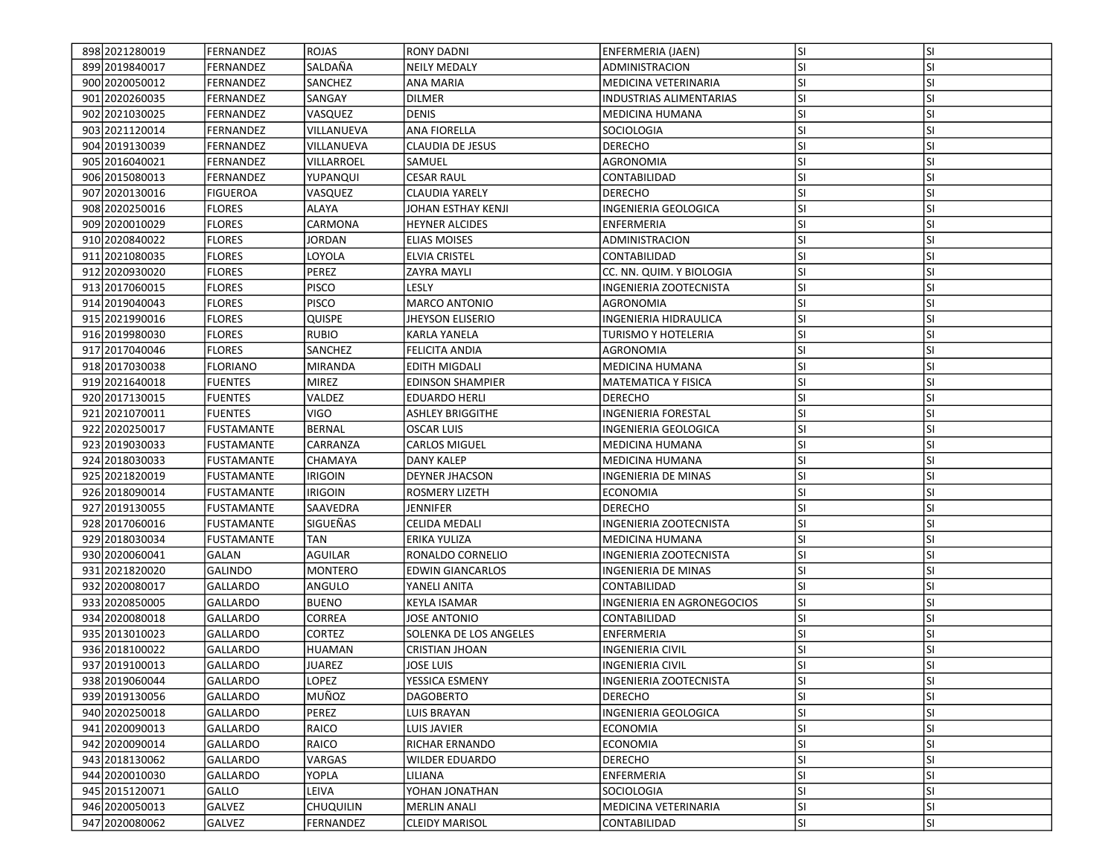| 898 2021 2800 19 | FERNANDEZ         | ROJAS            | <b>RONY DADNI</b>       | ENFERMERIA (JAEN)              | <b>SI</b> | <b>SI</b> |
|------------------|-------------------|------------------|-------------------------|--------------------------------|-----------|-----------|
| 899 2019 840017  | FERNANDEZ         | SALDAÑA          | <b>NEILY MEDALY</b>     | ADMINISTRACION                 | SI        | SI        |
| 900 2020 050012  | FERNANDEZ         | <b>SANCHEZ</b>   | <b>ANA MARIA</b>        | MEDICINA VETERINARIA           | SI        | SI        |
| 901 2020 2600 35 | FERNANDEZ         | SANGAY           | <b>DILMER</b>           | <b>INDUSTRIAS ALIMENTARIAS</b> | <b>SI</b> | SI        |
| 902 2021 030 025 | FERNANDEZ         | VASQUEZ          | <b>DENIS</b>            | <b>MEDICINA HUMANA</b>         | SI        | SI        |
| 903 2021120014   | FERNANDEZ         | VILLANUEVA       | <b>ANA FIORELLA</b>     | SOCIOLOGIA                     | <b>SI</b> | SI        |
| 904 2019 1300 39 | FERNANDEZ         | VILLANUEVA       | CLAUDIA DE JESUS        | <b>DERECHO</b>                 | SI        | SI        |
| 905 2016 040 021 | FERNANDEZ         | VILLARROEL       | SAMUEL                  | AGRONOMIA                      | <b>SI</b> | SI        |
| 906 2015 080013  | FERNANDEZ         | YUPANQUI         | <b>CESAR RAUL</b>       | CONTABILIDAD                   | SI        | SI        |
| 907 2020 1300 16 | <b>FIGUEROA</b>   | VASQUEZ          | <b>CLAUDIA YARELY</b>   | <b>DERECHO</b>                 | SI        | SI        |
| 908 2020250016   | <b>FLORES</b>     | ALAYA            | JOHAN ESTHAY KENJI      | INGENIERIA GEOLOGICA           | SI        | SI        |
| 909 2020010029   | <b>FLORES</b>     | CARMONA          | <b>HEYNER ALCIDES</b>   | <b>ENFERMERIA</b>              | SI        | SI        |
| 910 2020 8400 22 | <b>FLORES</b>     | JORDAN           | ELIAS MOISES            | ADMINISTRACION                 | SI        | SI        |
| 911 2021 080035  | <b>FLORES</b>     | LOYOLA           | <b>ELVIA CRISTEL</b>    | CONTABILIDAD                   | SI        | SI        |
| 912 2020 9300 20 | <b>FLORES</b>     | PEREZ            | ZAYRA MAYLI             | CC. NN. QUIM. Y BIOLOGIA       | <b>SI</b> | SI        |
| 913 2017060015   | <b>FLORES</b>     | PISCO            | LESLY                   | INGENIERIA ZOOTECNISTA         | SI        | SI        |
| 914 2019 040 043 | <b>FLORES</b>     | <b>PISCO</b>     | <b>MARCO ANTONIO</b>    | AGRONOMIA                      | <b>SI</b> | SI        |
| 915 2021990016   | <b>FLORES</b>     | <b>QUISPE</b>    | <b>JHEYSON ELISERIO</b> | INGENIERIA HIDRAULICA          | SI        | SI        |
| 916 2019 980030  | <b>FLORES</b>     | <b>RUBIO</b>     | <b>KARLA YANELA</b>     | <b>TURISMO Y HOTELERIA</b>     | SI        | SI        |
| 917 2017 040046  | <b>FLORES</b>     | SANCHEZ          | <b>FELICITA ANDIA</b>   | <b>AGRONOMIA</b>               | <b>SI</b> | SI        |
| 918 2017030038   | FLORIANO          | <b>MIRANDA</b>   | EDITH MIGDALI           | MEDICINA HUMANA                | SI        | SI        |
| 919 2021640018   | <b>FUENTES</b>    | <b>MIREZ</b>     | <b>EDINSON SHAMPIER</b> | <b>MATEMATICA Y FISICA</b>     | <b>SI</b> | SI        |
| 920 2017130015   | <b>FUENTES</b>    | VALDEZ           | <b>EDUARDO HERLI</b>    | <b>DERECHO</b>                 | SI        | SI        |
| 921 2021070011   | <b>FUENTES</b>    | VIGO             | <b>ASHLEY BRIGGITHE</b> | INGENIERIA FORESTAL            | SI        | SI        |
| 922 2020250017   | <b>FUSTAMANTE</b> | <b>BERNAL</b>    | <b>OSCAR LUIS</b>       | <b>INGENIERIA GEOLOGICA</b>    | SI        | SI        |
| 923 2019 030 033 | <b>FUSTAMANTE</b> | CARRANZA         | CARLOS MIGUEL           | <b>MEDICINA HUMANA</b>         | <b>SI</b> | SI        |
| 924 2018 030 033 | <b>FUSTAMANTE</b> | CHAMAYA          | DANY KALEP              | MEDICINA HUMANA                | SI        | SI        |
| 925 20218 20019  | FUSTAMANTE        | <b>IRIGOIN</b>   | <b>DEYNER JHACSON</b>   | INGENIERIA DE MINAS            | <b>SI</b> | SI        |
| 926 2018090014   | <b>FUSTAMANTE</b> | <b>IRIGOIN</b>   | ROSMERY LIZETH          | <b>ECONOMIA</b>                | <b>SI</b> | SI        |
| 927 2019 1300 55 | FUSTAMANTE        | SAAVEDRA         | JENNIFER                | <b>DERECHO</b>                 | SI        | SI        |
| 928 2017060016   | <b>FUSTAMANTE</b> | SIGUEÑAS         | CELIDA MEDALI           | INGENIERIA ZOOTECNISTA         | SI        | SI        |
| 929 2018030034   | FUSTAMANTE        | <b>TAN</b>       | ERIKA YULIZA            | <b>MEDICINA HUMANA</b>         | SI        | SI        |
| 930 2020 060041  | GALAN             | AGUILAR          | RONALDO CORNELIO        | INGENIERIA ZOOTECNISTA         | <b>SI</b> | SI        |
| 931 2021 8200 20 | <b>GALINDO</b>    | <b>MONTERO</b>   | <b>EDWIN GIANCARLOS</b> | INGENIERIA DE MINAS            | SI        | SI        |
| 932 2020 080017  | <b>GALLARDO</b>   | ANGULO           | YANELI ANITA            | CONTABILIDAD                   | <b>SI</b> | SI        |
| 933 2020850005   | GALLARDO          | <b>BUENO</b>     | <b>KEYLA ISAMAR</b>     | INGENIERIA EN AGRONEGOCIOS     | <b>SI</b> | SI        |
| 934 2020080018   | <b>GALLARDO</b>   | CORREA           | IOSE ANTONIO            | CONTABILIDAD                   | <b>SI</b> | SI        |
| 935 2013010023   | GALLARDO          | CORTEZ           | SOLENKA DE LOS ANGELES  | ENFERMERIA                     | SI        | SI        |
| 936 2018 100022  | <b>GALLARDO</b>   | HUAMAN           | <b>CRISTIAN JHOAN</b>   | INGENIERIA CIVIL               | SI        | SI        |
| 937 2019 100013  | <b>GALLARDO</b>   | JUAREZ           | JOSE LUIS               | <b>INGENIERIA CIVIL</b>        | SI        | SI        |
| 938 2019 060044  | GALLARDO          | <b>LOPEZ</b>     | YESSICA ESMENY          | INGENIERIA ZOOTECNISTA         | lsı       | ΙSΙ       |
| 939 2019 1300 56 | <b>GALLARDO</b>   | MUÑOZ            | <b>DAGOBERTO</b>        | <b>DERECHO</b>                 | SI        | SI        |
| 940 2020 2500 18 | <b>GALLARDO</b>   | PEREZ            | LUIS BRAYAN             | INGENIERIA GEOLOGICA           | SI        | SI        |
| 941 2020090013   | <b>GALLARDO</b>   | RAICO            | LUIS JAVIER             | <b>ECONOMIA</b>                | <b>SI</b> | SI        |
| 942 2020090014   | <b>GALLARDO</b>   | RAICO            | RICHAR ERNANDO          | <b>ECONOMIA</b>                | SI        | SI        |
| 943 2018 1300 62 | <b>GALLARDO</b>   | VARGAS           | <b>WILDER EDUARDO</b>   | <b>DERECHO</b>                 | SI        | SI        |
| 944 2020010030   | <b>GALLARDO</b>   | <b>YOPLA</b>     | LILIANA                 | <b>ENFERMERIA</b>              | <b>SI</b> | SI        |
| 945 2015 120071  | GALLO             | LEIVA            | YOHAN JONATHAN          | SOCIOLOGIA                     | <b>SI</b> | SI        |
| 946 2020050013   | <b>GALVEZ</b>     | <b>CHUQUILIN</b> | <b>MERLIN ANALI</b>     | MEDICINA VETERINARIA           | <b>SI</b> | SI        |
| 947 2020080062   | GALVEZ            | FERNANDEZ        | <b>CLEIDY MARISOL</b>   | CONTABILIDAD                   | SI        | SI        |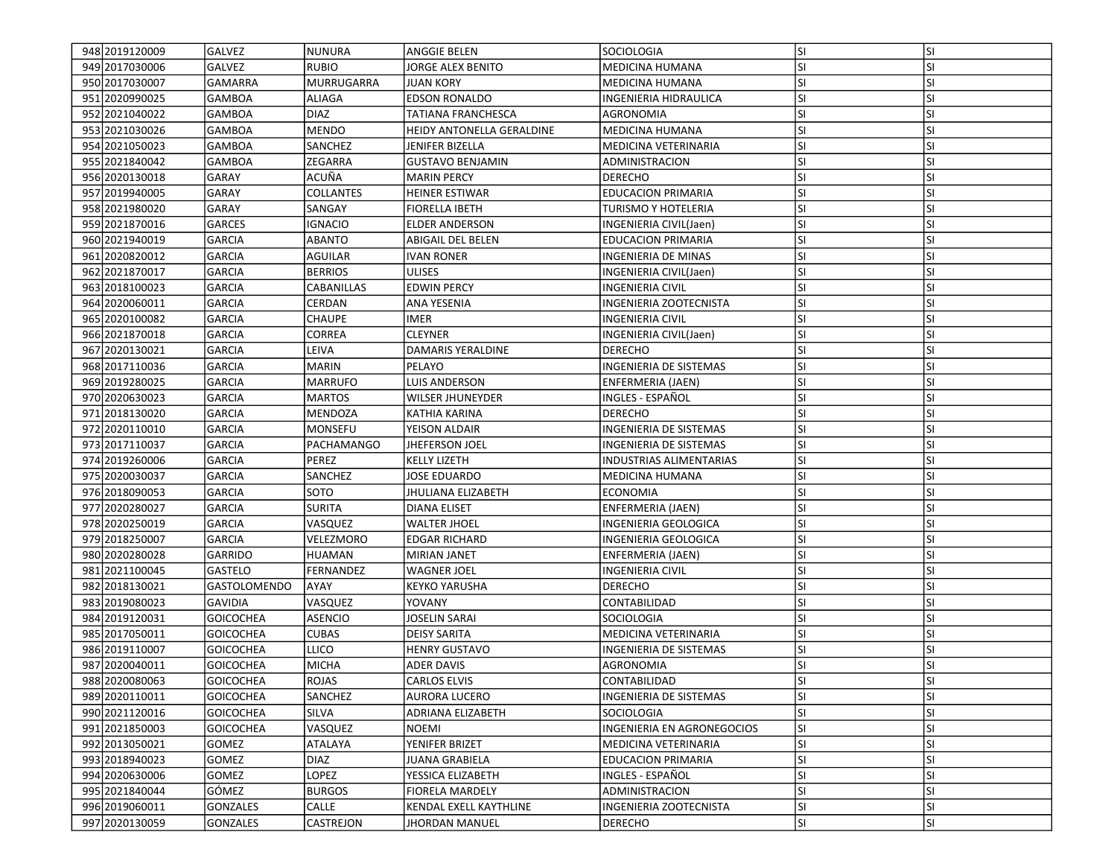| 948 2019 120009  | <b>GALVEZ</b>       | NUNURA            | ANGGIE BELEN              | <b>SOCIOLOGIA</b>              | lsı       | <b>SI</b> |
|------------------|---------------------|-------------------|---------------------------|--------------------------------|-----------|-----------|
| 949 2017030006   | GALVEZ              | RUBIO             | IORGE ALEX BENITO         | MEDICINA HUMANA                | <b>SI</b> | SI        |
| 950 2017030007   | <b>GAMARRA</b>      | <b>MURRUGARRA</b> | <b>JUAN KORY</b>          | <b>MEDICINA HUMANA</b>         | SI        | SI        |
| 951 2020990025   | <b>GAMBOA</b>       | ALIAGA            | <b>EDSON RONALDO</b>      | INGENIERIA HIDRAULICA          | SI        | SI        |
| 952 2021040022   | <b>GAMBOA</b>       | <b>DIAZ</b>       | TATIANA FRANCHESCA        | AGRONOMIA                      | <b>SI</b> | SI        |
| 953 2021030026   | <b>GAMBOA</b>       | <b>MENDO</b>      | HEIDY ANTONELLA GERALDINE | <b>MEDICINA HUMANA</b>         | SI        | SI        |
| 954 2021050023   | <b>GAMBOA</b>       | SANCHEZ           | JENIFER BIZELLA           | MEDICINA VETERINARIA           | SI        | SI        |
| 955 2021840042   | <b>GAMBOA</b>       | ZEGARRA           | <b>GUSTAVO BENJAMIN</b>   | ADMINISTRACION                 | SI        | SI        |
| 956 2020 1300 18 | <b>GARAY</b>        | ACUÑA             | <b>MARIN PERCY</b>        | <b>DERECHO</b>                 | ΙSΙ       | SI        |
| 957 2019 940005  | <b>GARAY</b>        | COLLANTES         | <b>HEINER ESTIWAR</b>     | <b>EDUCACION PRIMARIA</b>      | SI        | SI        |
| 958 2021980020   | <b>GARAY</b>        | SANGAY            | <b>FIORELLA IBETH</b>     | <b>TURISMO Y HOTELERIA</b>     | SI        | SI        |
| 959 2021870016   | <b>GARCES</b>       | IGNACIO           | <b>ELDER ANDERSON</b>     | INGENIERIA CIVIL(Jaen)         | SI        | SI        |
| 960 2021 940 019 | <b>GARCIA</b>       | ABANTO            | ABIGAIL DEL BELEN         | <b>EDUCACION PRIMARIA</b>      | <b>SI</b> | SI        |
| 961 2020 820012  | <b>GARCIA</b>       | <b>AGUILAR</b>    | <b>IVAN RONER</b>         | INGENIERIA DE MINAS            | SI        | SI        |
| 962 2021870017   | <b>GARCIA</b>       | <b>BERRIOS</b>    | <b>ULISES</b>             | INGENIERIA CIVIL(Jaen)         | <b>SI</b> | SI        |
| 963 2018 100023  | GARCIA              | CABANILLAS        | <b>EDWIN PERCY</b>        | INGENIERIA CIVIL               | <b>SI</b> | SI        |
| 964 2020060011   | <b>GARCIA</b>       | CERDAN            | ANA YESENIA               | INGENIERIA ZOOTECNISTA         | SI        | SI        |
| 965 2020 100082  | <b>GARCIA</b>       | <b>CHAUPE</b>     | <b>IMER</b>               | <b>INGENIERIA CIVIL</b>        | SI        | SI        |
| 966 20218 70018  | <b>GARCIA</b>       | CORREA            | <b>CLEYNER</b>            | INGENIERIA CIVIL(Jaen)         | SI        | SI        |
| 967 2020 1300 21 | <b>GARCIA</b>       | LEIVA             | DAMARIS YERALDINE         | <b>DERECHO</b>                 | SI        | SI        |
| 968 2017110036   | <b>GARCIA</b>       | MARIN             | PELAYO                    | <b>INGENIERIA DE SISTEMAS</b>  | <b>SI</b> | SI        |
| 969 2019 2800 25 | <b>GARCIA</b>       | <b>MARRUFO</b>    | LUIS ANDERSON             | ENFERMERIA (JAEN)              | SI        | SI        |
| 970 2020 6300 23 | GARCIA              | <b>MARTOS</b>     | <b>WILSER JHUNEYDER</b>   | INGLES - ESPAÑOL               | SI        | SI        |
| 971 2018 1300 20 | <b>GARCIA</b>       | <b>MENDOZA</b>    | KATHIA KARINA             | DERECHO                        | <b>SI</b> | SI        |
| 972 2020110010   | <b>GARCIA</b>       | <b>MONSEFU</b>    | YEISON ALDAIR             | INGENIERIA DE SISTEMAS         | SI        | SI        |
| 973 2017110037   | <b>GARCIA</b>       | <b>PACHAMANGO</b> | <b>JHEFERSON JOEL</b>     | INGENIERIA DE SISTEMAS         | SI        | SI        |
| 974 2019 260006  | <b>GARCIA</b>       | PEREZ             | <b>KELLY LIZETH</b>       | <b>INDUSTRIAS ALIMENTARIAS</b> | SI        | SI        |
| 975 2020030037   | <b>GARCIA</b>       | SANCHEZ           | JOSE EDUARDO              | MEDICINA HUMANA                | <b>SI</b> | SI        |
| 976 2018090053   | <b>GARCIA</b>       | SOTO              | JHULIANA ELIZABETH        | <b>ECONOMIA</b>                | SI        | SI        |
| 977 2020 2800 27 | <b>GARCIA</b>       | SURITA            | DIANA ELISET              | ENFERMERIA (JAEN)              | <b>SI</b> | SI        |
| 978 2020250019   | <b>GARCIA</b>       | VASQUEZ           | <b>WALTER JHOEL</b>       | INGENIERIA GEOLOGICA           | <b>SI</b> | SI        |
| 979 2018 250007  | <b>GARCIA</b>       | VELEZMORO         | <b>EDGAR RICHARD</b>      | INGENIERIA GEOLOGICA           | SI        | SI        |
| 980 2020 2800 28 | <b>GARRIDO</b>      | <b>HUAMAN</b>     | <b>MIRIAN JANET</b>       | ENFERMERIA (JAEN)              | SI        | SI        |
| 981 2021100045   | <b>GASTELO</b>      | FERNANDEZ         | <b>WAGNER JOEL</b>        | <b>INGENIERIA CIVIL</b>        | <b>SI</b> | SI        |
| 982 2018 1300 21 | <b>GASTOLOMENDO</b> | AYAY              | <b>KEYKO YARUSHA</b>      | <b>DERECHO</b>                 | SI        | SI        |
| 983 2019 080023  | <b>GAVIDIA</b>      | VASQUEZ           | YOVANY                    | CONTABILIDAD                   | SI        | SI        |
| 984 2019 1200 31 | <b>GOICOCHEA</b>    | ASENCIO           | <b>JOSELIN SARAI</b>      | <b>SOCIOLOGIA</b>              | <b>SI</b> | SI        |
| 985 2017050011   | <b>GOICOCHEA</b>    | <b>CUBAS</b>      | <b>DEISY SARITA</b>       | MEDICINA VETERINARIA           | SI        | SI        |
| 986 2019 110007  | <b>GOICOCHEA</b>    | <b>LLICO</b>      | <b>HENRY GUSTAVO</b>      | INGENIERIA DE SISTEMAS         | <b>SI</b> | SI        |
| 987 2020 040011  | <b>GOICOCHEA</b>    | <b>MICHA</b>      | <b>ADER DAVIS</b>         | <b>AGRONOMIA</b>               | SI        | SI        |
| 988 2020080063   | <b>GOICOCHEA</b>    | ROJAS             | <b>CARLOS ELVIS</b>       | CONTABILIDAD                   | lsı       | ΙSΙ       |
| 989 2020110011   | <b>GOICOCHEA</b>    | SANCHEZ           | <b>AURORA LUCERO</b>      | <b>INGENIERIA DE SISTEMAS</b>  | <b>SI</b> | SI        |
| 990 2021120016   | <b>GOICOCHEA</b>    | <b>SILVA</b>      | ADRIANA ELIZABETH         | SOCIOLOGIA                     | SI        | SI        |
| 991 2021850003   | <b>GOICOCHEA</b>    | VASQUEZ           | NOEMI                     | INGENIERIA EN AGRONEGOCIOS     | <b>SI</b> | SI        |
| 992 2013 050 021 | <b>GOMEZ</b>        | ATALAYA           | YENIFER BRIZET            | MEDICINA VETERINARIA           | SI        | SI        |
| 993 2018 940023  | <b>GOMEZ</b>        | <b>DIAZ</b>       | JUANA GRABIELA            | EDUCACION PRIMARIA             | SI        | SI        |
| 994 2020630006   | <b>GOMEZ</b>        | LOPEZ             | YESSICA ELIZABETH         | INGLES - ESPAÑOL               | SI        | SI        |
| 995 2021840044   | GÓMEZ               | <b>BURGOS</b>     | <b>FIORELA MARDELY</b>    | ADMINISTRACION                 | SI        | SI        |
| 996 2019 060011  | <b>GONZALES</b>     | CALLE             | KENDAL EXELL KAYTHLINE    | INGENIERIA ZOOTECNISTA         | <b>SI</b> | <b>SI</b> |
| 997 2020130059   | <b>GONZALES</b>     | <b>CASTREJON</b>  | JHORDAN MANUEL            | <b>DERECHO</b>                 | SI        | SI        |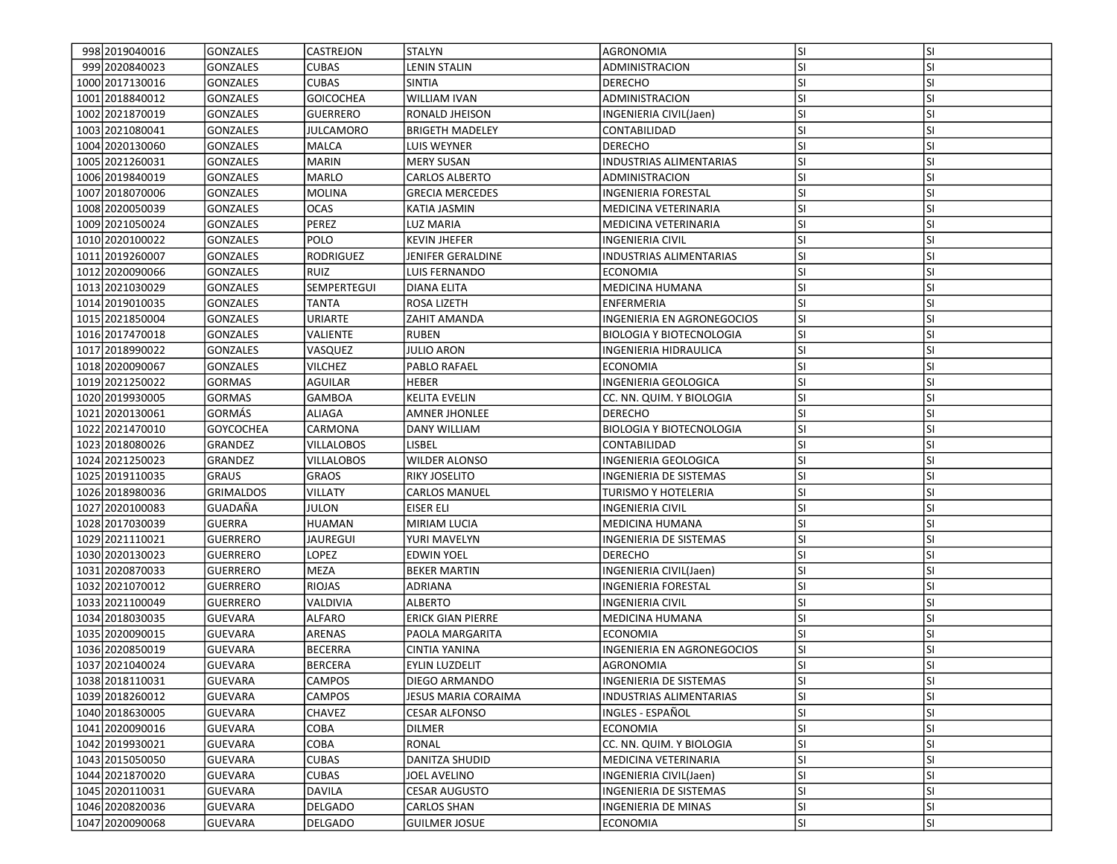| 998 2019 040016   | <b>GONZALES</b>  | <b>CASTREJON</b>  | <b>STALYN</b>          | AGRONOMIA                       | <b>SI</b> | <b>SI</b> |
|-------------------|------------------|-------------------|------------------------|---------------------------------|-----------|-----------|
| 999 2020 8400 23  | GONZALES         | CUBAS             | LENIN STALIN           | ADMINISTRACION                  | <b>SI</b> | SI        |
| 1000 2017130016   | <b>GONZALES</b>  | <b>CUBAS</b>      | <b>SINTIA</b>          | <b>DERECHO</b>                  | SI        | SI        |
| 1001 2018840012   | <b>GONZALES</b>  | <b>GOICOCHEA</b>  | <b>WILLIAM IVAN</b>    | ADMINISTRACION                  | SI        | SI        |
| 1002 2021870019   | <b>GONZALES</b>  | <b>GUERRERO</b>   | RONALD JHEISON         | INGENIERIA CIVIL(Jaen)          | SI        | SI        |
| 1003 2021080041   | <b>GONZALES</b>  | <b>JULCAMORO</b>  | <b>BRIGETH MADELEY</b> | CONTABILIDAD                    | SI        | SI        |
| 1004 2020130060   | <b>GONZALES</b>  | MALCA             | LUIS WEYNER            | <b>DERECHO</b>                  | SI        | SI        |
| 1005 2021260031   | <b>GONZALES</b>  | <b>MARIN</b>      | <b>MERY SUSAN</b>      | INDUSTRIAS ALIMENTARIAS         | SI        | SI        |
| 1006 2019 840019  | <b>GONZALES</b>  | MARLO             | CARLOS ALBERTO         | ADMINISTRACION                  | SI        | SI        |
| 1007 2018070006   | <b>GONZALES</b>  | <b>MOLINA</b>     | <b>GRECIA MERCEDES</b> | INGENIERIA FORESTAL             | SI        | SI        |
| 1008 2020050039   | <b>GONZALES</b>  | <b>OCAS</b>       | KATIA JASMIN           | MEDICINA VETERINARIA            | SI        | SI        |
| 1009 2021050024   | <b>GONZALES</b>  | PEREZ             | LUZ MARIA              | MEDICINA VETERINARIA            | SI        | SI        |
| 1010 2020 1000 22 | <b>GONZALES</b>  | POLO              | <b>KEVIN JHEFER</b>    | <b>INGENIERIA CIVIL</b>         | ΙSΙ       | SI        |
| 1011 2019 260007  | <b>GONZALES</b>  | RODRIGUEZ         | JENIFER GERALDINE      | <b>INDUSTRIAS ALIMENTARIAS</b>  | SI        | SI        |
| 1012 2020090066   | <b>GONZALES</b>  | RUIZ              | LUIS FERNANDO          | <b>ECONOMIA</b>                 | <b>SI</b> | SI        |
| 1013 2021030029   | <b>GONZALES</b>  | SEMPERTEGUI       | DIANA ELITA            | MEDICINA HUMANA                 | SI        | SI        |
| 1014 2019 010035  | <b>GONZALES</b>  | TANTA             | ROSA LIZETH            | <b>ENFERMERIA</b>               | SI        | SI        |
| 1015 2021850004   | <b>GONZALES</b>  | URIARTE           | ZAHIT AMANDA           | INGENIERIA EN AGRONEGOCIOS      | SI        | SI        |
| 1016 2017470018   | <b>GONZALES</b>  | VALIENTE          | <b>RUBEN</b>           | <b>BIOLOGIA Y BIOTECNOLOGIA</b> | SI        | SI        |
| 1017 2018 990022  | <b>GONZALES</b>  | VASQUEZ           | <b>JULIO ARON</b>      | INGENIERIA HIDRAULICA           | SI        | SI        |
| 1018 2020090067   | <b>GONZALES</b>  | <b>VILCHEZ</b>    | PABLO RAFAEL           | <b>ECONOMIA</b>                 | <b>SI</b> | SI        |
| 1019 2021250022   | <b>GORMAS</b>    | AGUILAR           | HEBER                  | INGENIERIA GEOLOGICA            | SI        | SI        |
| 1020 2019930005   | <b>GORMAS</b>    | GAMBOA            | <b>KELITA EVELIN</b>   | CC. NN. QUIM. Y BIOLOGIA        | SI        | SI        |
| 1021 2020 1300 61 | GORMÁS           | ALIAGA            | <b>AMNER JHONLEE</b>   | <b>DERECHO</b>                  | <b>SI</b> | SI        |
| 1022 2021470010   | <b>GOYCOCHEA</b> | CARMONA           | <b>DANY WILLIAM</b>    | <b>BIOLOGIA Y BIOTECNOLOGIA</b> | SI        | SI        |
| 1023 2018080026   | <b>GRANDEZ</b>   | <b>VILLALOBOS</b> | LISBEL                 | CONTABILIDAD                    | SI        | SI        |
| 1024 2021250023   | GRANDEZ          | <b>VILLALOBOS</b> | <b>WILDER ALONSO</b>   | INGENIERIA GEOLOGICA            | SI        | SI        |
| 1025 2019110035   | <b>GRAUS</b>     | <b>GRAOS</b>      | RIKY JOSELITO          | INGENIERIA DE SISTEMAS          | SI        | SI        |
| 1026 2018 980036  | <b>GRIMALDOS</b> | <b>VILLATY</b>    | <b>CARLOS MANUEL</b>   | TURISMO Y HOTELERIA             | SI        | SI        |
| 1027 2020 100083  | GUADAÑA          | JULON             | EISER ELI              | INGENIERIA CIVIL                | SI        | SI        |
| 1028 2017030039   | <b>GUERRA</b>    | HUAMAN            | MIRIAM LUCIA           | <b>MEDICINA HUMANA</b>          | SI        | SI        |
| 1029 2021110021   | <b>GUERRERO</b>  | <b>JAUREGUI</b>   | YURI MAVELYN           | INGENIERIA DE SISTEMAS          | SI        | SI        |
| 1030 2020130023   | <b>GUERRERO</b>  | LOPEZ             | <b>EDWIN YOEL</b>      | <b>DERECHO</b>                  | <b>SI</b> | SI        |
| 1031 2020 8700 33 | <b>GUERRERO</b>  | <b>MEZA</b>       | <b>BEKER MARTIN</b>    | INGENIERIA CIVIL(Jaen)          | SI        | SI        |
| 1032 2021070012   | <b>GUERRERO</b>  | <b>RIOJAS</b>     | <b>ADRIANA</b>         | INGENIERIA FORESTAL             | SI        | SI        |
| 1033 2021100049   | <b>GUERRERO</b>  | VALDIVIA          | <b>ALBERTO</b>         | INGENIERIA CIVIL                | SI        | SI        |
| 1034 2018030035   | <b>GUEVARA</b>   | ALFARO            | ERICK GIAN PIERRE      | MEDICINA HUMANA                 | SI        | SI        |
| 1035 2020090015   | <b>GUEVARA</b>   | <b>ARENAS</b>     | PAOLA MARGARITA        | ECONOMIA                        | SI        | SI        |
| 1036 2020850019   | <b>GUEVARA</b>   | <b>BECERRA</b>    | CINTIA YANINA          | INGENIERIA EN AGRONEGOCIOS      | SI        | SI        |
| 1037 2021040024   | <b>GUEVARA</b>   | <b>BERCERA</b>    | EYLIN LUZDELIT         | <b>AGRONOMIA</b>                | SI        | SI        |
| 1038 2018110031   | <b>GUEVARA</b>   | <b>CAMPOS</b>     | DIEGO ARMANDO          | INGENIERIA DE SISTEMAS          | lsı       | ΙSΙ       |
| 1039 2018 260012  | <b>GUEVARA</b>   | <b>CAMPOS</b>     | JESUS MARIA CORAIMA    | <b>INDUSTRIAS ALIMENTARIAS</b>  | SI        | SI        |
| 1040 2018630005   | <b>GUEVARA</b>   | CHAVEZ            | <b>CESAR ALFONSO</b>   | INGLES - ESPAÑOL                | SI        | SI        |
| 1041 2020090016   | <b>GUEVARA</b>   | СОВА              | <b>DILMER</b>          | <b>ECONOMIA</b>                 | <b>SI</b> | SI        |
| 1042 2019930021   | <b>GUEVARA</b>   | COBA              | RONAL                  | CC. NN. QUIM. Y BIOLOGIA        | SI        | SI        |
| 1043 2015 050050  | <b>GUEVARA</b>   | CUBAS             | DANITZA SHUDID         | MEDICINA VETERINARIA            | SI        | SI        |
| 1044 2021870020   | GUEVARA          | <b>CUBAS</b>      | JOEL AVELINO           | INGENIERIA CIVIL(Jaen)          | SI        | SI        |
| 1045 2020110031   | <b>GUEVARA</b>   | <b>DAVILA</b>     | <b>CESAR AUGUSTO</b>   | INGENIERIA DE SISTEMAS          | SI        | SI        |
| 1046 2020 820036  | <b>GUEVARA</b>   | <b>DELGADO</b>    | <b>CARLOS SHAN</b>     | INGENIERIA DE MINAS             | <b>SI</b> | <b>SI</b> |
| 1047 2020090068   | <b>GUEVARA</b>   | DELGADO           | <b>GUILMER JOSUE</b>   | <b>ECONOMIA</b>                 | SI        | SI        |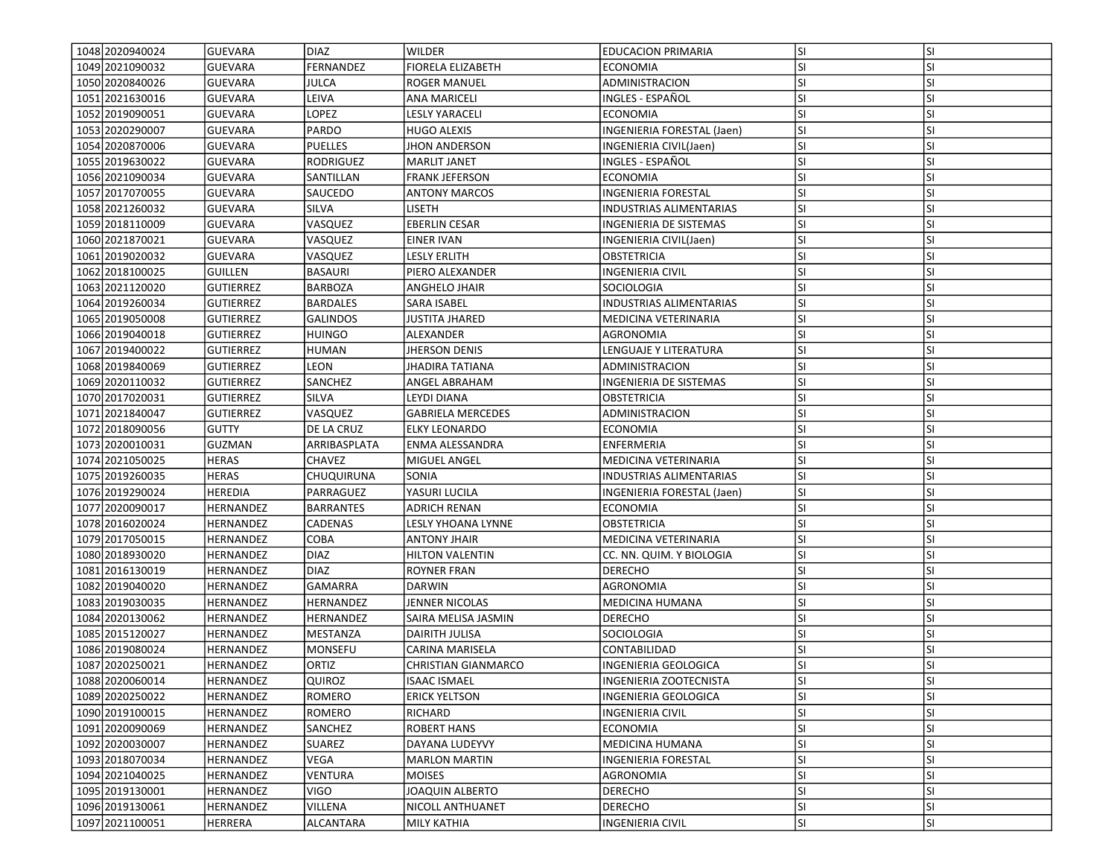| 1048 2020 9400 24 | GUEVARA          | DIAZ             | <b>WILDER</b>              | <b>EDUCACION PRIMARIA</b>         | <b>SI</b> | <b>SI</b> |
|-------------------|------------------|------------------|----------------------------|-----------------------------------|-----------|-----------|
| 1049 2021090032   | <b>GUEVARA</b>   | FERNANDEZ        | FIORELA ELIZABETH          | <b>ECONOMIA</b>                   | SI        | SI        |
| 1050 2020840026   | <b>GUEVARA</b>   | <b>JULCA</b>     | <b>ROGER MANUEL</b>        | ADMINISTRACION                    | SI        | SI        |
| 1051 2021630016   | <b>GUEVARA</b>   | LEIVA            | <b>ANA MARICELI</b>        | INGLES - ESPAÑOL                  | SI        | SI        |
| 1052 2019 090051  | <b>GUEVARA</b>   | LOPEZ            | LESLY YARACELI             | <b>ECONOMIA</b>                   | lsı       | SI        |
| 1053 2020290007   | <b>GUEVARA</b>   | PARDO            | <b>HUGO ALEXIS</b>         | <b>INGENIERIA FORESTAL (Jaen)</b> | SI        | SI        |
| 1054 2020 870006  | <b>GUEVARA</b>   | <b>PUELLES</b>   | JHON ANDERSON              | INGENIERIA CIVIL(Jaen)            | SI        | SI        |
| 1055 2019 630022  | <b>GUEVARA</b>   | RODRIGUEZ        | <b>MARLIT JANET</b>        | INGLES - ESPAÑOL                  | SI        | SI        |
| 1056 2021090034   | <b>GUEVARA</b>   | SANTILLAN        | <b>FRANK JEFERSON</b>      | ECONOMIA                          | SI        | SI        |
| 1057 2017070055   | <b>GUEVARA</b>   | SAUCEDO          | <b>ANTONY MARCOS</b>       | <b>INGENIERIA FORESTAL</b>        | SI        | SI        |
| 1058 2021260032   | <b>GUEVARA</b>   | SILVA            | liseth                     | INDUSTRIAS ALIMENTARIAS           | SI        | SI        |
| 1059 2018110009   | <b>GUEVARA</b>   | VASQUEZ          | <b>EBERLIN CESAR</b>       | INGENIERIA DE SISTEMAS            | SI        | SI        |
| 1060 2021870021   | <b>GUEVARA</b>   | VASQUEZ          | <b>EINER IVAN</b>          | INGENIERIA CIVIL(Jaen)            | SI        | SI        |
| 1061 2019 020032  | <b>GUEVARA</b>   | VASQUEZ          | LESLY ERLITH               | <b>OBSTETRICIA</b>                | SI        | SI        |
| 1062 2018100025   | <b>GUILLEN</b>   | BASAURI          | PIERO ALEXANDER            | INGENIERIA CIVIL                  | SI        | SI        |
| 1063 2021120020   | <b>GUTIERREZ</b> | BARBOZA          | ANGHELO JHAIR              | SOCIOLOGIA                        | SI        | SI        |
| 1064 2019 2600 34 | <b>GUTIERREZ</b> | <b>BARDALES</b>  | SARA ISABEL                | INDUSTRIAS ALIMENTARIAS           | SI        | SI        |
| 1065 2019050008   | <b>GUTIERREZ</b> | <b>GALINDOS</b>  | JUSTITA JHARED             | MEDICINA VETERINARIA              | SI        | SI        |
| 1066 2019 040018  | <b>GUTIERREZ</b> | <b>HUINGO</b>    | <b>ALEXANDER</b>           | <b>AGRONOMIA</b>                  | SI        | SI        |
| 1067 2019400022   | <b>GUTIERREZ</b> | <b>HUMAN</b>     | <b>JHERSON DENIS</b>       | LENGUAJE Y LITERATURA             | SI        | SI        |
| 1068 2019 840069  | <b>GUTIERREZ</b> | LEON             | <b>JHADIRA TATIANA</b>     | ADMINISTRACION                    | SI        | SI        |
| 1069 2020 1100 32 | <b>GUTIERREZ</b> | SANCHEZ          | ANGEL ABRAHAM              | INGENIERIA DE SISTEMAS            | SI        | SI        |
| 1070 20170 20031  | <b>GUTIERREZ</b> | SILVA            | LEYDI DIANA                | OBSTETRICIA                       | SI        | SI        |
| 1071 2021840047   | <b>GUTIERREZ</b> | VASQUEZ          | <b>GABRIELA MERCEDES</b>   | ADMINISTRACION                    | SI        | SI        |
| 1072 2018090056   | <b>GUTTY</b>     | DE LA CRUZ       | <b>ELKY LEONARDO</b>       | <b>ECONOMIA</b>                   | SI        | SI        |
| 1073 2020010031   | <b>GUZMAN</b>    | ARRIBASPLATA     | ENMA ALESSANDRA            | <b>ENFERMERIA</b>                 | SI        | SI        |
| 1074 2021050025   | <b>HERAS</b>     | CHAVEZ           | MIGUEL ANGEL               | MEDICINA VETERINARIA              | SI        | SI        |
| 1075 2019 260035  | <b>HERAS</b>     | CHUQUIRUNA       | SONIA                      | <b>INDUSTRIAS ALIMENTARIAS</b>    | SI        | SI        |
| 1076 2019 2900 24 | HEREDIA          | PARRAGUEZ        | YASURI LUCILA              | INGENIERIA FORESTAL (Jaen)        | SI        | SI        |
| 1077 2020090017   | <b>HERNANDEZ</b> | <b>BARRANTES</b> | <b>ADRICH RENAN</b>        | ECONOMIA                          | lsı       | SI        |
| 1078 2016020024   | HERNANDEZ        | CADENAS          | LESLY YHOANA LYNNE         | OBSTETRICIA                       | <b>SI</b> | SI        |
| 1079 2017050015   | <b>HERNANDEZ</b> | COBA             | <b>ANTONY JHAIR</b>        | MEDICINA VETERINARIA              | SI        | SI        |
| 1080 2018930020   | <b>HERNANDEZ</b> | <b>DIAZ</b>      | <b>HILTON VALENTIN</b>     | CC. NN. QUIM. Y BIOLOGIA          | SI        | SI        |
| 1081 2016 1300 19 | <b>HERNANDEZ</b> | <b>DIAZ</b>      | <b>ROYNER FRAN</b>         | <b>DERECHO</b>                    | <b>SI</b> | SI        |
| 1082 2019040020   | HERNANDEZ        | <b>GAMARRA</b>   | <b>DARWIN</b>              | AGRONOMIA                         | SI        | SI        |
| 1083 2019 030035  | <b>HERNANDEZ</b> | HERNANDEZ        | JENNER NICOLAS             | MEDICINA HUMANA                   | SI        | SI        |
| 1084 2020 1300 62 | HERNANDEZ        | HERNANDEZ        | SAIRA MELISA JASMIN        | <b>DERECHO</b>                    | SI        | SI        |
| 1085 2015 1200 27 | <b>HERNANDEZ</b> | MESTANZA         | DAIRITH JULISA             | SOCIOLOGIA                        | SI        | SI        |
| 1086 2019080024   | HERNANDEZ        | <b>MONSEFU</b>   | <b>CARINA MARISELA</b>     | CONTABILIDAD                      | SI        | SI        |
| 1087 2020250021   | <b>HERNANDEZ</b> | ORTIZ            | <b>CHRISTIAN GIANMARCO</b> | INGENIERIA GEOLOGICA              | SI        | SI        |
| 1088 2020060014   | <b>HERNANDEZ</b> | <b>QUIROZ</b>    | <b>ISAAC ISMAEL</b>        | INGENIERIA ZOOTECNISTA            | lsı       | ΙSΙ       |
| 1089 2020 2500 22 | <b>HERNANDEZ</b> | <b>ROMERO</b>    | <b>ERICK YELTSON</b>       | INGENIERIA GEOLOGICA              | SI        | SI        |
| 1090 2019100015   | <b>HERNANDEZ</b> | ROMERO           | RICHARD                    | <b>INGENIERIA CIVIL</b>           | SI        | SI        |
| 1091 2020090069   | HERNANDEZ        | SANCHEZ          | <b>ROBERT HANS</b>         | <b>ECONOMIA</b>                   | <b>SI</b> | SI        |
| 1092 2020030007   | <b>HERNANDEZ</b> | SUAREZ           | DAYANA LUDEYVY             | MEDICINA HUMANA                   | SI        | SI        |
| 1093 2018 070034  | <b>HERNANDEZ</b> | VEGA             | <b>MARLON MARTIN</b>       | INGENIERIA FORESTAL               | SI        | SI        |
| 1094 2021040025   | <b>HERNANDEZ</b> | <b>VENTURA</b>   | <b>MOISES</b>              | AGRONOMIA                         | SI        | SI        |
| 1095 2019130001   | <b>HERNANDEZ</b> | <b>VIGO</b>      | JOAQUIN ALBERTO            | <b>DERECHO</b>                    | <b>SI</b> | SI        |
| 1096 2019 1300 61 | <b>HERNANDEZ</b> | VILLENA          | NICOLL ANTHUANET           | <b>DERECHO</b>                    | <b>SI</b> | <b>SI</b> |
| 1097 2021100051   | HERRERA          | ALCANTARA        | <b>MILY KATHIA</b>         | <b>INGENIERIA CIVIL</b>           | SI        | SI        |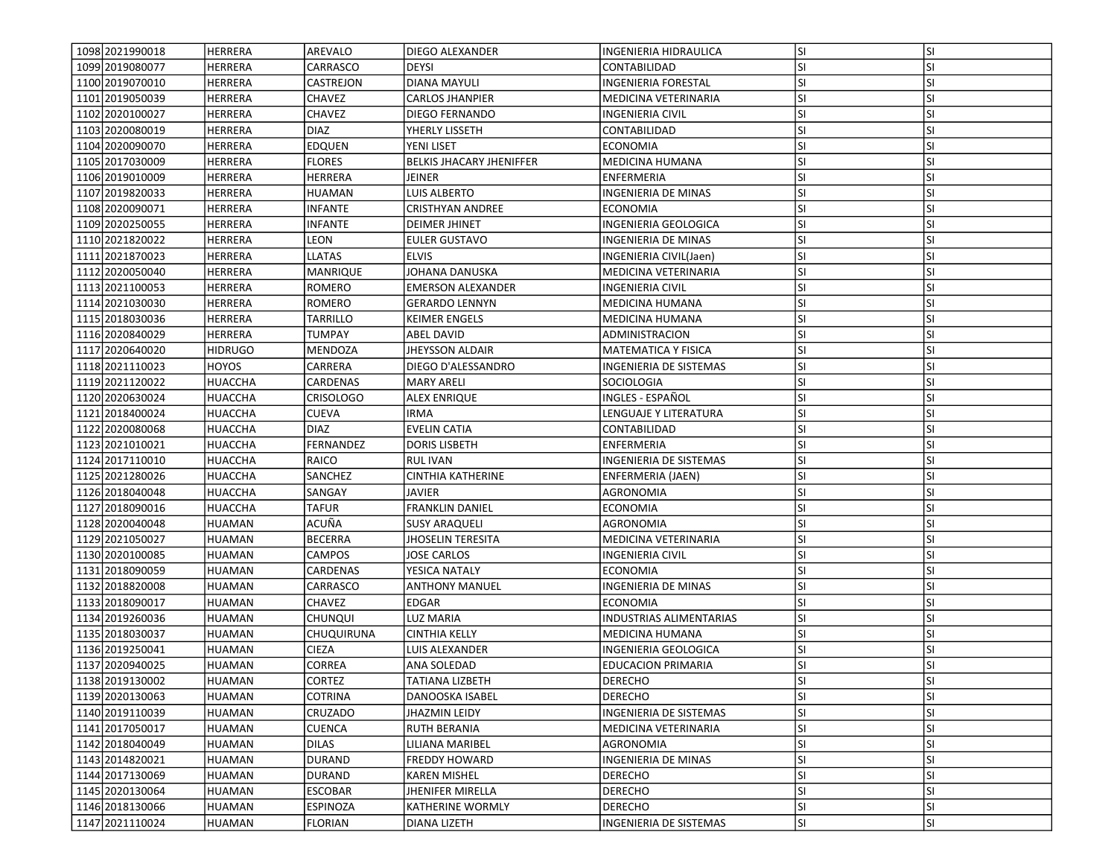| 1098 2021990018   | <b>HERRERA</b> | AREVALO          | DIEGO ALEXANDER                 | INGENIERIA HIDRAULICA          | lsı       | <b>SI</b> |
|-------------------|----------------|------------------|---------------------------------|--------------------------------|-----------|-----------|
| 1099 2019 080077  | <b>HERRERA</b> | CARRASCO         | <b>DEYSI</b>                    | CONTABILIDAD                   | <b>SI</b> | SI        |
| 1100 2019 070010  | <b>HERRERA</b> | CASTREJON        | <b>DIANA MAYULI</b>             | INGENIERIA FORESTAL            | lsı       | <b>SI</b> |
| 1101 2019 050039  | <b>HERRERA</b> | <b>CHAVEZ</b>    | <b>CARLOS JHANPIER</b>          | MEDICINA VETERINARIA           | lsı       | <b>SI</b> |
| 1102 2020100027   | <b>HERRERA</b> | CHAVEZ           | <b>DIEGO FERNANDO</b>           | <b>INGENIERIA CIVIL</b>        | lsı       | <b>SI</b> |
| 1103 2020080019   | HERRERA        | <b>DIAZ</b>      | YHERLY LISSETH                  | CONTABILIDAD                   | lsı       | <b>SI</b> |
| 1104 2020090070   | <b>HERRERA</b> | EDQUEN           | YENI LISET                      | <b>ECONOMIA</b>                | <b>SI</b> | <b>SI</b> |
| 1105 2017030009   | HERRERA        | <b>FLORES</b>    | <b>BELKIS JHACARY JHENIFFER</b> | <b>MEDICINA HUMANA</b>         | <b>SI</b> | <b>SI</b> |
| 1106 2019010009   | HERRERA        | HERRERA          | JEINER                          | ENFERMERIA                     | <b>SI</b> | <b>SI</b> |
| 1107 2019820033   | <b>HERRERA</b> | <b>HUAMAN</b>    | <b>LUIS ALBERTO</b>             | INGENIERIA DE MINAS            | <b>SI</b> | <b>SI</b> |
| 1108 2020090071   | HERRERA        | <b>INFANTE</b>   | <b>CRISTHYAN ANDREE</b>         | <b>ECONOMIA</b>                | lsı       | <b>SI</b> |
| 1109 2020 2500 55 | <b>HERRERA</b> | <b>INFANTE</b>   | <b>DEIMER JHINET</b>            | INGENIERIA GEOLOGICA           | lsı       | <b>SI</b> |
| 1110 20218 20022  | HERRERA        | LEON             | <b>EULER GUSTAVO</b>            | INGENIERIA DE MINAS            | <b>SI</b> | <b>SI</b> |
| 1111 2021 8700 23 | <b>HERRERA</b> | <b>LLATAS</b>    | <b>ELVIS</b>                    | INGENIERIA CIVIL(Jaen)         | <b>SI</b> | <b>SI</b> |
| 1112 2020050040   | HERRERA        | <b>MANRIQUE</b>  | JOHANA DANUSKA                  | MEDICINA VETERINARIA           | <b>SI</b> | <b>SI</b> |
| 1113 2021100053   | HERRERA        | ROMERO           | <b>EMERSON ALEXANDER</b>        | INGENIERIA CIVIL               | <b>SI</b> | SI        |
| 1114 2021030030   | <b>HERRERA</b> | ROMERO           | <b>GERARDO LENNYN</b>           | MEDICINA HUMANA                | <b>SI</b> | <b>SI</b> |
| 1115 2018030036   | <b>HERRERA</b> | <b>TARRILLO</b>  | <b>KEIMER ENGELS</b>            | MEDICINA HUMANA                | SI        | <b>SI</b> |
| 1116 2020840029   | <b>HERRERA</b> | <b>TUMPAY</b>    | ABEL DAVID                      | ADMINISTRACION                 | lsı       | <b>SI</b> |
| 1117 2020640020   | <b>HIDRUGO</b> | MENDOZA          | <b>JHEYSSON ALDAIR</b>          | MATEMATICA Y FISICA            | SI.       | <b>SI</b> |
| 1118 2021110023   | HOYOS          | CARRERA          | DIEGO D'ALESSANDRO              | INGENIERIA DE SISTEMAS         | <b>SI</b> | <b>SI</b> |
| 1119 2021 1200 22 | HUACCHA        | CARDENAS         | <b>MARY ARELI</b>               | SOCIOLOGIA                     | <b>SI</b> | <b>SI</b> |
| 1120 2020 6300 24 | HUACCHA        | Crisologo        | ALEX ENRIQUE                    | INGLES - ESPAÑOL               | SI.       | <b>SI</b> |
| 1121 2018400024   | HUACCHA        | CUEVA            | IRMA                            | LENGUAJE Y LITERATURA          | lsı       | <b>SI</b> |
| 1122 2020080068   | HUACCHA        | <b>DIAZ</b>      | EVELIN CATIA                    | CONTABILIDAD                   | lsı       | <b>SI</b> |
| 1123 2021010021   | HUACCHA        | <b>FERNANDEZ</b> | <b>DORIS LISBETH</b>            | ENFERMERIA                     | lsı       | <b>SI</b> |
| 1124 2017110010   | HUACCHA        | RAICO            | RUL IVAN                        | <b>INGENIERIA DE SISTEMAS</b>  | <b>SI</b> | <b>SI</b> |
| 1125 2021280026   | <b>HUACCHA</b> | SANCHEZ          | <b>CINTHIA KATHERINE</b>        | ENFERMERIA (JAEN)              | <b>SI</b> | <b>SI</b> |
| 1126 2018 040 048 | HUACCHA        | SANGAY           | JAVIER                          | AGRONOMIA                      | <b>SI</b> | <b>SI</b> |
| 1127 2018090016   | HUACCHA        | TAFUR            | <b>FRANKLIN DANIEL</b>          | ECONOMIA                       | <b>SI</b> | <b>SI</b> |
| 1128 2020040048   | <b>HUAMAN</b>  | ACUÑA            | <b>SUSY ARAQUELI</b>            | AGRONOMIA                      | <b>SI</b> | <b>SI</b> |
| 1129 2021050027   | <b>HUAMAN</b>  | <b>BECERRA</b>   | <b>JHOSELIN TERESITA</b>        | MEDICINA VETERINARIA           | lsı       | <b>SI</b> |
| 1130 2020 100085  | <b>HUAMAN</b>  | <b>CAMPOS</b>    | <b>JOSE CARLOS</b>              | <b>INGENIERIA CIVIL</b>        | lsı       | <b>SI</b> |
| 1131 2018090059   | <b>HUAMAN</b>  | CARDENAS         | YESICA NATALY                   | <b>ECONOMIA</b>                | <b>SI</b> | <b>SI</b> |
| 1132 2018 820008  | <b>HUAMAN</b>  | CARRASCO         | <b>ANTHONY MANUEL</b>           | INGENIERIA DE MINAS            | <b>SI</b> | <b>SI</b> |
| 1133 2018090017   | HUAMAN         | CHAVEZ           | EDGAR                           | <b>ECONOMIA</b>                | <b>SI</b> | <b>SI</b> |
| 1134 2019 2600 36 | HUAMAN         | CHUNQUI          | LUZ MARIA                       | <b>INDUSTRIAS ALIMENTARIAS</b> | SI.       | SI        |
| 1135 2018030037   | HUAMAN         | CHUQUIRUNA       | CINTHIA KELLY                   | MEDICINA HUMANA                | SI.       | <b>SI</b> |
| 1136 2019 250041  | <b>HUAMAN</b>  | <b>CIEZA</b>     | LUIS ALEXANDER                  | INGENIERIA GEOLOGICA           | SI        | <b>SI</b> |
| 1137 2020 9400 25 | <b>HUAMAN</b>  | <b>CORREA</b>    | <b>ANA SOLEDAD</b>              | <b>EDUCACION PRIMARIA</b>      | SI        | <b>SI</b> |
| 1138 2019 130002  | HUAMAN         | CORTEZ           | <b>TATIANA LIZBETH</b>          | <b>DERECHO</b>                 | SI.       | ΙSΙ       |
| 1139 2020 1300 63 | HUAMAN         | <b>COTRINA</b>   | DANOOSKA ISABEL                 | <b>DERECHO</b>                 | lsı       | <b>SI</b> |
| 1140 2019 110039  | <b>HUAMAN</b>  | CRUZADO          | JHAZMIN LEIDY                   | INGENIERIA DE SISTEMAS         | SI.       | SI        |
| 1141 2017050017   | <b>HUAMAN</b>  | CUENCA           | RUTH BERANIA                    | MEDICINA VETERINARIA           | SI.       | SI        |
| 1142 2018040049   | HUAMAN         | <b>DILAS</b>     | LILIANA MARIBEL                 | AGRONOMIA                      | SI.       | <b>SI</b> |
| 1143 2014 8200 21 | <b>HUAMAN</b>  | <b>DURAND</b>    | <b>FREDDY HOWARD</b>            | <b>INGENIERIA DE MINAS</b>     | <b>SI</b> | SI        |
| 1144 2017130069   | HUAMAN         | <b>DURAND</b>    | <b>KAREN MISHEL</b>             | <b>DERECHO</b>                 | <b>SI</b> | <b>SI</b> |
| 1145 2020130064   | <b>HUAMAN</b>  | <b>ESCOBAR</b>   | JHENIFER MIRELLA                | <b>DERECHO</b>                 | SI.       | <b>SI</b> |
| 1146 2018130066   | <b>HUAMAN</b>  | ESPINOZA         | <b>KATHERINE WORMLY</b>         | <b>DERECHO</b>                 | <b>SI</b> | SI        |
| 1147 2021110024   | <b>HUAMAN</b>  | <b>FLORIAN</b>   | <b>DIANA LIZETH</b>             | <b>INGENIERIA DE SISTEMAS</b>  | SI.       | SI        |
|                   |                |                  |                                 |                                |           |           |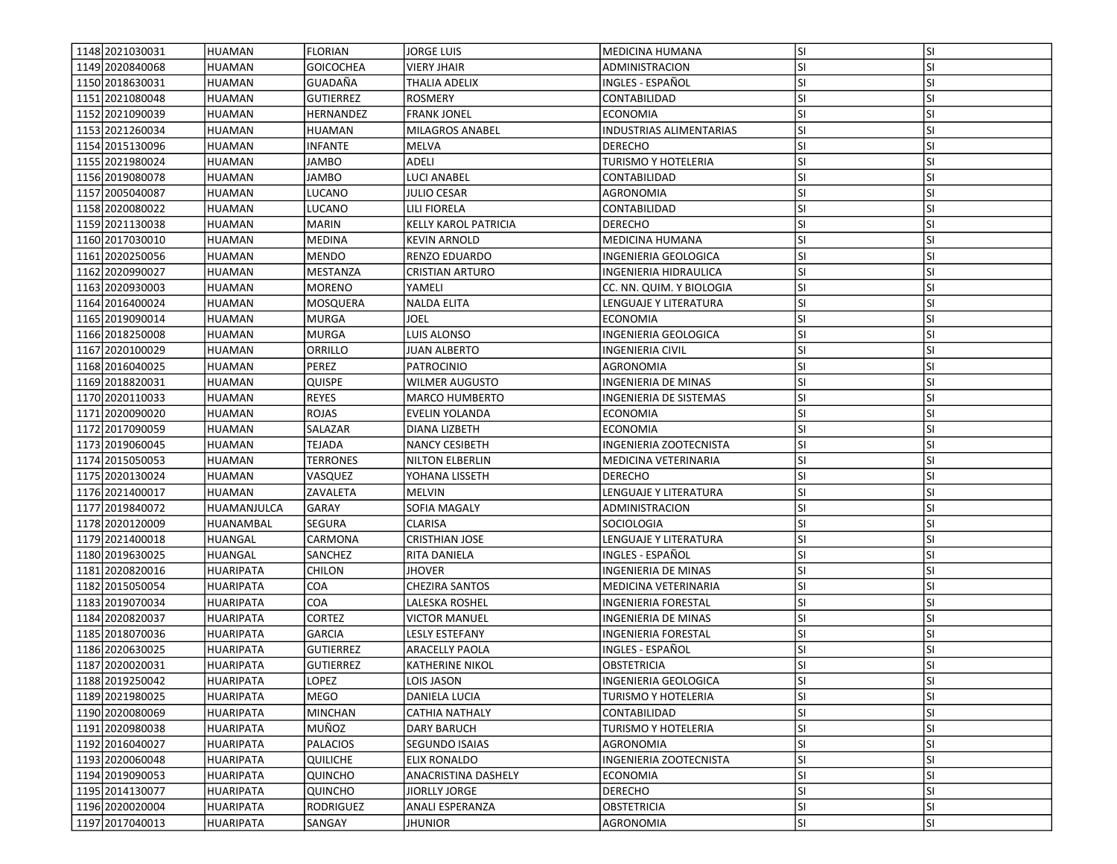| 1148 2021030031   | HUAMAN           | <b>FLORIAN</b>   | <b>JORGE LUIS</b>                            | <b>MEDICINA HUMANA</b>                     | lsı              | <b>SI</b> |
|-------------------|------------------|------------------|----------------------------------------------|--------------------------------------------|------------------|-----------|
| 1149 2020840068   | <b>HUAMAN</b>    | <b>GOICOCHEA</b> | <b>VIERY JHAIR</b>                           | ADMINISTRACION                             | SI.              | SI        |
| 1150 2018630031   | HUAMAN           | GUADAÑA          | <b>THALIA ADELIX</b>                         | INGLES - ESPAÑOL                           | lsı              | <b>SI</b> |
| 1151 2021080048   | <b>HUAMAN</b>    | <b>GUTIERREZ</b> | <b>ROSMERY</b>                               | CONTABILIDAD                               | lsı              | <b>SI</b> |
| 1152 2021090039   |                  | <b>HERNANDEZ</b> |                                              |                                            |                  | <b>SI</b> |
|                   | <b>HUAMAN</b>    |                  | <b>FRANK JONEL</b><br><b>MILAGROS ANABEL</b> | <b>ECONOMIA</b><br>INDUSTRIAS ALIMENTARIAS | <b>SI</b><br>lsı | <b>SI</b> |
| 1153 2021260034   | HUAMAN           | <b>HUAMAN</b>    |                                              |                                            |                  |           |
| 1154 2015 130096  | HUAMAN           | <b>INFANTE</b>   | MELVA                                        | <b>DERECHO</b>                             | <b>SI</b>        | <b>SI</b> |
| 1155 2021980024   | HUAMAN           | JAMBO            | ADELI                                        | TURISMO Y HOTELERIA                        | <b>SI</b>        | <b>SI</b> |
| 1156 2019080078   | <b>HUAMAN</b>    | JAMBO            | LUCI ANABEL                                  | CONTABILIDAD                               | <b>SI</b>        | <b>SI</b> |
| 1157 2005040087   | HUAMAN           | <b>LUCANO</b>    | <b>JULIO CESAR</b>                           | <b>AGRONOMIA</b>                           | <b>SI</b>        | <b>SI</b> |
| 1158 2020080022   | HUAMAN           | LUCANO           | LILI FIORELA                                 | CONTABILIDAD                               | lsı              | <b>SI</b> |
| 1159 2021130038   | <b>HUAMAN</b>    | <b>MARIN</b>     | <b>KELLY KAROL PATRICIA</b>                  | <b>DERECHO</b>                             | <b>SI</b>        | <b>SI</b> |
| 1160 2017030010   | HUAMAN           | <b>MEDINA</b>    | <b>KEVIN ARNOLD</b>                          | MEDICINA HUMANA                            | <b>SI</b>        | <b>SI</b> |
| 1161 2020250056   | <b>HUAMAN</b>    | <b>MENDO</b>     | RENZO EDUARDO                                | INGENIERIA GEOLOGICA                       | SI               | SI        |
| 1162 2020990027   | <b>HUAMAN</b>    | MESTANZA         | <b>CRISTIAN ARTURO</b>                       | INGENIERIA HIDRAULICA                      | <b>SI</b>        | <b>SI</b> |
| 1163 2020930003   | <b>HUAMAN</b>    | MORENO           | YAMELI                                       | CC. NN. QUIM. Y BIOLOGIA                   | SI.              | SI        |
| 1164 2016400024   | <b>HUAMAN</b>    | MOSQUERA         | <b>NALDA ELITA</b>                           | LENGUAJE Y LITERATURA                      | <b>SI</b>        | <b>SI</b> |
| 1165 2019090014   | <b>HUAMAN</b>    | <b>MURGA</b>     | JOEL                                         | <b>ECONOMIA</b>                            | lsı              | <b>SI</b> |
| 1166 2018 250008  | <b>HUAMAN</b>    | <b>MURGA</b>     | LUIS ALONSO                                  | INGENIERIA GEOLOGICA                       | lsı              | <b>SI</b> |
| 1167 2020 100029  | <b>HUAMAN</b>    | ORRILLO          | <b>JUAN ALBERTO</b>                          | <b>INGENIERIA CIVIL</b>                    | SI.              | <b>SI</b> |
| 1168 2016040025   | <b>HUAMAN</b>    | PEREZ            | <b>PATROCINIO</b>                            | AGRONOMIA                                  | <b>SI</b>        | <b>SI</b> |
| 1169 2018820031   | <b>HUAMAN</b>    | QUISPE           | <b>WILMER AUGUSTO</b>                        | INGENIERIA DE MINAS                        | <b>SI</b>        | <b>SI</b> |
| 1170 2020110033   | HUAMAN           | <b>REYES</b>     | <b>MARCO HUMBERTO</b>                        | INGENIERIA DE SISTEMAS                     | SI.              | SI        |
| 1171 2020090020   | HUAMAN           | <b>ROJAS</b>     | EVELIN YOLANDA                               | ECONOMIA                                   | lsı              | <b>SI</b> |
| 1172 2017090059   | <b>HUAMAN</b>    | SALAZAR          | DIANA LIZBETH                                | <b>ECONOMIA</b>                            | <b>SI</b>        | <b>SI</b> |
| 1173 2019060045   | HUAMAN           | TEJADA           | <b>NANCY CESIBETH</b>                        | INGENIERIA ZOOTECNISTA                     | lsı              | <b>SI</b> |
| 1174 2015 050053  | HUAMAN           | <b>TERRONES</b>  | <b>NILTON ELBERLIN</b>                       | MEDICINA VETERINARIA                       | SI.              | <b>SI</b> |
| 1175 2020130024   | <b>HUAMAN</b>    | VASQUEZ          | YOHANA LISSETH                               | <b>DERECHO</b>                             | <b>SI</b>        | <b>SI</b> |
| 1176 2021400017   | HUAMAN           | ZAVALETA         | <b>MELVIN</b>                                | LENGUAJE Y LITERATURA                      | <b>SI</b>        | SI        |
| 1177 2019 840072  | HUAMANJULCA      | GARAY            | SOFIA MAGALY                                 | ADMINISTRACION                             | SI.              | <b>SI</b> |
| 1178 2020 120009  | HUANAMBAL        | <b>SEGURA</b>    | <b>CLARISA</b>                               | SOCIOLOGIA                                 | <b>SI</b>        | <b>SI</b> |
| 1179 2021400018   | HUANGAL          | CARMONA          | <b>CRISTHIAN JOSE</b>                        | LENGUAJE Y LITERATURA                      | lsı              | <b>SI</b> |
| 1180 2019 6300 25 | <b>HUANGAL</b>   | SANCHEZ          | RITA DANIELA                                 | INGLES - ESPAÑOL                           | lsı              | <b>SI</b> |
| 1181 2020 820016  | HUARIPATA        | <b>CHILON</b>    | <b>JHOVER</b>                                | INGENIERIA DE MINAS                        | <b>SI</b>        | <b>SI</b> |
| 1182 2015 050054  | <b>HUARIPATA</b> | COA              | <b>CHEZIRA SANTOS</b>                        | MEDICINA VETERINARIA                       | lsı              | <b>SI</b> |
| 1183 2019 070 034 | HUARIPATA        | COA              | LALESKA ROSHEL                               | INGENIERIA FORESTAL                        | <b>SI</b>        | SI        |
| 1184 2020 8200 37 | <b>HUARIPATA</b> | CORTEZ           | VICTOR MANUEL                                | INGENIERIA DE MINAS                        | SI.              | SI        |
| 1185 2018 070 036 | HUARIPATA        | <b>GARCIA</b>    | LESLY ESTEFANY                               | INGENIERIA FORESTAL                        | SI.              | SI        |
| 1186 2020630025   | <b>HUARIPATA</b> | <b>GUTIERREZ</b> | ARACELLY PAOLA                               | INGLES - ESPAÑOL                           | <b>SI</b>        | <b>SI</b> |
| 1187 2020020031   | <b>HUARIPATA</b> | <b>GUTIERREZ</b> | <b>KATHERINE NIKOL</b>                       | <b>OBSTETRICIA</b>                         | lsı              | <b>SI</b> |
| 1188 2019 250042  | HUARIPATA        | LOPEZ            | LOIS JASON                                   | INGENIERIA GEOLOGICA                       | lsı              | ΙSΙ       |
| 1189 2021980025   |                  |                  | <b>DANIELA LUCIA</b>                         |                                            | lsı              | <b>SI</b> |
|                   | <b>HUARIPATA</b> | MEGO             |                                              | TURISMO Y HOTELERIA                        |                  |           |
| 1190 2020080069   | <b>HUARIPATA</b> | <b>MINCHAN</b>   | <b>CATHIA NATHALY</b>                        | CONTABILIDAD                               | SI.              | SI        |
| 1191 2020980038   | <b>HUARIPATA</b> | MUÑOZ            | DARY BARUCH                                  | TURISMO Y HOTELERIA                        | SI.              | SI        |
| 1192 2016040027   | HUARIPATA        | PALACIOS         | <b>SEGUNDO ISAIAS</b>                        | AGRONOMIA                                  | SI.              | <b>SI</b> |
| 1193 2020060048   | <b>HUARIPATA</b> | QUILICHE         | ELIX RONALDO                                 | INGENIERIA ZOOTECNISTA                     | <b>SI</b>        | SI        |
| 1194 2019090053   | <b>HUARIPATA</b> | QUINCHO          | ANACRISTINA DASHELY                          | <b>ECONOMIA</b>                            | <b>SI</b>        | <b>SI</b> |
| 1195 2014130077   | <b>HUARIPATA</b> | QUINCHO          | <b>JIORLLY JORGE</b>                         | <b>DERECHO</b>                             | <b>SI</b>        | <b>SI</b> |
| 1196 2020020004   | <b>HUARIPATA</b> | RODRIGUEZ        | <b>ANALI ESPERANZA</b>                       | <b>OBSTETRICIA</b>                         | SI.              | SI        |
| 1197 2017040013   | <b>HUARIPATA</b> | SANGAY           | <b>JHUNIOR</b>                               | AGRONOMIA                                  | SI.              | SI        |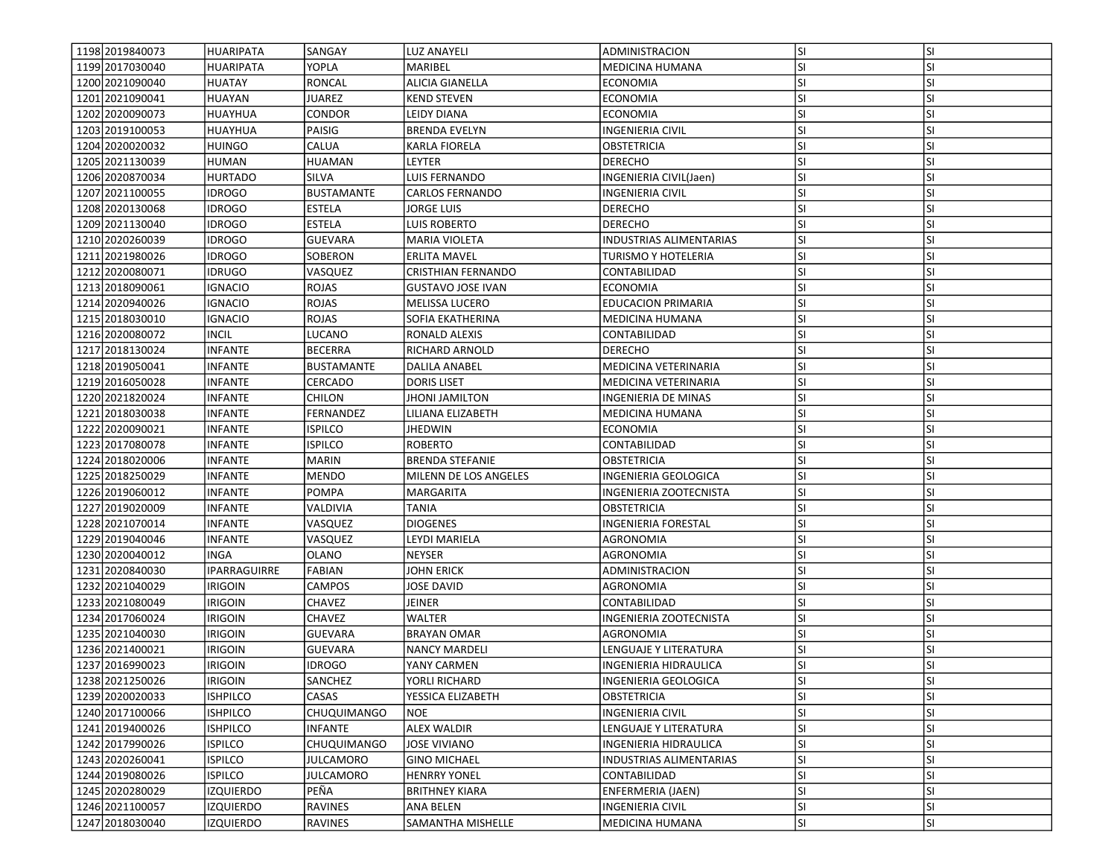| 1198 2019 840073<br>1199 2017030040 | <b>HUARIPATA</b><br><b>HUARIPATA</b> | SANGAY<br>YOPLA   | <b>LUZ ANAYELI</b><br>MARIBEL | ADMINISTRACION<br><b>MEDICINA HUMANA</b> | lsı<br><b>SI</b> | <b>SI</b><br>SI |
|-------------------------------------|--------------------------------------|-------------------|-------------------------------|------------------------------------------|------------------|-----------------|
| 1200 2021090040                     | <b>HUATAY</b>                        | <b>RONCAL</b>     | ALICIA GIANELLA               | <b>ECONOMIA</b>                          | lsı              | <b>SI</b>       |
|                                     |                                      |                   |                               |                                          |                  |                 |
| 1201 2021 090041                    | HUAYAN                               | <b>JUAREZ</b>     | KEND STEVEN                   | <b>ECONOMIA</b>                          | lsı              | <b>SI</b>       |
| 1202 2020090073                     | HUAYHUA                              | <b>CONDOR</b>     | LEIDY DIANA                   | <b>ECONOMIA</b>                          | lsı              | <b>SI</b>       |
| 1203 2019100053                     | <b>HUAYHUA</b>                       | PAISIG            | <b>BRENDA EVELYN</b>          | <b>INGENIERIA CIVIL</b>                  | lsı              | <b>SI</b>       |
| 1204 2020020032                     | HUINGO                               | CALUA             | KARLA FIORELA                 | OBSTETRICIA                              | <b>SI</b>        | SI              |
| 1205 2021130039                     | HUMAN                                | <b>HUAMAN</b>     | LEYTER                        | <b>DERECHO</b>                           | <b>SI</b>        | <b>SI</b>       |
| 1206 2020870034                     | <b>HURTADO</b>                       | SILVA             | LUIS FERNANDO                 | INGENIERIA CIVIL(Jaen)                   | <b>SI</b>        | SI              |
| 1207 2021100055                     | <b>IDROGO</b>                        | BUSTAMANTE        | <b>CARLOS FERNANDO</b>        | <b>INGENIERIA CIVIL</b>                  | <b>SI</b>        | <b>SI</b>       |
| 1208 2020 1300 68                   | <b>IDROGO</b>                        | <b>ESTELA</b>     | <b>JORGE LUIS</b>             | <b>DERECHO</b>                           | lsı              | <b>SI</b>       |
| 1209 2021130040                     | <b>IDROGO</b>                        | <b>ESTELA</b>     | LUIS ROBERTO                  | <b>DERECHO</b>                           | SI.              | <b>SI</b>       |
| 1210 2020 2600 39                   | <b>IDROGO</b>                        | <b>GUEVARA</b>    | <b>MARIA VIOLETA</b>          | <b>INDUSTRIAS ALIMENTARIAS</b>           | <b>SI</b>        | <b>SI</b>       |
| 1211 2021 980 026                   | <b>IDROGO</b>                        | SOBERON           | <b>ERLITA MAVEL</b>           | TURISMO Y HOTELERIA                      | SI               | <b>SI</b>       |
| 1212 2020 080071                    | <b>IDRUGO</b>                        | VASQUEZ           | <b>CRISTHIAN FERNANDO</b>     | CONTABILIDAD                             | <b>SI</b>        | <b>SI</b>       |
| 1213 2018090061                     | <b>IGNACIO</b>                       | ROJAS             | <b>GUSTAVO JOSE IVAN</b>      | ECONOMIA                                 | <b>SI</b>        | <b>SI</b>       |
| 1214 2020940026                     | <b>IGNACIO</b>                       | <b>ROJAS</b>      | <b>MELISSA LUCERO</b>         | <b>EDUCACION PRIMARIA</b>                | <b>SI</b>        | <b>SI</b>       |
| 1215 2018030010                     | <b>IGNACIO</b>                       | ROJAS             | SOFIA EKATHERINA              | <b>MEDICINA HUMANA</b>                   | SI               | <b>SI</b>       |
| 1216 2020080072                     | <b>INCIL</b>                         | <b>LUCANO</b>     | RONALD ALEXIS                 | CONTABILIDAD                             | lsı              | <b>SI</b>       |
| 1217 2018 1300 24                   | <b>INFANTE</b>                       | <b>BECERRA</b>    | RICHARD ARNOLD                | <b>DERECHO</b>                           | <b>SI</b>        | <b>SI</b>       |
| 1218 2019 050041                    | <b>INFANTE</b>                       | <b>BUSTAMANTE</b> | DALILA ANABEL                 | <b>MEDICINA VETERINARIA</b>              | SI               | <b>SI</b>       |
| 1219 2016050028                     | <b>INFANTE</b>                       | CERCADO           | <b>DORIS LISET</b>            | <b>MEDICINA VETERINARIA</b>              | <b>SI</b>        | SI              |
| 1220 2021820024                     | <b>INFANTE</b>                       | CHILON            | JHONI JAMILTON                | INGENIERIA DE MINAS                      | SI.              | <b>SI</b>       |
| 1221 2018030038                     | <b>INFANTE</b>                       | FERNANDEZ         | LILIANA ELIZABETH             | MEDICINA HUMANA                          | lsı              | <b>SI</b>       |
| 1222 2020090021                     | <b>INFANTE</b>                       | <b>ISPILCO</b>    | <b>JHEDWIN</b>                | <b>ECONOMIA</b>                          | <b>SI</b>        | <b>SI</b>       |
| 1223 2017080078                     | <b>INFANTE</b>                       | <b>ISPILCO</b>    | <b>ROBERTO</b>                | CONTABILIDAD                             | lsı              | <b>SI</b>       |
| 1224 2018020006                     | <b>INFANTE</b>                       | <b>MARIN</b>      | <b>BRENDA STEFANIE</b>        | OBSTETRICIA                              | <b>SI</b>        | <b>SI</b>       |
| 1225 2018250029                     | <b>INFANTE</b>                       | <b>MENDO</b>      | MILENN DE LOS ANGELES         | INGENIERIA GEOLOGICA                     | <b>SI</b>        | <b>SI</b>       |
| 1226 2019 060012                    | <b>INFANTE</b>                       | POMPA             | MARGARITA                     | INGENIERIA ZOOTECNISTA                   | SI.              | SI              |
| 1227 2019 020009                    | <b>INFANTE</b>                       | VALDIVIA          | TANIA                         | OBSTETRICIA                              | <b>SI</b>        | <b>SI</b>       |
| 1228 2021070014                     | <b>INFANTE</b>                       | VASQUEZ           | <b>DIOGENES</b>               | INGENIERIA FORESTAL                      | <b>SI</b>        | <b>SI</b>       |
| 1229 2019 040 046                   | <b>INFANTE</b>                       | VASQUEZ           | LEYDI MARIELA                 | AGRONOMIA                                | <b>SI</b>        | <b>SI</b>       |
| 1230 2020040012                     | <b>INGA</b>                          | <b>OLANO</b>      | <b>NEYSER</b>                 | AGRONOMIA                                | <b>SI</b>        | <b>SI</b>       |
| 1231 2020840030                     | <b>IPARRAGUIRRE</b>                  | <b>FABIAN</b>     | <b>JOHN ERICK</b>             |                                          | SI.              | <b>SI</b>       |
| 1232 2021040029                     | <b>IRIGOIN</b>                       | <b>CAMPOS</b>     | <b>JOSE DAVID</b>             | ADMINISTRACION<br>AGRONOMIA              | <b>SI</b>        | <b>SI</b>       |
| 1233 2021080049                     |                                      | CHAVEZ            |                               |                                          | <b>SI</b>        | SI              |
|                                     | <b>IRIGOIN</b>                       |                   | JEINER                        | CONTABILIDAD                             |                  |                 |
| 1234 2017060024                     | <b>IRIGOIN</b>                       | CHAVEZ            | <b>WALTER</b>                 | INGENIERIA ZOOTECNISTA                   | <b>SI</b>        | <b>SI</b>       |
| 1235 2021040030                     | <b>IRIGOIN</b>                       | <b>GUEVARA</b>    | <b>BRAYAN OMAR</b>            | AGRONOMIA                                | <b>SI</b>        | <b>SI</b>       |
| 1236 2021400021                     | irigoin                              | <b>GUEVARA</b>    | <b>NANCY MARDELI</b>          | <b>LENGUAJE Y LITERATURA</b>             | SI               | <b>SI</b>       |
| 1237 2016990023                     | <b>IRIGOIN</b>                       | <b>IDROGO</b>     | YANY CARMEN                   | INGENIERIA HIDRAULICA                    | SI               | <b>SI</b>       |
| 1238 2021250026                     | <b>IRIGOIN</b>                       | <b>SANCHEZ</b>    | YORLI RICHARD                 | INGENIERIA GEOLOGICA                     | lsı              | ΙSΙ             |
| 1239 2020 020033                    | <b>ISHPILCO</b>                      | CASAS             | YESSICA ELIZABETH             | <b>OBSTETRICIA</b>                       | lsı.             | <b>SI</b>       |
| 1240 2017100066                     | <b>ISHPILCO</b>                      | CHUQUIMANGO       | <b>NOE</b>                    | <b>INGENIERIA CIVIL</b>                  | SI.              | SI              |
| 1241 2019400026                     | <b>ISHPILCO</b>                      | <b>INFANTE</b>    | <b>ALEX WALDIR</b>            | LENGUAJE Y LITERATURA                    | <b>SI</b>        | SI              |
| 1242 2017990026                     | <b>ISPILCO</b>                       | CHUQUIMANGO       | <b>JOSE VIVIANO</b>           | INGENIERIA HIDRAULICA                    | SI.              | SI              |
| 1243 2020260041                     | <b>ISPILCO</b>                       | <b>JULCAMORO</b>  | <b>GINO MICHAEL</b>           | INDUSTRIAS ALIMENTARIAS                  | <b>SI</b>        | <b>SI</b>       |
| 1244 2019 0800 26                   | <b>ISPILCO</b>                       | JULCAMORO         | <b>HENRRY YONEL</b>           | CONTABILIDAD                             | <b>SI</b>        | SI              |
| 1245 2020280029                     | <b>IZQUIERDO</b>                     | PEÑA              | <b>BRITHNEY KIARA</b>         | <b>ENFERMERIA (JAEN)</b>                 | <b>SI</b>        | <b>SI</b>       |
| 1246 2021100057                     | <b>IZQUIERDO</b>                     | <b>RAVINES</b>    | <b>ANA BELEN</b>              | INGENIERIA CIVIL                         | SI.              | SI              |
| 1247 2018030040                     | <b>IZQUIERDO</b>                     | RAVINES           | SAMANTHA MISHELLE             | MEDICINA HUMANA                          | SI.              | SI              |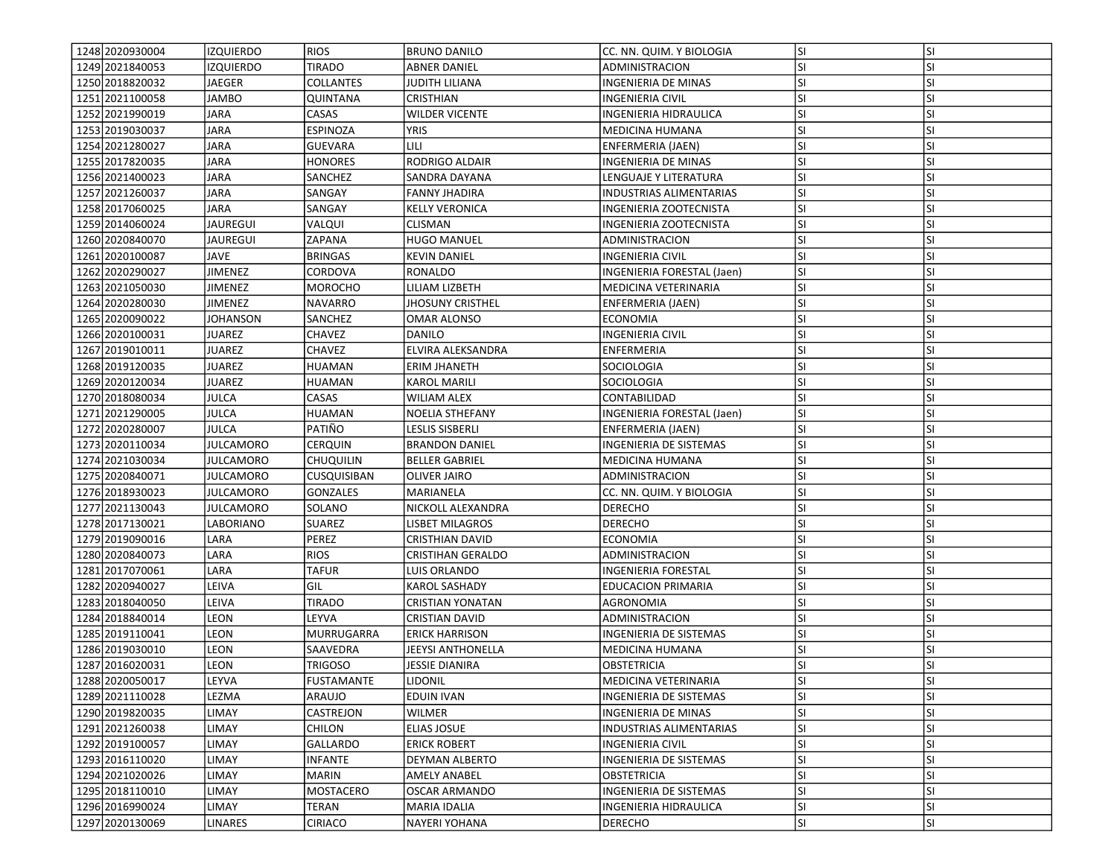| 1248 2020 930004  | IZQUIERDO        | <b>RIOS</b>       | <b>BRUNO DANILO</b>      | CC. NN. QUIM. Y BIOLOGIA   | lsı       | <b>SI</b> |
|-------------------|------------------|-------------------|--------------------------|----------------------------|-----------|-----------|
| 1249 2021840053   | <b>IZQUIERDO</b> | <b>TIRADO</b>     | <b>ABNER DANIEL</b>      | ADMINISTRACION             | SI.       | SI        |
| 1250 2018820032   | JAEGER           | <b>COLLANTES</b>  | <b>JUDITH LILIANA</b>    | INGENIERIA DE MINAS        | <b>SI</b> | <b>SI</b> |
| 1251 2021100058   | <b>JAMBO</b>     | QUINTANA          | CRISTHIAN                | <b>INGENIERIA CIVIL</b>    | lsı       | <b>SI</b> |
| 1252 2021990019   | <b>JARA</b>      | CASAS             | <b>WILDER VICENTE</b>    | INGENIERIA HIDRAULICA      | lsı       | <b>SI</b> |
| 1253 2019 030037  | JARA             | ESPINOZA          | <b>YRIS</b>              | MEDICINA HUMANA            | lsı       | <b>SI</b> |
| 1254 2021 2800 27 | JARA             | GUEVARA           | LILI                     | ENFERMERIA (JAEN)          | <b>SI</b> | <b>SI</b> |
| 1255 20178 20035  | JARA             | <b>HONORES</b>    | RODRIGO ALDAIR           | INGENIERIA DE MINAS        | <b>SI</b> | <b>SI</b> |
| 1256 2021400023   | <b>JARA</b>      | SANCHEZ           | SANDRA DAYANA            | LENGUAJE Y LITERATURA      | SI.       | <b>SI</b> |
| 1257 2021 260037  | JARA             | SANGAY            | <b>FANNY JHADIRA</b>     | INDUSTRIAS ALIMENTARIAS    | <b>SI</b> | <b>SI</b> |
| 1258 2017060025   | JARA             | SANGAY            | <b>KELLY VERONICA</b>    | INGENIERIA ZOOTECNISTA     | lsı       | <b>SI</b> |
| 1259 2014 060 024 | <b>JAUREGUI</b>  | VALQUI            | <b>CLISMAN</b>           | INGENIERIA ZOOTECNISTA     | SI.       | <b>SI</b> |
| 1260 2020840070   | JAUREGUI         | ZAPANA            | <b>HUGO MANUEL</b>       | ADMINISTRACION             | <b>SI</b> | <b>SI</b> |
| 1261 2020100087   | JAVE             | <b>BRINGAS</b>    | <b>KEVIN DANIEL</b>      | <b>INGENIERIA CIVIL</b>    | <b>SI</b> | SI        |
| 1262 2020 2900 27 | JIMENEZ          | CORDOVA           | RONALDO                  | INGENIERIA FORESTAL (Jaen) | <b>SI</b> | <b>SI</b> |
| 1263 2021050030   | JIMENEZ          | MOROCHO           | LILIAM LIZBETH           | MEDICINA VETERINARIA       | SI.       | <b>SI</b> |
| 1264 2020 2800 30 | JIMENEZ          | NAVARRO           | <b>JHOSUNY CRISTHEL</b>  | ENFERMERIA (JAEN)          | <b>SI</b> | <b>SI</b> |
| 1265 2020090022   | JOHANSON         | SANCHEZ           | <b>OMAR ALONSO</b>       | ECONOMIA                   | lsı       | <b>SI</b> |
| 1266 2020 1000 31 | JUAREZ           | <b>CHAVEZ</b>     | DANILO                   | INGENIERIA CIVIL           | lsı       | <b>SI</b> |
| 1267 2019010011   | JUAREZ           | <b>CHAVEZ</b>     | ELVIRA ALEKSANDRA        | <b>ENFERMERIA</b>          | SI.       | <b>SI</b> |
| 1268 2019120035   | JUAREZ           | <b>HUAMAN</b>     | <b>ERIM JHANETH</b>      | SOCIOLOGIA                 | <b>SI</b> | <b>SI</b> |
| 1269 2020 1200 34 | JUAREZ           | HUAMAN            | <b>KAROL MARILI</b>      | <b>SOCIOLOGIA</b>          | <b>SI</b> | <b>SI</b> |
| 1270 2018080034   | JULCA            | CASAS             | WILIAM ALEX              | CONTABILIDAD               | <b>SI</b> | <b>SI</b> |
| 1271 2021 290005  | JULCA            | <b>HUAMAN</b>     | NOELIA STHEFANY          | INGENIERIA FORESTAL (Jaen) | <b>SI</b> | <b>SI</b> |
| 1272 2020280007   | JULCA            | PATIÑO            | LESLIS SISBERLI          | ENFERMERIA (JAEN)          | lsı       | <b>SI</b> |
| 1273 2020110034   | JULCAMORO        | CERQUIN           | <b>BRANDON DANIEL</b>    | INGENIERIA DE SISTEMAS     | lsı       | <b>SI</b> |
| 1274 2021030034   | JULCAMORO        | <b>CHUQUILIN</b>  | <b>BELLER GABRIEL</b>    | MEDICINA HUMANA            | SI.       | <b>SI</b> |
| 1275 2020840071   | JULCAMORO        | CUSQUISIBAN       | <b>OLIVER JAIRO</b>      | ADMINISTRACION             | <b>SI</b> | <b>SI</b> |
| 1276 2018930023   | JULCAMORO        | <b>GONZALES</b>   | MARIANELA                | CC. NN. QUIM. Y BIOLOGIA   | SI.       | SI        |
| 1277 2021130043   | JULCAMORO        | SOLANO            | NICKOLL ALEXANDRA        | <b>DERECHO</b>             | SI.       | <b>SI</b> |
| 1278 2017130021   | LABORIANO        | SUAREZ            | LISBET MILAGROS          | <b>DERECHO</b>             | <b>SI</b> | <b>SI</b> |
| 1279 2019 090016  | LARA             | PEREZ             | <b>CRISTHIAN DAVID</b>   | <b>ECONOMIA</b>            | lsı       | <b>SI</b> |
| 1280 2020 8400 73 | LARA             | <b>RIOS</b>       | <b>CRISTIHAN GERALDO</b> | ADMINISTRACION             | <b>SI</b> | <b>SI</b> |
| 1281 2017 070061  | LARA             | <b>TAFUR</b>      | LUIS ORLANDO             | <b>INGENIERIA FORESTAL</b> | <b>SI</b> | <b>SI</b> |
| 1282 2020 940027  | LEIVA            | GIL               | KAROL SASHADY            | <b>EDUCACION PRIMARIA</b>  | <b>SI</b> | <b>SI</b> |
| 1283 2018 040050  | LEIVA            | TIRADO            | <b>CRISTIAN YONATAN</b>  | AGRONOMIA                  | <b>SI</b> | SI        |
| 1284 2018 840014  | LEON             | LEYVA             | CRISTIAN DAVID           | ADMINISTRACION             | <b>SI</b> | <b>SI</b> |
| 1285 2019 110041  | LEON             | MURRUGARRA        | <b>ERICK HARRISON</b>    | INGENIERIA DE SISTEMAS     | SI.       | SI        |
| 1286 2019 030010  | LEON             | SAAVEDRA          | JEEYSI ANTHONELLA        | MEDICINA HUMANA            | <b>SI</b> | <b>SI</b> |
| 1287 2016020031   | LEON             | TRIGOSO           | JESSIE DIANIRA           | <b>OBSTETRICIA</b>         | lsı       | <b>SI</b> |
| 1288 2020050017   | LEYVA            | <b>FUSTAMANTE</b> | <b>LIDONIL</b>           | MEDICINA VETERINARIA       | lsı       | ΙSΙ       |
| 1289 2021110028   | LEZMA            | ARAUJO            | EDUIN IVAN               | INGENIERIA DE SISTEMAS     | lsı       | <b>SI</b> |
| 1290 2019 820035  | LIMAY            | CASTREJON         | <b>WILMER</b>            | INGENIERIA DE MINAS        | SI.       | SI        |
| 1291 2021 260038  | LIMAY            | CHILON            | ELIAS JOSUE              | INDUSTRIAS ALIMENTARIAS    | <b>SI</b> | SI        |
| 1292 2019 100057  | LIMAY            | GALLARDO          | <b>ERICK ROBERT</b>      | INGENIERIA CIVIL           | SI.       | SI        |
| 1293 2016110020   | LIMAY            | <b>INFANTE</b>    | DEYMAN ALBERTO           | INGENIERIA DE SISTEMAS     | <b>SI</b> | <b>SI</b> |
| 1294 2021020026   | LIMAY            | MARIN             | <b>AMELY ANABEL</b>      | <b>OBSTETRICIA</b>         | <b>SI</b> | <b>SI</b> |
| 1295 2018110010   | LIMAY            | <b>MOSTACERO</b>  | <b>OSCAR ARMANDO</b>     | INGENIERIA DE SISTEMAS     | <b>SI</b> | <b>SI</b> |
| 1296 2016990024   | LIMAY            | TERAN             | <b>MARIA IDALIA</b>      | INGENIERIA HIDRAULICA      | <b>SI</b> | <b>SI</b> |
| 1297 2020130069   | LINARES          | CIRIACO           | NAYERI YOHANA            | <b>DERECHO</b>             | SI.       | SI        |
|                   |                  |                   |                          |                            |           |           |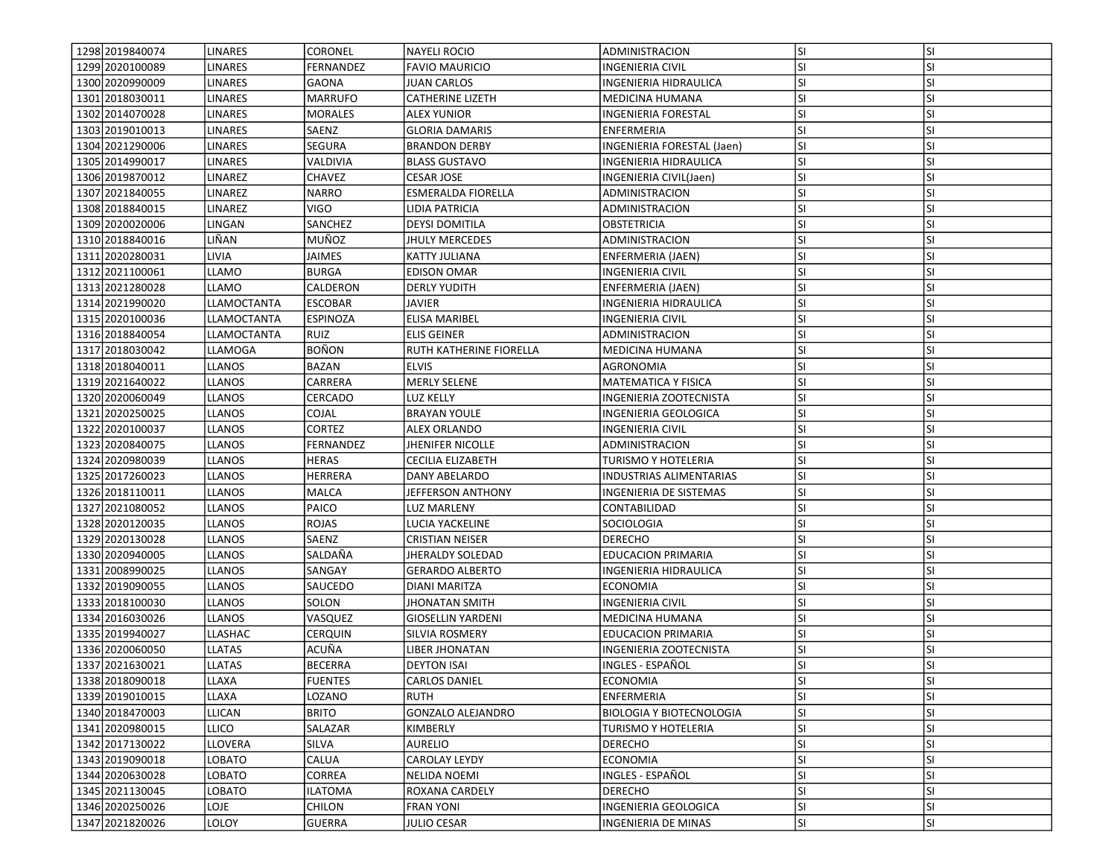| 1298 2019 840074  | <b>LINARES</b> | <b>CORONEL</b> | <b>NAYELI ROCIO</b>       | ADMINISTRACION                  | lsı       | <b>SI</b> |
|-------------------|----------------|----------------|---------------------------|---------------------------------|-----------|-----------|
| 1299 2020 100089  | <b>LINARES</b> | FERNANDEZ      | <b>FAVIO MAURICIO</b>     | INGENIERIA CIVIL                | SI.       | SI        |
| 1300 2020990009   | LINARES        | <b>GAONA</b>   | JUAN CARLOS               | INGENIERIA HIDRAULICA           | <b>SI</b> | <b>SI</b> |
| 1301 2018030011   | <b>LINARES</b> | <b>MARRUFO</b> | <b>CATHERINE LIZETH</b>   | <b>MEDICINA HUMANA</b>          | <b>SI</b> | SI        |
| 1302 2014 070 028 | <b>LINARES</b> | <b>MORALES</b> | <b>ALEX YUNIOR</b>        | <b>INGENIERIA FORESTAL</b>      | <b>SI</b> | <b>SI</b> |
| 1303 2019010013   | <b>LINARES</b> | SAENZ          | <b>GLORIA DAMARIS</b>     | ENFERMERIA                      | <b>SI</b> | <b>SI</b> |
| 1304 2021290006   | <b>LINARES</b> | SEGURA         | <b>BRANDON DERBY</b>      | INGENIERIA FORESTAL (Jaen)      | <b>SI</b> | SI        |
| 1305 2014 990017  | LINARES        | VALDIVIA       | <b>BLASS GUSTAVO</b>      | INGENIERIA HIDRAULICA           | <b>SI</b> | SI        |
| 1306 2019 870012  | LINAREZ        | CHAVEZ         | CESAR JOSE                | INGENIERIA CIVIL(Jaen)          | SI.       | <b>SI</b> |
| 1307 2021840055   | LINAREZ        | <b>NARRO</b>   | <b>ESMERALDA FIORELLA</b> | ADMINISTRACION                  | lsı       | <b>SI</b> |
| 1308 2018840015   | LINAREZ        | VIGO           | LIDIA PATRICIA            | ADMINISTRACION                  | <b>SI</b> | <b>SI</b> |
| 1309 2020020006   | LINGAN         | SANCHEZ        | <b>DEYSI DOMITILA</b>     | OBSTETRICIA                     | lsı       | <b>SI</b> |
| 1310 2018840016   | LIÑAN          | MUÑOZ          | <b>JHULY MERCEDES</b>     | ADMINISTRACION                  | SI.       | <b>SI</b> |
| 1311 2020 2800 31 | LIVIA          | JAIMES         | KATTY JULIANA             | ENFERMERIA (JAEN)               | <b>SI</b> | <b>SI</b> |
| 1312 2021 100061  | <b>LLAMO</b>   | <b>BURGA</b>   | <b>EDISON OMAR</b>        | INGENIERIA CIVIL                | <b>SI</b> | SI        |
| 1313 2021 2800 28 | <b>LLAMO</b>   | CALDERON       | <b>DERLY YUDITH</b>       | ENFERMERIA (JAEN)               | SI.       | <b>SI</b> |
| 1314 2021990020   | LLAMOCTANTA    | <b>ESCOBAR</b> | JAVIER                    | INGENIERIA HIDRAULICA           | <b>SI</b> | <b>SI</b> |
| 1315 2020100036   | LLAMOCTANTA    | ESPINOZA       | <b>ELISA MARIBEL</b>      | INGENIERIA CIVIL                | <b>SI</b> | <b>SI</b> |
| 1316 2018 840054  | LLAMOCTANTA    | <b>RUIZ</b>    | <b>ELIS GEINER</b>        | ADMINISTRACION                  | lsı       | <b>SI</b> |
| 1317 2018 030042  | LLAMOGA        | <b>BOÑON</b>   | RUTH KATHERINE FIORELLA   | <b>MEDICINA HUMANA</b>          | SI.       | <b>SI</b> |
| 1318 2018 040011  | <b>LLANOS</b>  | BAZAN          | <b>ELVIS</b>              | AGRONOMIA                       | lsı       | <b>SI</b> |
| 1319 2021640022   | <b>LLANOS</b>  | CARRERA        | <b>MERLY SELENE</b>       | MATEMATICA Y FISICA             | SI.       | <b>SI</b> |
| 1320 2020060049   | <b>LLANOS</b>  | CERCADO        | LUZ KELLY                 | INGENIERIA ZOOTECNISTA          | SI.       | <b>SI</b> |
| 1321 2020 2500 25 | <b>LLANOS</b>  | COJAL          | <b>BRAYAN YOULE</b>       | INGENIERIA GEOLOGICA            | SI.       | SI        |
| 1322 2020100037   | <b>LLANOS</b>  | <b>CORTEZ</b>  | <b>ALEX ORLANDO</b>       | INGENIERIA CIVIL                | lsı       | <b>SI</b> |
| 1323 2020840075   | <b>LLANOS</b>  | FERNANDEZ      | <b>JHENIFER NICOLLE</b>   | ADMINISTRACION                  | lsı       | SI        |
| 1324 2020980039   | <b>LLANOS</b>  | <b>HERAS</b>   | <b>CECILIA ELIZABETH</b>  | TURISMO Y HOTELERIA             | <b>SI</b> | <b>SI</b> |
| 1325 2017260023   | LLANOS         | HERRERA        | DANY ABELARDO             | <b>INDUSTRIAS ALIMENTARIAS</b>  | lsı       | <b>SI</b> |
| 1326 2018110011   | <b>LLANOS</b>  | MALCA          | JEFFERSON ANTHONY         | INGENIERIA DE SISTEMAS          | <b>SI</b> | SI        |
| 1327 2021 080052  | <b>LLANOS</b>  | PAICO          | LUZ MARLENY               | CONTABILIDAD                    | <b>SI</b> | <b>SI</b> |
| 1328 2020 1200 35 | LLANOS         | ROJAS          | LUCIA YACKELINE           | SOCIOLOGIA                      | <b>SI</b> | <b>SI</b> |
| 1329 2020 1300 28 | LLANOS         | SAENZ          | <b>CRISTIAN NEISER</b>    | <b>DERECHO</b>                  | <b>SI</b> | <b>SI</b> |
| 1330 2020 940005  | <b>LLANOS</b>  | SALDAÑA        | JHERALDY SOLEDAD          | <b>EDUCACION PRIMARIA</b>       | lsı       | <b>SI</b> |
| 1331 2008 9900 25 | LLANOS         | SANGAY         | <b>GERARDO ALBERTO</b>    | INGENIERIA HIDRAULICA           | SI.       | <b>SI</b> |
| 1332 2019090055   | <b>LLANOS</b>  | SAUCEDO        | DIANI MARITZA             | <b>ECONOMIA</b>                 | lsı       | <b>SI</b> |
| 1333 2018 100030  | <b>LLANOS</b>  | SOLON          | JHONATAN SMITH            | INGENIERIA CIVIL                | <b>SI</b> | SI        |
| 1334 2016030026   | <b>LLANOS</b>  | VASQUEZ        | <b>GIOSELLIN YARDENI</b>  | MEDICINA HUMANA                 | <b>SI</b> | <b>SI</b> |
| 1335 2019 940027  | LLASHAC        | <b>CERQUIN</b> | SILVIA ROSMERY            | <b>EDUCACION PRIMARIA</b>       | SI.       | <b>SI</b> |
| 1336 2020060050   | LLATAS         | ACUÑA          | LIBER JHONATAN            | INGENIERIA ZOOTECNISTA          | <b>SI</b> | <b>SI</b> |
| 1337 2021630021   | <b>LLATAS</b>  | <b>BECERRA</b> | <b>DEYTON ISAI</b>        | INGLES - ESPAÑOL                | SI        | SI        |
| 1338 2018090018   | LLAXA          | <b>FUENTES</b> | <b>CARLOS DANIEL</b>      | ECONOMIA                        | SI.       | <b>SI</b> |
| 1339 2019 010015  | LLAXA          | LOZANO         | <b>RUTH</b>               | <b>ENFERMERIA</b>               | lsı       | <b>SI</b> |
| 1340 2018 470003  | <b>LLICAN</b>  | <b>BRITO</b>   | <b>GONZALO ALEJANDRO</b>  | <b>BIOLOGIA Y BIOTECNOLOGIA</b> | <b>SI</b> | SI        |
| 1341 2020980015   | <b>LLICO</b>   | SALAZAR        | KIMBERLY                  | TURISMO Y HOTELERIA             | SI.       | SI        |
| 1342 2017130022   | <b>LLOVERA</b> | SILVA          | AURELIO                   | <b>DERECHO</b>                  | <b>SI</b> | SI        |
| 1343 2019090018   | LOBATO         | CALUA          | <b>CAROLAY LEYDY</b>      | ECONOMIA                        | <b>SI</b> | <b>SI</b> |
| 1344 2020630028   | LOBATO         | CORREA         | <b>NELIDA NOEMI</b>       | INGLES - ESPAÑOL                | <b>SI</b> | <b>SI</b> |
| 1345 2021130045   | LOBATO         | <b>ILATOMA</b> | ROXANA CARDELY            | <b>DERECHO</b>                  | <b>SI</b> | <b>SI</b> |
| 1346 2020250026   | LOJE           | CHILON         | <b>FRAN YONI</b>          | INGENIERIA GEOLOGICA            | SI.       | SI        |
| 1347 2021820026   | LOLOY          | <b>GUERRA</b>  | <b>JULIO CESAR</b>        | <b>INGENIERIA DE MINAS</b>      | SI.       | SI        |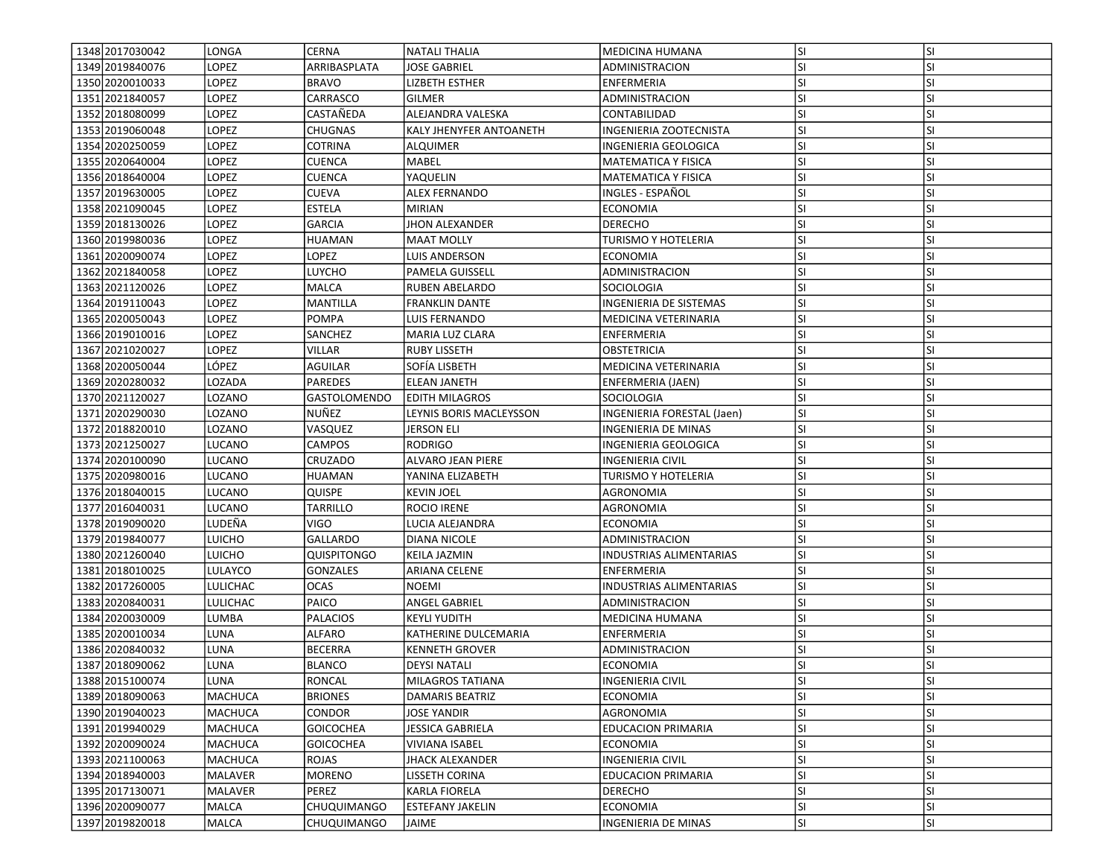| 1348 2017030042   | LONGA           | CERNA              | NATALI THALIA           | MEDICINA HUMANA                | <b>SI</b> | lsı       |
|-------------------|-----------------|--------------------|-------------------------|--------------------------------|-----------|-----------|
| 1349 2019 840076  | LOPEZ           | ARRIBASPLATA       | <b>JOSE GABRIEL</b>     | <b>ADMINISTRACION</b>          | SI        | SI        |
| 1350 2020010033   | <b>LOPEZ</b>    | <b>BRAVO</b>       | <b>LIZBETH ESTHER</b>   | ENFERMERIA                     | SI        | SI        |
| 1351 2021840057   | LOPEZ           | CARRASCO           | <b>GILMER</b>           | ADMINISTRACION                 | SI        | <b>SI</b> |
| 1352 2018080099   | LOPEZ           | CASTAÑEDA          | ALEJANDRA VALESKA       | CONTABILIDAD                   | SI        | <b>SI</b> |
| 1353 2019 060048  | LOPEZ           | <b>CHUGNAS</b>     | KALY JHENYFER ANTOANETH | INGENIERIA ZOOTECNISTA         | SI        | SI        |
| 1354 2020 2500 59 | LOPEZ           | COTRINA            | ALQUIMER                | INGENIERIA GEOLOGICA           | SI        | SI        |
| 1355 2020 640004  | LOPEZ           | <b>CUENCA</b>      | MABEL                   | MATEMATICA Y FISICA            | SI        | <b>SI</b> |
| 1356 2018 640004  | LOPEZ           | <b>CUENCA</b>      | YAQUELIN                | <b>MATEMATICA Y FISICA</b>     | SI        | <b>SI</b> |
| 1357 2019 630005  | LOPEZ           | <b>CUEVA</b>       | <b>ALEX FERNANDO</b>    | INGLES - ESPAÑOL               | SI        | SI        |
| 1358 2021090045   | LOPEZ           | <b>ESTELA</b>      | MIRIAN                  | <b>ECONOMIA</b>                | SI        | SI        |
| 1359 2018 1300 26 | LOPEZ           | <b>GARCIA</b>      | JHON ALEXANDER          | <b>DERECHO</b>                 | SI        | <b>SI</b> |
| 1360 2019 980036  | LOPEZ           | <b>HUAMAN</b>      | <b>MAAT MOLLY</b>       | <b>TURISMO Y HOTELERIA</b>     | SI        | <b>SI</b> |
| 1361 2020090074   | LOPEZ           | LOPEZ              | LUIS ANDERSON           | <b>ECONOMIA</b>                | SI        | SI        |
| 1362 2021840058   | LOPEZ           | LUYCHO             | PAMELA GUISSELL         | ADMINISTRACION                 | SI        | <b>SI</b> |
| 1363 2021120026   | LOPEZ           | MALCA              | RUBEN ABELARDO          | SOCIOLOGIA                     | SI        | <b>SI</b> |
| 1364 2019 110043  | LOPEZ           | MANTILLA           | <b>FRANKLIN DANTE</b>   | INGENIERIA DE SISTEMAS         | SI        | <b>SI</b> |
| 1365 2020050043   | LOPEZ           | <b>POMPA</b>       | LUIS FERNANDO           | MEDICINA VETERINARIA           | SI        | SI        |
| 1366 2019010016   | LOPEZ           | <b>SANCHEZ</b>     | MARIA LUZ CLARA         | <b>ENFERMERIA</b>              | SI        | <b>SI</b> |
| 1367 2021020027   | LOPEZ           | VILLAR             | <b>RUBY LISSETH</b>     | <b>OBSTETRICIA</b>             | ΙSΙ       | <b>SI</b> |
| 1368 2020050044   | LÓPEZ           | <b>AGUILAR</b>     | SOFÍA LISBETH           | MEDICINA VETERINARIA           | SI        | SI        |
| 1369 2020 2800 32 | LOZADA          | PAREDES            | <b>ELEAN JANETH</b>     | ENFERMERIA (JAEN)              | SI        | <b>SI</b> |
| 1370 2021120027   | LOZANO          | GASTOLOMENDO       | <b>EDITH MILAGROS</b>   | SOCIOLOGIA                     | SI        | <b>SI</b> |
| 1371 2020 2900 30 | LOZANO          | NUÑEZ              | LEYNIS BORIS MACLEYSSON | INGENIERIA FORESTAL (Jaen)     | SI        | SI        |
| 1372 2018820010   | LOZANO          | VASQUEZ            | JERSON ELI              | INGENIERIA DE MINAS            | SI        | SI        |
| 1373 2021250027   | LUCANO          | CAMPOS             | <b>RODRIGO</b>          | INGENIERIA GEOLOGICA           | SI        | SI        |
| 1374 2020 100090  | LUCANO          | CRUZADO            | ALVARO JEAN PIERE       | <b>INGENIERIA CIVIL</b>        | SI        | <b>SI</b> |
| 1375 2020980016   | LUCANO          | <b>HUAMAN</b>      | YANINA ELIZABETH        | <b>TURISMO Y HOTELERIA</b>     | SI        | SI        |
| 1376 2018 040015  | LUCANO          | QUISPE             | <b>KEVIN JOEL</b>       | AGRONOMIA                      | SI        | SI        |
| 1377 2016040031   | <b>LUCANO</b>   | TARRILLO           | ROCIO IRENE             | AGRONOMIA                      | SI        | <b>SI</b> |
| 1378 2019090020   | LUDEÑA          | VIGO               | LUCIA ALEJANDRA         | <b>ECONOMIA</b>                | SI        | SI        |
| 1379 2019 840077  | <b>LUICHO</b>   | <b>GALLARDO</b>    | DIANA NICOLE            | ADMINISTRACION                 | SI        | SI        |
| 1380 2021260040   | <b>LUICHO</b>   | QUISPITONGO        | KEILA JAZMIN            | <b>INDUSTRIAS ALIMENTARIAS</b> | SI        | SI        |
| 1381 2018010025   | LULAYCO         | GONZALES           | ARIANA CELENE           | ENFERMERIA                     | SI        | SI        |
| 1382 2017260005   | <b>LULICHAC</b> | <b>OCAS</b>        | NOEMI                   | <b>INDUSTRIAS ALIMENTARIAS</b> | SI        | SI        |
| 1383 2020840031   | <b>LULICHAC</b> | PAICO              | ANGEL GABRIEL           | ADMINISTRACION                 | SI        | <b>SI</b> |
| 1384 2020030009   | LUMBA           | PALACIOS           | <b>KEYLI YUDITH</b>     | MEDICINA HUMANA                | SI        | <b>SI</b> |
| 1385 2020010034   | LUNA            | ALFARO             | KATHERINE DULCEMARIA    | ENFERMERIA                     | SI        | <b>SI</b> |
| 1386 2020840032   | LUNA            | <b>BECERRA</b>     | <b>KENNETH GROVER</b>   | ADMINISTRACION                 | SI        | SI        |
| 1387 2018090062   | LUNA            | <b>BLANCO</b>      | <b>DEYSI NATALI</b>     | <b>ECONOMIA</b>                | SI        | SI        |
| 1388 2015 100074  | LUNA            | <b>RONCAL</b>      | MILAGROS TATIANA        | <b>INGENIERIA CIVIL</b>        | <b>SI</b> | <b>SI</b> |
| 1389 2018090063   | MACHUCA         | <b>BRIONES</b>     | DAMARIS BEATRIZ         | <b>ECONOMIA</b>                | SI        | <b>SI</b> |
| 1390 2019 040023  | MACHUCA         | CONDOR             | <b>JOSE YANDIR</b>      | AGRONOMIA                      | SI        | <b>SI</b> |
| 1391 2019940029   | MACHUCA         | <b>GOICOCHEA</b>   | JESSICA GABRIELA        | <b>EDUCACION PRIMARIA</b>      | SI        | <b>SI</b> |
| 1392 2020090024   | <b>MACHUCA</b>  | <b>GOICOCHEA</b>   | <b>VIVIANA ISABEL</b>   | <b>ECONOMIA</b>                | SI        | <b>SI</b> |
| 1393 2021100063   | MACHUCA         | ROJAS              | JHACK ALEXANDER         | <b>INGENIERIA CIVIL</b>        | SI        | SI        |
| 1394 2018 940003  | MALAVER         | <b>MORENO</b>      | LISSETH CORINA          | <b>EDUCACION PRIMARIA</b>      | SI        | SI        |
| 1395 2017130071   | <b>MALAVER</b>  | PEREZ              | <b>KARLA FIORELA</b>    | <b>DERECHO</b>                 | SI        | <b>SI</b> |
| 1396 2020090077   | MALCA           | CHUQUIMANGO        | <b>ESTEFANY JAKELIN</b> | <b>ECONOMIA</b>                | SI        | SI        |
| 1397 2019 820018  | MALCA           | <b>CHUQUIMANGO</b> | JAIME                   | <b>INGENIERIA DE MINAS</b>     | SI        | SI        |
|                   |                 |                    |                         |                                |           |           |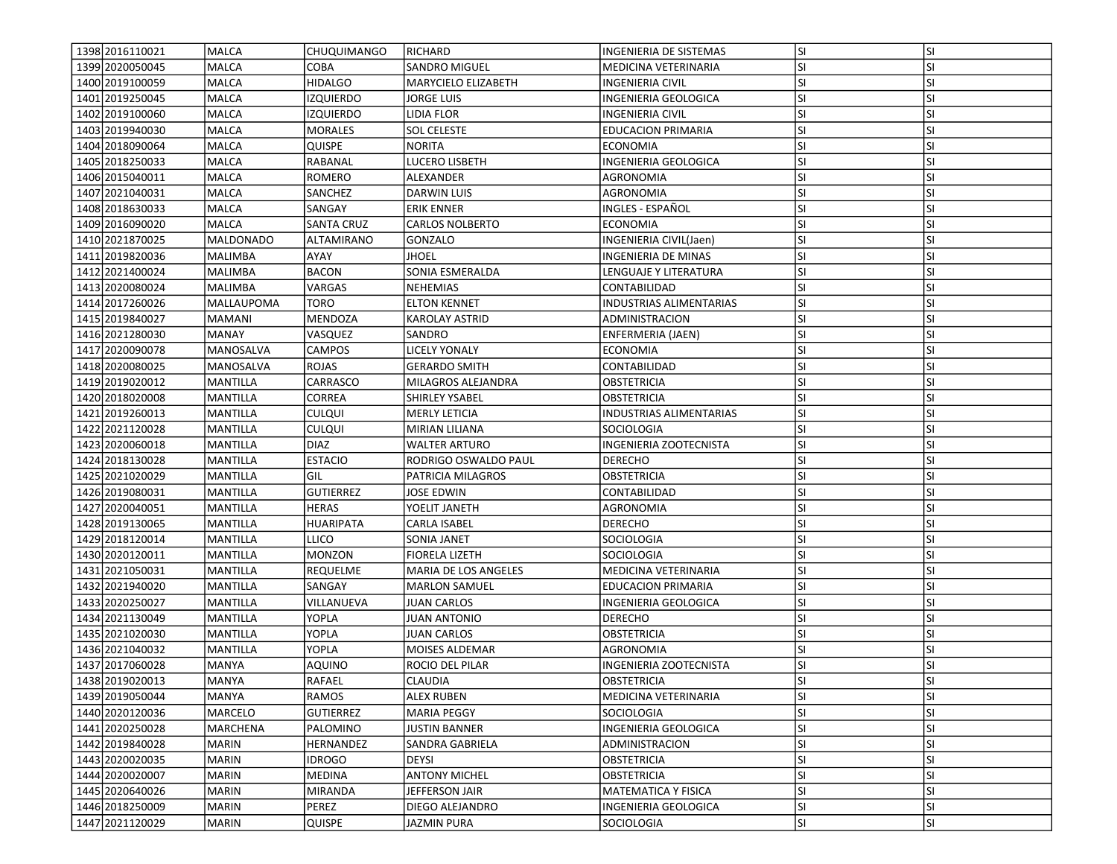| 1398 2016 1100 21<br>1399 2020050045 | MALCA<br><b>MALCA</b> | <b>CHUQUIMANGO</b><br>COBA | RICHARD<br><b>SANDRO MIGUEL</b>              | <b>INGENIERIA DE SISTEMAS</b><br>MEDICINA VETERINARIA | lsı<br>SI. | <b>SI</b><br>SI        |
|--------------------------------------|-----------------------|----------------------------|----------------------------------------------|-------------------------------------------------------|------------|------------------------|
| 1400 2019 100059                     | MALCA                 | <b>HIDALGO</b>             | MARYCIELO ELIZABETH                          |                                                       | lsı        | <b>SI</b>              |
|                                      |                       |                            |                                              | INGENIERIA CIVIL                                      |            |                        |
| 1401 2019 250045                     | <b>MALCA</b>          | <b>IZQUIERDO</b>           | <b>JORGE LUIS</b>                            | INGENIERIA GEOLOGICA                                  | lsı        | <b>SI</b>              |
| 1402 2019 100060                     | MALCA                 | <b>IZQUIERDO</b>           | LIDIA FLOR                                   | INGENIERIA CIVIL                                      | lsı        | <b>SI</b>              |
| 1403 2019940030                      | <b>MALCA</b>          | <b>MORALES</b>             | <b>SOL CELESTE</b>                           | <b>EDUCACION PRIMARIA</b>                             | lsı        | <b>SI</b>              |
| 1404 2018 090064                     | <b>MALCA</b>          | QUISPE                     | <b>NORITA</b>                                | <b>ECONOMIA</b>                                       | <b>SI</b>  | <b>SI</b>              |
| 1405 2018 250033                     | <b>MALCA</b>          | RABANAL                    | LUCERO LISBETH                               | INGENIERIA GEOLOGICA                                  | <b>SI</b>  | <b>SI</b>              |
| 1406 2015 040011                     | <b>MALCA</b>          | ROMERO                     | ALEXANDER                                    | AGRONOMIA                                             | <b>SI</b>  | <b>SI</b>              |
| 1407 2021040031                      | MALCA                 | SANCHEZ                    | <b>DARWIN LUIS</b>                           | AGRONOMIA                                             | <b>SI</b>  | <b>SI</b>              |
| 1408 2018 630033                     | <b>MALCA</b>          | SANGAY                     | <b>ERIK ENNER</b>                            | INGLES - ESPAÑOL                                      | lsı        | <b>SI</b>              |
| 1409 2016090020                      | <b>MALCA</b>          | <b>SANTA CRUZ</b>          | <b>CARLOS NOLBERTO</b>                       | ECONOMIA                                              | lsı        | <b>SI</b>              |
| 1410 2021 870 025                    | <b>MALDONADO</b>      | ALTAMIRANO                 | <b>GONZALO</b>                               | INGENIERIA CIVIL(Jaen)                                | <b>SI</b>  | <b>SI</b>              |
| 1411 2019 820036                     | MALIMBA               | AYAY                       | JHOEL                                        | INGENIERIA DE MINAS                                   | <b>SI</b>  | <b>SI</b>              |
| 1412 20214 00024                     | <b>MALIMBA</b>        | <b>BACON</b>               | SONIA ESMERALDA                              | LENGUAJE Y LITERATURA                                 | <b>SI</b>  | <b>SI</b>              |
| 1413 2020080024                      | MALIMBA               | VARGAS                     | NEHEMIAS                                     | CONTABILIDAD                                          | <b>SI</b>  | <b>SI</b>              |
| 1414 2017 2600 26                    | MALLAUPOMA            | TORO                       | <b>ELTON KENNET</b>                          | INDUSTRIAS ALIMENTARIAS                               | <b>SI</b>  | <b>SI</b>              |
| 1415 2019840027                      | MAMANI                | MENDOZA                    | <b>KAROLAY ASTRID</b>                        | ADMINISTRACION                                        | lsı        | SI                     |
| 1416 2021 280030                     | <b>MANAY</b>          | VASQUEZ                    | SANDRO                                       | ENFERMERIA (JAEN)                                     | lsı        | <b>SI</b>              |
| 1417 2020090078                      | MANOSALVA             | <b>CAMPOS</b>              | <b>LICELY YONALY</b>                         | <b>ECONOMIA</b>                                       | <b>SI</b>  | <b>SI</b>              |
| 1418 2020080025                      | MANOSALVA             | <b>ROJAS</b>               | <b>GERARDO SMITH</b>                         | CONTABILIDAD                                          | <b>SI</b>  | <b>SI</b>              |
| 1419 2019 020012                     | MANTILLA              | CARRASCO                   | MILAGROS ALEJANDRA                           | <b>OBSTETRICIA</b>                                    | <b>SI</b>  | <b>SI</b>              |
| 1420 20180 2000 8                    | MANTILLA              | CORREA                     | SHIRLEY YSABEL                               | OBSTETRICIA                                           | <b>SI</b>  | <b>SI</b>              |
| 1421 2019 260013                     | MANTILLA              | CULQUI                     | <b>MERLY LETICIA</b>                         | INDUSTRIAS ALIMENTARIAS                               | lsı        | <b>SI</b>              |
| 1422 2021120028                      | MANTILLA              | <b>CULQUI</b>              | MIRIAN LILIANA                               | <b>SOCIOLOGIA</b>                                     | <b>SI</b>  | <b>SI</b>              |
| 1423 2020060018                      | MANTILLA              | DIAZ                       | <b>WALTER ARTURO</b>                         | INGENIERIA ZOOTECNISTA                                | lsı        | <b>SI</b>              |
| 1424 2018 1300 28                    | MANTILLA              | <b>ESTACIO</b>             | RODRIGO OSWALDO PAUL                         | <b>DERECHO</b>                                        | <b>SI</b>  | <b>SI</b>              |
| 1425 20210 20029                     | MANTILLA              | GIL                        | PATRICIA MILAGROS                            | <b>OBSTETRICIA</b>                                    | <b>SI</b>  | <b>SI</b>              |
| 1426 2019 080031                     | MANTILLA              | <b>GUTIERREZ</b>           | JOSE EDWIN                                   | CONTABILIDAD                                          | <b>SI</b>  | SI                     |
| 1427 2020040051                      | MANTILLA              | HERAS                      | YOELIT JANETH                                | AGRONOMIA                                             | SI.        | <b>SI</b>              |
| 1428 2019 1300 65                    | MANTILLA              | HUARIPATA                  | CARLA ISABEL                                 | <b>DERECHO</b>                                        | <b>SI</b>  | <b>SI</b>              |
| 1429 2018 1200 14                    | MANTILLA              | LLICO                      | SONIA JANET                                  | SOCIOLOGIA                                            | lsı        | <b>SI</b>              |
|                                      | <b>MANTILLA</b>       | <b>MONZON</b>              | <b>FIORELA LIZETH</b>                        | SOCIOLOGIA                                            | lsı        | <b>SI</b>              |
| 1430 2020 1200 11                    |                       |                            |                                              |                                                       |            |                        |
| 1431 2021050031                      | MANTILLA              | <b>REQUELME</b>            | MARIA DE LOS ANGELES<br><b>MARLON SAMUEL</b> | MEDICINA VETERINARIA                                  | SI.<br>lsı | <b>SI</b><br><b>SI</b> |
| 1432 2021940020                      | MANTILLA              | SANGAY                     |                                              | <b>EDUCACION PRIMARIA</b>                             |            |                        |
| 1433 2020250027                      | MANTILLA              | VILLANUEVA                 | JUAN CARLOS                                  | INGENIERIA GEOLOGICA                                  | <b>SI</b>  | SI                     |
| 1434 2021 1300 49                    | MANTILLA              | YOPLA                      | JUAN ANTONIO                                 | <b>DERECHO</b>                                        | <b>SI</b>  | <b>SI</b>              |
| 1435 20210 20030                     | MANTILLA              | YOPLA                      | JUAN CARLOS                                  | OBSTETRICIA                                           | <b>SI</b>  | <b>SI</b>              |
| 1436 2021040032                      | <b>MANTILLA</b>       | <b>YOPLA</b>               | MOISES ALDEMAR                               | AGRONOMIA                                             | <b>SI</b>  | <b>SI</b>              |
| 1437 2017060028                      | <b>MANYA</b>          | AQUINO                     | ROCIO DEL PILAR                              | <b>INGENIERIA ZOOTECNISTA</b>                         | SI         | <b>SI</b>              |
| 1438 2019 020013                     | IMANYA                | RAFAEL                     | <b>CLAUDIA</b>                               | <b>OBSTETRICIA</b>                                    | lsı        | ISI                    |
| 1439 2019 050044                     | <b>MANYA</b>          | RAMOS                      | <b>ALEX RUBEN</b>                            | MEDICINA VETERINARIA                                  | lsı        | <b>SI</b>              |
| 1440 2020 1200 36                    | MARCELO               | <b>GUTIERREZ</b>           | <b>MARIA PEGGY</b>                           | SOCIOLOGIA                                            | <b>SI</b>  | SI                     |
| 1441 2020 2500 28                    | MARCHENA              | PALOMINO                   | JUSTIN BANNER                                | INGENIERIA GEOLOGICA                                  | <b>SI</b>  | SI                     |
| 1442 2019 840028                     | <b>MARIN</b>          | HERNANDEZ                  | SANDRA GABRIELA                              | ADMINISTRACION                                        | SI.        | <b>SI</b>              |
| 1443 2020020035                      | MARIN                 | <b>IDROGO</b>              | <b>DEYSI</b>                                 | OBSTETRICIA                                           | <b>SI</b>  | <b>SI</b>              |
| 1444 2020020007                      | <b>MARIN</b>          | <b>MEDINA</b>              | <b>ANTONY MICHEL</b>                         | <b>OBSTETRICIA</b>                                    | lsı        | <b>SI</b>              |
| 1445 2020 6400 26                    | <b>MARIN</b>          | <b>MIRANDA</b>             | JEFFERSON JAIR                               | MATEMATICA Y FISICA                                   | <b>SI</b>  | <b>SI</b>              |
| 1446 2018 250009                     | MARIN                 | PEREZ                      | DIEGO ALEJANDRO                              | INGENIERIA GEOLOGICA                                  | SI.        | SI                     |
| 1447 2021120029                      | MARIN                 | QUISPE                     | <b>JAZMIN PURA</b>                           | SOCIOLOGIA                                            | SI.        | SI                     |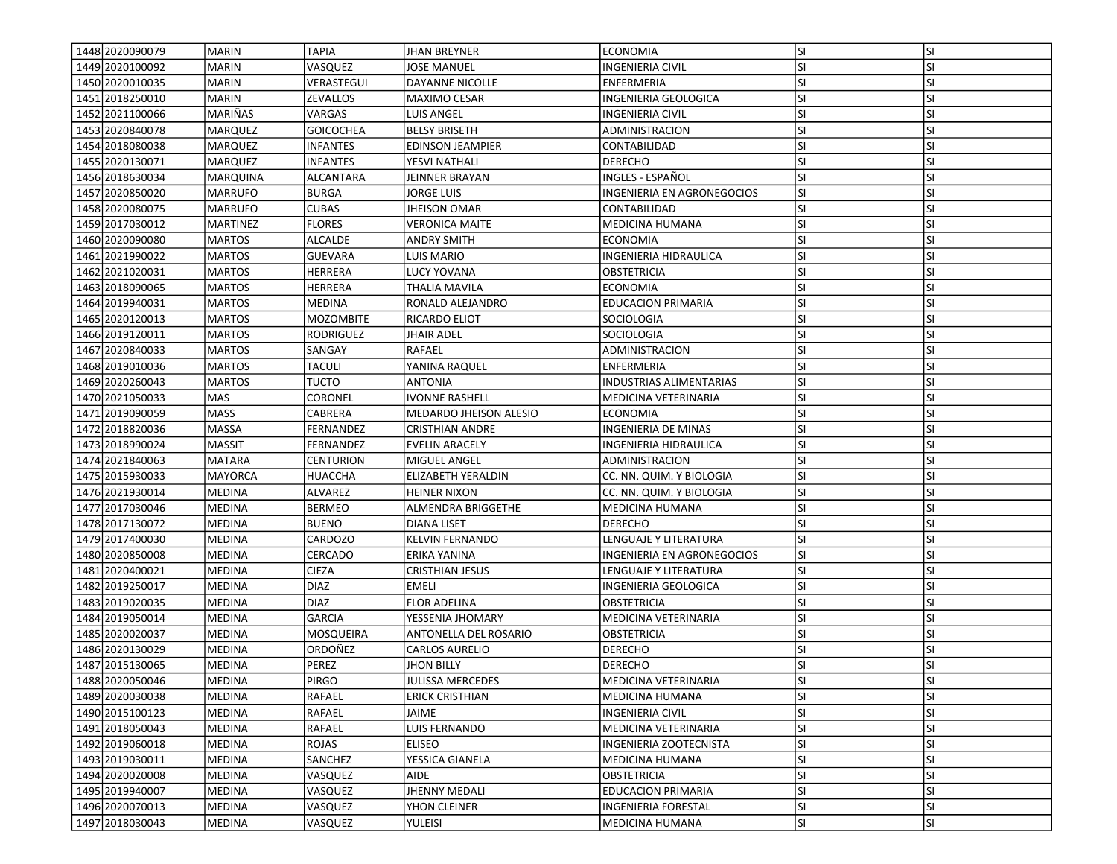| 1448 2020090079   | MARIN           | <b>TAPIA</b>      | <b>JHAN BREYNER</b>           | <b>ECONOMIA</b>                | lsı       | <b>SI</b> |
|-------------------|-----------------|-------------------|-------------------------------|--------------------------------|-----------|-----------|
| 1449 2020 100092  | <b>MARIN</b>    | VASQUEZ           | JOSE MANUEL                   | INGENIERIA CIVIL               | SI.       | SI        |
| 1450 2020010035   | <b>MARIN</b>    | <b>VERASTEGUI</b> | DAYANNE NICOLLE               | <b>ENFERMERIA</b>              | <b>SI</b> | <b>SI</b> |
| 1451 2018250010   | <b>MARIN</b>    | <b>ZEVALLOS</b>   | MAXIMO CESAR                  | INGENIERIA GEOLOGICA           | <b>SI</b> | <b>SI</b> |
| 1452 2021100066   | MARIÑAS         | VARGAS            | LUIS ANGEL                    | <b>INGENIERIA CIVIL</b>        | SI.       | <b>SI</b> |
| 1453 2020840078   | MARQUEZ         | <b>GOICOCHEA</b>  | <b>BELSY BRISETH</b>          | ADMINISTRACION                 | <b>SI</b> | <b>SI</b> |
| 1454 2018080038   | MARQUEZ         | <b>INFANTES</b>   | <b>EDINSON JEAMPIER</b>       | CONTABILIDAD                   | <b>SI</b> | <b>SI</b> |
| 1455 2020 1300 71 | <b>MARQUEZ</b>  | <b>INFANTES</b>   | YESVI NATHALI                 | <b>DERECHO</b>                 | <b>SI</b> | SI        |
| 1456 2018 630034  | MARQUINA        | ALCANTARA         | JEINNER BRAYAN                | INGLES - ESPAÑOL               | SI.       | <b>SI</b> |
| 1457 2020850020   | MARRUFO         | <b>BURGA</b>      | <b>JORGE LUIS</b>             | INGENIERIA EN AGRONEGOCIOS     | SI        | <b>SI</b> |
| 1458 2020080075   | MARRUFO         | <b>CUBAS</b>      | <b>JHEISON OMAR</b>           | CONTABILIDAD                   | <b>SI</b> | <b>SI</b> |
| 1459 2017 030012  | <b>MARTINEZ</b> | <b>FLORES</b>     | <b>VERONICA MAITE</b>         | MEDICINA HUMANA                | lsı       | <b>SI</b> |
| 1460 2020090080   | <b>MARTOS</b>   | <b>ALCALDE</b>    | <b>ANDRY SMITH</b>            | <b>ECONOMIA</b>                | <b>SI</b> | <b>SI</b> |
| 1461 2021990022   | <b>MARTOS</b>   | <b>GUEVARA</b>    | LUIS MARIO                    | <b>INGENIERIA HIDRAULICA</b>   | <b>SI</b> | <b>SI</b> |
| 1462 2021020031   | <b>MARTOS</b>   | <b>HERRERA</b>    | LUCY YOVANA                   | OBSTETRICIA                    | <b>SI</b> | SI        |
| 1463 2018090065   | <b>MARTOS</b>   | HERRERA           | THALIA MAVILA                 | ECONOMIA                       | <b>SI</b> | <b>SI</b> |
| 1464 2019 9400 31 | <b>MARTOS</b>   | <b>MEDINA</b>     | RONALD ALEJANDRO              | EDUCACION PRIMARIA             | <b>SI</b> | SI        |
| 1465 2020120013   | MARTOS          | <b>MOZOMBITE</b>  | RICARDO ELIOT                 | <b>SOCIOLOGIA</b>              | <b>SI</b> | <b>SI</b> |
| 1466 2019 1200 11 | <b>MARTOS</b>   | RODRIGUEZ         | <b>JHAIR ADEL</b>             | <b>SOCIOLOGIA</b>              | <b>SI</b> | <b>SI</b> |
| 1467 2020 8400 33 | <b>IMARTOS</b>  | SANGAY            | <b>RAFAEL</b>                 | ADMINISTRACION                 | SI.       | <b>SI</b> |
| 1468 2019 010036  | <b>MARTOS</b>   | <b>TACULI</b>     | YANINA RAQUEL                 | ENFERMERIA                     | lsı       | <b>SI</b> |
| 1469 2020 260043  | <b>MARTOS</b>   | <b>TUCTO</b>      | <b>ANTONIA</b>                | <b>INDUSTRIAS ALIMENTARIAS</b> | SI        | <b>SI</b> |
| 1470 2021050033   | <b>MAS</b>      | CORONEL           | <b>IVONNE RASHELL</b>         | MEDICINA VETERINARIA           | SI.       | <b>SI</b> |
| 1471 2019 09 0059 | <b>MASS</b>     | CABRERA           | <b>MEDARDO JHEISON ALESIO</b> | <b>ECONOMIA</b>                | <b>SI</b> | <b>SI</b> |
| 1472 2018 820036  | MASSA           | FERNANDEZ         | <b>CRISTHIAN ANDRE</b>        | <b>INGENIERIA DE MINAS</b>     | SI        | <b>SI</b> |
| 1473 2018 990024  | <b>MASSIT</b>   | FERNANDEZ         | <b>EVELIN ARACELY</b>         | INGENIERIA HIDRAULICA          | SI        | <b>SI</b> |
| 1474 2021840063   | MATARA          | <b>CENTURION</b>  | MIGUEL ANGEL                  | ADMINISTRACION                 | <b>SI</b> | <b>SI</b> |
| 1475 2015 930033  | <b>MAYORCA</b>  | <b>HUACCHA</b>    | ELIZABETH YERALDIN            | CC. NN. QUIM. Y BIOLOGIA       | lsı       | <b>SI</b> |
| 1476 2021930014   | <b>MEDINA</b>   | ALVAREZ           | <b>HEINER NIXON</b>           | CC. NN. QUIM. Y BIOLOGIA       | SI        | SI        |
| 1477 2017 030046  | MEDINA          | <b>BERMEO</b>     | ALMENDRA BRIGGETHE            | <b>MEDICINA HUMANA</b>         | <b>SI</b> | <b>SI</b> |
| 1478 2017130072   | <b>MEDINA</b>   | <b>BUENO</b>      | DIANA LISET                   | <b>DERECHO</b>                 | <b>SI</b> | SI        |
| 1479 2017400030   | <b>MEDINA</b>   | CARDOZO           | <b>KELVIN FERNANDO</b>        | LENGUAJE Y LITERATURA          | <b>SI</b> | <b>SI</b> |
| 1480 2020 850008  | MEDINA          | CERCADO           | ERIKA YANINA                  | INGENIERIA EN AGRONEGOCIOS     | SI        | <b>SI</b> |
| 1481 2020400021   | MEDINA          | <b>CIEZA</b>      | <b>CRISTHIAN JESUS</b>        | LENGUAJE Y LITERATURA          | SI.       | <b>SI</b> |
| 1482 2019 250017  | MEDINA          | <b>DIAZ</b>       | <b>EMELI</b>                  | INGENIERIA GEOLOGICA           | lsı       | <b>SI</b> |
| 1483 2019 020035  | <b>MEDINA</b>   | <b>DIAZ</b>       | <b>FLOR ADELINA</b>           | OBSTETRICIA                    | <b>SI</b> | SI        |
| 1484 2019 050014  | <b>MEDINA</b>   | <b>GARCIA</b>     | YESSENIA JHOMARY              | MEDICINA VETERINARIA           | <b>SI</b> | <b>SI</b> |
| 1485 2020020037   | <b>MEDINA</b>   | MOSQUEIRA         | ANTONELLA DEL ROSARIO         | OBSTETRICIA                    | SI.       | <b>SI</b> |
| 1486 2020130029   | <b>MEDINA</b>   | ORDOÑEZ           | CARLOS AURELIO                | <b>DERECHO</b>                 | <b>SI</b> | <b>SI</b> |
| 1487 2015 1300 65 | <b>MEDINA</b>   | PEREZ             | <b>JHON BILLY</b>             | <b>DERECHO</b>                 | SI        | <b>SI</b> |
| 1488 2020050046   | <b>MEDINA</b>   | PIRGO             | <b>JULISSA MERCEDES</b>       | MEDICINA VETERINARIA           | SI.       | ΙSΙ       |
| 1489 2020 030038  | <b>MEDINA</b>   | RAFAEL            | <b>ERICK CRISTHIAN</b>        | MEDICINA HUMANA                | SI.       | <b>SI</b> |
| 1490 2015 100123  | MEDINA          | RAFAEL            | JAIME                         | <b>INGENIERIA CIVIL</b>        | <b>SI</b> | SI        |
| 1491 2018050043   | MEDINA          | RAFAEL            | LUIS FERNANDO                 | MEDICINA VETERINARIA           | SI.       | <b>SI</b> |
| 1492 2019 060018  | MEDINA          | ROJAS             | ELISEO                        | INGENIERIA ZOOTECNISTA         | SI.       | SI        |
| 1493 2019 030011  | <b>MEDINA</b>   | <b>SANCHEZ</b>    | YESSICA GIANELA               | MEDICINA HUMANA                | <b>SI</b> | <b>SI</b> |
| 1494 2020020008   | <b>MEDINA</b>   | VASQUEZ           | AIDE                          | <b>OBSTETRICIA</b>             | <b>SI</b> | SI        |
| 1495 2019940007   | <b>MEDINA</b>   | VASQUEZ           | <b>JHENNY MEDALI</b>          | EDUCACION PRIMARIA             | <b>SI</b> | <b>SI</b> |
| 1496 2020 070013  | MEDINA          | VASQUEZ           | YHON CLEINER                  | <b>INGENIERIA FORESTAL</b>     | SI.       | SI        |
| 1497 2018030043   | <b>MEDINA</b>   | VASQUEZ           | <b>YULEISI</b>                | MEDICINA HUMANA                | SI.       | SI        |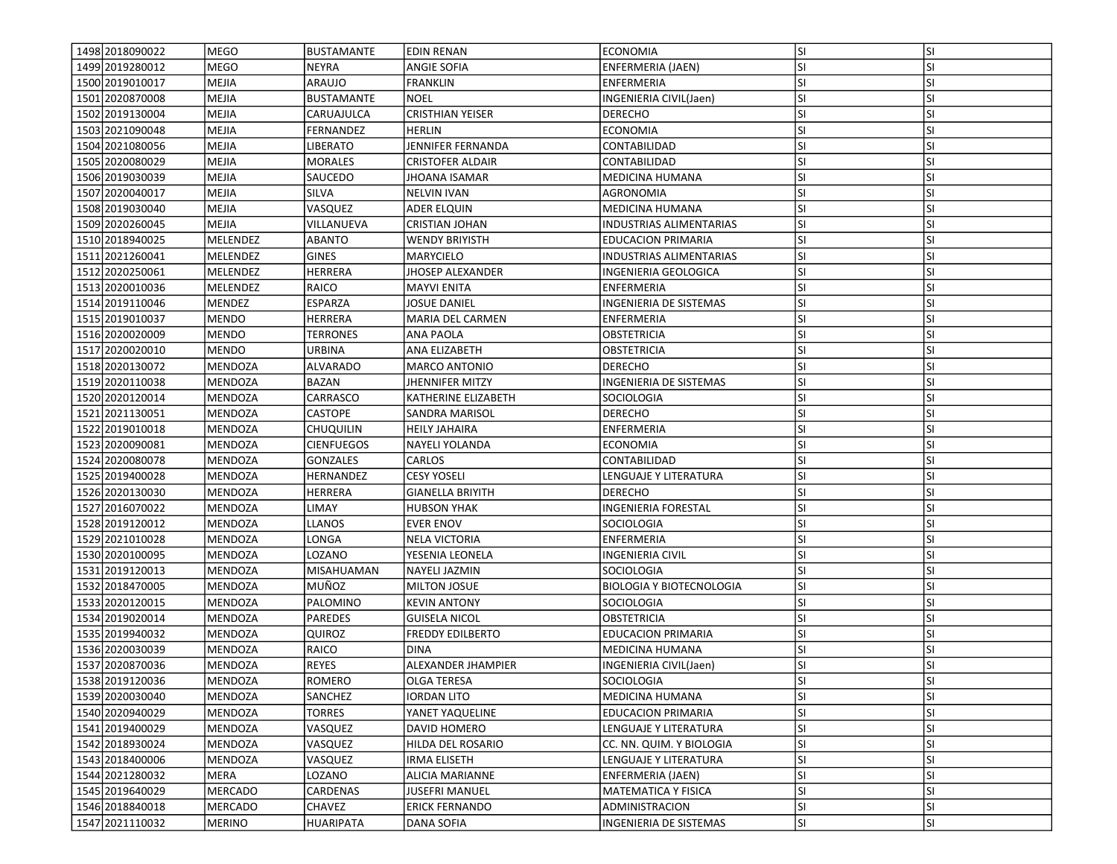| 1498 2018 0900 22 | <b>MEGO</b>     | BUSTAMANTE        | <b>EDIN RENAN</b>       | <b>ECONOMIA</b>                 | <b>SI</b> | <b>SI</b> |
|-------------------|-----------------|-------------------|-------------------------|---------------------------------|-----------|-----------|
| 1499 2019 2800 12 | <b>MEGO</b>     | NEYRA             | ANGIE SOFIA             | ENFERMERIA (JAEN)               | SI        | SI        |
| 1500 2019010017   | <b>MEJIA</b>    | ARAUJO            | <b>FRANKLIN</b>         | <b>ENFERMERIA</b>               | SI        | SI        |
| 1501 2020870008   | <b>MEJIA</b>    | <b>BUSTAMANTE</b> | <b>NOEL</b>             | INGENIERIA CIVIL(Jaen)          | SI        | SI        |
| 1502 2019 130004  | <b>MEJIA</b>    | CARUAJULCA        | <b>CRISTHIAN YEISER</b> | <b>DERECHO</b>                  | SI        | SI        |
| 1503 2021090048   | <b>MEJIA</b>    | FERNANDEZ         | <b>HERLIN</b>           | <b>ECONOMIA</b>                 | SI        | SI        |
| 1504 2021080056   | <b>MEJIA</b>    | LIBERATO          | JENNIFER FERNANDA       | CONTABILIDAD                    | SI        | SI        |
| 1505 2020080029   | <b>MEJIA</b>    | <b>MORALES</b>    | <b>CRISTOFER ALDAIR</b> | CONTABILIDAD                    | SI        | SI        |
| 1506 2019 030039  | <b>MEJIA</b>    | SAUCEDO           | JHOANA ISAMAR           | MEDICINA HUMANA                 | SI        | SI        |
| 1507 2020040017   | <b>MEJIA</b>    | SILVA             | <b>NELVIN IVAN</b>      | AGRONOMIA                       | SI        | SI        |
| 1508 2019030040   | <b>MEJIA</b>    | VASQUEZ           | ADER ELQUIN             | MEDICINA HUMANA                 | SI        | SI        |
| 1509 2020 260045  | <b>MEJIA</b>    | VILLANUEVA        | CRISTIAN JOHAN          | <b>INDUSTRIAS ALIMENTARIAS</b>  | SI        | SI        |
| 1510 2018 940025  | MELENDEZ        | <b>ABANTO</b>     | <b>WENDY BRIYISTH</b>   | <b>EDUCACION PRIMARIA</b>       | SI        | SI        |
| 1511 2021 260041  | <b>MELENDEZ</b> | <b>GINES</b>      | MARYCIELO               | <b>INDUSTRIAS ALIMENTARIAS</b>  | SI        | SI        |
| 1512 2020250061   | MELENDEZ        | HERRERA           | JHOSEP ALEXANDER        | INGENIERIA GEOLOGICA            | SI        | SI        |
| 1513 2020010036   | MELENDEZ        | RAICO             | MAYVI ENITA             | ENFERMERIA                      | SI        | SI        |
| 1514 2019 110046  | MENDEZ          | <b>ESPARZA</b>    | JOSUE DANIEL            | INGENIERIA DE SISTEMAS          | SI        | SI        |
| 1515 2019010037   | <b>MENDO</b>    | HERRERA           | MARIA DEL CARMEN        | ENFERMERIA                      | SI        | SI        |
| 1516 2020020009   | <b>MENDO</b>    | <b>TERRONES</b>   | <b>ANA PAOLA</b>        | <b>OBSTETRICIA</b>              | SI        | SI        |
| 1517 2020020010   | MENDO           | URBINA            | ANA ELIZABETH           | OBSTETRICIA                     | <b>SI</b> | SI        |
| 1518 2020130072   | MENDOZA         | <b>ALVARADO</b>   | <b>MARCO ANTONIO</b>    | <b>DERECHO</b>                  | <b>SI</b> | SI        |
| 1519 2020110038   | <b>MENDOZA</b>  | BAZAN             | JHENNIFER MITZY         | INGENIERIA DE SISTEMAS          | SI        | SI        |
| 1520 2020 1200 14 | MENDOZA         | CARRASCO          | KATHERINE ELIZABETH     | SOCIOLOGIA                      | SI        | SI        |
| 1521 2021 1300 51 | MENDOZA         | CASTOPE           | SANDRA MARISOL          | DERECHO                         | SI        | SI        |
| 1522 2019010018   | <b>MENDOZA</b>  | Chuquilin         | <b>HEILY JAHAIRA</b>    | <b>ENFERMERIA</b>               | SI        | SI        |
| 1523 2020090081   | <b>MENDOZA</b>  | <b>CIENFUEGOS</b> | NAYELI YOLANDA          | <b>ECONOMIA</b>                 | SI        | SI        |
| 1524 2020080078   | <b>MENDOZA</b>  | <b>GONZALES</b>   | <b>CARLOS</b>           | CONTABILIDAD                    | SI        | SI        |
| 1525 2019400028   | <b>MENDOZA</b>  | HERNANDEZ         | <b>CESY YOSELI</b>      | LENGUAJE Y LITERATURA           | SI        | SI        |
| 1526 2020130030   | MENDOZA         | HERRERA           | <b>GIANELLA BRIYITH</b> | <b>DERECHO</b>                  | SI        | SI        |
| 1527 2016 070 022 | MENDOZA         | LIMAY             | <b>HUBSON YHAK</b>      | <b>INGENIERIA FORESTAL</b>      | SI        | SI        |
| 1528 2019 1200 12 | MENDOZA         | LLANOS            | <b>EVER ENOV</b>        | SOCIOLOGIA                      | ΙSΙ       | SI        |
| 1529 2021010028   | <b>MENDOZA</b>  | LONGA             | <b>NELA VICTORIA</b>    | <b>ENFERMERIA</b>               | SI        | SI        |
| 1530 2020100095   | MENDOZA         | LOZANO            | YESENIA LEONELA         | <b>INGENIERIA CIVIL</b>         | SI        | SI        |
| 1531 2019 1200 13 | MENDOZA         | MISAHUAMAN        | NAYELI JAZMIN           | <b>SOCIOLOGIA</b>               | SI        | SI        |
| 1532 2018470005   | <b>MENDOZA</b>  | MUÑOZ             | <b>MILTON JOSUE</b>     | <b>BIOLOGIA Y BIOTECNOLOGIA</b> | SI        | SI        |
| 1533 2020 1200 15 | MENDOZA         | PALOMINO          | <b>KEVIN ANTONY</b>     | SOCIOLOGIA                      | <b>SI</b> | SI        |
| 1534 2019 020014  | <b>MENDOZA</b>  | <b>PAREDES</b>    | <b>GUISELA NICOL</b>    | <b>OBSTETRICIA</b>              | ΙSΙ       | SI        |
| 1535 2019 940032  | <b>MENDOZA</b>  | QUIROZ            | <b>FREDDY EDILBERTO</b> | <b>EDUCACION PRIMARIA</b>       | SI        | SI        |
| 1536 2020030039   | MENDOZA         | RAICO             | <b>DINA</b>             | MEDICINA HUMANA                 | SI        | SI        |
| 1537 2020870036   | MENDOZA         | <b>REYES</b>      | ALEXANDER JHAMPIER      | INGENIERIA CIVIL(Jaen)          | SI        | SI        |
| 1538 2019 120036  | MENDOZA         | ROMERO            | OLGA TERESA             | SOCIOLOGIA                      | lsı       | ΙSΙ       |
| 1539 2020030040   | <b>MENDOZA</b>  | SANCHEZ           | <b>IORDAN LITO</b>      | <b>MEDICINA HUMANA</b>          | <b>SI</b> | SI        |
| 1540 2020 940029  | MENDOZA         | <b>TORRES</b>     | YANET YAQUELINE         | EDUCACION PRIMARIA              | SI        | SI        |
| 1541 2019400029   | <b>MENDOZA</b>  | VASQUEZ           | DAVID HOMERO            | LENGUAJE Y LITERATURA           | <b>SI</b> | SI        |
| 1542 2018 9300 24 | MENDOZA         | VASQUEZ           | HILDA DEL ROSARIO       | CC. NN. QUIM. Y BIOLOGIA        | SI        | SI        |
| 1543 2018400006   | <b>MENDOZA</b>  | VASQUEZ           | <b>IRMA ELISETH</b>     | LENGUAJE Y LITERATURA           | SI        | SI        |
| 1544 2021 2800 32 | MERA            | LOZANO            | <b>ALICIA MARIANNE</b>  | ENFERMERIA (JAEN)               | SI        | SI        |
| 1545 2019 640029  | MERCADO         | CARDENAS          | JUSEFRI MANUEL          | MATEMATICA Y FISICA             | SI        | SI        |
| 1546 2018840018   | MERCADO         | CHAVEZ            | <b>ERICK FERNANDO</b>   | ADMINISTRACION                  | <b>SI</b> | <b>SI</b> |
| 1547 2021110032   | <b>MERINO</b>   | HUARIPATA         | <b>DANA SOFIA</b>       | INGENIERIA DE SISTEMAS          | SI        | SI        |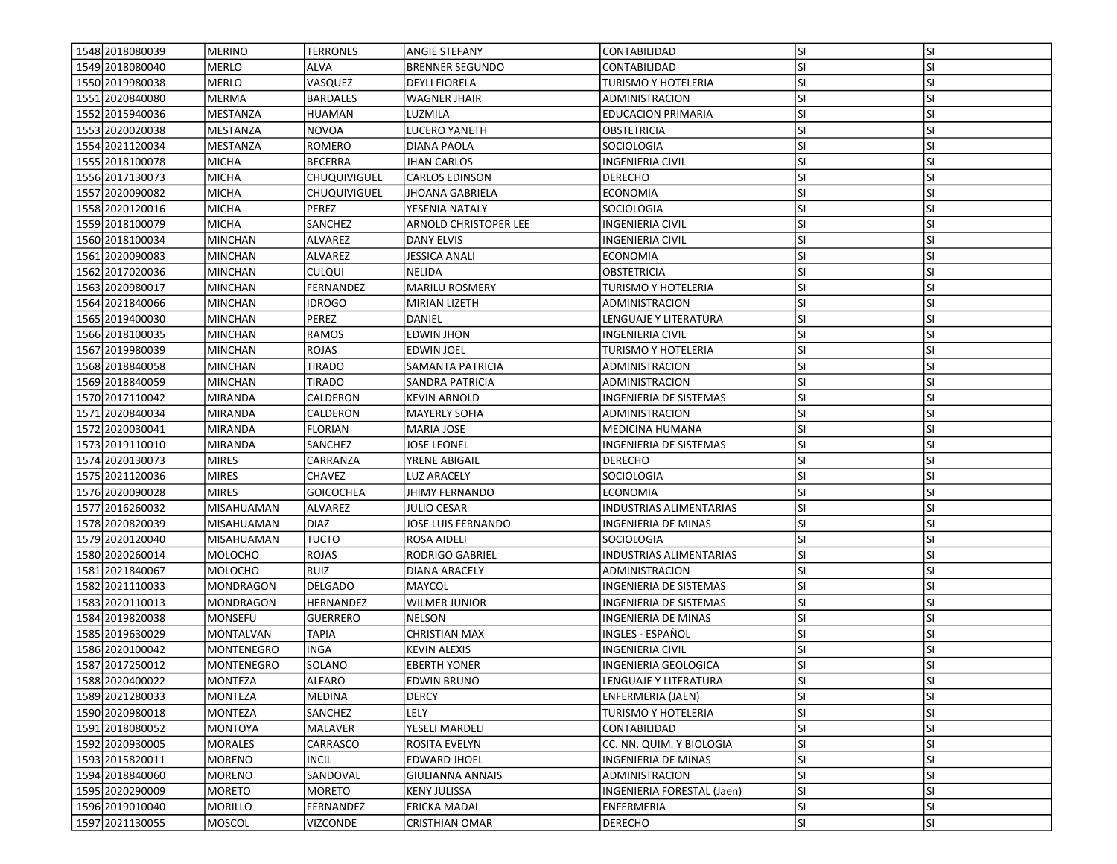| 1548 2018080039   | <b>MERINO</b>     | <b>TERRONES</b>     | <b>ANGIE STEFANY</b>         | CONTABILIDAD                  | lsı       | <b>SI</b> |
|-------------------|-------------------|---------------------|------------------------------|-------------------------------|-----------|-----------|
| 1549 2018080040   | <b>MERLO</b>      | ALVA                | <b>BRENNER SEGUNDO</b>       | CONTABILIDAD                  | <b>SI</b> | SI        |
| 1550 2019980038   | MERLO             | VASQUEZ             | <b>DEYLI FIORELA</b>         | TURISMO Y HOTELERIA           | <b>SI</b> | <b>SI</b> |
| 1551 2020840080   | MERMA             | <b>BARDALES</b>     | <b>WAGNER JHAIR</b>          | ADMINISTRACION                | <b>SI</b> | <b>SI</b> |
| 1552 2015 940036  | MESTANZA          | <b>HUAMAN</b>       | LUZMILA                      | <b>EDUCACION PRIMARIA</b>     | lsı       | <b>SI</b> |
| 1553 2020020038   | MESTANZA          | <b>NOVOA</b>        | <b>LUCERO YANETH</b>         | OBSTETRICIA                   | <b>SI</b> | <b>SI</b> |
| 1554 2021120034   | MESTANZA          | ROMERO              | DIANA PAOLA                  | SOCIOLOGIA                    | <b>SI</b> | <b>SI</b> |
| 1555 2018 100078  | <b>MICHA</b>      | <b>BECERRA</b>      | <b>JHAN CARLOS</b>           | INGENIERIA CIVIL              | <b>SI</b> | <b>SI</b> |
| 1556 2017130073   | <b>MICHA</b>      | CHUQUIVIGUEL        | <b>CARLOS EDINSON</b>        | <b>DERECHO</b>                | SI.       | <b>SI</b> |
| 1557 2020090082   | <b>MICHA</b>      | <b>CHUQUIVIGUEL</b> | <b>JHOANA GABRIELA</b>       | <b>ECONOMIA</b>               | lsı       | <b>SI</b> |
| 1558 2020 1200 16 | MICHA             | PEREZ               | YESENIA NATALY               | SOCIOLOGIA                    | <b>SI</b> | <b>SI</b> |
| 1559 2018 100079  | <b>MICHA</b>      | SANCHEZ             | <b>ARNOLD CHRISTOPER LEE</b> | <b>INGENIERIA CIVIL</b>       | lsı       | <b>SI</b> |
| 1560 2018 1000 34 | MINCHAN           | ALVAREZ             | DANY ELVIS                   | <b>INGENIERIA CIVIL</b>       | SI.       | <b>SI</b> |
| 1561 2020090083   | MINCHAN           | ALVAREZ             | <b>JESSICA ANALI</b>         | <b>ECONOMIA</b>               | <b>SI</b> | <b>SI</b> |
| 1562 2017020036   | <b>MINCHAN</b>    | <b>CULQUI</b>       | NELIDA                       | OBSTETRICIA                   | <b>SI</b> | <b>SI</b> |
| 1563 2020980017   | <b>MINCHAN</b>    | FERNANDEZ           | <b>MARILU ROSMERY</b>        | TURISMO Y HOTELERIA           | lsı       | SI        |
| 1564 2021840066   | <b>MINCHAN</b>    | <b>IDROGO</b>       | <b>MIRIAN LIZETH</b>         | ADMINISTRACION                | <b>SI</b> | <b>SI</b> |
| 1565 2019400030   | MINCHAN           | PEREZ               | DANIEL                       | LENGUAJE Y LITERATURA         | lsı       | <b>SI</b> |
| 1566 2018 100035  | <b>MINCHAN</b>    | <b>RAMOS</b>        | <b>EDWIN JHON</b>            | <b>INGENIERIA CIVIL</b>       | lsı       | <b>SI</b> |
| 1567 2019 980039  | <b>MINCHAN</b>    | ROJAS               | <b>EDWIN JOEL</b>            | TURISMO Y HOTELERIA           | <b>SI</b> | <b>SI</b> |
| 1568 2018 840058  | MINCHAN           | <b>TIRADO</b>       | SAMANTA PATRICIA             | ADMINISTRACION                | lsı       | <b>SI</b> |
| 1569 2018 840059  | <b>MINCHAN</b>    | <b>TIRADO</b>       | SANDRA PATRICIA              | ADMINISTRACION                | lsı       | SI        |
| 1570 2017110042   | <b>MIRANDA</b>    | CALDERON            | <b>KEVIN ARNOLD</b>          | INGENIERIA DE SISTEMAS        | SI.       | SI        |
| 1571 2020 8400 34 | <b>MIRANDA</b>    | CALDERON            | <b>MAYERLY SOFIA</b>         | ADMINISTRACION                | SI.       | <b>SI</b> |
| 1572 2020030041   | MIRANDA           | <b>FLORIAN</b>      | <b>MARIA JOSE</b>            | <b>MEDICINA HUMANA</b>        | lsı       | <b>SI</b> |
| 1573 2019 110010  | <b>MIRANDA</b>    | SANCHEZ             | <b>JOSE LEONEL</b>           | INGENIERIA DE SISTEMAS        | lsı       | <b>SI</b> |
| 1574 2020 1300 73 | MIRES             | CARRANZA            | YRENE ABIGAIL                | <b>DERECHO</b>                | <b>SI</b> | <b>SI</b> |
| 1575 2021120036   | <b>MIRES</b>      | <b>CHAVEZ</b>       | LUZ ARACELY                  | SOCIOLOGIA                    | lsı       | <b>SI</b> |
| 1576 2020090028   | <b>MIRES</b>      | <b>GOICOCHEA</b>    | JHIMY FERNANDO               | <b>ECONOMIA</b>               | <b>SI</b> | <b>SI</b> |
| 1577 2016 2600 32 | <b>MISAHUAMAN</b> | ALVAREZ             | <b>JULIO CESAR</b>           | INDUSTRIAS ALIMENTARIAS       | lsı       | <b>SI</b> |
| 1578 2020 820039  | MISAHUAMAN        | <b>DIAZ</b>         | JOSE LUIS FERNANDO           | INGENIERIA DE MINAS           | SI.       | SI        |
| 1579 2020120040   | MISAHUAMAN        | <b>TUCTO</b>        | <b>ROSA AIDELI</b>           | <b>SOCIOLOGIA</b>             | SI.       | <b>SI</b> |
| 1580 2020 260014  | <b>MOLOCHO</b>    | <b>ROJAS</b>        | <b>RODRIGO GABRIEL</b>       | INDUSTRIAS ALIMENTARIAS       | SI        | <b>SI</b> |
| 1581 2021840067   | MOLOCHO           | <b>RUIZ</b>         | DIANA ARACELY                | ADMINISTRACION                | SI.       | <b>SI</b> |
| 1582 2021110033   | <b>MONDRAGON</b>  | DELGADO             | MAYCOL                       | <b>INGENIERIA DE SISTEMAS</b> | lsı       | <b>SI</b> |
| 1583 2020 1100 13 | <b>MONDRAGON</b>  | HERNANDEZ           | WILMER JUNIOR                | INGENIERIA DE SISTEMAS        | <b>SI</b> | SI        |
| 1584 2019 820038  | <b>MONSEFU</b>    | <b>GUERRERO</b>     | <b>NELSON</b>                | INGENIERIA DE MINAS           | <b>SI</b> | <b>SI</b> |
| 1585 2019 630029  | MONTALVAN         | TAPIA               | <b>CHRISTIAN MAX</b>         | INGLES - ESPAÑOL              | <b>SI</b> | <b>SI</b> |
| 1586 2020 100042  | MONTENEGRO        | INGA                | <b>KEVIN ALEXIS</b>          | INGENIERIA CIVIL              | <b>SI</b> | <b>SI</b> |
| 1587 2017250012   | MONTENEGRO        | SOLANO              | <b>EBERTH YONER</b>          | INGENIERIA GEOLOGICA          | SI        | SI        |
| 1588 2020400022   | MONTEZA           | <b>ALFARO</b>       | <b>EDWIN BRUNO</b>           | LENGUAJE Y LITERATURA         | SI.       | ΙSΙ       |
| 1589 2021 2800 33 | MONTEZA           | MEDINA              | <b>DERCY</b>                 | ENFERMERIA (JAEN)             | lsı       | <b>SI</b> |
| 1590 2020980018   | MONTEZA           | SANCHEZ             | LELY                         | TURISMO Y HOTELERIA           | <b>SI</b> | SI        |
| 1591 2018080052   | <b>MONTOYA</b>    | MALAVER             | YESELI MARDELI               | CONTABILIDAD                  | <b>SI</b> | SI        |
| 1592 2020930005   | MORALES           | CARRASCO            | ROSITA EVELYN                | CC. NN. QUIM. Y BIOLOGIA      | SI.       | SI        |
| 1593 2015 820011  | MORENO            | <b>INCIL</b>        | EDWARD JHOEL                 | INGENIERIA DE MINAS           | <b>SI</b> | <b>SI</b> |
| 1594 2018840060   | MORENO            | SANDOVAL            | <b>GIULIANNA ANNAIS</b>      | ADMINISTRACION                | <b>SI</b> | <b>SI</b> |
| 1595 2020290009   | MORETO            | <b>MORETO</b>       | <b>KENY JULISSA</b>          | INGENIERIA FORESTAL (Jaen)    | SI.       | <b>SI</b> |
| 1596 2019010040   | MORILLO           | FERNANDEZ           | <b>ERICKA MADAI</b>          | <b>ENFERMERIA</b>             | SI.       | <b>SI</b> |
| 1597 2021130055   | MOSCOL            | VIZCONDE            | <b>CRISTHIAN OMAR</b>        | <b>DERECHO</b>                | SI.       | SI        |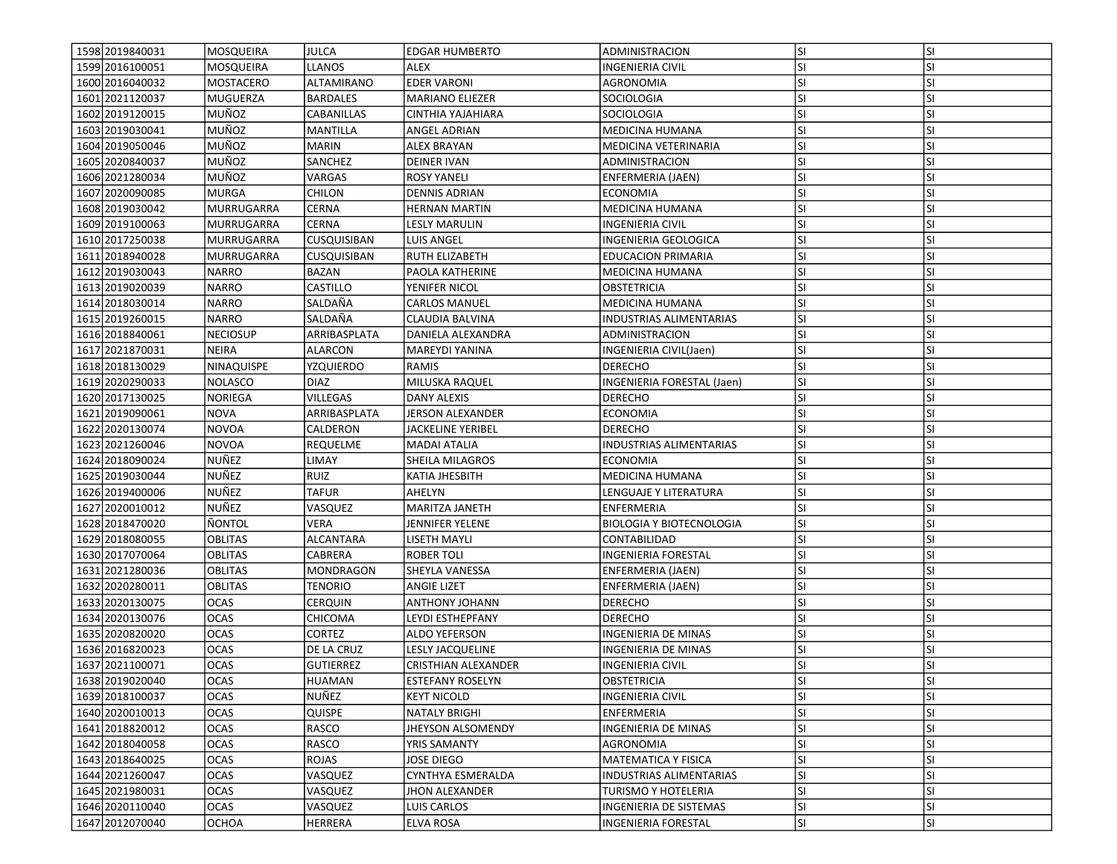| 1598 2019840031   | MOSQUEIRA                  | <b>JULCA</b>                   |                               | ADMINISTRACION                  | lsı              | <b>SI</b>              |
|-------------------|----------------------------|--------------------------------|-------------------------------|---------------------------------|------------------|------------------------|
| 1599 2016 1000 51 | MOSQUEIRA                  | <b>LLANOS</b>                  | <b>EDGAR HUMBERTO</b><br>ALEX | INGENIERIA CIVIL                | <b>SI</b>        | SI                     |
| 1600 2016040032   | MOSTACERO                  | ALTAMIRANO                     | <b>EDER VARONI</b>            | AGRONOMIA                       | lsı              | <b>SI</b>              |
| 1601 2021120037   | <b>MUGUERZA</b>            | <b>BARDALES</b>                | <b>MARIANO ELIEZER</b>        | <b>SOCIOLOGIA</b>               | lsı              | <b>SI</b>              |
|                   | MUÑOZ                      | CABANILLAS                     |                               |                                 |                  | <b>SI</b>              |
| 1602 2019 1200 15 | MUÑOZ                      |                                | CINTHIA YAJAHIARA             | SOCIOLOGIA                      | lsı<br>lsı       | <b>SI</b>              |
| 1603 2019 030041  |                            | MANTILLA                       | ANGEL ADRIAN                  | <b>MEDICINA HUMANA</b>          |                  |                        |
| 1604 2019 050046  | MUÑOZ                      | <b>MARIN</b>                   | ALEX BRAYAN                   | MEDICINA VETERINARIA            | SI.              | <b>SI</b>              |
| 1605 2020 8400 37 | MUÑOZ                      | SANCHEZ                        | <b>DEINER IVAN</b>            | ADMINISTRACION                  | <b>SI</b>        | <b>SI</b>              |
| 1606 2021280034   | MUÑOZ                      | VARGAS                         | ROSY YANELI                   | ENFERMERIA (JAEN)               | SI.              | <b>SI</b>              |
| 1607 2020090085   | MURGA                      | <b>CHILON</b>                  | <b>DENNIS ADRIAN</b>          | ECONOMIA                        | <b>SI</b>        | <b>SI</b>              |
| 1608 2019 030042  | MURRUGARRA                 | CERNA                          | <b>HERNAN MARTIN</b>          | <b>MEDICINA HUMANA</b>          | lsı              | <b>SI</b>              |
| 1609 2019 100063  | <b>MURRUGARRA</b>          | CERNA                          | <b>LESLY MARULIN</b>          | <b>INGENIERIA CIVIL</b>         | lsı              | <b>SI</b>              |
| 1610 2017250038   | MURRUGARRA                 | CUSQUISIBAN                    | LUIS ANGEL                    | INGENIERIA GEOLOGICA            | <b>SI</b>        | <b>SI</b>              |
| 1611 2018 940028  | MURRUGARRA                 | CUSQUISIBAN                    | <b>RUTH ELIZABETH</b>         | <b>EDUCACION PRIMARIA</b>       | SI               | <b>SI</b>              |
| 1612 2019 030043  | <b>NARRO</b>               | BAZAN                          | PAOLA KATHERINE               | MEDICINA HUMANA                 | <b>SI</b>        | <b>SI</b>              |
| 1613 2019 020039  | <b>NARRO</b>               | CASTILLO                       | YENIFER NICOL                 | OBSTETRICIA                     | <b>SI</b>        | <b>SI</b>              |
| 1614 2018 030014  | NARRO                      | SALDAÑA                        | <b>CARLOS MANUEL</b>          | MEDICINA HUMANA                 | <b>SI</b>        | <b>SI</b>              |
| 1615 2019 260015  | <b>NARRO</b>               | SALDAÑA                        | CLAUDIA BALVINA               | INDUSTRIAS ALIMENTARIAS         | SI               | <b>SI</b>              |
| 1616 2018 840061  | <b>NECIOSUP</b>            | ARRIBASPLATA                   | DANIELA ALEXANDRA             | ADMINISTRACION                  | lsı              | <b>SI</b>              |
| 1617 2021870031   | <b>NEIRA</b>               | ALARCON                        | <b>MAREYDI YANINA</b>         | INGENIERIA CIVIL(Jaen)          | SI.              | <b>SI</b>              |
| 1618 2018 1300 29 | NINAQUISPE                 | YZQUIERDO                      | RAMIS                         | <b>DERECHO</b>                  | <b>SI</b>        | <b>SI</b>              |
| 1619 2020 2900 33 | <b>NOLASCO</b>             | <b>DIAZ</b>                    | MILUSKA RAQUEL                | INGENIERIA FORESTAL (Jaen)      | <b>SI</b>        | SI                     |
| 1620 2017130025   | NORIEGA                    | <b>VILLEGAS</b>                | DANY ALEXIS                   | <b>DERECHO</b>                  | SI.              | <b>SI</b>              |
| 1621 2019 090061  | <b>NOVA</b>                | ARRIBASPLATA                   | JERSON ALEXANDER              | ECONOMIA                        | lsı              | <b>SI</b>              |
| 1622 2020130074   | <b>NOVOA</b>               | CALDERON                       | <b>JACKELINE YERIBEL</b>      | <b>DERECHO</b>                  | <b>SI</b>        | <b>SI</b>              |
| 1623 2021260046   | <b>NOVOA</b>               | REQUELME                       | <b>MADAI ATALIA</b>           | INDUSTRIAS ALIMENTARIAS         | lsı              | <b>SI</b>              |
| 1624 2018 0900 24 | NUÑEZ                      | LIMAY                          | SHEILA MILAGROS               | <b>ECONOMIA</b>                 | <b>SI</b>        | <b>SI</b>              |
| 1625 2019030044   | NUÑEZ                      | <b>RUIZ</b>                    | KATIA JHESBITH                | MEDICINA HUMANA                 | <b>SI</b>        | <b>SI</b>              |
| 1626 2019400006   | NUÑEZ                      | TAFUR                          | AHELYN                        | LENGUAJE Y LITERATURA           | <b>SI</b>        | <b>SI</b>              |
| 1627 2020010012   | NUÑEZ                      | VASQUEZ                        | MARITZA JANETH                | ENFERMERIA                      | SI.              | <b>SI</b>              |
| 1628 2018470020   | ÑONTOL                     | VERA                           | JENNIFER YELENE               | <b>BIOLOGIA Y BIOTECNOLOGIA</b> | <b>SI</b>        | <b>SI</b>              |
| 1629 2018080055   | <b>OBLITAS</b>             | ALCANTARA                      | LISETH MAYLI                  | CONTABILIDAD                    | <b>SI</b>        | <b>SI</b>              |
| 1630 2017070064   | <b>OBLITAS</b>             | CABRERA                        | <b>ROBER TOLI</b>             | <b>INGENIERIA FORESTAL</b>      | lsı              | <b>SI</b>              |
| 1631 2021 2800 36 | <b>OBLITAS</b>             | <b>MONDRAGON</b>               | SHEYLA VANESSA                | ENFERMERIA (JAEN)               | SI.              | <b>SI</b>              |
| 1632 2020 2800 11 | <b>OBLITAS</b>             | <b>TENORIO</b>                 | <b>ANGIE LIZET</b>            | ENFERMERIA (JAEN)               | <b>SI</b>        | <b>SI</b>              |
| 1633 2020130075   | <b>OCAS</b>                | <b>CERQUIN</b>                 | <b>ANTHONY JOHANN</b>         | <b>DERECHO</b>                  | <b>SI</b>        | <b>SI</b>              |
| 1634 2020 1300 76 | <b>OCAS</b>                | CHICOMA                        | LEYDI ESTHEPFANY              | <b>DERECHO</b>                  | <b>SI</b>        | <b>SI</b>              |
| 1635 2020 8200 20 | <b>OCAS</b>                |                                |                               |                                 | SI.              | <b>SI</b>              |
| 1636 2016820023   |                            | CORTEZ                         | ALDO YEFERSON                 | INGENIERIA DE MINAS             |                  |                        |
| 1637 2021 100071  | <b>OCAS</b><br><b>OCAS</b> | DE LA CRUZ<br><b>GUTIERREZ</b> | <b>LESLY JACQUELINE</b>       | INGENIERIA DE MINAS             | <b>SI</b><br>lsı | <b>SI</b><br><b>SI</b> |
|                   |                            |                                | CRISTHIAN ALEXANDER           | <b>INGENIERIA CIVIL</b>         |                  |                        |
| 1638 2019 020040  | <b>OCAS</b>                | <b>HUAMAN</b>                  | <b>ESTEFANY ROSELYN</b>       | OBSTETRICIA                     | SI.              | ΙSΙ                    |
| 1639 2018 1000 37 | <b>OCAS</b>                | NUÑEZ                          | <b>KEYT NICOLD</b>            | <b>INGENIERIA CIVIL</b>         | lsı              | <b>SI</b>              |
| 1640 2020010013   | <b>OCAS</b>                | QUISPE                         | <b>NATALY BRIGHI</b>          | ENFERMERIA                      | <b>SI</b>        | SI                     |
| 1641 2018 820012  | <b>OCAS</b>                | RASCO                          | JHEYSON ALSOMENDY             | INGENIERIA DE MINAS             | <b>SI</b>        | SI                     |
| 1642 2018040058   | OCAS                       | RASCO                          | YRIS SAMANTY                  | AGRONOMIA                       | <b>SI</b>        | <b>SI</b>              |
| 1643 2018 640025  | <b>OCAS</b>                | ROJAS                          | JOSE DIEGO                    | MATEMATICA Y FISICA             | <b>SI</b>        | <b>SI</b>              |
| 1644 2021 260047  | <b>OCAS</b>                | VASQUEZ                        | CYNTHYA ESMERALDA             | <b>INDUSTRIAS ALIMENTARIAS</b>  | SI               | SI                     |
| 1645 2021980031   | <b>OCAS</b>                | VASQUEZ                        | JHON ALEXANDER                | TURISMO Y HOTELERIA             | <b>SI</b>        | <b>SI</b>              |
| 1646 2020 110040  | <b>OCAS</b>                | VASQUEZ                        | LUIS CARLOS                   | <b>INGENIERIA DE SISTEMAS</b>   | <b>SI</b>        | <b>SI</b>              |
| 1647 2012070040   | <b>OCHOA</b>               | HERRERA                        | <b>ELVA ROSA</b>              | INGENIERIA FORESTAL             | SI.              | SI                     |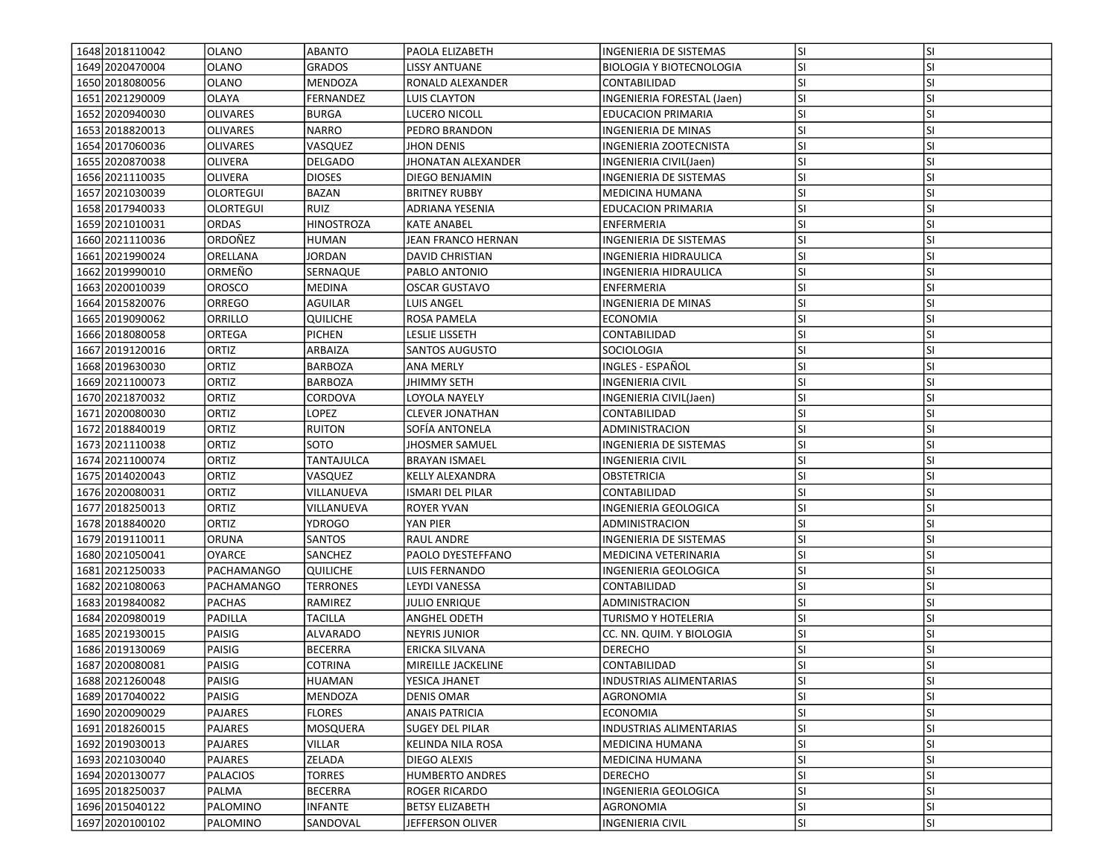| 1648 2018 110042  | <b>OLANO</b>      | ABANTO            | <b>PAOLA ELIZABETH</b>  | INGENIERIA DE SISTEMAS          | lsı        | <b>SI</b>              |
|-------------------|-------------------|-------------------|-------------------------|---------------------------------|------------|------------------------|
| 1649 2020 470004  | <b>OLANO</b>      | GRADOS            | LISSY ANTUANE           | <b>BIOLOGIA Y BIOTECNOLOGIA</b> | SI.        | SI                     |
| 1650 2018080056   | <b>OLANO</b>      | MENDOZA           | RONALD ALEXANDER        | CONTABILIDAD                    | <b>SI</b>  | <b>SI</b>              |
| 1651 2021 290009  | <b>OLAYA</b>      | FERNANDEZ         | <b>LUIS CLAYTON</b>     | INGENIERIA FORESTAL (Jaen)      | <b>SI</b>  | <b>SI</b>              |
| 1652 2020 940030  | <b>OLIVARES</b>   | <b>BURGA</b>      | LUCERO NICOLL           | <b>EDUCACION PRIMARIA</b>       | lsı        | <b>SI</b>              |
| 1653 2018 820013  | <b>OLIVARES</b>   | <b>NARRO</b>      | PEDRO BRANDON           | INGENIERIA DE MINAS             | <b>SI</b>  | <b>SI</b>              |
| 1654 2017060036   | <b>OLIVARES</b>   | VASQUEZ           | <b>JHON DENIS</b>       | INGENIERIA ZOOTECNISTA          | <b>SI</b>  | <b>SI</b>              |
| 1655 2020 870038  |                   |                   |                         |                                 |            | SI                     |
|                   | <b>OLIVERA</b>    | DELGADO           | JHONATAN ALEXANDER      | INGENIERIA CIVIL(Jaen)          | SI.        |                        |
| 1656 2021110035   | <b>OLIVERA</b>    | <b>DIOSES</b>     | DIEGO BENJAMIN          | INGENIERIA DE SISTEMAS          | SI.<br>lsı | <b>SI</b><br><b>SI</b> |
| 1657 2021030039   | <b>OLORTEGUI</b>  | BAZAN             | <b>BRITNEY RUBBY</b>    | MEDICINA HUMANA                 |            |                        |
| 1658 2017940033   | <b>OLORTEGUI</b>  | RUIZ              | ADRIANA YESENIA         | <b>EDUCACION PRIMARIA</b>       | SI.        | SI                     |
| 1659 2021010031   | <b>ORDAS</b>      | <b>HINOSTROZA</b> | <b>KATE ANABEL</b>      | ENFERMERIA                      | lsı        | <b>SI</b>              |
| 1660 2021110036   | ORDOÑEZ           | HUMAN             | JEAN FRANCO HERNAN      | <b>INGENIERIA DE SISTEMAS</b>   | SI.        | <b>SI</b>              |
| 1661 2021 9900 24 | ORELLANA          | <b>JORDAN</b>     | <b>DAVID CHRISTIAN</b>  | INGENIERIA HIDRAULICA           | <b>SI</b>  | <b>SI</b>              |
| 1662 2019 90010   | ORMEÑO            | SERNAQUE          | PABLO ANTONIO           | INGENIERIA HIDRAULICA           | SI.        | SI                     |
| 1663 2020010039   | <b>OROSCO</b>     | MEDINA            | <b>OSCAR GUSTAVO</b>    | ENFERMERIA                      | <b>SI</b>  | <b>SI</b>              |
| 1664 2015 820076  | <b>ORREGO</b>     | AGUILAR           | LUIS ANGEL              | INGENIERIA DE MINAS             | <b>SI</b>  | <b>SI</b>              |
| 1665 2019090062   | ORRILLO           | QUILICHE          | ROSA PAMELA             | <b>ECONOMIA</b>                 | lsı        | <b>SI</b>              |
| 1666 2018080058   | <b>ORTEGA</b>     | <b>PICHEN</b>     | LESLIE LISSETH          | CONTABILIDAD                    | lsı        | <b>SI</b>              |
| 1667 2019 1200 16 | ORTIZ             | ARBAIZA           | SANTOS AUGUSTO          | SOCIOLOGIA                      | SI.        | <b>SI</b>              |
| 1668 2019 630030  | ORTIZ             | <b>BARBOZA</b>    | <b>ANA MERLY</b>        | INGLES - ESPAÑOL                | lsı        | <b>SI</b>              |
| 1669 2021100073   | <b>ORTIZ</b>      | BARBOZA           | JHIMMY SETH             | INGENIERIA CIVIL                | SI.        | <b>SI</b>              |
| 1670 2021870032   | ORTIZ             | CORDOVA           | LOYOLA NAYELY           | INGENIERIA CIVIL(Jaen)          | SI.        | SI                     |
| 1671 2020 080030  | ORTIZ             | LOPEZ             | <b>CLEVER JONATHAN</b>  | CONTABILIDAD                    | SI.        | <b>SI</b>              |
| 1672 2018840019   | <b>ORTIZ</b>      | <b>RUITON</b>     | SOFÍA ANTONELA          | ADMINISTRACION                  | lsı        | <b>SI</b>              |
| 1673 2021110038   | ORTIZ             | SOTO              | JHOSMER SAMUEL          | INGENIERIA DE SISTEMAS          | lsı        | <b>SI</b>              |
| 1674 2021 100074  | ORTIZ             | TANTAJULCA        | <b>BRAYAN ISMAEL</b>    | <b>INGENIERIA CIVIL</b>         | SI.        | <b>SI</b>              |
| 1675 2014 020043  | ORTIZ             | VASQUEZ           | <b>KELLY ALEXANDRA</b>  | OBSTETRICIA                     | lsı        | <b>SI</b>              |
| 1676 2020080031   | ORTIZ             | VILLANUEVA        | <b>ISMARI DEL PILAR</b> | CONTABILIDAD                    | <b>SI</b>  | <b>SI</b>              |
| 1677 2018 250013  | ORTIZ             | VILLANUEVA        | <b>ROYER YVAN</b>       | INGENIERIA GEOLOGICA            | lsı        | <b>SI</b>              |
| 1678 2018840020   | ORTIZ             | YDROGO            | YAN PIER                | ADMINISTRACION                  | <b>SI</b>  | <b>SI</b>              |
| 1679 2019 1100 11 | <b>ORUNA</b>      | SANTOS            | <b>RAUL ANDRE</b>       | INGENIERIA DE SISTEMAS          | <b>SI</b>  | <b>SI</b>              |
| 1680 2021050041   | <b>OYARCE</b>     | SANCHEZ           | PAOLO DYESTEFFANO       | MEDICINA VETERINARIA            | lsı        | <b>SI</b>              |
| 1681 2021 2500 33 | PACHAMANGO        | QUILICHE          | LUIS FERNANDO           | INGENIERIA GEOLOGICA            | SI.        | <b>SI</b>              |
| 1682 2021080063   | <b>PACHAMANGO</b> | TERRONES          | LEYDI VANESSA           | CONTABILIDAD                    | lsı        | <b>SI</b>              |
| 1683 2019 8400 82 | <b>PACHAS</b>     | RAMIREZ           | JULIO ENRIQUE           | ADMINISTRACION                  | SI.        | SI                     |
| 1684 2020 980019  | <b>PADILLA</b>    | TACILLA           | ANGHEL ODETH            | TURISMO Y HOTELERIA             | <b>SI</b>  | <b>SI</b>              |
| 1685 2021930015   | PAISIG            | ALVARADO          | NEYRIS JUNIOR           | CC. NN. QUIM. Y BIOLOGIA        | SI.        | <b>SI</b>              |
| 1686 2019 1300 69 | PAISIG            | <b>BECERRA</b>    | ERICKA SILVANA          | <b>DERECHO</b>                  | <b>SI</b>  | <b>SI</b>              |
| 1687 2020080081   | PAISIG            | <b>COTRINA</b>    | MIREILLE JACKELINE      | CONTABILIDAD                    | SI         | <b>SI</b>              |
| 1688 2021260048   | PAISIG            | <b>HUAMAN</b>     | YESICA JHANET           | <b>INDUSTRIAS ALIMENTARIAS</b>  | SI.        | ΙSΙ                    |
| 1689 2017040022   | PAISIG            | MENDOZA           | <b>DENIS OMAR</b>       | <b>AGRONOMIA</b>                | <b>SI</b>  | <b>SI</b>              |
| 1690 2020090029   | PAJARES           | <b>FLORES</b>     | <b>ANAIS PATRICIA</b>   | ECONOMIA                        | <b>SI</b>  | <b>SI</b>              |
| 1691 2018 260015  | PAJARES           | MOSQUERA          | SUGEY DEL PILAR         | INDUSTRIAS ALIMENTARIAS         | SI.        | <b>SI</b>              |
| 1692 2019 030013  | PAJARES           | VILLAR            | KELINDA NILA ROSA       | MEDICINA HUMANA                 | SI.        | SI                     |
| 1693 2021030040   | PAJARES           | ZELADA            | DIEGO ALEXIS            | MEDICINA HUMANA                 | <b>SI</b>  | <b>SI</b>              |
| 1694 2020 1300 77 | PALACIOS          | <b>TORRES</b>     | <b>HUMBERTO ANDRES</b>  | <b>DERECHO</b>                  | <b>SI</b>  | <b>SI</b>              |
| 1695 2018 2500 37 | PALMA             | <b>BECERRA</b>    | ROGER RICARDO           | INGENIERIA GEOLOGICA            | <b>SI</b>  | <b>SI</b>              |
| 1696 2015 040122  | PALOMINO          | <b>INFANTE</b>    | <b>BETSY ELIZABETH</b>  | AGRONOMIA                       | SI.        | SI                     |
| 1697 2020100102   | PALOMINO          | SANDOVAL          | JEFFERSON OLIVER        | <b>INGENIERIA CIVIL</b>         | SI.        | <b>SI</b>              |
|                   |                   |                   |                         |                                 |            |                        |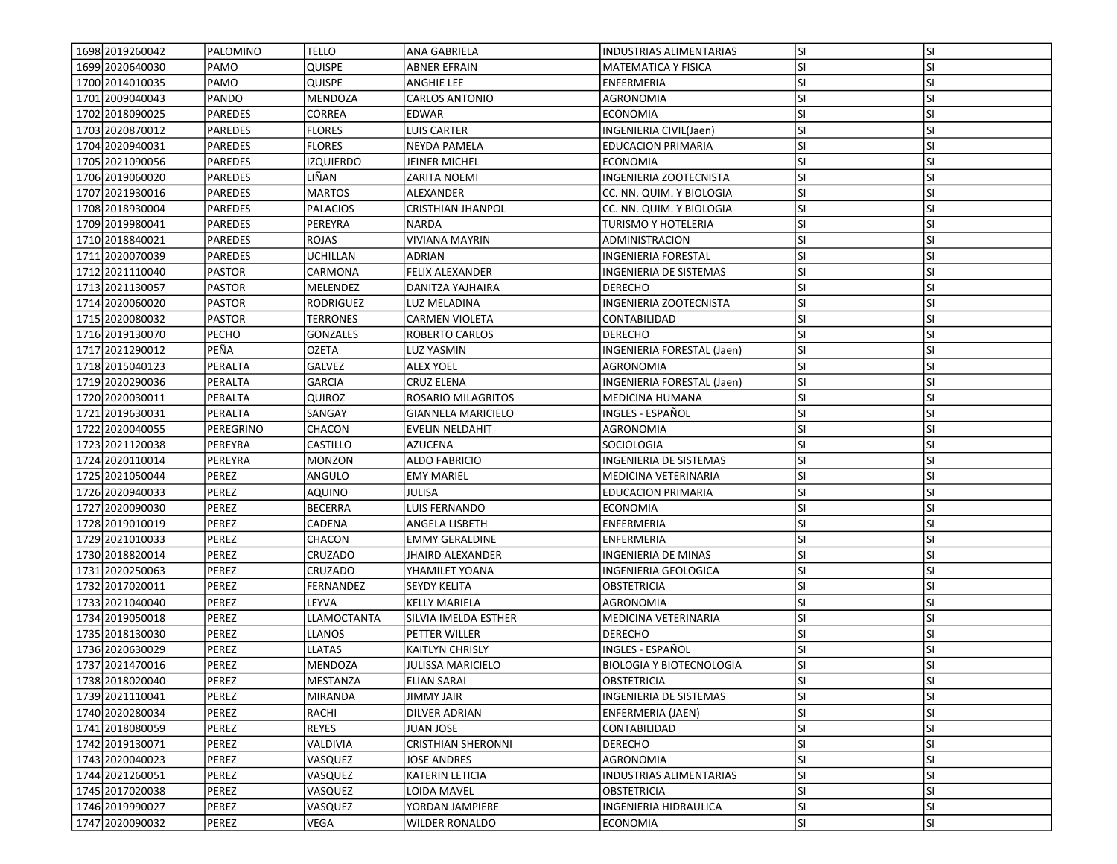| 1698 2019 260042                   | PALOMINO                | <b>TELLO</b>                       | <b>ANA GABRIELA</b>       | <b>INDUSTRIAS ALIMENTARIAS</b>                       | SI.       | <b>SI</b>              |
|------------------------------------|-------------------------|------------------------------------|---------------------------|------------------------------------------------------|-----------|------------------------|
| 1699 2020 640030                   | PAMO                    | Quispe                             | ABNER EFRAIN              | <b>MATEMATICA Y FISICA</b>                           | SI.       | SI                     |
| 1700 2014010035                    | PAMO                    | <b>QUISPE</b>                      | <b>ANGHIE LEE</b>         | ENFERMERIA                                           | lsı       | <b>SI</b>              |
| 1701 2009 040043                   | PANDO                   | <b>MENDOZA</b>                     | <b>CARLOS ANTONIO</b>     | <b>AGRONOMIA</b>                                     | lsı       | <b>SI</b>              |
| 1702 2018090025                    | PAREDES                 | <b>CORREA</b>                      | <b>EDWAR</b>              | ECONOMIA                                             | lsı       | <b>SI</b>              |
| 1703 2020870012                    | <b>PAREDES</b>          | <b>FLORES</b>                      | <b>LUIS CARTER</b>        | INGENIERIA CIVIL(Jaen)                               | lsı       | <b>SI</b>              |
| 1704 2020940031                    | <b>PAREDES</b>          | <b>FLORES</b>                      | NEYDA PAMELA              | <b>EDUCACION PRIMARIA</b>                            | SI        | SI                     |
| 1705 2021090056                    | PAREDES                 | IZQUIERDO                          | JEINER MICHEL             | <b>ECONOMIA</b>                                      | <b>SI</b> | <b>SI</b>              |
| 1706 2019060020                    | PAREDES                 | LIÑAN                              |                           | INGENIERIA ZOOTECNISTA                               | <b>SI</b> | <b>SI</b>              |
| 1707 2021930016                    | PAREDES                 | <b>MARTOS</b>                      | ZARITA NOEMI<br>ALEXANDER | CC. NN. QUIM. Y BIOLOGIA                             | <b>SI</b> | <b>SI</b>              |
| 1708 2018 930004                   | <b>PAREDES</b>          | <b>PALACIOS</b>                    | <b>CRISTHIAN JHANPOL</b>  | CC. NN. QUIM. Y BIOLOGIA                             | SI        | <b>SI</b>              |
| 1709 2019 980041                   | <b>PAREDES</b>          | PEREYRA                            | <b>NARDA</b>              | TURISMO Y HOTELERIA                                  | <b>SI</b> | <b>SI</b>              |
| 1710 2018840021                    | <b>PAREDES</b>          | ROJAS                              | <b>VIVIANA MAYRIN</b>     | ADMINISTRACION                                       | <b>SI</b> | <b>SI</b>              |
| 1711 2020 070039                   | PAREDES                 | <b>UCHILLAN</b>                    | ADRIAN                    |                                                      | SI        | <b>SI</b>              |
| 1712 2021110040                    | PASTOR                  | CARMONA                            | <b>FELIX ALEXANDER</b>    | INGENIERIA FORESTAL<br><b>INGENIERIA DE SISTEMAS</b> | <b>SI</b> | <b>SI</b>              |
|                                    |                         |                                    |                           | <b>DERECHO</b>                                       | <b>SI</b> | SI                     |
| 1713 2021130057<br>1714 2020060020 | PASTOR<br><b>PASTOR</b> | MELENDEZ                           | DANITZA YAJHAIRA          |                                                      | SI        | <b>SI</b>              |
|                                    |                         | RODRIGUEZ                          | LUZ MELADINA              | INGENIERIA ZOOTECNISTA                               |           |                        |
| 1715 2020080032                    | PASTOR<br>PECHO         | <b>TERRONES</b><br><b>GONZALES</b> | CARMEN VIOLETA            | CONTABILIDAD<br><b>DERECHO</b>                       | SI        | <b>SI</b><br><b>SI</b> |
| 1716 2019 1300 70                  |                         |                                    | ROBERTO CARLOS            |                                                      | SI.       |                        |
| 1717 2021 2900 12                  | PEÑA                    | <b>OZETA</b>                       | LUZ YASMIN                | INGENIERIA FORESTAL (Jaen)                           | <b>SI</b> | <b>SI</b>              |
| 1718 2015 040123                   | PERALTA                 | GALVEZ                             | <b>ALEX YOEL</b>          | <b>AGRONOMIA</b>                                     | <b>SI</b> | <b>SI</b>              |
| 1719 2020 2900 36                  | PERALTA                 | <b>GARCIA</b>                      | <b>CRUZ ELENA</b>         | INGENIERIA FORESTAL (Jaen)                           | <b>SI</b> | <b>SI</b>              |
| 1720 2020030011                    | PERALTA                 | Quiroz                             | ROSARIO MILAGRITOS        | MEDICINA HUMANA                                      | SI        | <b>SI</b>              |
| 1721 2019 630031                   | PERALTA                 | SANGAY                             | GIANNELA MARICIELO        | INGLES - ESPAÑOL                                     | lsı       | <b>SI</b>              |
| 1722 2020040055                    | PEREGRINO               | CHACON                             | <b>EVELIN NELDAHIT</b>    | AGRONOMIA                                            | SI        | <b>SI</b>              |
| 1723 2021120038                    | PEREYRA                 | CASTILLO                           | <b>AZUCENA</b>            | SOCIOLOGIA                                           | lsı       | <b>SI</b>              |
| 1724 2020110014                    | PEREYRA                 | <b>MONZON</b>                      | <b>ALDO FABRICIO</b>      | <b>INGENIERIA DE SISTEMAS</b>                        | <b>SI</b> | <b>SI</b>              |
| 1725 2021050044                    | PEREZ                   | ANGULO                             | <b>EMY MARIEL</b>         | MEDICINA VETERINARIA                                 | <b>SI</b> | <b>SI</b>              |
| 1726 2020940033                    | PEREZ                   | <b>AQUINO</b>                      | JULISA                    | <b>EDUCACION PRIMARIA</b>                            | <b>SI</b> | SI                     |
| 1727 2020090030                    | PEREZ                   | BECERRA                            | LUIS FERNANDO             | ECONOMIA                                             | <b>SI</b> | <b>SI</b>              |
| 1728 2019010019                    | <b>PEREZ</b>            | CADENA                             | ANGELA LISBETH            | ENFERMERIA                                           | <b>SI</b> | <b>SI</b>              |
| 1729 2021010033                    | PEREZ                   | CHACON                             | <b>EMMY GERALDINE</b>     | ENFERMERIA                                           | <b>SI</b> | <b>SI</b>              |
| 1730 2018 820014                   | PEREZ                   | CRUZADO                            | <b>JHAIRD ALEXANDER</b>   | <b>INGENIERIA DE MINAS</b>                           | <b>SI</b> | <b>SI</b>              |
| 1731 2020250063                    | PEREZ                   | CRUZADO                            | YHAMILET YOANA            | INGENIERIA GEOLOGICA                                 | SI.       | <b>SI</b>              |
| 1732 2017 020011                   | <b>PEREZ</b>            | FERNANDEZ                          | <b>SEYDY KELITA</b>       | <b>OBSTETRICIA</b>                                   | <b>SI</b> | <b>SI</b>              |
| 1733 2021040040                    | <b>PEREZ</b>            | LEYVA                              | <b>KELLY MARIELA</b>      | AGRONOMIA                                            | <b>SI</b> | <b>SI</b>              |
| 1734 2019 050018                   | <b>PEREZ</b>            | LLAMOCTANTA                        | SILVIA IMELDA ESTHER      | MEDICINA VETERINARIA                                 | SI.       | <b>SI</b>              |
| 1735 2018 1300 30                  | <b>PEREZ</b>            | <b>LLANOS</b>                      | PETTER WILLER             | <b>DERECHO</b>                                       | <b>SI</b> | <b>SI</b>              |
| 1736 2020630029                    | PEREZ                   | <b>LLATAS</b>                      | <b>KAITLYN CHRISLY</b>    | INGLES - ESPAÑOL                                     | SI        | <b>SI</b>              |
| 1737 2021470016                    | PEREZ                   | <b>MENDOZA</b>                     | <b>JULISSA MARICIELO</b>  | <b>BIOLOGIA Y BIOTECNOLOGIA</b>                      | SI        | <b>SI</b>              |
| 1738 2018020040                    | PEREZ                   | MESTANZA                           | <b>ELIAN SARAI</b>        | OBSTETRICIA                                          | lsı       | ΙSΙ                    |
| 1739 2021110041                    | PEREZ                   | <b>MIRANDA</b>                     | <b>JIMMY JAIR</b>         | INGENIERIA DE SISTEMAS                               | lsı       | <b>SI</b>              |
| 1740 2020 2800 34                  | PEREZ                   | RACHI                              | <b>DILVER ADRIAN</b>      | ENFERMERIA (JAEN)                                    | SI.       | SI                     |
| 1741 2018 08 0059                  | PEREZ                   | <b>REYES</b>                       | JUAN JOSE                 | CONTABILIDAD                                         | <b>SI</b> | SI                     |
| 1742 2019130071                    | PEREZ                   | VALDIVIA                           | <b>CRISTHIAN SHERONNI</b> | <b>DERECHO</b>                                       | SI.       | <b>SI</b>              |
| 1743 2020040023                    | PEREZ                   | VASQUEZ                            | JOSE ANDRES               | <b>AGRONOMIA</b>                                     | <b>SI</b> | <b>SI</b>              |
| 1744 2021 260051                   | PEREZ                   | VASQUEZ                            | <b>KATERIN LETICIA</b>    | <b>INDUSTRIAS ALIMENTARIAS</b>                       | <b>SI</b> | SI                     |
| 1745 2017020038                    | PEREZ                   | VASQUEZ                            | LOIDA MAVEL               | OBSTETRICIA                                          | SI.       | <b>SI</b>              |
| 1746 2019 90027                    | PEREZ                   | VASQUEZ                            | YORDAN JAMPIERE           | <b>INGENIERIA HIDRAULICA</b>                         | SI.       | <b>SI</b>              |
| 1747 2020090032                    | PEREZ                   | VEGA                               | <b>WILDER RONALDO</b>     | <b>ECONOMIA</b>                                      | SI.       | SI                     |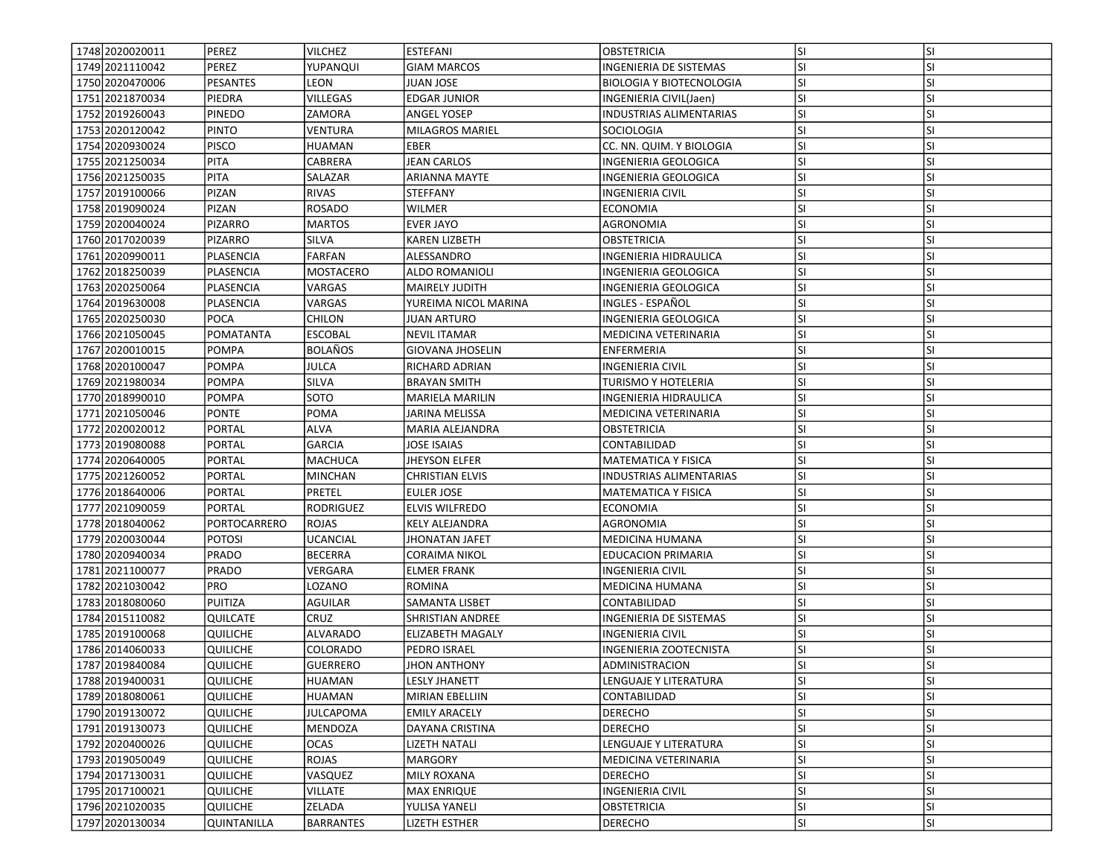| 1748 2020020011   | PEREZ              | <b>VILCHEZ</b>   | <b>ESTEFANI</b>         | <b>OBSTETRICIA</b>              | lsı       | <b>SI</b> |
|-------------------|--------------------|------------------|-------------------------|---------------------------------|-----------|-----------|
| 1749 2021110042   | PEREZ              | YUPANQUI         | <b>GIAM MARCOS</b>      | INGENIERIA DE SISTEMAS          | SI.       | SI        |
| 1750 2020470006   | <b>PESANTES</b>    | LEON             | JUAN JOSE               | <b>BIOLOGIA Y BIOTECNOLOGIA</b> | <b>SI</b> | <b>SI</b> |
| 1751 2021870034   | PIEDRA             | VILLEGAS         | <b>EDGAR JUNIOR</b>     | INGENIERIA CIVIL(Jaen)          | <b>SI</b> | <b>SI</b> |
| 1752 2019 260043  | <b>PINEDO</b>      | ZAMORA           | <b>ANGEL YOSEP</b>      | <b>INDUSTRIAS ALIMENTARIAS</b>  | lsı       | <b>SI</b> |
| 1753 2020 1200 42 | <b>PINTO</b>       | <b>VENTURA</b>   | <b>MILAGROS MARIEL</b>  | SOCIOLOGIA                      | <b>SI</b> | <b>SI</b> |
| 1754 2020930024   | <b>PISCO</b>       | <b>HUAMAN</b>    | EBER                    | CC. NN. QUIM. Y BIOLOGIA        | <b>SI</b> | <b>SI</b> |
| 1755 2021250034   | <b>PITA</b>        | CABRERA          | JEAN CARLOS             | INGENIERIA GEOLOGICA            | <b>SI</b> | SI        |
| 1756 2021250035   | <b>PITA</b>        | SALAZAR          | ARIANNA MAYTE           | INGENIERIA GEOLOGICA            | SI.       | <b>SI</b> |
| 1757 2019 100066  | PIZAN              | <b>RIVAS</b>     | <b>STEFFANY</b>         | INGENIERIA CIVIL                | lsı       | <b>SI</b> |
| 1758 2019090024   | PIZAN              | <b>ROSADO</b>    | WILMER                  | ECONOMIA                        | <b>SI</b> | <b>SI</b> |
| 1759 2020040024   | <b>PIZARRO</b>     | <b>MARTOS</b>    | <b>EVER JAYO</b>        | AGRONOMIA                       | lsı       | <b>SI</b> |
| 1760 20170 20039  | <b>PIZARRO</b>     | SILVA            | <b>KAREN LIZBETH</b>    | <b>OBSTETRICIA</b>              | <b>SI</b> | <b>SI</b> |
| 1761 2020990011   | PLASENCIA          | <b>FARFAN</b>    | ALESSANDRO              | INGENIERIA HIDRAULICA           | lsı       | <b>SI</b> |
| 1762 2018 250039  | PLASENCIA          | MOSTACERO        | <b>ALDO ROMANIOLI</b>   | INGENIERIA GEOLOGICA            | <b>SI</b> | SI        |
| 1763 2020250064   | PLASENCIA          | VARGAS           | MAIRELY JUDITH          | INGENIERIA GEOLOGICA            | SI.       | SI        |
| 1764 2019 630008  | PLASENCIA          | VARGAS           | YUREIMA NICOL MARINA    | INGLES - ESPAÑOL                | SI.       | SI        |
| 1765 2020250030   | <b>POCA</b>        | CHILON           | <b>JUAN ARTURO</b>      | INGENIERIA GEOLOGICA            | lsı       | <b>SI</b> |
| 1766 2021050045   | POMATANTA          | <b>ESCOBAL</b>   | <b>NEVIL ITAMAR</b>     | MEDICINA VETERINARIA            | lsı       | <b>SI</b> |
| 1767 2020010015   | <b>POMPA</b>       | <b>BOLAÑOS</b>   | <b>GIOVANA JHOSELIN</b> | ENFERMERIA                      | SI.       | <b>SI</b> |
| 1768 2020 1000 47 | <b>POMPA</b>       | JULCA            | <b>RICHARD ADRIAN</b>   | <b>INGENIERIA CIVIL</b>         | lsı       | <b>SI</b> |
| 1769 2021980034   | <b>POMPA</b>       | SILVA            | <b>BRAYAN SMITH</b>     | TURISMO Y HOTELERIA             | lsı       | <b>SI</b> |
| 1770 2018 990010  | <b>POMPA</b>       | SOTO             | MARIELA MARILIN         | INGENIERIA HIDRAULICA           | <b>SI</b> | <b>SI</b> |
| 1771 2021050046   | <b>PONTE</b>       | POMA             | JARINA MELISSA          | MEDICINA VETERINARIA            | SI.       | SI        |
| 1772 2020020012   | <b>PORTAL</b>      | <b>ALVA</b>      | MARIA ALEJANDRA         | OBSTETRICIA                     | lsı       | <b>SI</b> |
| 1773 2019080088   | <b>PORTAL</b>      | <b>GARCIA</b>    | JOSE ISAIAS             | CONTABILIDAD                    | lsı       | <b>SI</b> |
| 1774 2020 640005  | <b>PORTAL</b>      | <b>MACHUCA</b>   | <b>JHEYSON ELFER</b>    | <b>MATEMATICA Y FISICA</b>      | <b>SI</b> | <b>SI</b> |
| 1775 2021260052   | PORTAL             | MINCHAN          | <b>CHRISTIAN ELVIS</b>  | <b>INDUSTRIAS ALIMENTARIAS</b>  | lsı       | <b>SI</b> |
| 1776 2018640006   | <b>PORTAL</b>      | PRETEL           | EULER JOSE              | <b>MATEMATICA Y FISICA</b>      | <b>SI</b> | <b>SI</b> |
| 1777 2021090059   | <b>PORTAL</b>      | RODRIGUEZ        | <b>ELVIS WILFREDO</b>   | <b>ECONOMIA</b>                 | lsı       | <b>SI</b> |
| 1778 2018040062   | PORTOCARRERO       | <b>ROJAS</b>     | <b>KELY ALEJANDRA</b>   | AGRONOMIA                       | <b>SI</b> | SI        |
| 1779 2020030044   | <b>POTOSI</b>      | <b>UCANCIAL</b>  | <b>JHONATAN JAFET</b>   | MEDICINA HUMANA                 | <b>SI</b> | <b>SI</b> |
| 1780 2020 9400 34 | <b>PRADO</b>       | <b>BECERRA</b>   | CORAIMA NIKOL           | <b>EDUCACION PRIMARIA</b>       | lsı       | <b>SI</b> |
| 1781 2021100077   | <b>PRADO</b>       | VERGARA          | <b>ELMER FRANK</b>      | <b>INGENIERIA CIVIL</b>         | <b>SI</b> | <b>SI</b> |
| 1782 2021030042   | <b>PRO</b>         | LOZANO           | ROMINA                  | MEDICINA HUMANA                 | lsı       | <b>SI</b> |
| 1783 2018080060   | PUITIZA            | AGUILAR          | SAMANTA LISBET          | CONTABILIDAD                    | <b>SI</b> | <b>SI</b> |
| 1784 2015 110082  | QUILCATE           | CRUZ             | SHRISTIAN ANDREE        | INGENIERIA DE SISTEMAS          | <b>SI</b> | <b>SI</b> |
| 1785 2019 100068  | <b>QUILICHE</b>    | ALVARADO         | <b>ELIZABETH MAGALY</b> | INGENIERIA CIVIL                | <b>SI</b> | SI        |
| 1786 2014 060033  | <b>QUILICHE</b>    | COLORADO         | PEDRO ISRAEL            | INGENIERIA ZOOTECNISTA          | SI.       | <b>SI</b> |
| 1787 2019 8400 84 | <b>QUILICHE</b>    | <b>GUERRERO</b>  | <b>JHON ANTHONY</b>     | ADMINISTRACION                  | SI        | SI        |
| 1788 2019400031   | <b>QUILICHE</b>    | HUAMAN           | <b>LESLY JHANETT</b>    | LENGUAJE Y LITERATURA           | SI.       | ΙSΙ       |
| 1789 2018080061   | <b>QUILICHE</b>    | <b>HUAMAN</b>    | <b>MIRIAN EBELLIIN</b>  | CONTABILIDAD                    | <b>SI</b> | <b>SI</b> |
| 1790 2019 1300 72 | <b>QUILICHE</b>    | <b>JULCAPOMA</b> | <b>EMILY ARACELY</b>    | <b>DERECHO</b>                  | <b>SI</b> | SI        |
| 1791 2019 1300 73 | QUILICHE           | MENDOZA          | DAYANA CRISTINA         | <b>DERECHO</b>                  | <b>SI</b> | SI        |
| 1792 2020400026   | QUILICHE           | OCAS             | LIZETH NATALI           | LENGUAJE Y LITERATURA           | <b>SI</b> | SI        |
| 1793 2019 050049  | <b>QUILICHE</b>    | ROJAS            | <b>MARGORY</b>          | MEDICINA VETERINARIA            | <b>SI</b> | <b>SI</b> |
| 1794 2017130031   | <b>QUILICHE</b>    | VASQUEZ          | <b>MILY ROXANA</b>      | <b>DERECHO</b>                  | <b>SI</b> | SI        |
| 1795 2017100021   | <b>QUILICHE</b>    | <b>VILLATE</b>   | <b>MAX ENRIQUE</b>      | <b>INGENIERIA CIVIL</b>         | SI.       | <b>SI</b> |
| 1796 2021020035   | <b>QUILICHE</b>    | ZELADA           | YULISA YANELI           | <b>OBSTETRICIA</b>              | SI.       | <b>SI</b> |
| 1797 2020130034   | <b>QUINTANILLA</b> | <b>BARRANTES</b> | LIZETH ESTHER           | <b>DERECHO</b>                  | SI.       | SI        |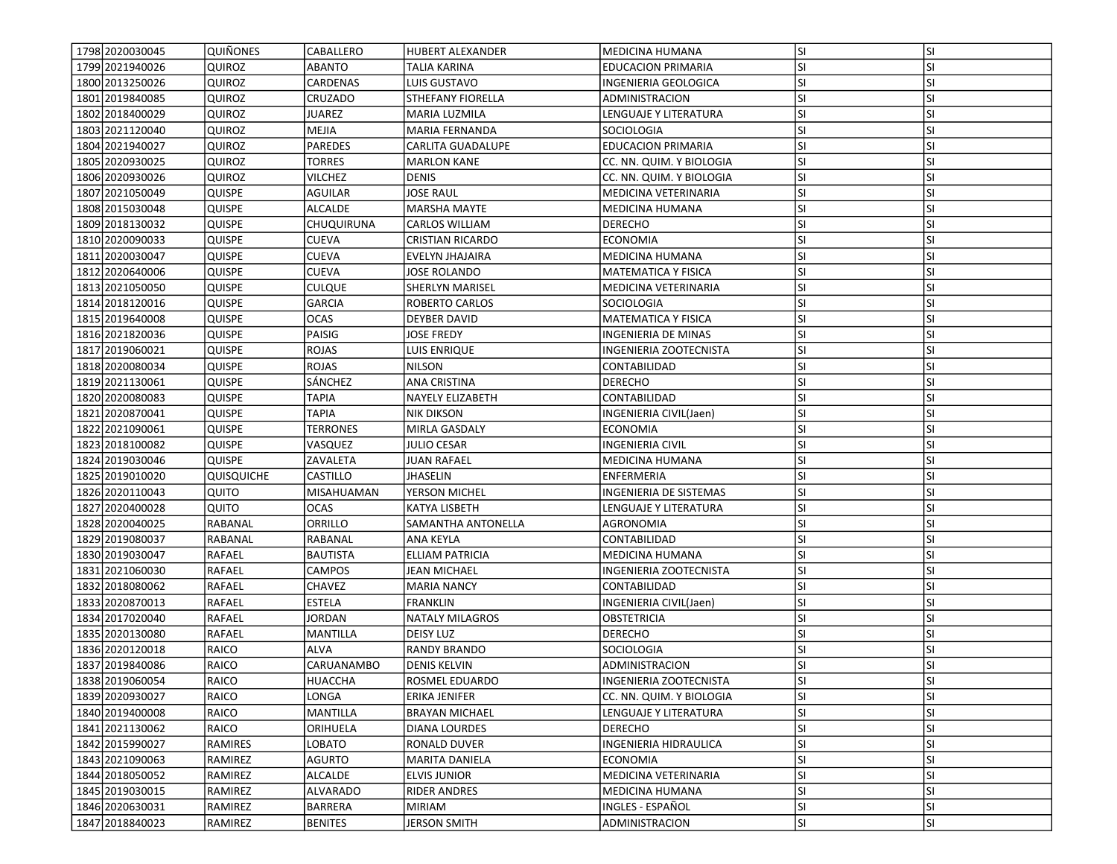| 1798 2020030045   | <b>QUIÑONES</b>   | CABALLERO       | <b>HUBERT ALEXANDER</b>  | <b>MEDICINA HUMANA</b>     | lsı       | <b>SI</b> |
|-------------------|-------------------|-----------------|--------------------------|----------------------------|-----------|-----------|
| 1799 2021940026   | QUIROZ            | ABANTO          | TALIA KARINA             | <b>EDUCACION PRIMARIA</b>  | SI.       | SI        |
| 1800 2013250026   | <b>QUIROZ</b>     | CARDENAS        | LUIS GUSTAVO             | INGENIERIA GEOLOGICA       | lsı       | <b>SI</b> |
| 1801 2019 8400 85 | QUIROZ            | CRUZADO         | STHEFANY FIORELLA        | ADMINISTRACION             | lsı       | <b>SI</b> |
| 1802 2018400029   | <b>QUIROZ</b>     | <b>JUAREZ</b>   | <b>MARIA LUZMILA</b>     | LENGUAJE Y LITERATURA      | lsı       | <b>SI</b> |
| 1803 2021120040   | QUIROZ            | MEJIA           | <b>MARIA FERNANDA</b>    | SOCIOLOGIA                 | lsı       | <b>SI</b> |
| 1804 2021940027   | QUIROZ            | PAREDES         | <b>CARLITA GUADALUPE</b> | <b>EDUCACION PRIMARIA</b>  | <b>SI</b> | SI        |
| 1805 2020 9300 25 | QUIROZ            | TORRES          | <b>MARLON KANE</b>       | CC. NN. QUIM. Y BIOLOGIA   | <b>SI</b> | <b>SI</b> |
| 1806 2020 9300 26 | QUIROZ            | VILCHEZ         | DENIS                    | CC. NN. QUIM. Y BIOLOGIA   | SI.       | SI        |
| 1807 2021050049   | <b>QUISPE</b>     | <b>AGUILAR</b>  | <b>JOSE RAUL</b>         | MEDICINA VETERINARIA       | <b>SI</b> | <b>SI</b> |
| 1808 2015 030048  | QUISPE            | <b>ALCALDE</b>  | MARSHA MAYTE             | MEDICINA HUMANA            | lsı       | <b>SI</b> |
| 1809 2018 1300 32 | <b>QUISPE</b>     | CHUQUIRUNA      | <b>CARLOS WILLIAM</b>    | <b>DERECHO</b>             | SI.       | <b>SI</b> |
| 1810 2020090033   | <b>QUISPE</b>     | CUEVA           | <b>CRISTIAN RICARDO</b>  | <b>ECONOMIA</b>            | <b>SI</b> | <b>SI</b> |
| 1811 2020 030047  | <b>QUISPE</b>     | <b>CUEVA</b>    | EVELYN JHAJAIRA          | MEDICINA HUMANA            | <b>SI</b> | <b>SI</b> |
| 1812 2020 640006  | <b>QUISPE</b>     | CUEVA           | JOSE ROLANDO             | <b>MATEMATICA Y FISICA</b> | <b>SI</b> | <b>SI</b> |
| 1813 2021050050   | QUISPE            | CULQUE          | SHERLYN MARISEL          | MEDICINA VETERINARIA       | <b>SI</b> | SI        |
| 1814 2018 120016  | <b>QUISPE</b>     | <b>GARCIA</b>   | ROBERTO CARLOS           | SOCIOLOGIA                 | <b>SI</b> | <b>SI</b> |
| 1815 2019 640008  | <b>QUISPE</b>     | <b>OCAS</b>     | <b>DEYBER DAVID</b>      | MATEMATICA Y FISICA        | SI        | SI        |
| 1816 20218 20036  | <b>QUISPE</b>     | PAISIG          | <b>JOSE FREDY</b>        | INGENIERIA DE MINAS        | lsı       | <b>SI</b> |
| 1817 2019 060021  | <b>QUISPE</b>     | <b>ROJAS</b>    | LUIS ENRIQUE             | INGENIERIA ZOOTECNISTA     | SI.       | <b>SI</b> |
| 1818 2020080034   | <b>QUISPE</b>     | ROJAS           | <b>NILSON</b>            | CONTABILIDAD               | <b>SI</b> | <b>SI</b> |
| 1819 2021130061   | <b>QUISPE</b>     | SÁNCHEZ         | ANA CRISTINA             | <b>DERECHO</b>             | <b>SI</b> | <b>SI</b> |
| 1820 2020080083   | QUISPE            | TAPIA           | NAYELY ELIZABETH         | CONTABILIDAD               | <b>SI</b> | <b>SI</b> |
| 1821 2020 870041  | QUISPE            | TAPIA           | <b>NIK DIKSON</b>        | INGENIERIA CIVIL(Jaen)     | lsı       | <b>SI</b> |
| 1822 2021090061   | QUISPE            | <b>TERRONES</b> | MIRLA GASDALY            | ECONOMIA                   | <b>SI</b> | <b>SI</b> |
| 1823 2018 100082  | <b>QUISPE</b>     | VASQUEZ         | <b>JULIO CESAR</b>       | INGENIERIA CIVIL           | lsı       | <b>SI</b> |
| 1824 2019 030 046 | <b>QUISPE</b>     | ZAVALETA        | JUAN RAFAEL              | MEDICINA HUMANA            | <b>SI</b> | <b>SI</b> |
| 1825 2019010020   | <b>QUISQUICHE</b> | CASTILLO        | <b>JHASELIN</b>          | ENFERMERIA                 | <b>SI</b> | <b>SI</b> |
| 1826 2020 110043  | QUITO             | MISAHUAMAN      | YERSON MICHEL            | INGENIERIA DE SISTEMAS     | <b>SI</b> | <b>SI</b> |
| 1827 2020400028   | QUITO             | <b>OCAS</b>     | KATYA LISBETH            | LENGUAJE Y LITERATURA      | SI.       | <b>SI</b> |
| 1828 2020040025   | RABANAL           | ORRILLO         | SAMANTHA ANTONELLA       | AGRONOMIA                  | <b>SI</b> | <b>SI</b> |
| 1829 2019 080037  | RABANAL           | RABANAL         | ANA KEYLA                | CONTABILIDAD               | lsı       | <b>SI</b> |
| 1830 2019 030047  | <b>RAFAEL</b>     | <b>BAUTISTA</b> | ELLIAM PATRICIA          | MEDICINA HUMANA            | lsı       | <b>SI</b> |
| 1831 2021060030   | RAFAEL            | <b>CAMPOS</b>   | JEAN MICHAEL             | INGENIERIA ZOOTECNISTA     | SI.       | <b>SI</b> |
| 1832 2018080062   | RAFAEL            | <b>CHAVEZ</b>   | <b>MARIA NANCY</b>       | CONTABILIDAD               | <b>SI</b> | <b>SI</b> |
| 1833 2020 870013  | <b>RAFAEL</b>     | <b>ESTELA</b>   | <b>FRANKLIN</b>          | INGENIERIA CIVIL(Jaen)     | <b>SI</b> | SI        |
| 1834 2017 020040  | RAFAEL            | JORDAN          | NATALY MILAGROS          | OBSTETRICIA                | SI.       | <b>SI</b> |
| 1835 2020 1300 80 | RAFAEL            | <b>MANTILLA</b> | <b>DEISY LUZ</b>         | DERECHO                    | <b>SI</b> | <b>SI</b> |
| 1836 2020 1200 18 | RAICO             | ALVA            | <b>RANDY BRANDO</b>      | <b>SOCIOLOGIA</b>          | SI        | <b>SI</b> |
| 1837 2019 8400 86 | RAICO             | CARUANAMBO      | <b>DENIS KELVIN</b>      | ADMINISTRACION             | lsı       | <b>SI</b> |
| 1838 2019 060054  | RAICO             | HUACCHA         | ROSMEL EDUARDO           | INGENIERIA ZOOTECNISTA     | lsı       | ΙSΙ       |
| 1839 2020 9300 27 | RAICO             | LONGA           | ERIKA JENIFER            | CC. NN. QUIM. Y BIOLOGIA   | lsı       | <b>SI</b> |
| 1840 2019400008   | RAICO             | <b>MANTILLA</b> | <b>BRAYAN MICHAEL</b>    | LENGUAJE Y LITERATURA      | SI.       | SI        |
| 1841 2021 1300 62 | RAICO             | ORIHUELA        | DIANA LOURDES            | DERECHO                    | SI.       | SI        |
| 1842 2015 9900 27 | <b>RAMIRES</b>    | LOBATO          | RONALD DUVER             | INGENIERIA HIDRAULICA      | SI.       | <b>SI</b> |
| 1843 2021090063   | RAMIREZ           | <b>AGURTO</b>   | MARITA DANIELA           | ECONOMIA                   | <b>SI</b> | <b>SI</b> |
| 1844 2018050052   | RAMIREZ           | <b>ALCALDE</b>  | <b>ELVIS JUNIOR</b>      | MEDICINA VETERINARIA       | <b>SI</b> | <b>SI</b> |
| 1845 2019 030015  | RAMIREZ           | ALVARADO        | <b>RIDER ANDRES</b>      | MEDICINA HUMANA            | <b>SI</b> | <b>SI</b> |
| 1846 2020 6300 31 | RAMIREZ           | BARRERA         | <b>MIRIAM</b>            | INGLES - ESPAÑOL           | SI.       | SI        |
| 1847 2018840023   | RAMIREZ           | <b>BENITES</b>  | <b>JERSON SMITH</b>      | ADMINISTRACION             | SI.       | SI        |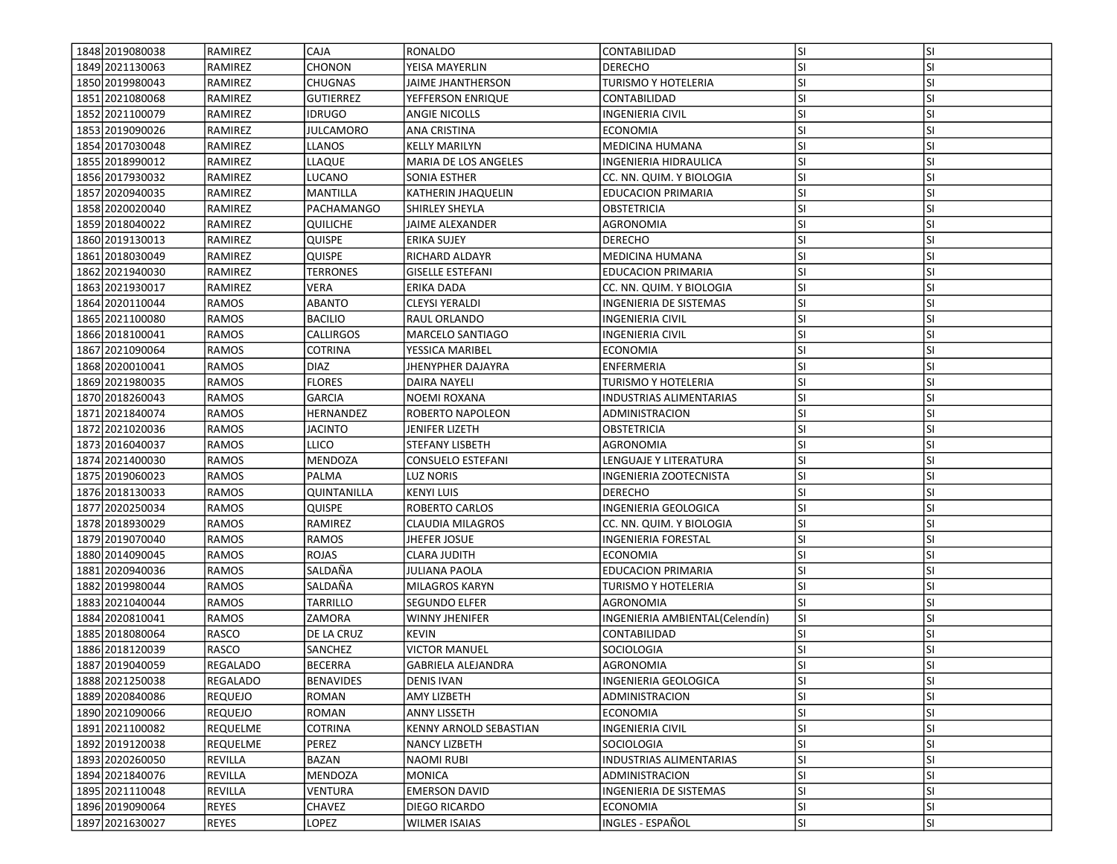| 1848 2019 080038  | RAMIREZ         | <b>CAJA</b>      | RONALDO                   | CONTABILIDAD                   | <b>SI</b> | <b>SI</b> |
|-------------------|-----------------|------------------|---------------------------|--------------------------------|-----------|-----------|
| 1849 2021130063   | RAMIREZ         | CHONON           | YEISA MAYERLIN            | <b>DERECHO</b>                 | SI        | SI        |
| 1850 2019980043   | RAMIREZ         | <b>CHUGNAS</b>   | JAIME JHANTHERSON         | <b>TURISMO Y HOTELERIA</b>     | SI        | SI        |
| 1851 2021080068   | RAMIREZ         | <b>GUTIERREZ</b> | YEFFERSON ENRIQUE         | CONTABILIDAD                   | SI        | SI        |
| 1852 2021100079   | RAMIREZ         | <b>IDRUGO</b>    | ANGIE NICOLLS             | <b>INGENIERIA CIVIL</b>        | SI        | SI        |
| 1853 2019090026   | RAMIREZ         | <b>JULCAMORO</b> | ANA CRISTINA              | <b>ECONOMIA</b>                | <b>SI</b> | SI        |
| 1854 2017030048   | RAMIREZ         | LLANOS           | <b>KELLY MARILYN</b>      | <b>MEDICINA HUMANA</b>         | SI        | SI        |
| 1855 2018 990012  | RAMIREZ         | LLAQUE           | MARIA DE LOS ANGELES      | INGENIERIA HIDRAULICA          | SI        | SI        |
| 1856 2017930032   | <b>RAMIREZ</b>  | LUCANO           | SONIA ESTHER              | CC. NN. QUIM. Y BIOLOGIA       | SI        | SI        |
| 1857 2020940035   | RAMIREZ         | MANTILLA         | KATHERIN JHAQUELIN        | <b>EDUCACION PRIMARIA</b>      | SI        | SI        |
| 1858 2020020040   | RAMIREZ         | PACHAMANGO       | SHIRLEY SHEYLA            | OBSTETRICIA                    | SI        | SI        |
| 1859 2018040022   | <b>RAMIREZ</b>  | <b>QUILICHE</b>  | JAIME ALEXANDER           | AGRONOMIA                      | SI        | SI        |
| 1860 2019 1300 13 | <b>RAMIREZ</b>  | <b>QUISPE</b>    | <b>ERIKA SUJEY</b>        | <b>DERECHO</b>                 | SI        | SI        |
| 1861 2018030049   | RAMIREZ         | <b>QUISPE</b>    | RICHARD ALDAYR            | MEDICINA HUMANA                | SI        | SI        |
| 1862 2021940030   | RAMIREZ         | <b>TERRONES</b>  | <b>GISELLE ESTEFANI</b>   | <b>EDUCACION PRIMARIA</b>      | SI        | SI        |
| 1863 2021930017   | <b>RAMIREZ</b>  | VERA             | ERIKA DADA                | CC. NN. QUIM. Y BIOLOGIA       | SI        | SI        |
| 1864 2020 110044  | RAMOS           | <b>ABANTO</b>    | <b>CLEYSI YERALDI</b>     | INGENIERIA DE SISTEMAS         | SI        | SI        |
| 1865 2021100080   | RAMOS           | <b>BACILIO</b>   | RAUL ORLANDO              | INGENIERIA CIVIL               | SI        | SI        |
| 1866 2018 100041  | RAMOS           | CALLIRGOS        | MARCELO SANTIAGO          | <b>INGENIERIA CIVIL</b>        | SI        | SI        |
| 1867 2021090064   | RAMOS           | COTRINA          | YESSICA MARIBEL           | <b>ECONOMIA</b>                | <b>SI</b> | SI        |
| 1868 2020010041   | RAMOS           | DIAZ             | JHENYPHER DAJAYRA         | <b>ENFERMERIA</b>              | SI        | SI        |
| 1869 2021980035   | <b>RAMOS</b>    | <b>FLORES</b>    | DAIRA NAYELI              | TURISMO Y HOTELERIA            | SI        | SI        |
| 1870 2018 260043  | RAMOS           | GARCIA           | NOEMI ROXANA              | INDUSTRIAS ALIMENTARIAS        | SI        | SI        |
| 1871 2021 840 074 | RAMOS           | HERNANDEZ        | ROBERTO NAPOLEON          | ADMINISTRACION                 | SI        | SI        |
| 1872 2021020036   | RAMOS           | <b>JACINTO</b>   | JENIFER LIZETH            | OBSTETRICIA                    | SI        | SI        |
| 1873 2016040037   | <b>RAMOS</b>    | <b>LLICO</b>     | STEFANY LISBETH           | AGRONOMIA                      | SI        | SI        |
| 1874 2021400030   | <b>RAMOS</b>    | <b>MENDOZA</b>   | <b>CONSUELO ESTEFANI</b>  | LENGUAJE Y LITERATURA          | SI        | SI        |
| 1875 2019 060023  | <b>RAMOS</b>    | PALMA            | LUZ NORIS                 | <b>INGENIERIA ZOOTECNISTA</b>  | SI        | SI        |
| 1876 2018 1300 33 | <b>RAMOS</b>    | QUINTANILLA      | <b>KENYI LUIS</b>         | <b>DERECHO</b>                 | <b>SI</b> | SI        |
| 1877 2020 2500 34 | RAMOS           | QUISPE           | ROBERTO CARLOS            | INGENIERIA GEOLOGICA           | lsı       | SI        |
| 1878 2018 9300 29 | RAMOS           | RAMIREZ          | CLAUDIA MILAGROS          | CC. NN. QUIM. Y BIOLOGIA       | SI        | SI        |
| 1879 2019 070 040 | <b>RAMOS</b>    | <b>RAMOS</b>     | JHEFER JOSUE              | <b>INGENIERIA FORESTAL</b>     | SI        | SI        |
| 1880 2014090045   | <b>RAMOS</b>    | <b>ROJAS</b>     | <b>CLARA JUDITH</b>       | <b>ECONOMIA</b>                | <b>SI</b> | SI        |
| 1881 2020 940036  | RAMOS           | SALDAÑA          | JULIANA PAOLA             | <b>EDUCACION PRIMARIA</b>      | SI        | SI        |
| 1882 2019 980044  | <b>RAMOS</b>    | SALDAÑA          | MILAGROS KARYN            | <b>TURISMO Y HOTELERIA</b>     | SI        | SI        |
| 1883 2021040044   | RAMOS           | TARRILLO         | <b>SEGUNDO ELFER</b>      | <b>AGRONOMIA</b>               | <b>SI</b> | SI        |
| 1884 2020 810041  | RAMOS           | ZAMORA           | <b>WINNY JHENIFER</b>     | INGENIERIA AMBIENTAL(Celendín) | SI        | SI        |
| 1885 2018080064   | RASCO           | DE LA CRUZ       | <b>KEVIN</b>              | CONTABILIDAD                   | SI        | SI        |
| 1886 2018 120039  | RASCO           | SANCHEZ          | <b>VICTOR MANUEL</b>      | SOCIOLOGIA                     | SI        | SI        |
| 1887 2019 040059  | <b>REGALADO</b> | <b>BECERRA</b>   | <b>GABRIELA ALEJANDRA</b> | <b>AGRONOMIA</b>               | <b>SI</b> | SI        |
| 1888 2021250038   | REGALADO        | <b>BENAVIDES</b> | DENIS IVAN                | INGENIERIA GEOLOGICA           | lsı       | ΙSΙ       |
| 1889 2020 8400 86 | <b>REQUEJO</b>  | ROMAN            | AMY LIZBETH               | ADMINISTRACION                 | SI        | SI        |
| 1890 2021090066   | <b>REQUEJO</b>  | <b>ROMAN</b>     | <b>ANNY LISSETH</b>       | <b>ECONOMIA</b>                | SI        | SI        |
| 1891 2021100082   | <b>REQUELME</b> | <b>COTRINA</b>   | KENNY ARNOLD SEBASTIAN    | INGENIERIA CIVIL               | <b>SI</b> | SI        |
| 1892 2019 1200 38 | <b>REQUELME</b> | PEREZ            | NANCY LIZBETH             | SOCIOLOGIA                     | <b>SI</b> | SI        |
| 1893 2020 260050  | REVILLA         | <b>BAZAN</b>     | NAOMI RUBI                | INDUSTRIAS ALIMENTARIAS        | SI        | SI        |
| 1894 2021840076   | <b>REVILLA</b>  | MENDOZA          | MONICA                    | ADMINISTRACION                 | SI        | SI        |
| 1895 2021110048   | REVILLA         | <b>VENTURA</b>   | <b>EMERSON DAVID</b>      | INGENIERIA DE SISTEMAS         | <b>SI</b> | SI        |
| 1896 2019090064   | <b>REYES</b>    | CHAVEZ           | DIEGO RICARDO             | <b>ECONOMIA</b>                | <b>SI</b> | <b>SI</b> |
| 1897 2021630027   | <b>REYES</b>    | LOPEZ            | <b>WILMER ISAIAS</b>      | INGLES - ESPAÑOL               | SI        | SI        |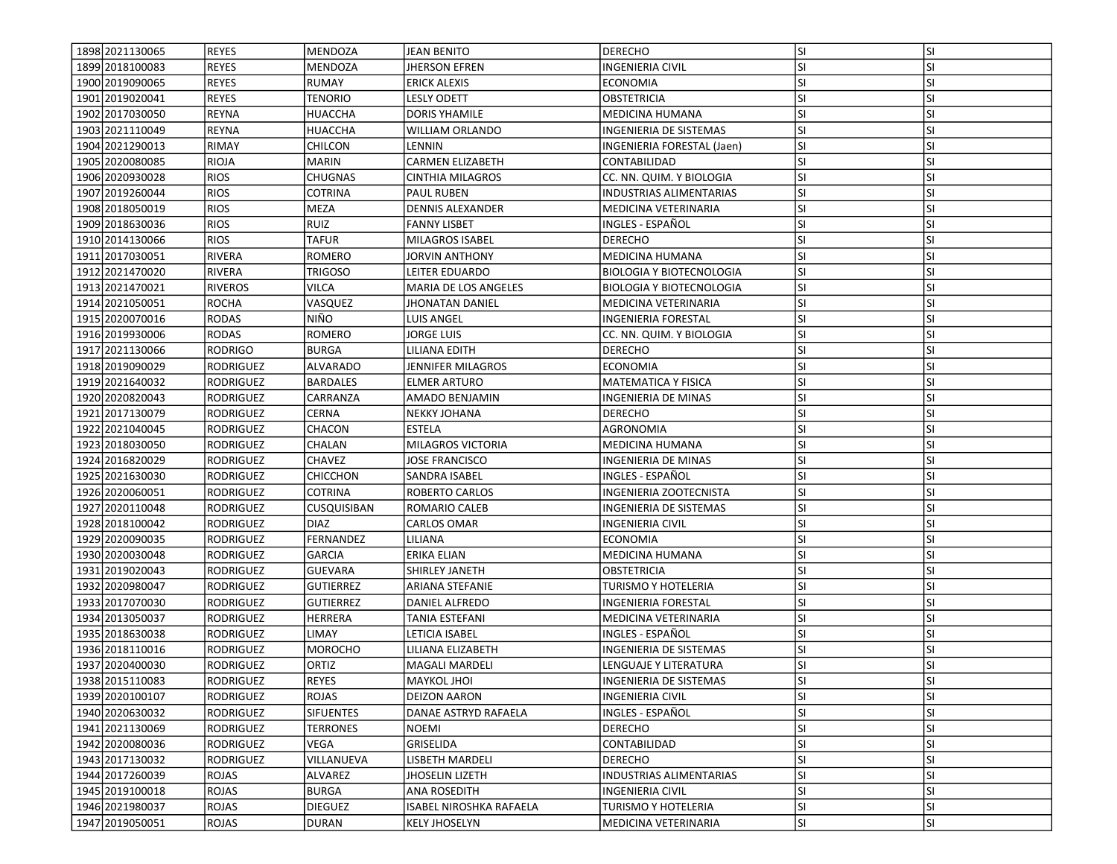| 1898 2021130065   | REYES            | <b>MENDOZA</b>     | <b>JEAN BENITO</b>                        | <b>DERECHO</b>                  | lsı       | <b>SI</b>        |
|-------------------|------------------|--------------------|-------------------------------------------|---------------------------------|-----------|------------------|
| 1899 2018 1000 83 | <b>REYES</b>     | MENDOZA            | <b>JHERSON EFREN</b>                      | INGENIERIA CIVIL                | SI.       | SI               |
| 1900 2019090065   | <b>REYES</b>     | <b>RUMAY</b>       | <b>ERICK ALEXIS</b>                       | <b>ECONOMIA</b>                 | <b>SI</b> | <b>SI</b>        |
| 1901 2019 020041  | <b>REYES</b>     | <b>TENORIO</b>     | <b>LESLY ODETT</b>                        | <b>OBSTETRICIA</b>              | <b>SI</b> | <b>SI</b>        |
| 1902 2017030050   | REYNA            | <b>HUACCHA</b>     | <b>DORIS YHAMILE</b>                      | <b>MEDICINA HUMANA</b>          | lsı       | <b>SI</b>        |
| 1903 2021110049   | <b>REYNA</b>     | HUACCHA            | <b>WILLIAM ORLANDO</b>                    | <b>INGENIERIA DE SISTEMAS</b>   | <b>SI</b> | <b>SI</b>        |
| 1904 2021290013   | <b>RIMAY</b>     | CHILCON            | LENNIN                                    | INGENIERIA FORESTAL (Jaen)      | <b>SI</b> | <b>SI</b>        |
| 1905 2020080085   | <b>RIOJA</b>     | MARIN              | <b>CARMEN ELIZABETH</b>                   | CONTABILIDAD                    | SI.       | <b>SI</b>        |
| 1906 2020930028   | <b>RIOS</b>      | CHUGNAS            | CINTHIA MILAGROS                          | CC. NN. QUIM. Y BIOLOGIA        | SI.       | <b>SI</b>        |
| 1907 2019 260044  | <b>RIOS</b>      | COTRINA            | <b>PAUL RUBEN</b>                         | INDUSTRIAS ALIMENTARIAS         | lsı       | <b>SI</b>        |
| 1908 2018050019   | <b>RIOS</b>      | MEZA               | <b>DENNIS ALEXANDER</b>                   | MEDICINA VETERINARIA            | SI.       | <b>SI</b>        |
| 1909 2018 630036  | <b>RIOS</b>      | <b>RUIZ</b>        | <b>FANNY LISBET</b>                       | INGLES - ESPAÑOL                | lsı       | <b>SI</b>        |
| 1910 2014 1300 66 | <b>RIOS</b>      | <b>TAFUR</b>       | <b>MILAGROS ISABEL</b>                    | <b>DERECHO</b>                  | <b>SI</b> | <b>SI</b>        |
| 1911 2017 030051  | <b>RIVERA</b>    | ROMERO             | JORVIN ANTHONY                            | <b>MEDICINA HUMANA</b>          | lsı       | <b>SI</b>        |
| 1912 2021470020   | <b>RIVERA</b>    | TRIGOSO            | LEITER EDUARDO                            | <b>BIOLOGIA Y BIOTECNOLOGIA</b> | <b>SI</b> | SI               |
| 1913 2021470021   | <b>RIVEROS</b>   | VILCA              | MARIA DE LOS ANGELES                      | <b>BIOLOGIA Y BIOTECNOLOGIA</b> | SI.       | <b>SI</b>        |
| 1914 2021050051   | <b>ROCHA</b>     | VASQUEZ            | JHONATAN DANIEL                           | MEDICINA VETERINARIA            | SI.       | SI               |
| 1915 2020070016   | <b>RODAS</b>     | NIÑO               | <b>LUIS ANGEL</b>                         | INGENIERIA FORESTAL             | lsı       | <b>SI</b>        |
| 1916 2019 930006  | <b>RODAS</b>     | <b>ROMERO</b>      | JORGE LUIS                                | CC. NN. QUIM. Y BIOLOGIA        | lsı       | <b>SI</b>        |
| 1917 2021 130066  | <b>RODRIGO</b>   | <b>BURGA</b>       | <b>LILIANA EDITH</b>                      | <b>DERECHO</b>                  | SI.       | <b>SI</b>        |
| 1918 2019 090029  | <b>RODRIGUEZ</b> | <b>ALVARADO</b>    | JENNIFER MILAGROS                         | <b>ECONOMIA</b>                 | lsı       | <b>SI</b>        |
| 1919 2021640032   | <b>RODRIGUEZ</b> | <b>BARDALES</b>    | <b>ELMER ARTURO</b>                       | MATEMATICA Y FISICA             | SI        | <b>SI</b>        |
| 1920 2020 820043  | <b>RODRIGUEZ</b> | CARRANZA           | AMADO BENJAMIN                            | INGENIERIA DE MINAS             | SI.       | <b>SI</b>        |
| 1921 2017 1300 79 | <b>RODRIGUEZ</b> | CERNA              | <b>NEKKY JOHANA</b>                       | <b>DERECHO</b>                  | <b>SI</b> | <b>SI</b>        |
| 1922 2021040045   | RODRIGUEZ        | CHACON             | <b>ESTELA</b>                             | <b>AGRONOMIA</b>                | lsı       | <b>SI</b>        |
| 1923 2018030050   | <b>RODRIGUEZ</b> | CHALAN             | <b>MILAGROS VICTORIA</b>                  | <b>MEDICINA HUMANA</b>          | SI        | <b>SI</b>        |
| 1924 2016820029   | RODRIGUEZ        | <b>CHAVEZ</b>      | JOSE FRANCISCO                            | INGENIERIA DE MINAS             | SI.       | <b>SI</b>        |
| 1925 2021630030   | RODRIGUEZ        | <b>CHICCHON</b>    | SANDRA ISABEL                             | INGLES - ESPAÑOL                | lsı       | <b>SI</b>        |
| 1926 2020060051   | <b>RODRIGUEZ</b> | COTRINA            | ROBERTO CARLOS                            | INGENIERIA ZOOTECNISTA          | SI        | <b>SI</b>        |
| 1927 2020 110048  | <b>RODRIGUEZ</b> | <b>CUSQUISIBAN</b> | ROMARIO CALEB                             | INGENIERIA DE SISTEMAS          | SI.       | <b>SI</b>        |
| 1928 2018 100042  | <b>RODRIGUEZ</b> | <b>DIAZ</b>        | CARLOS OMAR                               | INGENIERIA CIVIL                | <b>SI</b> | SI               |
| 1929 2020090035   | RODRIGUEZ        | FERNANDEZ          | LILIANA                                   | <b>ECONOMIA</b>                 | <b>SI</b> | <b>SI</b>        |
| 1930 2020030048   | <b>RODRIGUEZ</b> | <b>GARCIA</b>      | ERIKA ELIAN                               | MEDICINA HUMANA                 | lsı       | <b>SI</b>        |
| 1931 2019 020043  | <b>RODRIGUEZ</b> | GUEVARA            | SHIRLEY JANETH                            | OBSTETRICIA                     | lsı       | <b>SI</b>        |
| 1932 2020 980047  | <b>RODRIGUEZ</b> | <b>GUTIERREZ</b>   | ARIANA STEFANIE                           | TURISMO Y HOTELERIA             | lsı       | <b>SI</b>        |
| 1933 2017 070030  | <b>RODRIGUEZ</b> | <b>GUTIERREZ</b>   | DANIEL ALFREDO                            | INGENIERIA FORESTAL             | SI        | <b>SI</b>        |
| 1934 2013 050 037 | RODRIGUEZ        | <b>HERRERA</b>     | TANIA ESTEFANI                            | MEDICINA VETERINARIA            | SI.       | <b>SI</b>        |
| 1935 2018 630038  | <b>RODRIGUEZ</b> | LIMAY              | LETICIA ISABEL                            | INGLES - ESPAÑOL                | <b>SI</b> | <b>SI</b>        |
| 1936 2018110016   | <b>RODRIGUEZ</b> | <b>MOROCHO</b>     | LILIANA ELIZABETH                         | INGENIERIA DE SISTEMAS          | SI.       | <b>SI</b>        |
| 1937 2020400030   | <b>RODRIGUEZ</b> | ORTIZ              | <b>MAGALI MARDELI</b>                     | LENGUAJE Y LITERATURA           | SI        | <b>SI</b>        |
| 1938 2015110083   | RODRIGUEZ        | <b>REYES</b>       |                                           |                                 |           |                  |
| 1939 2020 100107  |                  |                    | <b>MAYKOL JHOI</b><br><b>DEIZON AARON</b> | INGENIERIA DE SISTEMAS          | SI.       | ΙSΙ<br><b>SI</b> |
|                   | RODRIGUEZ        | ROJAS              |                                           | <b>INGENIERIA CIVIL</b>         | <b>SI</b> |                  |
| 1940 2020 630032  | RODRIGUEZ        | <b>SIFUENTES</b>   | DANAE ASTRYD RAFAELA                      | INGLES - ESPAÑOL                | <b>SI</b> | <b>SI</b>        |
| 1941 2021130069   | RODRIGUEZ        | <b>TERRONES</b>    | <b>NOEMI</b>                              | <b>DERECHO</b>                  | SI.       | SI               |
| 1942 2020080036   | <b>RODRIGUEZ</b> | VEGA               | GRISELIDA                                 | CONTABILIDAD                    | <b>SI</b> | SI               |
| 1943 2017130032   | RODRIGUEZ        | VILLANUEVA         | LISBETH MARDELI                           | <b>DERECHO</b>                  | <b>SI</b> | <b>SI</b>        |
| 1944 2017 260039  | <b>ROJAS</b>     | ALVAREZ            | <b>JHOSELIN LIZETH</b>                    | INDUSTRIAS ALIMENTARIAS         | <b>SI</b> | <b>SI</b>        |
| 1945 2019 1000 18 | <b>ROJAS</b>     | <b>BURGA</b>       | <b>ANA ROSEDITH</b>                       | <b>INGENIERIA CIVIL</b>         | <b>SI</b> | <b>SI</b>        |
| 1946 2021 980037  | <b>ROJAS</b>     | <b>DIEGUEZ</b>     | <b>ISABEL NIROSHKA RAFAELA</b>            | TURISMO Y HOTELERIA             | SI.       | SI               |
| 1947 2019 050051  | <b>ROJAS</b>     | <b>DURAN</b>       | <b>KELY JHOSELYN</b>                      | MEDICINA VETERINARIA            | SI.       | SI               |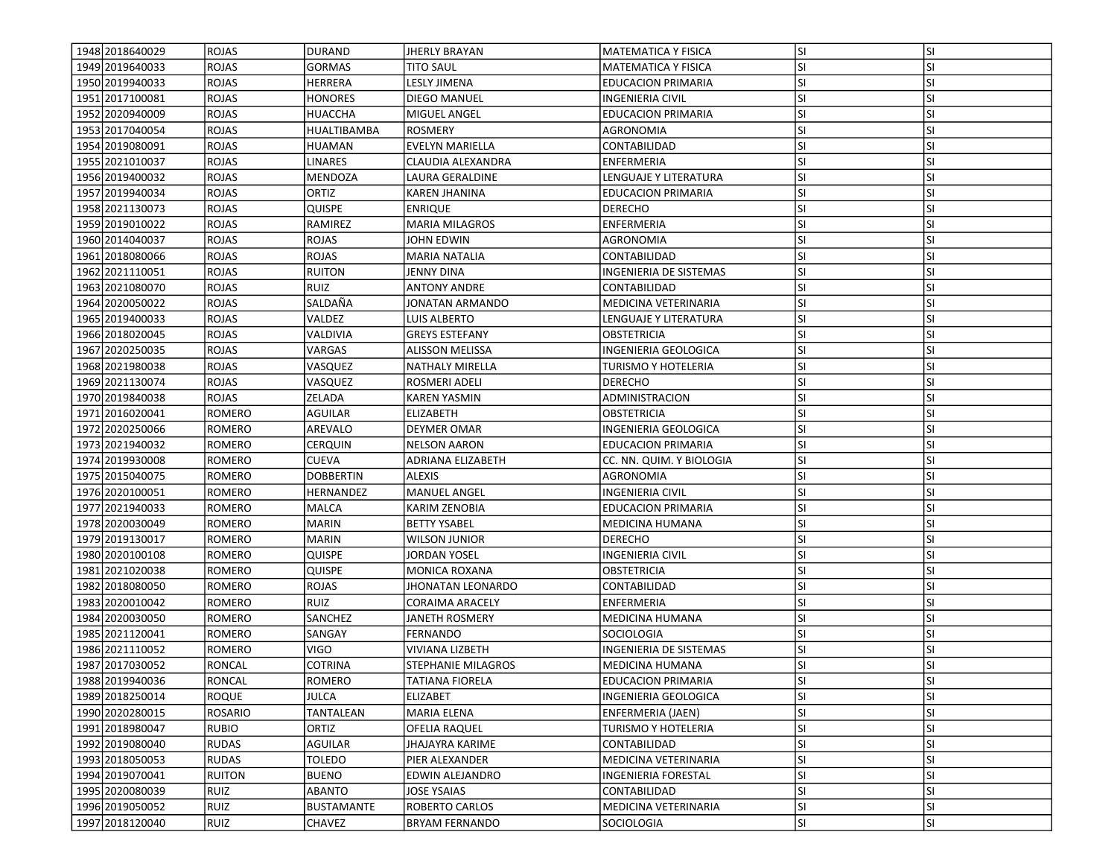| 1948 2018 640029  | <b>IROJAS</b>  | DURAND            | JHERLY BRAYAN            | <b>MATEMATICA Y FISICA</b>                         | lsı        | <b>SI</b>              |
|-------------------|----------------|-------------------|--------------------------|----------------------------------------------------|------------|------------------------|
| 1949 2019 640033  | <b>ROJAS</b>   | GORMAS            | TITO SAUL                | MATEMATICA Y FISICA                                | SI.        | SI                     |
| 1950 2019940033   | <b>ROJAS</b>   | HERRERA           | <b>LESLY JIMENA</b>      | <b>EDUCACION PRIMARIA</b>                          | <b>SI</b>  | <b>SI</b>              |
| 1951 2017100081   | <b>ROJAS</b>   | <b>HONORES</b>    | DIEGO MANUEL             | INGENIERIA CIVIL                                   | <b>SI</b>  | <b>SI</b>              |
| 1952 2020 940009  | <b>ROJAS</b>   | <b>HUACCHA</b>    | MIGUEL ANGEL             | <b>EDUCACION PRIMARIA</b>                          | lsı        | <b>SI</b>              |
| 1953 2017040054   | <b>ROJAS</b>   | HUALTIBAMBA       | <b>ROSMERY</b>           | AGRONOMIA                                          | SI.        | <b>SI</b>              |
| 1954 2019 080091  | <b>ROJAS</b>   |                   | <b>EVELYN MARIELLA</b>   | CONTABILIDAD                                       | <b>SI</b>  | <b>SI</b>              |
| 1955 2021010037   |                | <b>HUAMAN</b>     |                          |                                                    | <b>SI</b>  | SI                     |
|                   | <b>ROJAS</b>   | LINARES           | CLAUDIA ALEXANDRA        | ENFERMERIA                                         |            |                        |
| 1956 2019400032   | <b>ROJAS</b>   | MENDOZA           | LAURA GERALDINE          | LENGUAJE Y LITERATURA<br><b>EDUCACION PRIMARIA</b> | SI.<br>lsı | <b>SI</b><br><b>SI</b> |
| 1957 2019 940034  | <b>ROJAS</b>   | ORTIZ             | KAREN JHANINA            |                                                    |            |                        |
| 1958 2021130073   | <b>ROJAS</b>   | QUISPE            | <b>ENRIQUE</b>           | <b>DERECHO</b>                                     | <b>SI</b>  | <b>SI</b>              |
| 1959 2019 010022  | <b>ROJAS</b>   | RAMIREZ           | <b>MARIA MILAGROS</b>    | ENFERMERIA                                         | lsı        | <b>SI</b>              |
| 1960 2014 040037  | <b>ROJAS</b>   | <b>ROJAS</b>      | <b>JOHN EDWIN</b>        | AGRONOMIA                                          | <b>SI</b>  | <b>SI</b>              |
| 1961 2018080066   | <b>ROJAS</b>   | <b>ROJAS</b>      | <b>MARIA NATALIA</b>     | CONTABILIDAD                                       | lsı        | <b>SI</b>              |
| 1962 2021110051   | <b>ROJAS</b>   | <b>RUITON</b>     | JENNY DINA               | INGENIERIA DE SISTEMAS                             | <b>SI</b>  | <b>SI</b>              |
| 1963 2021080070   | <b>ROJAS</b>   | RUIZ              | <b>ANTONY ANDRE</b>      | CONTABILIDAD                                       | <b>SI</b>  | <b>SI</b>              |
| 1964 2020050022   | <b>ROJAS</b>   | SALDAÑA           | JONATAN ARMANDO          | MEDICINA VETERINARIA                               | <b>SI</b>  | SI                     |
| 1965 2019400033   | <b>ROJAS</b>   | VALDEZ            | LUIS ALBERTO             | LENGUAJE Y LITERATURA                              | lsı        | <b>SI</b>              |
| 1966 2018 020045  | <b>ROJAS</b>   | VALDIVIA          | <b>GREYS ESTEFANY</b>    | OBSTETRICIA                                        | lsı        | <b>SI</b>              |
| 1967 2020 2500 35 | <b>ROJAS</b>   | VARGAS            | <b>ALISSON MELISSA</b>   | INGENIERIA GEOLOGICA                               | SI.        | <b>SI</b>              |
| 1968 2021980038   | <b>ROJAS</b>   | VASQUEZ           | <b>NATHALY MIRELLA</b>   | <b>TURISMO Y HOTELERIA</b>                         | lsı        | <b>SI</b>              |
| 1969 2021130074   | <b>ROJAS</b>   | VASQUEZ           | ROSMERI ADELI            | <b>DERECHO</b>                                     | SI         | <b>SI</b>              |
| 1970 2019 840038  | <b>ROJAS</b>   | ZELADA            | KAREN YASMIN             | ADMINISTRACION                                     | SI.        | <b>SI</b>              |
| 1971 2016 020041  | <b>ROMERO</b>  | AGUILAR           | <b>ELIZABETH</b>         | OBSTETRICIA                                        | <b>SI</b>  | <b>SI</b>              |
| 1972 2020250066   | <b>ROMERO</b>  | AREVALO           | <b>DEYMER OMAR</b>       | INGENIERIA GEOLOGICA                               | lsı        | <b>SI</b>              |
| 1973 2021940032   | <b>ROMERO</b>  | <b>CERQUIN</b>    | <b>NELSON AARON</b>      | <b>EDUCACION PRIMARIA</b>                          | lsı        | <b>SI</b>              |
| 1974 2019 930008  | <b>ROMERO</b>  | <b>CUEVA</b>      | ADRIANA ELIZABETH        | CC. NN. QUIM. Y BIOLOGIA                           | <b>SI</b>  | <b>SI</b>              |
| 1975 2015 040075  | ROMERO         | DOBBERTIN         | <b>ALEXIS</b>            | AGRONOMIA                                          | lsı        | <b>SI</b>              |
| 1976 2020100051   | <b>ROMERO</b>  | HERNANDEZ         | <b>MANUEL ANGEL</b>      | INGENIERIA CIVIL                                   | <b>SI</b>  | SI                     |
| 1977 2021 940 033 | <b>ROMERO</b>  | MALCA             | KARIM ZENOBIA            | <b>EDUCACION PRIMARIA</b>                          | lsı        | <b>SI</b>              |
| 1978 2020030049   | <b>ROMERO</b>  | <b>MARIN</b>      | <b>BETTY YSABEL</b>      | MEDICINA HUMANA                                    | <b>SI</b>  | SI                     |
| 1979 2019 1300 17 | <b>ROMERO</b>  | <b>MARIN</b>      | <b>WILSON JUNIOR</b>     | <b>DERECHO</b>                                     | <b>SI</b>  | <b>SI</b>              |
| 1980 2020 100108  | <b>ROMERO</b>  | QUISPE            | JORDAN YOSEL             | INGENIERIA CIVIL                                   | lsı        | <b>SI</b>              |
| 1981 2021 020038  | <b>ROMERO</b>  | QUISPE            | <b>MONICA ROXANA</b>     | OBSTETRICIA                                        | SI.        | <b>SI</b>              |
| 1982 2018 080050  | <b>ROMERO</b>  | ROJAS             | <b>JHONATAN LEONARDO</b> | CONTABILIDAD                                       | lsı        | <b>SI</b>              |
| 1983 2020010042   | <b>ROMERO</b>  | RUIZ              | <b>CORAIMA ARACELY</b>   | ENFERMERIA                                         | SI.        | <b>SI</b>              |
| 1984 2020030050   | ROMERO         | SANCHEZ           | JANETH ROSMERY           | MEDICINA HUMANA                                    | <b>SI</b>  | <b>SI</b>              |
| 1985 2021120041   | <b>ROMERO</b>  | SANGAY            | FERNANDO                 | SOCIOLOGIA                                         | <b>SI</b>  | <b>SI</b>              |
| 1986 2021110052   | <b>ROMERO</b>  | VIGO              | <b>VIVIANA LIZBETH</b>   | INGENIERIA DE SISTEMAS                             | SI.        | <b>SI</b>              |
| 1987 2017030052   | <b>RONCAL</b>  | <b>COTRINA</b>    | STEPHANIE MILAGROS       | <b>MEDICINA HUMANA</b>                             | SI         | <b>SI</b>              |
| 1988 2019 940036  | RONCAL         | ROMERO            | <b>TATIANA FIORELA</b>   | <b>EDUCACION PRIMARIA</b>                          | SI.        | ΙSΙ                    |
| 1989 2018 250014  | <b>ROQUE</b>   | JULCA             | <b>ELIZABET</b>          | INGENIERIA GEOLOGICA                               | <b>SI</b>  | <b>SI</b>              |
| 1990 2020 2800 15 | <b>ROSARIO</b> | TANTALEAN         | MARIA ELENA              | <b>ENFERMERIA (JAEN)</b>                           | <b>SI</b>  | SI                     |
| 1991 2018 980047  | <b>RUBIO</b>   | ORTIZ             | OFELIA RAQUEL            | TURISMO Y HOTELERIA                                | SI.        | <b>SI</b>              |
| 1992 2019 080040  | <b>RUDAS</b>   | AGUILAR           | JHAJAYRA KARIME          | CONTABILIDAD                                       | <b>SI</b>  | SI                     |
| 1993 2018050053   | <b>RUDAS</b>   | TOLEDO            | PIER ALEXANDER           | MEDICINA VETERINARIA                               | <b>SI</b>  | <b>SI</b>              |
| 1994 2019 070 041 | <b>RUITON</b>  | <b>BUENO</b>      | EDWIN ALEJANDRO          | INGENIERIA FORESTAL                                | <b>SI</b>  | SI                     |
| 1995 2020080039   | RUIZ           | ABANTO            | JOSE YSAIAS              | CONTABILIDAD                                       | <b>SI</b>  | <b>SI</b>              |
| 1996 2019 050052  | RUIZ           | <b>BUSTAMANTE</b> | <b>ROBERTO CARLOS</b>    | MEDICINA VETERINARIA                               | SI.        | SI                     |
| 1997 2018 120040  | <b>RUIZ</b>    | CHAVEZ            | <b>BRYAM FERNANDO</b>    | SOCIOLOGIA                                         | SI.        | SI                     |
|                   |                |                   |                          |                                                    |            |                        |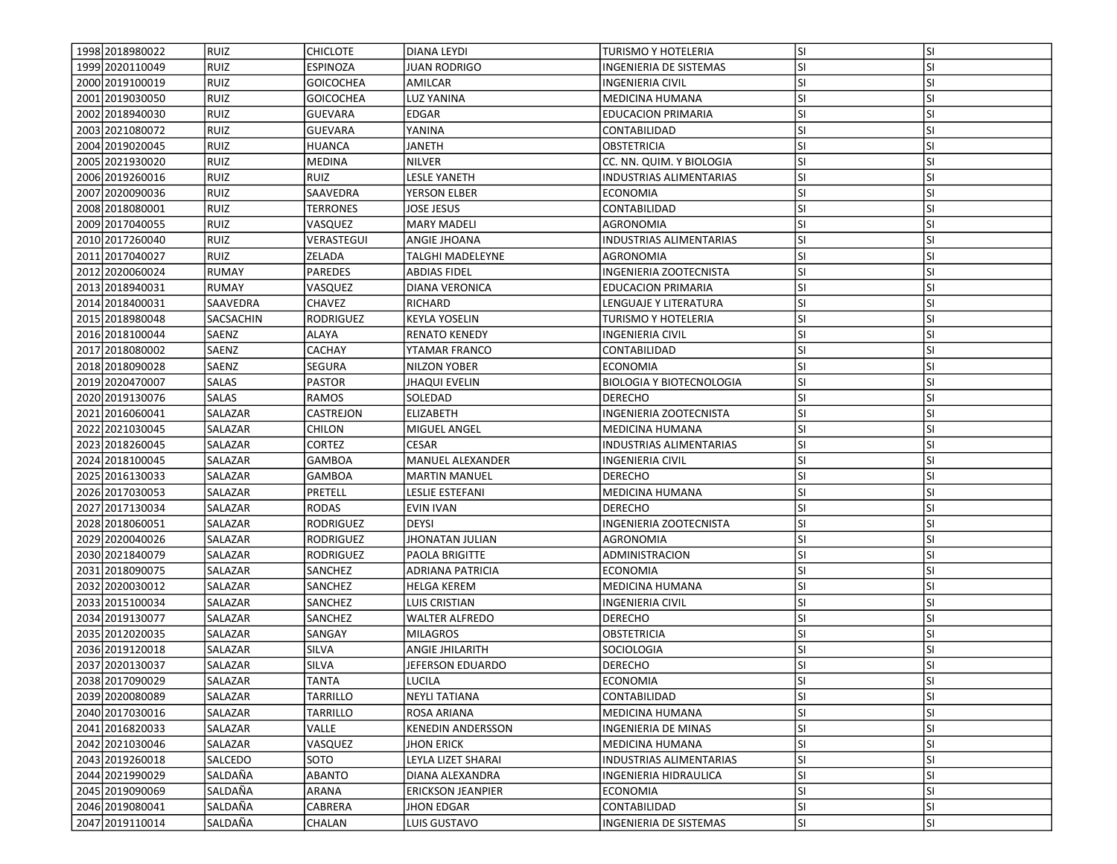| 1998 2018 980022   | RUIZ           | <b>CHICLOTE</b>  | DIANA LEYDI              | <b>TURISMO Y HOTELERIA</b>      | lsı       | <b>SI</b> |
|--------------------|----------------|------------------|--------------------------|---------------------------------|-----------|-----------|
| 1999 2020 110049   | <b>RUIZ</b>    | ESPINOZA         | <b>JUAN RODRIGO</b>      | INGENIERIA DE SISTEMAS          | SI.       | SI        |
| 2000 2019 100019   | RUIZ           | <b>GOICOCHEA</b> | AMILCAR                  | <b>INGENIERIA CIVIL</b>         | <b>SI</b> | <b>SI</b> |
| 2001 2019 030050   | <b>RUIZ</b>    | <b>GOICOCHEA</b> | <b>LUZ YANINA</b>        | <b>MEDICINA HUMANA</b>          | <b>SI</b> | <b>SI</b> |
| 2002 2018940030    | <b>RUIZ</b>    | <b>GUEVARA</b>   | <b>EDGAR</b>             | <b>EDUCACION PRIMARIA</b>       | SI.       | <b>SI</b> |
| 2003 2021080072    | <b>RUIZ</b>    | <b>GUEVARA</b>   | YANINA                   | CONTABILIDAD                    | lsı       | <b>SI</b> |
| 2004 2019 020045   | <b>RUIZ</b>    | <b>HUANCA</b>    | JANETH                   | <b>OBSTETRICIA</b>              | <b>SI</b> | <b>SI</b> |
| 2005 2021930020    | <b>RUIZ</b>    | MEDINA           | <b>NILVER</b>            | CC. NN. QUIM. Y BIOLOGIA        | <b>SI</b> | <b>SI</b> |
| 2006 2019 260016   | RUIZ           | <b>RUIZ</b>      | LESLE YANETH             | INDUSTRIAS ALIMENTARIAS         | <b>SI</b> | SI        |
| 2007 2020090036    | RUIZ           | SAAVEDRA         | YERSON ELBER             | ECONOMIA                        | <b>SI</b> | <b>SI</b> |
| 2008 2018080001    | <b>RUIZ</b>    | <b>TERRONES</b>  | JOSE JESUS               | CONTABILIDAD                    | lsı       | <b>SI</b> |
| 2009 2017040055    | <b>RUIZ</b>    | VASQUEZ          | <b>MARY MADELI</b>       | AGRONOMIA                       | <b>SI</b> | <b>SI</b> |
| 2010 2017260040    | <b>RUIZ</b>    | VERASTEGUI       | ANGIE JHOANA             | <b>INDUSTRIAS ALIMENTARIAS</b>  | <b>SI</b> | <b>SI</b> |
| 2011 2017040027    | <b>RUIZ</b>    | ZELADA           | <b>TALGHI MADELEYNE</b>  | AGRONOMIA                       | <b>SI</b> | <b>SI</b> |
| 2012 2020 060024   | <b>RUMAY</b>   | PAREDES          | <b>ABDIAS FIDEL</b>      | INGENIERIA ZOOTECNISTA          | <b>SI</b> | <b>SI</b> |
| 2013 2018 9400 31  | <b>RUMAY</b>   | VASQUEZ          | DIANA VERONICA           | EDUCACION PRIMARIA              | <b>SI</b> | SI        |
| 2014 2018 400031   | SAAVEDRA       | <b>CHAVEZ</b>    | RICHARD                  | LENGUAJE Y LITERATURA           | <b>SI</b> | <b>SI</b> |
| 2015 2018 980048   | SACSACHIN      | <b>RODRIGUEZ</b> | <b>KEYLA YOSELIN</b>     | TURISMO Y HOTELERIA             | SI        | <b>SI</b> |
| 2016 2018 100044   | SAENZ          | ALAYA            | <b>RENATO KENEDY</b>     | <b>INGENIERIA CIVIL</b>         | SI.       | <b>SI</b> |
| 2017 2018 080002   | SAENZ          | <b>CACHAY</b>    | YTAMAR FRANCO            | CONTABILIDAD                    | <b>SI</b> | <b>SI</b> |
| 2018 2018 090028   | SAENZ          | SEGURA           | NILZON YOBER             | <b>ECONOMIA</b>                 | <b>SI</b> | <b>SI</b> |
| 2019 2020 470007   | <b>SALAS</b>   | <b>PASTOR</b>    | <b>JHAQUI EVELIN</b>     | <b>BIOLOGIA Y BIOTECNOLOGIA</b> | <b>SI</b> | SI        |
| 2020 2019130076    | <b>SALAS</b>   | <b>RAMOS</b>     | SOLEDAD                  | <b>DERECHO</b>                  | <b>SI</b> | <b>SI</b> |
| 2021 2016060041    | <b>SALAZAR</b> | CASTREJON        | <b>ELIZABETH</b>         | INGENIERIA ZOOTECNISTA          | lsı       | <b>SI</b> |
| 2022 2021030045    | SALAZAR        | CHILON           | MIGUEL ANGEL             | MEDICINA HUMANA                 | SI        | <b>SI</b> |
| 2023 2018 260045   | <b>SALAZAR</b> | CORTEZ           | <b>CESAR</b>             | <b>INDUSTRIAS ALIMENTARIAS</b>  | lsı       | <b>SI</b> |
| 2024 2018 100045   | <b>SALAZAR</b> | <b>GAMBOA</b>    | <b>MANUEL ALEXANDER</b>  | <b>INGENIERIA CIVIL</b>         | <b>SI</b> | <b>SI</b> |
| 2025 2016130033    | <b>SALAZAR</b> | <b>GAMBOA</b>    | <b>MARTIN MANUEL</b>     | <b>DERECHO</b>                  | <b>SI</b> | <b>SI</b> |
| 2026 2017030053    | <b>SALAZAR</b> | PRETELL          | LESLIE ESTEFANI          | <b>MEDICINA HUMANA</b>          | SI.       | SI        |
| 2027 2017 1300 34  | <b>SALAZAR</b> | RODAS            | EVIN IVAN                | <b>DERECHO</b>                  | <b>SI</b> | <b>SI</b> |
| 2028 2018060051    | <b>SALAZAR</b> | RODRIGUEZ        | <b>DEYSI</b>             | INGENIERIA ZOOTECNISTA          | SI        | <b>SI</b> |
| 2029 2020040026    | SALAZAR        | <b>RODRIGUEZ</b> | <b>JHONATAN JULIAN</b>   | AGRONOMIA                       | <b>SI</b> | <b>SI</b> |
| 2030 2021840079    | <b>SALAZAR</b> | <b>RODRIGUEZ</b> | <b>PAOLA BRIGITTE</b>    | ADMINISTRACION                  | <b>SI</b> | <b>SI</b> |
| 2031 2018090075    | SALAZAR        | <b>SANCHEZ</b>   | <b>ADRIANA PATRICIA</b>  | <b>ECONOMIA</b>                 | <b>SI</b> | <b>SI</b> |
| 2032 2020 030012   | <b>SALAZAR</b> | SANCHEZ          | <b>HELGA KEREM</b>       | MEDICINA HUMANA                 | <b>SI</b> | <b>SI</b> |
| 2033 2015 1000 34  | <b>SALAZAR</b> | SANCHEZ          | LUIS CRISTIAN            | INGENIERIA CIVIL                | <b>SI</b> | SI        |
| 2034 2019 1300 77  | <b>SALAZAR</b> | SANCHEZ          | <b>WALTER ALFREDO</b>    | <b>DERECHO</b>                  | SI.       | <b>SI</b> |
| 2035 2012 020035   | <b>SALAZAR</b> | SANGAY           | <b>MILAGROS</b>          | OBSTETRICIA                     | <b>SI</b> | <b>SI</b> |
| 2036 2019 1200 18  | SALAZAR        | SILVA            | ANGIE JHILARITH          | <b>SOCIOLOGIA</b>               | SI        | <b>SI</b> |
| 2037 2020 1300 37  | <b>SALAZAR</b> | <b>SILVA</b>     | <b>JEFERSON EDUARDO</b>  | <b>DERECHO</b>                  | SI        | <b>SI</b> |
| 2038 2017090029    | SALAZAR        | <b>TANTA</b>     | <b>LUCILA</b>            | <b>ECONOMIA</b>                 | lsı       | ΙSΙ       |
| 2039 2020 080089   | <b>SALAZAR</b> | TARRILLO         | <b>NEYLI TATIANA</b>     | CONTABILIDAD                    | lsı       | <b>SI</b> |
| 2040 2017 030016   | SALAZAR        | TARRILLO         | ROSA ARIANA              | MEDICINA HUMANA                 | <b>SI</b> | SI        |
| 2041 2016 820033   | SALAZAR        | VALLE            | KENEDIN ANDERSSON        | INGENIERIA DE MINAS             | <b>SI</b> | SI        |
| 2042 2021030046    | SALAZAR        | VASQUEZ          | JHON ERICK               | MEDICINA HUMANA                 | SI.       | <b>SI</b> |
| 2043 2019 260018   | SALCEDO        | SOTO             | LEYLA LIZET SHARAI       | <b>INDUSTRIAS ALIMENTARIAS</b>  | <b>SI</b> | SI        |
| 2044 2021990029    | SALDAÑA        | ABANTO           | DIANA ALEXANDRA          | INGENIERIA HIDRAULICA           | <b>SI</b> | SI        |
| 2045 2019 09 00 69 | SALDAÑA        | ARANA            | <b>ERICKSON JEANPIER</b> | <b>ECONOMIA</b>                 | SI.       | SI        |
| 2046 2019 080041   | SALDAÑA        | CABRERA          | JHON EDGAR               | CONTABILIDAD                    | SI.       | <b>SI</b> |
| 2047 2019 110014   | SALDAÑA        |                  |                          |                                 |           |           |
|                    |                | CHALAN           | LUIS GUSTAVO             | INGENIERIA DE SISTEMAS          | SI.       | SI        |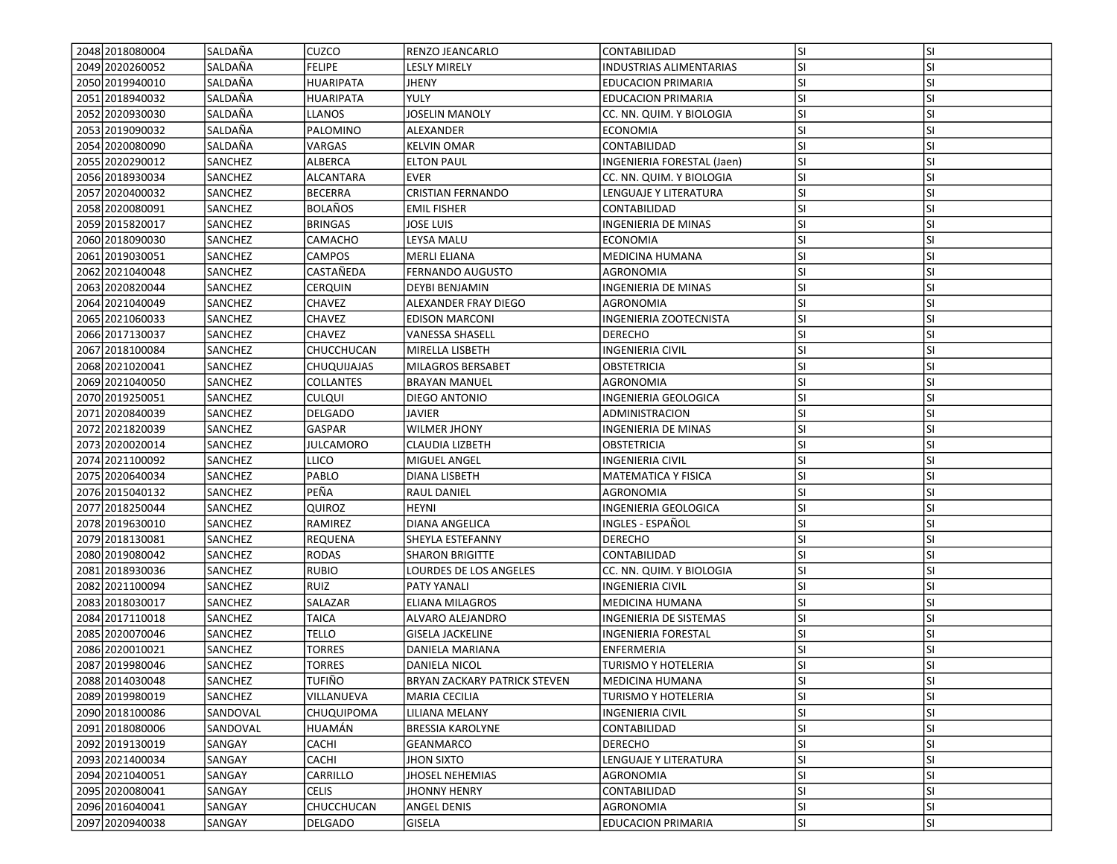| 2048 2018080004   | SALDAÑA        | <b>CUZCO</b>      | <b>RENZO JEANCARLO</b>              | CONTABILIDAD               | <b>SI</b> | <b>SI</b> |
|-------------------|----------------|-------------------|-------------------------------------|----------------------------|-----------|-----------|
| 2049 2020 2600 52 | SALDAÑA        | FELIPE            | LESLY MIRELY                        | INDUSTRIAS ALIMENTARIAS    | SI        | SI        |
| 2050 2019940010   | SALDAÑA        | <b>HUARIPATA</b>  | <b>JHENY</b>                        | <b>EDUCACION PRIMARIA</b>  | SI        | SI        |
| 2051 2018 940032  | SALDAÑA        | <b>HUARIPATA</b>  | <b>YULY</b>                         | <b>EDUCACION PRIMARIA</b>  | SI        | SI        |
| 2052 2020 930030  | SALDAÑA        | <b>LLANOS</b>     | <b>JOSELIN MANOLY</b>               | CC. NN. QUIM. Y BIOLOGIA   | SI        | SI        |
| 2053 2019090032   | SALDAÑA        | PALOMINO          | ALEXANDER                           | <b>ECONOMIA</b>            | SI        | SI        |
| 2054 2020080090   | SALDAÑA        | VARGAS            | <b>KELVIN OMAR</b>                  | CONTABILIDAD               | <b>SI</b> | SI        |
| 2055 2020 2900 12 | <b>SANCHEZ</b> | <b>ALBERCA</b>    | <b>ELTON PAUL</b>                   | INGENIERIA FORESTAL (Jaen) | <b>SI</b> | SI        |
| 2056 2018 9300 34 | <b>SANCHEZ</b> | ALCANTARA         | EVER                                | CC. NN. QUIM. Y BIOLOGIA   | SI        | SI        |
| 2057 2020400032   | <b>SANCHEZ</b> | BECERRA           | <b>CRISTIAN FERNANDO</b>            | LENGUAJE Y LITERATURA      | SI        | SI        |
| 2058 2020080091   | <b>SANCHEZ</b> | <b>BOLAÑOS</b>    | <b>EMIL FISHER</b>                  | CONTABILIDAD               | SI        | SI        |
| 2059 2015 820017  | <b>SANCHEZ</b> | <b>BRINGAS</b>    | JOSE LUIS                           | <b>INGENIERIA DE MINAS</b> | SI        | SI        |
| 2060 2018090030   | SANCHEZ        | CAMACHO           | LEYSA MALU                          | <b>ECONOMIA</b>            | SI        | SI        |
| 2061 2019 030051  | SANCHEZ        | CAMPOS            | <b>MERLI ELIANA</b>                 | <b>MEDICINA HUMANA</b>     | SI        | SI        |
| 2062 2021040048   | <b>SANCHEZ</b> | CASTAÑEDA         | FERNANDO AUGUSTO                    | AGRONOMIA                  | SI        | SI        |
| 2063 2020 820044  | SANCHEZ        | CERQUIN           | DEYBI BENJAMIN                      | INGENIERIA DE MINAS        | SI        | SI        |
| 2064 2021040049   | SANCHEZ        | CHAVEZ            | ALEXANDER FRAY DIEGO                | AGRONOMIA                  | SI        | SI        |
| 2065 2021060033   | <b>SANCHEZ</b> | CHAVEZ            | <b>EDISON MARCONI</b>               | INGENIERIA ZOOTECNISTA     | SI        | SI        |
| 2066 2017130037   | <b>SANCHEZ</b> | CHAVEZ            | <b>VANESSA SHASELL</b>              | <b>DERECHO</b>             | SI        | SI        |
| 2067 2018 1000 84 | SANCHEZ        | CHUCCHUCAN        | MIRELLA LISBETH                     | INGENIERIA CIVIL           | SI        | SI        |
| 2068 2021020041   | <b>SANCHEZ</b> | CHUQUIJAJAS       | <b>MILAGROS BERSABET</b>            | OBSTETRICIA                | SI        | SI        |
| 2069 2021040050   |                | COLLANTES         | <b>BRAYAN MANUEL</b>                | AGRONOMIA                  | SI        | SI        |
|                   | <b>SANCHEZ</b> |                   |                                     |                            | SI        | SI        |
| 2070 2019 2500 51 | <b>SANCHEZ</b> | <b>CULQUI</b>     | DIEGO ANTONIO                       | INGENIERIA GEOLOGICA       | SI        | SI        |
| 2071 2020 840039  | SANCHEZ        | DELGADO           | JAVIER                              | ADMINISTRACION             |           |           |
| 2072 2021820039   | SANCHEZ        | GASPAR            | <b>WILMER JHONY</b>                 | INGENIERIA DE MINAS        | SI        | SI        |
| 2073 2020020014   | SANCHEZ        | <b>JULCAMORO</b>  | <b>CLAUDIA LIZBETH</b>              | OBSTETRICIA                | SI        | SI        |
| 2074 2021100092   | SANCHEZ        | LLICO             | MIGUEL ANGEL                        | <b>INGENIERIA CIVIL</b>    | SI        | SI        |
| 2075 2020 6400 34 | <b>SANCHEZ</b> | PABLO             | DIANA LISBETH                       | <b>MATEMATICA Y FISICA</b> | SI        | SI        |
| 2076 2015 040132  | <b>SANCHEZ</b> | PEÑA              | RAUL DANIEL                         | AGRONOMIA                  | SI        | SI        |
| 2077 2018 250044  | <b>SANCHEZ</b> | QUIROZ            | HEYNI                               | INGENIERIA GEOLOGICA       | SI        | SI        |
| 2078 2019 630010  | SANCHEZ        | RAMIREZ           | DIANA ANGELICA                      | INGLES - ESPAÑOL           | SI        | SI        |
| 2079 2018130081   | <b>SANCHEZ</b> | <b>REQUENA</b>    | SHEYLA ESTEFANNY                    | <b>DERECHO</b>             | SI        | SI        |
| 2080 2019 080042  | SANCHEZ        | <b>RODAS</b>      | <b>SHARON BRIGITTE</b>              | CONTABILIDAD               | SI        | SI        |
| 2081 2018 930036  | SANCHEZ        | <b>RUBIO</b>      | LOURDES DE LOS ANGELES              | CC. NN. QUIM. Y BIOLOGIA   | SI        | SI        |
| 2082 2021100094   | <b>SANCHEZ</b> | RUIZ              | PATY YANALI                         | <b>INGENIERIA CIVIL</b>    | SI        | SI        |
| 2083 2018 030017  | <b>SANCHEZ</b> | SALAZAR           | ELIANA MILAGROS                     | <b>MEDICINA HUMANA</b>     | SI        | SI        |
| 2084 2017110018   | <b>SANCHEZ</b> | TAICA             | ALVARO ALEJANDRO                    | INGENIERIA DE SISTEMAS     | SI        | SI        |
| 2085 2020070046   | SANCHEZ        | <b>TELLO</b>      | <b>GISELA JACKELINE</b>             | INGENIERIA FORESTAL        | SI        | SI        |
| 2086 2020010021   | <b>SANCHEZ</b> | TORRES            | DANIELA MARIANA                     | ENFERMERIA                 | SI        | SI        |
| 2087 2019 980046  | <b>SANCHEZ</b> | <b>TORRES</b>     | DANIELA NICOL                       | <b>TURISMO Y HOTELERIA</b> | SI        | SI        |
| 2088 2014 030048  | SANCHEZ        | <b>TUFIÑO</b>     | <b>BRYAN ZACKARY PATRICK STEVEN</b> | MEDICINA HUMANA            | <b>SI</b> | ΙSΙ       |
| 2089 2019 980019  | SANCHEZ        | VILLANUEVA        | <b>MARIA CECILIA</b>                | TURISMO Y HOTELERIA        | SI        | SI        |
| 2090 2018 100086  | SANDOVAL       | <b>CHUQUIPOMA</b> | LILIANA MELANY                      | <b>INGENIERIA CIVIL</b>    | SI        | SI        |
| 2091 2018 080006  | SANDOVAL       | HUAMÁN            | <b>BRESSIA KAROLYNE</b>             | CONTABILIDAD               | <b>SI</b> | SI        |
| 2092 2019 1300 19 | SANGAY         | CACHI             | GEANMARCO                           | DERECHO                    | SI        | SI        |
| 2093 2021400034   | SANGAY         | CACHI             | JHON SIXTO                          | LENGUAJE Y LITERATURA      | SI        | SI        |
| 2094 2021040051   | SANGAY         | CARRILLO          | JHOSEL NEHEMIAS                     | AGRONOMIA                  | SI        | SI        |
| 2095 2020080041   | SANGAY         | <b>CELIS</b>      | <b>JHONNY HENRY</b>                 | CONTABILIDAD               | <b>SI</b> | SI        |
| 2096 2016040041   | SANGAY         | CHUCCHUCAN        | <b>ANGEL DENIS</b>                  | AGRONOMIA                  | <b>SI</b> | <b>SI</b> |
| 2097 2020940038   | SANGAY         | DELGADO           | <b>GISELA</b>                       | <b>EDUCACION PRIMARIA</b>  | SI        | SI        |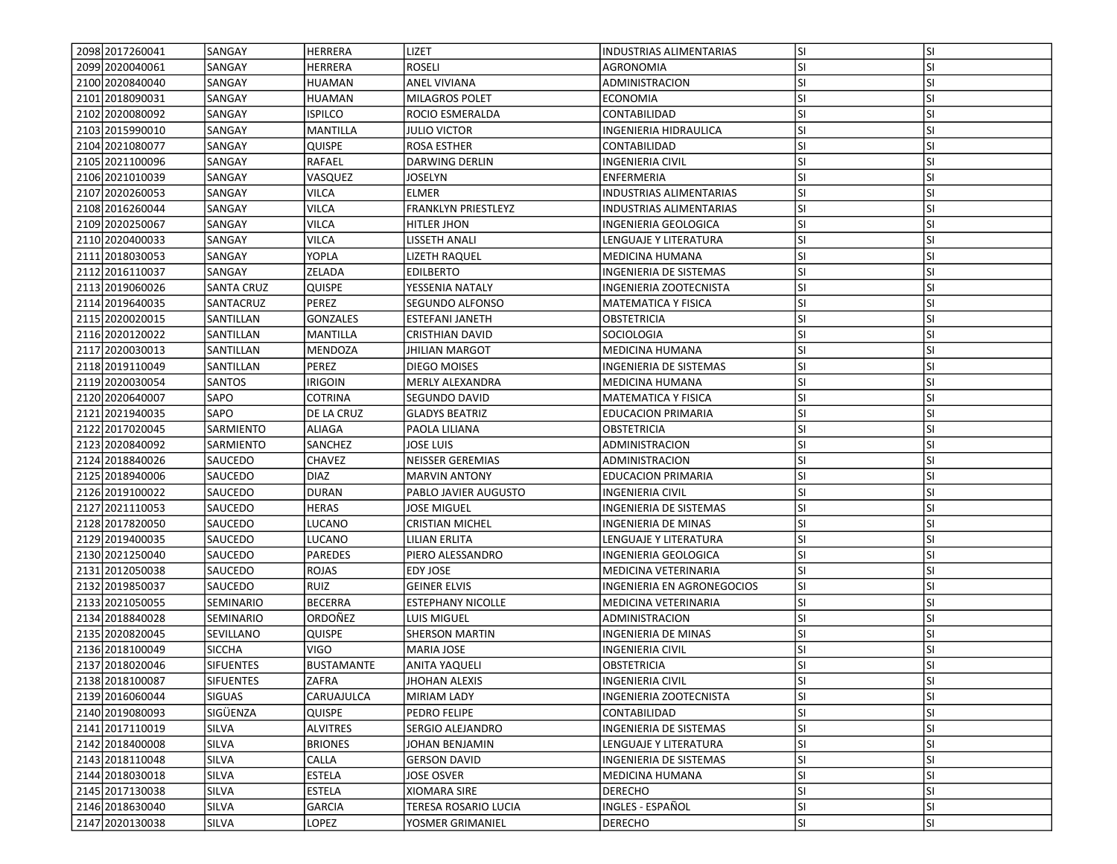| 2098 2017 260041  | <b>SANGAY</b>     | HERRERA           | LIZET                    | <b>INDUSTRIAS ALIMENTARIAS</b> | lsı       | <b>SI</b> |
|-------------------|-------------------|-------------------|--------------------------|--------------------------------|-----------|-----------|
| 2099 2020040061   | SANGAY            | HERRERA           | ROSELI                   | AGRONOMIA                      | SI.       | SI        |
| 2100 2020 840040  | <b>SANGAY</b>     | <b>HUAMAN</b>     | <b>ANEL VIVIANA</b>      | ADMINISTRACION                 | <b>SI</b> | <b>SI</b> |
| 2101 2018090031   | SANGAY            | <b>HUAMAN</b>     | <b>MILAGROS POLET</b>    | <b>ECONOMIA</b>                | lsı       | <b>SI</b> |
| 2102 2020 080092  | <b>SANGAY</b>     | <b>ISPILCO</b>    | ROCIO ESMERALDA          | CONTABILIDAD                   | SI.       | <b>SI</b> |
| 2103 2015 990010  | SANGAY            | <b>MANTILLA</b>   | JULIO VICTOR             | <b>INGENIERIA HIDRAULICA</b>   | lsı       | <b>SI</b> |
| 2104 2021080077   | SANGAY            | <b>QUISPE</b>     | ROSA ESTHER              | CONTABILIDAD                   | <b>SI</b> | SI        |
| 2105 2021100096   | SANGAY            | RAFAEL            | DARWING DERLIN           | <b>INGENIERIA CIVIL</b>        | <b>SI</b> | <b>SI</b> |
| 2106 2021010039   | SANGAY            | VASQUEZ           | JOSELYN                  | ENFERMERIA                     | <b>SI</b> | <b>SI</b> |
| 2107 2020260053   | SANGAY            | <b>VILCA</b>      | <b>ELMER</b>             | <b>INDUSTRIAS ALIMENTARIAS</b> | <b>SI</b> | <b>SI</b> |
| 2108 2016 260044  | SANGAY            | VILCA             | FRANKLYN PRIESTLEYZ      | <b>INDUSTRIAS ALIMENTARIAS</b> | lsı       | <b>SI</b> |
| 2109 2020 2500 67 | SANGAY            | <b>VILCA</b>      | HITLER JHON              | INGENIERIA GEOLOGICA           | SI.       | <b>SI</b> |
| 2110 2020400033   | SANGAY            | <b>VILCA</b>      | LISSETH ANALI            | <b>LENGUAJE Y LITERATURA</b>   | <b>SI</b> | <b>SI</b> |
| 2111 2018 030053  | SANGAY            | YOPLA             | LIZETH RAQUEL            | MEDICINA HUMANA                | SI        | <b>SI</b> |
| 2112 2016 1100 37 | SANGAY            | ZELADA            | <b>EDILBERTO</b>         | INGENIERIA DE SISTEMAS         | <b>SI</b> | <b>SI</b> |
| 2113 2019060026   | <b>SANTA CRUZ</b> | <b>QUISPE</b>     | YESSENIA NATALY          | INGENIERIA ZOOTECNISTA         | <b>SI</b> | SI        |
| 2114 2019 6400 35 | SANTACRUZ         | PEREZ             | SEGUNDO ALFONSO          | <b>MATEMATICA Y FISICA</b>     | <b>SI</b> | <b>SI</b> |
| 2115 2020020015   | <b>SANTILLAN</b>  | <b>GONZALES</b>   | <b>ESTEFANI JANETH</b>   | <b>OBSTETRICIA</b>             | SI        | <b>SI</b> |
| 2116 2020 1200 22 | <b>SANTILLAN</b>  | <b>MANTILLA</b>   | <b>CRISTHIAN DAVID</b>   | SOCIOLOGIA                     | SI.       | <b>SI</b> |
| 2117 2020030013   | SANTILLAN         | <b>MENDOZA</b>    | <b>JHILIAN MARGOT</b>    | <b>MEDICINA HUMANA</b>         | SI.       | <b>SI</b> |
| 2118 2019 110049  | <b>SANTILLAN</b>  | PEREZ             | DIEGO MOISES             | INGENIERIA DE SISTEMAS         | <b>SI</b> | <b>SI</b> |
| 2119 2020 030054  | <b>SANTOS</b>     | <b>IRIGOIN</b>    | MERLY ALEXANDRA          | <b>MEDICINA HUMANA</b>         | <b>SI</b> | SI        |
| 2120 2020 640007  | SAPO              | COTRINA           | SEGUNDO DAVID            | MATEMATICA Y FISICA            | SI.       | SI        |
| 2121 2021 940 035 | SAPO              | DE LA CRUZ        | <b>GLADYS BEATRIZ</b>    | <b>EDUCACION PRIMARIA</b>      | lsı       | <b>SI</b> |
| 2122 2017020045   | <b>SARMIENTO</b>  | <b>ALIAGA</b>     | PAOLA LILIANA            | OBSTETRICIA                    | SI        | <b>SI</b> |
| 2123 2020840092   | <b>SARMIENTO</b>  | SANCHEZ           | <b>JOSE LUIS</b>         | <b>ADMINISTRACION</b>          | lsı       | <b>SI</b> |
| 2124 2018 840026  | <b>SAUCEDO</b>    | <b>CHAVEZ</b>     | <b>NEISSER GEREMIAS</b>  | ADMINISTRACION                 | SI.       | <b>SI</b> |
| 2125 2018940006   | <b>SAUCEDO</b>    | <b>DIAZ</b>       | <b>MARVIN ANTONY</b>     | <b>EDUCACION PRIMARIA</b>      | <b>SI</b> | <b>SI</b> |
| 2126 2019 100022  | <b>SAUCEDO</b>    | <b>DURAN</b>      | PABLO JAVIER AUGUSTO     | <b>INGENIERIA CIVIL</b>        | SI.       | SI        |
| 2127 2021110053   | <b>SAUCEDO</b>    | <b>HERAS</b>      | JOSE MIGUEL              | INGENIERIA DE SISTEMAS         | SI.       | <b>SI</b> |
| 2128 20178 20050  | <b>SAUCEDO</b>    | <b>LUCANO</b>     | <b>CRISTIAN MICHEL</b>   | INGENIERIA DE MINAS            | <b>SI</b> | <b>SI</b> |
| 2129 2019400035   | <b>SAUCEDO</b>    | <b>LUCANO</b>     | LILIAN ERLITA            | LENGUAJE Y LITERATURA          | <b>SI</b> | <b>SI</b> |
| 2130 2021250040   | <b>SAUCEDO</b>    | <b>PAREDES</b>    | PIERO ALESSANDRO         | INGENIERIA GEOLOGICA           | <b>SI</b> | <b>SI</b> |
| 2131 2012050038   | <b>SAUCEDO</b>    | <b>ROJAS</b>      | EDY JOSE                 | MEDICINA VETERINARIA           | SI.       | <b>SI</b> |
| 2132 2019 850037  | <b>SAUCEDO</b>    | <b>RUIZ</b>       | <b>GEINER ELVIS</b>      | INGENIERIA EN AGRONEGOCIOS     | lsı       | <b>SI</b> |
| 2133 2021050055   | <b>SEMINARIO</b>  | <b>BECERRA</b>    | <b>ESTEPHANY NICOLLE</b> | MEDICINA VETERINARIA           | <b>SI</b> | SI        |
| 2134 2018 840028  | <b>SEMINARIO</b>  | ORDOÑEZ           | LUIS MIGUEL              | ADMINISTRACION                 | SI.       | <b>SI</b> |
| 2135 20208 20045  | <b>SEVILLANO</b>  | <b>QUISPE</b>     | SHERSON MARTIN           | INGENIERIA DE MINAS            | <b>SI</b> | <b>SI</b> |
| 2136 2018100049   | <b>SICCHA</b>     | VIGO              | MARIA JOSE               | INGENIERIA CIVIL               | <b>SI</b> | <b>SI</b> |
| 2137 2018 020046  | <b>SIFUENTES</b>  | <b>BUSTAMANTE</b> | <b>ANITA YAQUELI</b>     | <b>OBSTETRICIA</b>             | SI        | <b>SI</b> |
| 2138 2018 1000 87 | <b>SIFUENTES</b>  | <b>ZAFRA</b>      | <b>JHOHAN ALEXIS</b>     | <b>INGENIERIA CIVIL</b>        | lsı       | ΙSΙ       |
| 2139 2016060044   | <b>SIGUAS</b>     | CARUAJULCA        | <b>MIRIAM LADY</b>       | <b>INGENIERIA ZOOTECNISTA</b>  | SI        | <b>SI</b> |
| 2140 2019080093   | <b>SIGÜENZA</b>   | <b>QUISPE</b>     | PEDRO FELIPE             | CONTABILIDAD                   | <b>SI</b> | SI        |
| 2141 2017110019   | <b>SILVA</b>      | <b>ALVITRES</b>   | SERGIO ALEJANDRO         | INGENIERIA DE SISTEMAS         | SI.       | SI        |
| 2142 2018400008   | <b>SILVA</b>      | <b>BRIONES</b>    | JOHAN BENJAMIN           | LENGUAJE Y LITERATURA          | SI.       | SI        |
| 2143 2018110048   | SILVA             | CALLA             | <b>GERSON DAVID</b>      | INGENIERIA DE SISTEMAS         | <b>SI</b> | <b>SI</b> |
| 2144 2018030018   | <b>SILVA</b>      | <b>ESTELA</b>     | JOSE OSVER               | MEDICINA HUMANA                | <b>SI</b> | SI        |
| 2145 2017130038   | <b>SILVA</b>      | <b>ESTELA</b>     | XIOMARA SIRE             | <b>DERECHO</b>                 | <b>SI</b> | <b>SI</b> |
| 2146 2018 630040  | <b>SILVA</b>      | <b>GARCIA</b>     |                          | INGLES - ESPAÑOL               |           | <b>SI</b> |
|                   |                   |                   | TERESA ROSARIO LUCIA     | <b>DERECHO</b>                 | SI.       |           |
| 2147 2020130038   | SILVA             | LOPEZ             | YOSMER GRIMANIEL         |                                | SI.       | SI        |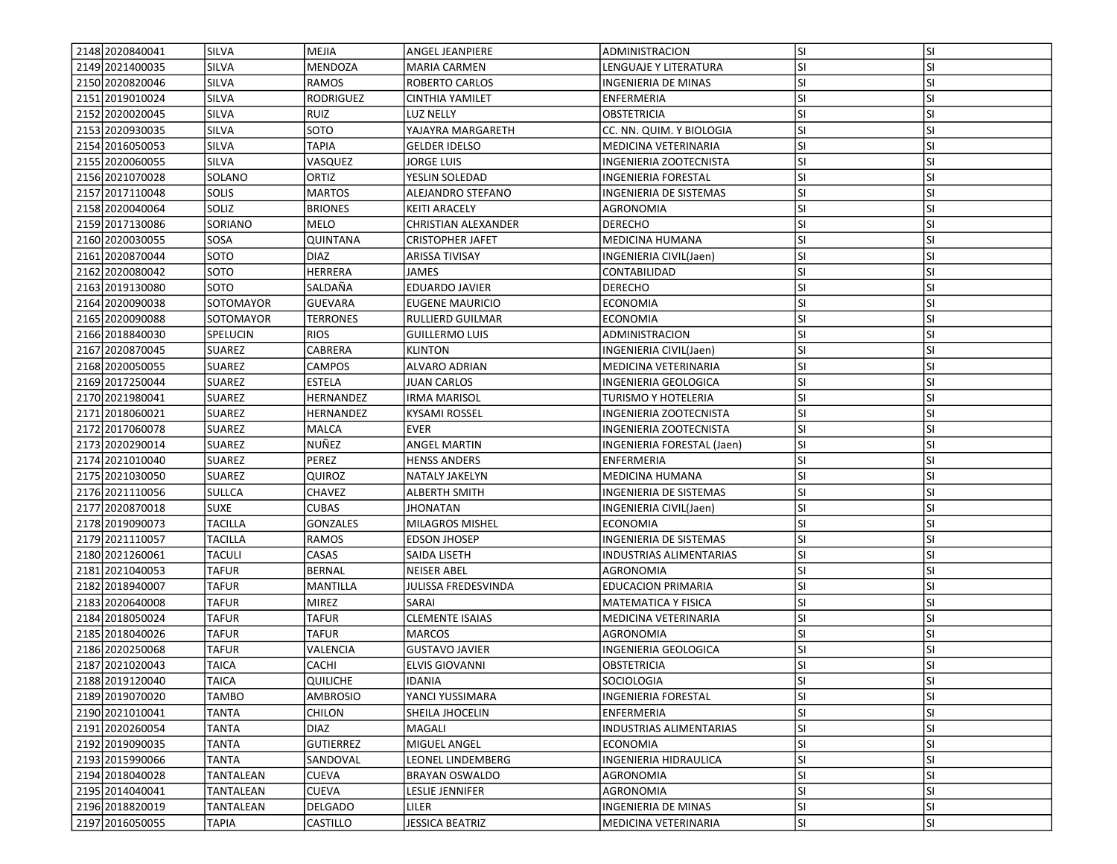| 2148 2020 8400 41<br>2149 2021400035 | <b>SILVA</b><br><b>SILVA</b> | MEJIA<br><b>MENDOZA</b> | <b>ANGEL JEANPIERE</b><br><b>MARIA CARMEN</b> | ADMINISTRACION<br>LENGUAJE Y LITERATURA | lsı<br>SI. | <b>SI</b><br>SI |
|--------------------------------------|------------------------------|-------------------------|-----------------------------------------------|-----------------------------------------|------------|-----------------|
| 2150 2020 820046                     | <b>SILVA</b>                 | <b>RAMOS</b>            | <b>ROBERTO CARLOS</b>                         | <b>INGENIERIA DE MINAS</b>              | <b>SI</b>  | <b>SI</b>       |
|                                      |                              |                         |                                               |                                         |            |                 |
| 2151 2019 010024                     | <b>SILVA</b>                 | <b>RODRIGUEZ</b>        | <b>CINTHIA YAMILET</b>                        | ENFERMERIA                              | <b>SI</b>  | <b>SI</b>       |
| 2152 2020020045                      | <b>SILVA</b>                 | <b>RUIZ</b>             | LUZ NELLY                                     | <b>OBSTETRICIA</b>                      | <b>SI</b>  | <b>SI</b>       |
| 2153 2020930035                      | <b>SILVA</b>                 | SOTO                    | YAJAYRA MARGARETH                             | CC. NN. QUIM. Y BIOLOGIA                | lsı        | <b>SI</b>       |
| 2154 2016050053                      | <b>SILVA</b>                 | TAPIA                   | <b>GELDER IDELSO</b>                          | MEDICINA VETERINARIA                    | <b>SI</b>  | SI              |
| 2155 2020060055                      | <b>SILVA</b>                 | VASQUEZ                 | JORGE LUIS                                    | INGENIERIA ZOOTECNISTA                  | <b>SI</b>  | <b>SI</b>       |
| 2156 2021070028                      | SOLANO                       | ORTIZ                   | YESLIN SOLEDAD                                | INGENIERIA FORESTAL                     | <b>SI</b>  | SI              |
| 2157 2017110048                      | <b>SOLIS</b>                 | <b>MARTOS</b>           | <b>ALEJANDRO STEFANO</b>                      | <b>INGENIERIA DE SISTEMAS</b>           | <b>SI</b>  | SI              |
| 2158 2020040064                      | SOLIZ                        | <b>BRIONES</b>          | <b>KEITI ARACELY</b>                          | AGRONOMIA                               | lsı        | <b>SI</b>       |
| 2159 2017130086                      | SORIANO                      | MELO                    | CHRISTIAN ALEXANDER                           | <b>DERECHO</b>                          | SI.        | <b>SI</b>       |
| 2160 2020030055                      | SOSA                         | <b>QUINTANA</b>         | <b>CRISTOPHER JAFET</b>                       | <b>MEDICINA HUMANA</b>                  | <b>SI</b>  | <b>SI</b>       |
| 2161 2020870044                      | SOTO                         | <b>DIAZ</b>             | ARISSA TIVISAY                                | INGENIERIA CIVIL(Jaen)                  | SI         | <b>SI</b>       |
| 2162 2020080042                      | SOTO                         | HERRERA                 | JAMES                                         | CONTABILIDAD                            | <b>SI</b>  | <b>SI</b>       |
| 2163 2019 130080                     | SOTO                         | SALDAÑA                 | <b>EDUARDO JAVIER</b>                         | <b>DERECHO</b>                          | <b>SI</b>  | SI              |
| 2164 2020090038                      | SOTOMAYOR                    | <b>GUEVARA</b>          | <b>EUGENE MAURICIO</b>                        | ECONOMIA                                | <b>SI</b>  | <b>SI</b>       |
| 2165 2020090088                      | SOTOMAYOR                    | <b>TERRONES</b>         | <b>RULLIERD GUILMAR</b>                       | <b>ECONOMIA</b>                         | SI         | <b>SI</b>       |
| 2166 2018840030                      | SPELUCIN                     | <b>RIOS</b>             | <b>GUILLERMO LUIS</b>                         | ADMINISTRACION                          | SI.        | <b>SI</b>       |
| 2167 2020870045                      | <b>SUAREZ</b>                | CABRERA                 | <b>KLINTON</b>                                | INGENIERIA CIVIL(Jaen)                  | SI.        | <b>SI</b>       |
| 2168 2020050055                      | <b>SUAREZ</b>                | CAMPOS                  | <b>ALVARO ADRIAN</b>                          | MEDICINA VETERINARIA                    | <b>SI</b>  | <b>SI</b>       |
| 2169 2017 250044                     | <b>SUAREZ</b>                | ESTELA                  | <b>JUAN CARLOS</b>                            | INGENIERIA GEOLOGICA                    | <b>SI</b>  | SI              |
| 2170 2021980041                      | <b>SUAREZ</b>                | HERNANDEZ               | <b>IRMA MARISOL</b>                           | TURISMO Y HOTELERIA                     | <b>SI</b>  | SI              |
| 2171 2018060021                      | <b>SUAREZ</b>                | HERNANDEZ               | <b>KYSAMI ROSSEL</b>                          | INGENIERIA ZOOTECNISTA                  | <b>SI</b>  | <b>SI</b>       |
| 2172 2017060078                      | <b>SUAREZ</b>                | <b>MALCA</b>            | <b>EVER</b>                                   | INGENIERIA ZOOTECNISTA                  | <b>SI</b>  | <b>SI</b>       |
| 2173 2020 2900 14                    | <b>SUAREZ</b>                | NUÑEZ                   | <b>ANGEL MARTIN</b>                           | INGENIERIA FORESTAL (Jaen)              | <b>SI</b>  | <b>SI</b>       |
| 2174 2021010040                      | <b>SUAREZ</b>                | PEREZ                   | <b>HENSS ANDERS</b>                           | ENFERMERIA                              | <b>SI</b>  | <b>SI</b>       |
| 2175 2021030050                      | <b>SUAREZ</b>                | QUIROZ                  | NATALY JAKELYN                                | <b>MEDICINA HUMANA</b>                  | <b>SI</b>  | <b>SI</b>       |
| 2176 2021110056                      | <b>SULLCA</b>                | CHAVEZ                  | <b>ALBERTH SMITH</b>                          | INGENIERIA DE SISTEMAS                  | <b>SI</b>  | SI              |
| 2177 2020 870018                     | <b>SUXE</b>                  | CUBAS                   |                                               |                                         | <b>SI</b>  | <b>SI</b>       |
| 2178 2019090073                      | TACILLA                      | <b>GONZALES</b>         | <b>JHONATAN</b><br>MILAGROS MISHEL            | INGENIERIA CIVIL(Jaen)<br>ECONOMIA      | <b>SI</b>  | <b>SI</b>       |
|                                      |                              |                         |                                               |                                         |            |                 |
| 2179 2021110057                      | <b>TACILLA</b>               | <b>RAMOS</b>            | <b>EDSON JHOSEP</b>                           | INGENIERIA DE SISTEMAS                  | <b>SI</b>  | <b>SI</b>       |
| 2180 2021260061                      | <b>TACULI</b>                | CASAS                   | SAIDA LISETH                                  | <b>INDUSTRIAS ALIMENTARIAS</b>          | <b>SI</b>  | <b>SI</b>       |
| 2181 2021040053                      | <b>TAFUR</b>                 | <b>BERNAL</b>           | <b>NEISER ABEL</b>                            | AGRONOMIA                               | <b>SI</b>  | <b>SI</b>       |
| 2182 2018 940007                     | <b>TAFUR</b>                 | MANTILLA                | JULISSA FREDESVINDA                           | <b>EDUCACION PRIMARIA</b>               | <b>SI</b>  | <b>SI</b>       |
| 2183 2020 640008                     | <b>TAFUR</b>                 | <b>MIREZ</b>            | SARAI                                         | <b>MATEMATICA Y FISICA</b>              | <b>SI</b>  | SI              |
| 2184 2018 050 024                    | TAFUR                        | <b>TAFUR</b>            | <b>CLEMENTE ISAIAS</b>                        | MEDICINA VETERINARIA                    | SI.        | <b>SI</b>       |
| 2185 2018040026                      | TAFUR                        | TAFUR                   | <b>MARCOS</b>                                 | <b>AGRONOMIA</b>                        | <b>SI</b>  | <b>SI</b>       |
| 2186 2020250068                      | TAFUR                        | VALENCIA                | <b>GUSTAVO JAVIER</b>                         | INGENIERIA GEOLOGICA                    | SI         | <b>SI</b>       |
| 2187 2021020043                      | <b>TAICA</b>                 | CACHI                   | <b>ELVIS GIOVANNI</b>                         | <b>OBSTETRICIA</b>                      | SI         | <b>SI</b>       |
| 2188 2019 120040                     | <b>TAICA</b>                 | <b>QUILICHE</b>         | <b>IDANIA</b>                                 | <b>SOCIOLOGIA</b>                       | lsı        | ΙSΙ             |
| 2189 2019 070 020                    | TAMBO                        | <b>AMBROSIO</b>         | YANCI YUSSIMARA                               | <b>INGENIERIA FORESTAL</b>              | lsı        | <b>SI</b>       |
| 2190 2021010041                      | <b>TANTA</b>                 | <b>CHILON</b>           | SHEILA JHOCELIN                               | ENFERMERIA                              | <b>SI</b>  | SI              |
| 2191 2020 2600 54                    | TANTA                        | <b>DIAZ</b>             | MAGALI                                        | <b>INDUSTRIAS ALIMENTARIAS</b>          | <b>SI</b>  | SI              |
| 2192 2019090035                      | TANTA                        | <b>GUTIERREZ</b>        | MIGUEL ANGEL                                  | <b>ECONOMIA</b>                         | SI.        | <b>SI</b>       |
| 2193 2015 990066                     | <b>TANTA</b>                 | SANDOVAL                | LEONEL LINDEMBERG                             | INGENIERIA HIDRAULICA                   | <b>SI</b>  | <b>SI</b>       |
| 2194 2018040028                      | <b>TANTALEAN</b>             | <b>CUEVA</b>            | <b>BRAYAN OSWALDO</b>                         | <b>AGRONOMIA</b>                        | SI         | SI              |
| 2195 2014 04 004 1                   | TANTALEAN                    | <b>CUEVA</b>            | LESLIE JENNIFER                               | AGRONOMIA                               | <b>SI</b>  | SI              |
| 2196 2018 820019                     | TANTALEAN                    | <b>DELGADO</b>          | liler                                         | INGENIERIA DE MINAS                     | <b>SI</b>  | SI              |
| 2197 2016050055                      | <b>TAPIA</b>                 | <b>CASTILLO</b>         | <b>JESSICA BEATRIZ</b>                        | MEDICINA VETERINARIA                    | SI.        | SI              |
|                                      |                              |                         |                                               |                                         |            |                 |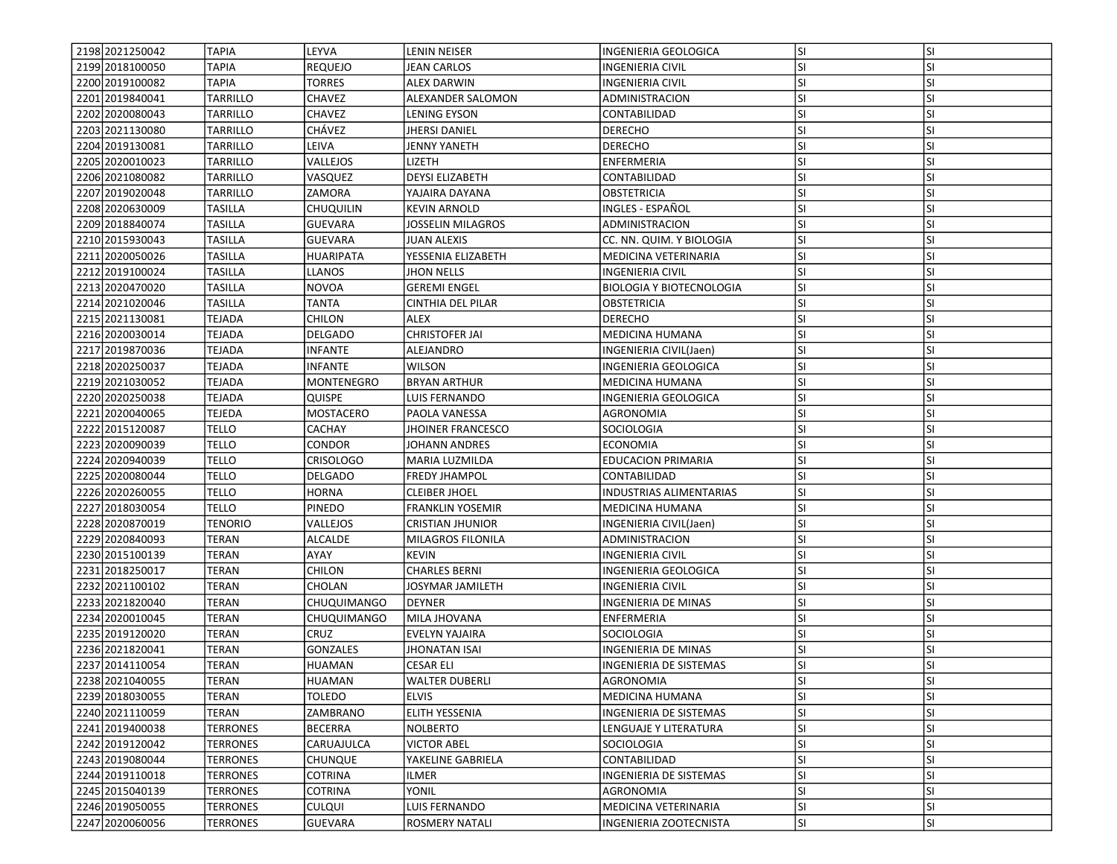| 2198 2021250042   | <b>TAPIA</b>    | LEYVA              | LENIN NEISER             | INGENIERIA GEOLOGICA            | lsı       | <b>SI</b> |
|-------------------|-----------------|--------------------|--------------------------|---------------------------------|-----------|-----------|
| 2199 2018 100050  | TAPIA           | <b>REQUEJO</b>     | <b>JEAN CARLOS</b>       | INGENIERIA CIVIL                | <b>SI</b> | SI        |
| 2200 2019100082   | <b>TAPIA</b>    | <b>TORRES</b>      | <b>ALEX DARWIN</b>       | <b>INGENIERIA CIVIL</b>         | <b>SI</b> | <b>SI</b> |
| 2201 2019 840041  | <b>TARRILLO</b> | CHAVEZ             | ALEXANDER SALOMON        | ADMINISTRACION                  | <b>SI</b> | <b>SI</b> |
| 2202 2020080043   | <b>TARRILLO</b> | <b>CHAVEZ</b>      | LENING EYSON             | CONTABILIDAD                    | lsı       | <b>SI</b> |
| 2203 2021130080   | <b>TARRILLO</b> | CHÁVEZ             | <b>JHERSI DANIEL</b>     | <b>DERECHO</b>                  | lsı       | <b>SI</b> |
| 2204 2019 1300 81 | TARRILLO        | LEIVA              | <b>JENNY YANETH</b>      | <b>DERECHO</b>                  | <b>SI</b> | <b>SI</b> |
| 2205 2020010023   | TARRILLO        | VALLEJOS           | lizeth                   | ENFERMERIA                      | <b>SI</b> | <b>SI</b> |
| 2206 2021080082   | TARRILLO        | VASQUEZ            | <b>DEYSI ELIZABETH</b>   | CONTABILIDAD                    | <b>SI</b> | SI        |
| 2207 2019 020048  | <b>TARRILLO</b> | ZAMORA             | YAJAIRA DAYANA           | OBSTETRICIA                     | <b>SI</b> | <b>SI</b> |
| 2208 2020 630009  | <b>TASILLA</b>  | <b>CHUQUILIN</b>   | <b>KEVIN ARNOLD</b>      | INGLES - ESPAÑOL                | lsı       | <b>SI</b> |
| 2209 2018 840074  | <b>TASILLA</b>  | <b>GUEVARA</b>     | JOSSELIN MILAGROS        | ADMINISTRACION                  | SI.       | <b>SI</b> |
| 2210 2015 930043  | <b>TASILLA</b>  | <b>GUEVARA</b>     | <b>JUAN ALEXIS</b>       | CC. NN. QUIM. Y BIOLOGIA        | <b>SI</b> | <b>SI</b> |
| 2211 2020050026   | <b>TASILLA</b>  | <b>HUARIPATA</b>   | YESSENIA ELIZABETH       | MEDICINA VETERINARIA            | <b>SI</b> | <b>SI</b> |
| 2212 2019 1000 24 | TASILLA         | LLANOS             | <b>JHON NELLS</b>        | <b>INGENIERIA CIVIL</b>         | <b>SI</b> | <b>SI</b> |
| 2213 2020470020   | TASILLA         | <b>NOVOA</b>       | <b>GEREMI ENGEL</b>      | <b>BIOLOGIA Y BIOTECNOLOGIA</b> | <b>SI</b> | SI        |
| 2214 2021 020046  | <b>TASILLA</b>  | TANTA              | <b>CINTHIA DEL PILAR</b> | <b>OBSTETRICIA</b>              | <b>SI</b> | <b>SI</b> |
| 2215 2021130081   | <b>TEJADA</b>   | CHILON             | <b>ALEX</b>              | <b>DERECHO</b>                  | lsı       | <b>SI</b> |
| 2216 2020030014   | <b>TEJADA</b>   | <b>DELGADO</b>     | <b>CHRISTOFER JAI</b>    | MEDICINA HUMANA                 | lsı       | <b>SI</b> |
| 2217 2019 870036  | <b>TEJADA</b>   | <b>INFANTE</b>     | ALEJANDRO                | INGENIERIA CIVIL(Jaen)          | <b>SI</b> | <b>SI</b> |
| 2218 2020 2500 37 | <b>TEJADA</b>   | <b>INFANTE</b>     | <b>WILSON</b>            | INGENIERIA GEOLOGICA            | SI        | <b>SI</b> |
| 2219 2021030052   | <b>TEJADA</b>   | MONTENEGRO         | <b>BRYAN ARTHUR</b>      | <b>MEDICINA HUMANA</b>          | <b>SI</b> | <b>SI</b> |
| 2220 2020 2500 38 | <b>TEJADA</b>   | Quispe             | LUIS FERNANDO            | INGENIERIA GEOLOGICA            | SI.       | <b>SI</b> |
| 2221 2020040065   | TEJEDA          | MOSTACERO          | PAOLA VANESSA            | AGRONOMIA                       | lsı       | <b>SI</b> |
| 2222 2015120087   | <b>TELLO</b>    | CACHAY             | <b>JHOINER FRANCESCO</b> | SOCIOLOGIA                      | SI        | <b>SI</b> |
| 2223 2020090039   | <b>TELLO</b>    | <b>CONDOR</b>      | <b>JOHANN ANDRES</b>     | <b>ECONOMIA</b>                 | lsı       | <b>SI</b> |
| 2224 2020940039   | <b>TELLO</b>    | <b>CRISOLOGO</b>   | MARIA LUZMILDA           | <b>EDUCACION PRIMARIA</b>       | SI.       | <b>SI</b> |
| 2225 2020080044   | <b>TELLO</b>    | DELGADO            | <b>FREDY JHAMPOL</b>     | CONTABILIDAD                    | <b>SI</b> | <b>SI</b> |
| 2226 2020 260055  | <b>TELLO</b>    | HORNA              | <b>CLEIBER JHOEL</b>     | INDUSTRIAS ALIMENTARIAS         | SI.       | SI        |
| 2227 2018030054   | <b>TELLO</b>    | PINEDO             | <b>FRANKLIN YOSEMIR</b>  | <b>MEDICINA HUMANA</b>          | SI.       | <b>SI</b> |
| 2228 2020870019   | <b>TENORIO</b>  | VALLEJOS           | <b>CRISTIAN JHUNIOR</b>  | INGENIERIA CIVIL(Jaen)          | <b>SI</b> | <b>SI</b> |
| 2229 2020840093   | <b>TERAN</b>    | <b>ALCALDE</b>     | MILAGROS FILONILA        | ADMINISTRACION                  | <b>SI</b> | <b>SI</b> |
| 2230 2015 100139  | <b>TERAN</b>    | AYAY               | <b>KEVIN</b>             | <b>INGENIERIA CIVIL</b>         | lsı       | <b>SI</b> |
| 2231 2018 250017  | <b>TERAN</b>    | <b>CHILON</b>      | <b>CHARLES BERNI</b>     | INGENIERIA GEOLOGICA            | SI.       | <b>SI</b> |
| 2232 2021 100102  | <b>TERAN</b>    | CHOLAN             | JOSYMAR JAMILETH         | <b>INGENIERIA CIVIL</b>         | <b>SI</b> | <b>SI</b> |
| 2233 2021820040   | <b>TERAN</b>    | <b>CHUQUIMANGO</b> | <b>DEYNER</b>            | INGENIERIA DE MINAS             | <b>SI</b> | SI        |
| 2234 2020010045   | TERAN           | CHUQUIMANGO        | MILA JHOVANA             | ENFERMERIA                      | SI.       | <b>SI</b> |
| 2235 2019 1200 20 | <b>TERAN</b>    | CRUZ               | EVELYN YAJAIRA           | <b>SOCIOLOGIA</b>               | <b>SI</b> | <b>SI</b> |
| 2236 2021820041   | <b>TERAN</b>    | <b>GONZALES</b>    | JHONATAN ISAI            | INGENIERIA DE MINAS             | SI        | <b>SI</b> |
| 2237 2014 110054  | <b>TERAN</b>    | <b>HUAMAN</b>      | <b>CESAR ELI</b>         | <b>INGENIERIA DE SISTEMAS</b>   | SI        | <b>SI</b> |
| 2238 2021040055   | <b>TERAN</b>    | HUAMAN             | <b>WALTER DUBERLI</b>    | AGRONOMIA                       | lsı       | ΙSΙ       |
| 2239 2018 030 055 | <b>TERAN</b>    | TOLEDO             | <b>ELVIS</b>             | MEDICINA HUMANA                 | lsı       | <b>SI</b> |
| 2240 2021110059   | <b>TERAN</b>    | ZAMBRANO           | <b>ELITH YESSENIA</b>    | INGENIERIA DE SISTEMAS          | <b>SI</b> | SI        |
| 2241 2019400038   | <b>TERRONES</b> | <b>BECERRA</b>     | <b>NOLBERTO</b>          | LENGUAJE Y LITERATURA           | <b>SI</b> | SI        |
| 2242 2019 1200 42 | <b>TERRONES</b> | CARUAJULCA         | VICTOR ABEL              | SOCIOLOGIA                      | SI.       | <b>SI</b> |
| 2243 2019080044   | <b>TERRONES</b> | <b>CHUNQUE</b>     | YAKELINE GABRIELA        | CONTABILIDAD                    | <b>SI</b> | <b>SI</b> |
| 2244 2019 1100 18 | <b>TERRONES</b> | COTRINA            | <b>ILMER</b>             | <b>INGENIERIA DE SISTEMAS</b>   | <b>SI</b> | SI        |
| 2245 2015 040 139 | <b>TERRONES</b> | <b>COTRINA</b>     | YONIL                    | AGRONOMIA                       | <b>SI</b> | <b>SI</b> |
| 2246 2019 050 055 | <b>TERRONES</b> | <b>CULQUI</b>      | LUIS FERNANDO            | MEDICINA VETERINARIA            | SI.       | <b>SI</b> |
| 2247 2020060056   | <b>TERRONES</b> | GUEVARA            | <b>ROSMERY NATALI</b>    | INGENIERIA ZOOTECNISTA          | SI.       | SI        |
|                   |                 |                    |                          |                                 |           |           |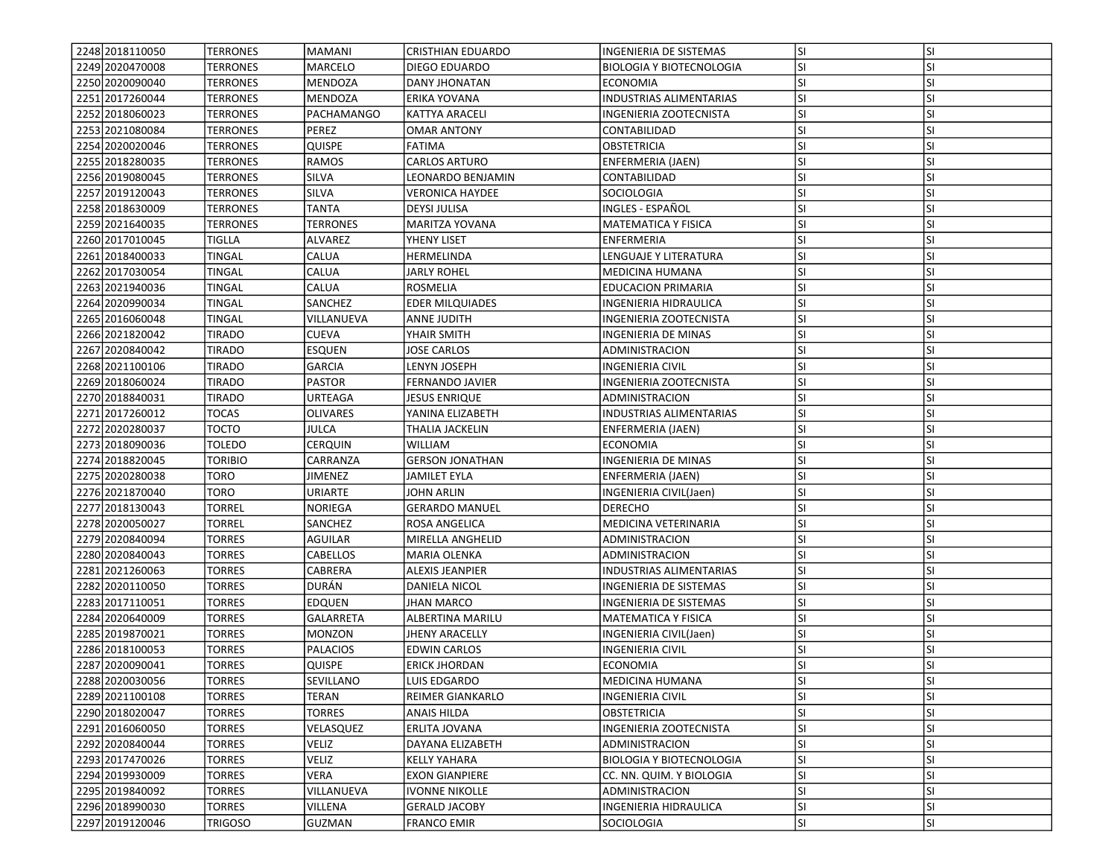| 2248 2018 110050                     | <b>TERRONES</b>         | MAMANI            | <b>CRISTHIAN EDUARDO</b> | <b>INGENIERIA DE SISTEMAS</b>                     | lsı              | <b>SI</b> |
|--------------------------------------|-------------------------|-------------------|--------------------------|---------------------------------------------------|------------------|-----------|
| 2249 2020 470008                     | <b>TERRONES</b>         | MARCELO           | DIEGO EDUARDO            | <b>BIOLOGIA Y BIOTECNOLOGIA</b>                   | SI.              | SI        |
| 2250 2020090040                      | <b>TERRONES</b>         | MENDOZA           | <b>DANY JHONATAN</b>     | <b>ECONOMIA</b>                                   | <b>SI</b>        | <b>SI</b> |
| 2251 2017 260044                     | <b>TERRONES</b>         | MENDOZA           | ERIKA YOVANA             | <b>INDUSTRIAS ALIMENTARIAS</b>                    | <b>SI</b>        | <b>SI</b> |
| 2252 2018060023                      | <b>TERRONES</b>         | <b>PACHAMANGO</b> | <b>KATTYA ARACELI</b>    | INGENIERIA ZOOTECNISTA                            | SI.              | <b>SI</b> |
| 2253 2021080084                      | <b>TERRONES</b>         | PEREZ             | <b>OMAR ANTONY</b>       | CONTABILIDAD                                      | lsı              | <b>SI</b> |
| 2254 2020020046                      | <b>TERRONES</b>         | QUISPE            | <b>FATIMA</b>            | <b>OBSTETRICIA</b>                                | <b>SI</b>        | <b>SI</b> |
| 2255 2018 2800 35                    | <b>TERRONES</b>         | RAMOS             | <b>CARLOS ARTURO</b>     | ENFERMERIA (JAEN)                                 | <b>SI</b>        | <b>SI</b> |
| 2256 2019080045                      | <b>TERRONES</b>         | SILVA             | LEONARDO BENJAMIN        | CONTABILIDAD                                      | <b>SI</b>        | <b>SI</b> |
| 2257 2019120043                      | <b>TERRONES</b>         | SILVA             | VERONICA HAYDEE          | SOCIOLOGIA                                        | <b>SI</b>        | <b>SI</b> |
| 2258 2018 630009                     | <b>TERRONES</b>         | TANTA             | <b>DEYSI JULISA</b>      | INGLES - ESPAÑOL                                  | lsı              | <b>SI</b> |
| 2259 2021640035                      | <b>TERRONES</b>         | <b>TERRONES</b>   | MARITZA YOVANA           | <b>MATEMATICA Y FISICA</b>                        | SI.              | <b>SI</b> |
| 2260 2017010045                      | TIGLLA                  | ALVAREZ           | YHENY LISET              | ENFERMERIA                                        | lsı              | <b>SI</b> |
| 2261 2018400033                      | <b>TINGAL</b>           | CALUA             | HERMELINDA               | LENGUAJE Y LITERATURA                             | SI               | <b>SI</b> |
| 2262 2017030054                      | TINGAL                  | CALUA             | <b>JARLY ROHEL</b>       | <b>MEDICINA HUMANA</b>                            | <b>SI</b>        | <b>SI</b> |
| 2263 2021940036                      | TINGAL                  | CALUA             | ROSMELIA                 | <b>EDUCACION PRIMARIA</b>                         | <b>SI</b>        | <b>SI</b> |
| 2264 2020990034                      | <b>TINGAL</b>           | SANCHEZ           | <b>EDER MILQUIADES</b>   | INGENIERIA HIDRAULICA                             | <b>SI</b>        | <b>SI</b> |
| 2265 2016060048                      | <b>TINGAL</b>           | VILLANUEVA        | <b>ANNE JUDITH</b>       | INGENIERIA ZOOTECNISTA                            | SI               | <b>SI</b> |
| 2266 20218 2004 2                    | <b>TIRADO</b>           | <b>CUEVA</b>      | YHAIR SMITH              | <b>INGENIERIA DE MINAS</b>                        | lsı              | <b>SI</b> |
| 2267 2020840042                      | <b>TIRADO</b>           | <b>ESQUEN</b>     | JOSE CARLOS              | ADMINISTRACION                                    | <b>SI</b>        | <b>SI</b> |
| 2268 2021100106                      | <b>TIRADO</b>           | <b>GARCIA</b>     | LENYN JOSEPH             | <b>INGENIERIA CIVIL</b>                           | <b>SI</b>        | <b>SI</b> |
| 2269 2018 060024                     | <b>TIRADO</b>           | <b>PASTOR</b>     | <b>FERNANDO JAVIER</b>   | INGENIERIA ZOOTECNISTA                            | <b>SI</b>        | SI        |
| 2270 2018840031                      | TIRADO                  | URTEAGA           | JESUS ENRIQUE            | ADMINISTRACION                                    | <b>SI</b>        | <b>SI</b> |
| 2271 2017260012                      | TOCAS                   | <b>OLIVARES</b>   | YANINA ELIZABETH         | <b>INDUSTRIAS ALIMENTARIAS</b>                    | SI               | <b>SI</b> |
| 2272 2020280037                      | <b>TOCTO</b>            | JULCA             | THALIA JACKELIN          | ENFERMERIA (JAEN)                                 | SI               | <b>SI</b> |
| 2273 2018090036                      | TOLEDO                  | CERQUIN           | WILLIAM                  | <b>ECONOMIA</b>                                   | lsı              | <b>SI</b> |
| 2274 2018 820045                     | <b>TORIBIO</b>          | CARRANZA          | <b>GERSON JONATHAN</b>   | INGENIERIA DE MINAS                               | <b>SI</b>        | <b>SI</b> |
| 2275 2020280038                      | <b>TORO</b>             | JIMENEZ           | <b>JAMILET EYLA</b>      | ENFERMERIA (JAEN)                                 | <b>SI</b>        | <b>SI</b> |
| 2276 2021870040                      | <b>TORO</b>             | URIARTE           | JOHN ARLIN               | INGENIERIA CIVIL(Jaen)                            | SI.              | SI        |
| 2277 2018 1300 43                    | TORREL                  | NORIEGA           | <b>GERARDO MANUEL</b>    | <b>DERECHO</b>                                    | <b>SI</b>        | <b>SI</b> |
| 2278 2020050027                      | TORREL                  | SANCHEZ           | ROSA ANGELICA            | MEDICINA VETERINARIA                              | <b>SI</b>        | <b>SI</b> |
| 2279 2020840094                      | <b>TORRES</b>           | AGUILAR           | MIRELLA ANGHELID         | ADMINISTRACION                                    | <b>SI</b>        | <b>SI</b> |
| 2280 2020 8400 43                    | <b>TORRES</b>           | <b>CABELLOS</b>   | <b>MARIA OLENKA</b>      | ADMINISTRACION                                    | <b>SI</b>        | <b>SI</b> |
| 2281 2021 260063                     | <b>TORRES</b>           | CABRERA           | <b>ALEXIS JEANPIER</b>   | <b>INDUSTRIAS ALIMENTARIAS</b>                    | SI.              | <b>SI</b> |
| 2282 2020 110050                     | <b>TORRES</b>           | DURÁN             | DANIELA NICOL            | <b>INGENIERIA DE SISTEMAS</b>                     | <b>SI</b>        | <b>SI</b> |
| 2283 2017110051                      | <b>TORRES</b>           | EDQUEN            | <b>JHAN MARCO</b>        | INGENIERIA DE SISTEMAS                            | <b>SI</b>        | SI        |
| 2284 2020 640009                     | TORRES                  | GALARRETA         | ALBERTINA MARILU         | MATEMATICA Y FISICA                               | SI.              | <b>SI</b> |
| 2285 2019 8700 21                    | <b>TORRES</b>           | <b>MONZON</b>     | JHENY ARACELLY           | INGENIERIA CIVIL(Jaen)                            | <b>SI</b>        | <b>SI</b> |
| 2286 2018100053                      | TORRES                  | <b>PALACIOS</b>   | <b>EDWIN CARLOS</b>      | <b>INGENIERIA CIVIL</b>                           | SI               | <b>SI</b> |
| 2287 2020090041                      | <b>TORRES</b>           | <b>QUISPE</b>     | <b>ERICK JHORDAN</b>     | <b>ECONOMIA</b>                                   | SI               | <b>SI</b> |
| 2288 2020030056                      | <b>TORRES</b>           | <b>SEVILLANO</b>  | LUIS EDGARDO             | MEDICINA HUMANA                                   | lsı              | ΙSΙ       |
| 2289 2021100108                      | TORRES                  | TERAN             | <b>REIMER GIANKARLO</b>  | <b>INGENIERIA CIVIL</b>                           | lsı              | <b>SI</b> |
| 2290 20180 20047                     | <b>TORRES</b>           | <b>TORRES</b>     | <b>ANAIS HILDA</b>       | <b>OBSTETRICIA</b>                                | <b>SI</b>        | SI        |
| 2291 2016060050                      | TORRES                  | VELASQUEZ         | ERLITA JOVANA            | INGENIERIA ZOOTECNISTA                            | <b>SI</b>        | SI        |
|                                      |                         | Veliz             | DAYANA ELIZABETH         |                                                   |                  | SI        |
| 2292 2020 8400 44<br>2293 2017470026 | TORRES<br><b>TORRES</b> | VELIZ             | <b>KELLY YAHARA</b>      | ADMINISTRACION<br><b>BIOLOGIA Y BIOTECNOLOGIA</b> | SI.<br><b>SI</b> | <b>SI</b> |
| 2294 2019 930009                     | <b>TORRES</b>           | VERA              | <b>EXON GIANPIERE</b>    | CC. NN. QUIM. Y BIOLOGIA                          | SI               | SI        |
| 2295 2019840092                      | <b>TORRES</b>           | VILLANUEVA        |                          |                                                   | SI.              | <b>SI</b> |
| 2296 2018990030                      |                         | VILLENA           | <b>IVONNE NIKOLLE</b>    | ADMINISTRACION                                    |                  | <b>SI</b> |
|                                      | <b>TORRES</b>           |                   | <b>GERALD JACOBY</b>     | INGENIERIA HIDRAULICA                             | SI.              |           |
| 2297 2019 120046                     | <b>TRIGOSO</b>          | <b>GUZMAN</b>     | <b>FRANCO EMIR</b>       | SOCIOLOGIA                                        | SI.              | SI        |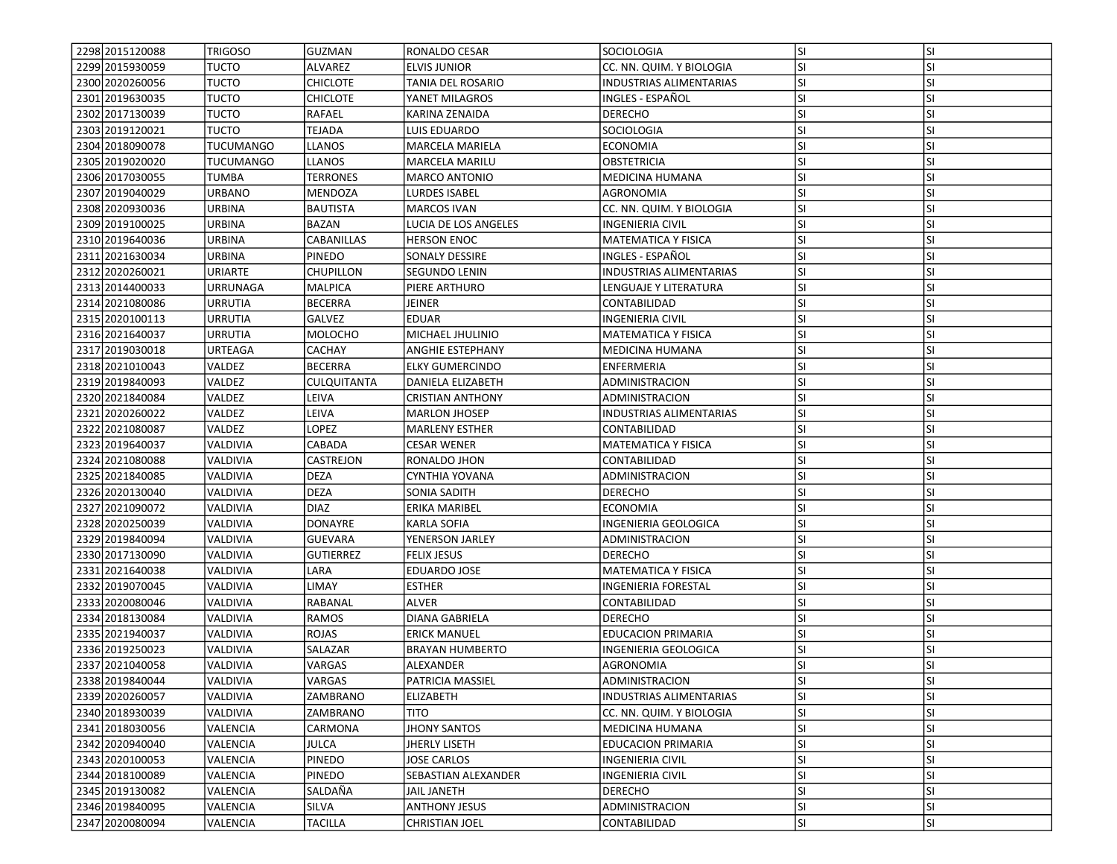| 2298 2015 120088  | TRIGOSO          | GUZMAN           | RONALDO CESAR          | <b>SOCIOLOGIA</b>              | lsı       | <b>SI</b> |
|-------------------|------------------|------------------|------------------------|--------------------------------|-----------|-----------|
| 2299 2015 930059  | <b>TUCTO</b>     | ALVAREZ          | <b>ELVIS JUNIOR</b>    | CC. NN. QUIM. Y BIOLOGIA       | SI.       | SI        |
| 2300 2020 260056  | <b>TUCTO</b>     | <b>CHICLOTE</b>  | TANIA DEL ROSARIO      | <b>INDUSTRIAS ALIMENTARIAS</b> | <b>SI</b> | <b>SI</b> |
| 2301 2019 630035  | <b>TUCTO</b>     | <b>CHICLOTE</b>  | YANET MILAGROS         | INGLES - ESPAÑOL               | lsı       | <b>SI</b> |
| 2302 2017130039   | <b>TUCTO</b>     | <b>RAFAEL</b>    | KARINA ZENAIDA         | <b>DERECHO</b>                 | lsı       | <b>SI</b> |
| 2303 2019120021   | <b>TUCTO</b>     | TEJADA           | LUIS EDUARDO           | <b>SOCIOLOGIA</b>              | lsı       | <b>SI</b> |
| 2304 2018090078   | <b>TUCUMANGO</b> | LLANOS           | MARCELA MARIELA        | <b>ECONOMIA</b>                | <b>SI</b> | SI        |
| 2305 2019020020   | <b>TUCUMANGO</b> | <b>LLANOS</b>    | <b>MARCELA MARILU</b>  | <b>OBSTETRICIA</b>             | <b>SI</b> | <b>SI</b> |
| 2306 2017030055   | TUMBA            | TERRONES         | MARCO ANTONIO          | MEDICINA HUMANA                | <b>SI</b> | <b>SI</b> |
| 2307 2019 040029  | <b>URBANO</b>    | MENDOZA          | LURDES ISABEL          | AGRONOMIA                      | <b>SI</b> | <b>SI</b> |
| 2308 2020 9300 36 | <b>URBINA</b>    | <b>BAUTISTA</b>  | <b>MARCOS IVAN</b>     | CC. NN. QUIM. Y BIOLOGIA       | lsı       | <b>SI</b> |
| 2309 2019 1000 25 | <b>URBINA</b>    | BAZAN            | LUCIA DE LOS ANGELES   | <b>INGENIERIA CIVIL</b>        | SI.       | <b>SI</b> |
| 2310 2019 640036  | URBINA           | CABANILLAS       | <b>HERSON ENOC</b>     | <b>MATEMATICA Y FISICA</b>     | <b>SI</b> | <b>SI</b> |
| 2311 2021 6300 34 | <b>URBINA</b>    | PINEDO           | SONALY DESSIRE         | INGLES - ESPAÑOL               | <b>SI</b> | <b>SI</b> |
| 2312 2020 2600 21 | URIARTE          | CHUPILLON        | SEGUNDO LENIN          | <b>INDUSTRIAS ALIMENTARIAS</b> | <b>SI</b> | <b>SI</b> |
| 2313 2014400033   | URRUNAGA         | MALPICA          | PIERE ARTHURO          | LENGUAJE Y LITERATURA          | SI.       | SI        |
| 2314 2021080086   | URRUTIA          | <b>BECERRA</b>   | JEINER                 | CONTABILIDAD                   | <b>SI</b> | <b>SI</b> |
| 2315 2020100113   | <b>URRUTIA</b>   | GALVEZ           | <b>EDUAR</b>           | <b>INGENIERIA CIVIL</b>        | SI        | <b>SI</b> |
| 2316 2021640037   | <b>URRUTIA</b>   | <b>MOLOCHO</b>   | MICHAEL JHULINIO       | <b>MATEMATICA Y FISICA</b>     | lsı       | <b>SI</b> |
| 2317 2019 030018  | <b>URTEAGA</b>   | <b>CACHAY</b>    | ANGHIE ESTEPHANY       | <b>MEDICINA HUMANA</b>         | <b>SI</b> | <b>SI</b> |
| 2318 2021010043   | VALDEZ           | <b>BECERRA</b>   | <b>ELKY GUMERCINDO</b> | ENFERMERIA                     | <b>SI</b> | <b>SI</b> |
| 2319 2019 840093  | VALDEZ           | CULQUITANTA      | DANIELA ELIZABETH      | <b>ADMINISTRACION</b>          | <b>SI</b> | SI        |
| 2320 2021840084   | VALDEZ           | LEIVA            | CRISTIAN ANTHONY       | ADMINISTRACION                 | SI.       | SI        |
| 2321 2020 2600 22 | VALDEZ           | LEIVA            | <b>MARLON JHOSEP</b>   | <b>INDUSTRIAS ALIMENTARIAS</b> | SI        | <b>SI</b> |
| 2322 2021080087   | VALDEZ           | <b>LOPEZ</b>     | <b>MARLENY ESTHER</b>  | CONTABILIDAD                   | <b>SI</b> | <b>SI</b> |
| 2323 2019 6400 37 | <b>VALDIVIA</b>  | CABADA           | <b>CESAR WENER</b>     | <b>MATEMATICA Y FISICA</b>     | lsı       | <b>SI</b> |
| 2324 2021080088   | VALDIVIA         | CASTREJON        | RONALDO JHON           | CONTABILIDAD                   | SI.       | <b>SI</b> |
| 2325 2021840085   | VALDIVIA         | <b>DEZA</b>      | CYNTHIA YOVANA         | ADMINISTRACION                 | <b>SI</b> | <b>SI</b> |
| 2326 2020 1300 40 | VALDIVIA         | <b>DEZA</b>      | SONIA SADITH           | <b>DERECHO</b>                 | SI.       | SI        |
| 2327 2021090072   | VALDIVIA         | <b>DIAZ</b>      | ERIKA MARIBEL          | ECONOMIA                       | <b>SI</b> | <b>SI</b> |
| 2328 2020250039   | VALDIVIA         | <b>DONAYRE</b>   | <b>KARLA SOFIA</b>     | INGENIERIA GEOLOGICA           | <b>SI</b> | <b>SI</b> |
| 2329 2019840094   | VALDIVIA         | <b>GUEVARA</b>   | YENERSON JARLEY        | ADMINISTRACION                 | <b>SI</b> | <b>SI</b> |
| 2330 2017130090   | <b>VALDIVIA</b>  | <b>GUTIERREZ</b> | <b>FELIX JESUS</b>     | <b>DERECHO</b>                 | <b>SI</b> | <b>SI</b> |
| 2331 2021640038   | VALDIVIA         | LARA             | <b>EDUARDO JOSE</b>    | <b>MATEMATICA Y FISICA</b>     | <b>SI</b> | <b>SI</b> |
| 2332 2019 070 045 | VALDIVIA         | LIMAY            | <b>ESTHER</b>          | <b>INGENIERIA FORESTAL</b>     | <b>SI</b> | <b>SI</b> |
| 2333 2020080046   | VALDIVIA         | RABANAL          | ALVER                  | CONTABILIDAD                   | <b>SI</b> | SI        |
| 2334 2018 1300 84 | VALDIVIA         | RAMOS            | DIANA GABRIELA         | <b>DERECHO</b>                 | SI.       | <b>SI</b> |
| 2335 2021 940 037 | VALDIVIA         | ROJAS            | <b>ERICK MANUEL</b>    | EDUCACION PRIMARIA             | <b>SI</b> | SI        |
| 2336 2019 2500 23 | VALDIVIA         | SALAZAR          | <b>BRAYAN HUMBERTO</b> | INGENIERIA GEOLOGICA           | SI        | <b>SI</b> |
| 2337 2021040058   | <b>VALDIVIA</b>  | VARGAS           | <b>ALEXANDER</b>       | AGRONOMIA                      | lsı       | <b>SI</b> |
| 2338 2019 840044  | VALDIVIA         | <b>VARGAS</b>    | PATRICIA MASSIEL       | ADMINISTRACION                 | lsı       | ΙSΙ       |
| 2339 2020 2600 57 | <b>VALDIVIA</b>  | ZAMBRANO         | <b>ELIZABETH</b>       | <b>INDUSTRIAS ALIMENTARIAS</b> | lsı       | <b>SI</b> |
| 2340 2018930039   | VALDIVIA         | ZAMBRANO         | <b>TITO</b>            | CC. NN. QUIM. Y BIOLOGIA       | SI.       | SI        |
| 2341 2018030056   | VALENCIA         | CARMONA          | <b>JHONY SANTOS</b>    | MEDICINA HUMANA                | SI.       | SI        |
| 2342 2020940040   | VALENCIA         | <b>JULCA</b>     | JHERLY LISETH          | EDUCACION PRIMARIA             | SI.       | SI        |
| 2343 2020100053   | VALENCIA         | PINEDO           | JOSE CARLOS            | <b>INGENIERIA CIVIL</b>        | <b>SI</b> | <b>SI</b> |
| 2344 2018 100089  | VALENCIA         | PINEDO           | SEBASTIAN ALEXANDER    | <b>INGENIERIA CIVIL</b>        | <b>SI</b> | SI        |
| 2345 2019130082   | VALENCIA         | SALDAÑA          | <b>JAIL JANETH</b>     | DERECHO                        | <b>SI</b> | <b>SI</b> |
| 2346 2019840095   | VALENCIA         | SILVA            | <b>ANTHONY JESUS</b>   | ADMINISTRACION                 | SI.       | SI        |
| 2347 2020080094   | VALENCIA         | <b>TACILLA</b>   | <b>CHRISTIAN JOEL</b>  | CONTABILIDAD                   | SI.       | SI        |
|                   |                  |                  |                        |                                |           |           |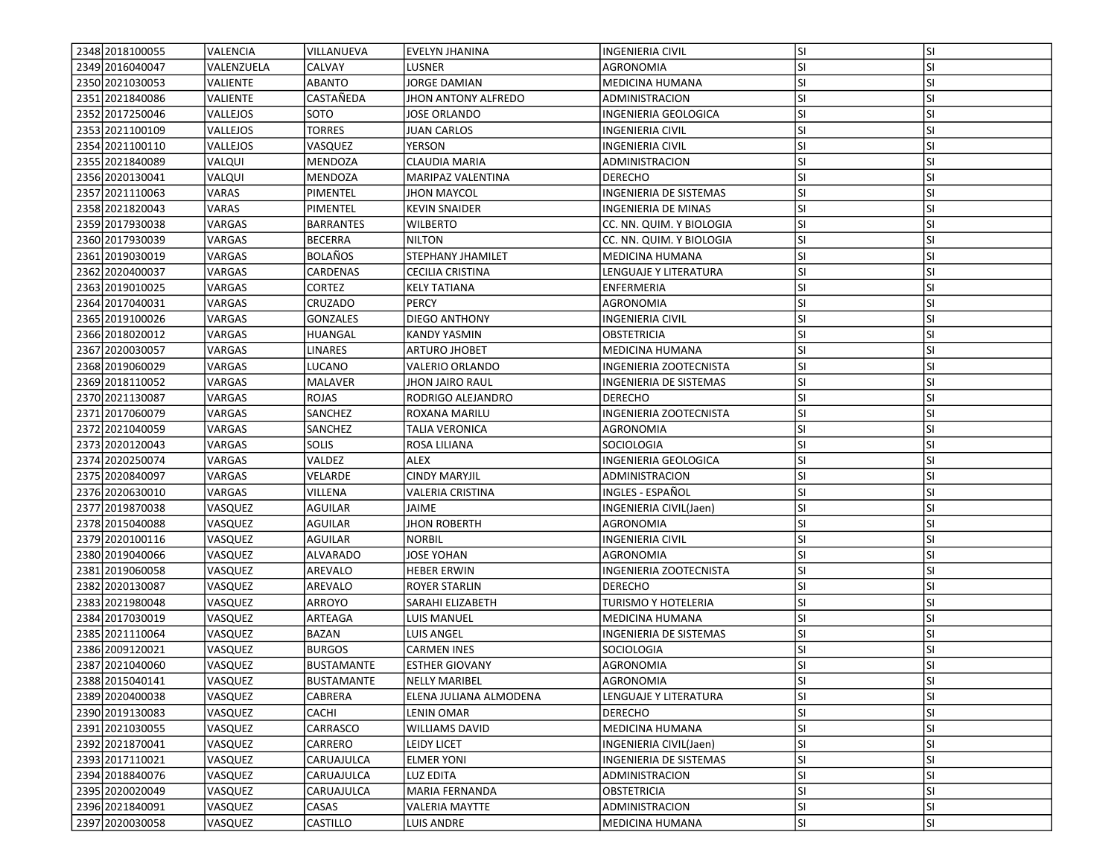| 2348 2018 100055  | <b>VALENCIA</b> | VILLANUEVA        | <b>EVELYN JHANINA</b>  | <b>INGENIERIA CIVIL</b>       | lsı       | <b>SI</b> |
|-------------------|-----------------|-------------------|------------------------|-------------------------------|-----------|-----------|
| 2349 2016040047   | VALENZUELA      | CALVAY            | LUSNER                 | AGRONOMIA                     | SI.       | SI        |
| 2350 2021030053   | VALIENTE        | <b>ABANTO</b>     | <b>JORGE DAMIAN</b>    | MEDICINA HUMANA               | <b>SI</b> | <b>SI</b> |
| 2351 2021840086   | VALIENTE        | CASTAÑEDA         | JHON ANTONY ALFREDO    | ADMINISTRACION                | <b>SI</b> | <b>SI</b> |
| 2352 2017250046   | VALLEJOS        | SOTO              | <b>JOSE ORLANDO</b>    | INGENIERIA GEOLOGICA          | <b>SI</b> | <b>SI</b> |
| 2353 2021100109   | VALLEJOS        | <b>TORRES</b>     | JUAN CARLOS            | INGENIERIA CIVIL              | <b>SI</b> | <b>SI</b> |
| 2354 2021100110   | VALLEJOS        | VASQUEZ           | YERSON                 | INGENIERIA CIVIL              | <b>SI</b> | <b>SI</b> |
| 2355 2021840089   | VALQUI          | MENDOZA           | CLAUDIA MARIA          | ADMINISTRACION                | <b>SI</b> | SI        |
| 2356 2020130041   | VALQUI          | MENDOZA           | MARIPAZ VALENTINA      | <b>DERECHO</b>                | SI.       | <b>SI</b> |
| 2357 2021110063   | VARAS           | PIMENTEL          | JHON MAYCOL            | INGENIERIA DE SISTEMAS        | lsı       | <b>SI</b> |
| 2358 20218 2004 3 | VARAS           | PIMENTEL          | <b>KEVIN SNAIDER</b>   | INGENIERIA DE MINAS           | <b>SI</b> | <b>SI</b> |
| 2359 2017 9300 38 | VARGAS          | <b>BARRANTES</b>  | <b>WILBERTO</b>        | CC. NN. QUIM. Y BIOLOGIA      | lsı       | <b>SI</b> |
| 2360 2017930039   | VARGAS          | <b>BECERRA</b>    | <b>NILTON</b>          | CC. NN. QUIM. Y BIOLOGIA      | SI.       | SI        |
| 2361 2019 030019  | VARGAS          | <b>BOLAÑOS</b>    | STEPHANY JHAMILET      | <b>MEDICINA HUMANA</b>        | <b>SI</b> | <b>SI</b> |
| 2362 2020400037   | VARGAS          | CARDENAS          | CECILIA CRISTINA       | LENGUAJE Y LITERATURA         | SI.       | <b>SI</b> |
| 2363 2019010025   | VARGAS          | CORTEZ            | KELY TATIANA           | ENFERMERIA                    | <b>SI</b> | <b>SI</b> |
| 2364 2017040031   | VARGAS          | CRUZADO           | <b>PERCY</b>           | AGRONOMIA                     | <b>SI</b> | <b>SI</b> |
| 2365 2019100026   | VARGAS          | <b>GONZALES</b>   | <b>DIEGO ANTHONY</b>   | INGENIERIA CIVIL              | <b>SI</b> | <b>SI</b> |
| 2366 2018 020012  | VARGAS          | HUANGAL           | <b>KANDY YASMIN</b>    | OBSTETRICIA                   | lsı       | <b>SI</b> |
| 2367 2020030057   | VARGAS          | <b>LINARES</b>    | <b>ARTURO JHOBET</b>   | MEDICINA HUMANA               | SI.       | <b>SI</b> |
| 2368 2019060029   | VARGAS          | LUCANO            | VALERIO ORLANDO        | <b>INGENIERIA ZOOTECNISTA</b> | lsı       | <b>SI</b> |
| 2369 2018110052   | VARGAS          | MALAVER           | <b>JHON JAIRO RAUL</b> | INGENIERIA DE SISTEMAS        | SI        | <b>SI</b> |
| 2370 2021130087   | VARGAS          | ROJAS             | RODRIGO ALEJANDRO      | <b>DERECHO</b>                | SI.       | <b>SI</b> |
| 2371 2017060079   | VARGAS          | SANCHEZ           | ROXANA MARILU          | INGENIERIA ZOOTECNISTA        | SI.       | <b>SI</b> |
| 2372 2021040059   | VARGAS          | SANCHEZ           | <b>TALIA VERONICA</b>  | <b>AGRONOMIA</b>              | <b>SI</b> | <b>SI</b> |
| 2373 2020120043   | VARGAS          | <b>SOLIS</b>      | ROSA LILIANA           | SOCIOLOGIA                    | lsı       | <b>SI</b> |
| 2374 2020250074   | VARGAS          | VALDEZ            | ALEX                   | INGENIERIA GEOLOGICA          | <b>SI</b> | <b>SI</b> |
| 2375 2020840097   | VARGAS          | VELARDE           | <b>CINDY MARYJIL</b>   | ADMINISTRACION                | lsı       | <b>SI</b> |
| 2376 2020630010   | VARGAS          | VILLENA           | VALERIA CRISTINA       | INGLES - ESPAÑOL              | <b>SI</b> | SI        |
| 2377 2019 870038  | VASQUEZ         | AGUILAR           | JAIME                  | INGENIERIA CIVIL(Jaen)        | <b>SI</b> | <b>SI</b> |
| 2378 2015040088   | VASQUEZ         | AGUILAR           | <b>JHON ROBERTH</b>    | AGRONOMIA                     | <b>SI</b> | SI        |
| 2379 2020100116   | VASQUEZ         | <b>AGUILAR</b>    | <b>NORBIL</b>          | INGENIERIA CIVIL              | <b>SI</b> | <b>SI</b> |
| 2380 2019040066   | VASQUEZ         | <b>ALVARADO</b>   | <b>JOSE YOHAN</b>      | AGRONOMIA                     | lsı       | <b>SI</b> |
| 2381 2019060058   | VASQUEZ         | AREVALO           | <b>HEBER ERWIN</b>     | INGENIERIA ZOOTECNISTA        | SI.       | <b>SI</b> |
| 2382 2020 1300 87 | VASQUEZ         | AREVALO           | <b>ROYER STARLIN</b>   | <b>DERECHO</b>                | lsı       | <b>SI</b> |
| 2383 2021980048   | VASQUEZ         | ARROYO            | SARAHI ELIZABETH       | TURISMO Y HOTELERIA           | SI.       | <b>SI</b> |
| 2384 2017 030019  | VASQUEZ         | ARTEAGA           | LUIS MANUEL            | <b>MEDICINA HUMANA</b>        | <b>SI</b> | <b>SI</b> |
| 2385 2021110064   | VASQUEZ         | BAZAN             | LUIS ANGEL             | INGENIERIA DE SISTEMAS        | SI.       | <b>SI</b> |
| 2386 2009 1200 21 | VASQUEZ         | <b>BURGOS</b>     | <b>CARMEN INES</b>     | SOCIOLOGIA                    | <b>SI</b> | <b>SI</b> |
| 2387 2021040060   | VASQUEZ         | <b>BUSTAMANTE</b> | <b>ESTHER GIOVANY</b>  | AGRONOMIA                     | SI        | SI        |
| 2388 2015040141   | VASQUEZ         | <b>BUSTAMANTE</b> | NELLY MARIBEL          | AGRONOMIA                     | SI.       | ΙSΙ       |
| 2389 2020400038   | VASQUEZ         | CABRERA           | ELENA JULIANA ALMODENA | LENGUAJE Y LITERATURA         | lsı       | <b>SI</b> |
| 2390 2019130083   | VASQUEZ         | CACHI             | LENIN OMAR             | <b>DERECHO</b>                | <b>SI</b> | SI        |
| 2391 2021030055   | VASQUEZ         | CARRASCO          | <b>WILLIAMS DAVID</b>  | MEDICINA HUMANA               | SI.       | <b>SI</b> |
| 2392 2021870041   | VASQUEZ         | CARRERO           | LEIDY LICET            | INGENIERIA CIVIL(Jaen)        | SI.       | SI        |
| 2393 2017110021   | VASQUEZ         | CARUAJULCA        | <b>ELMER YONI</b>      | INGENIERIA DE SISTEMAS        | <b>SI</b> | <b>SI</b> |
| 2394 2018840076   | VASQUEZ         | CARUAJULCA        | LUZ EDITA              | ADMINISTRACION                | <b>SI</b> | SI        |
| 2395 2020020049   | VASQUEZ         | CARUAJULCA        | MARIA FERNANDA         | OBSTETRICIA                   | SI.       | SI        |
| 2396 2021840091   | VASQUEZ         | CASAS             | <b>VALERIA MAYTTE</b>  | ADMINISTRACION                | SI.       | SI        |
| 2397 2020030058   | VASQUEZ         | CASTILLO          | LUIS ANDRE             | MEDICINA HUMANA               | SI.       | SI        |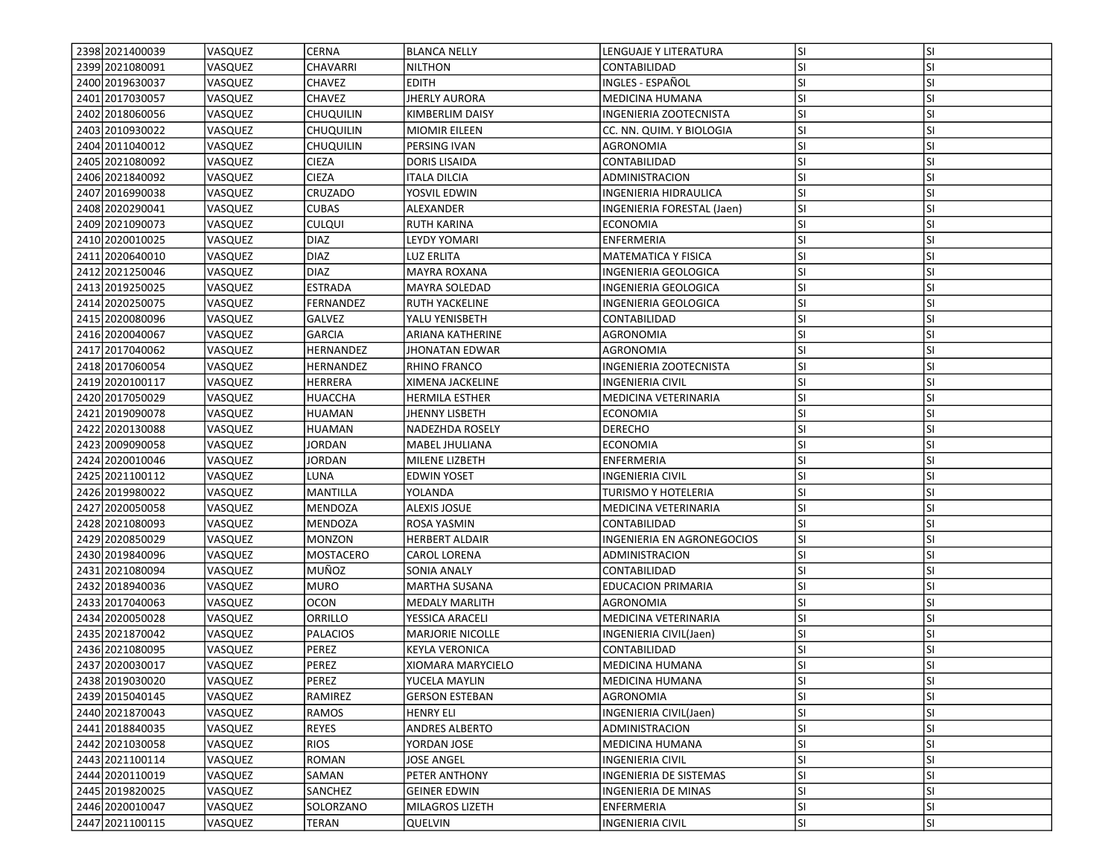| 2398 2021400039   | <b>VASQUEZ</b> | CERNA            | <b>BLANCA NELLY</b>     | LENGUAJE Y LITERATURA         | lsı       | <b>SI</b> |
|-------------------|----------------|------------------|-------------------------|-------------------------------|-----------|-----------|
| 2399 2021 080091  | VASQUEZ        | CHAVARRI         | <b>NILTHON</b>          | CONTABILIDAD                  | <b>SI</b> | SI        |
| 2400 2019 6300 37 | VASQUEZ        | CHAVEZ           | <b>EDITH</b>            | INGLES - ESPAÑOL              | <b>SI</b> | <b>SI</b> |
| 2401 2017030057   | VASQUEZ        | <b>CHAVEZ</b>    | <b>JHERLY AURORA</b>    | MEDICINA HUMANA               | <b>SI</b> | <b>SI</b> |
| 2402 2018060056   | VASQUEZ        | <b>CHUQUILIN</b> | KIMBERLIM DAISY         | INGENIERIA ZOOTECNISTA        | lsı       | <b>SI</b> |
| 2403 2010 9300 22 | VASQUEZ        | <b>CHUQUILIN</b> | <b>MIOMIR EILEEN</b>    | CC. NN. QUIM. Y BIOLOGIA      | SI.       | <b>SI</b> |
| 2404 2011040012   | VASQUEZ        | <b>CHUQUILIN</b> | PERSING IVAN            | AGRONOMIA                     | <b>SI</b> | <b>SI</b> |
| 2405 2021080092   | VASQUEZ        | <b>CIEZA</b>     | DORIS LISAIDA           | CONTABILIDAD                  | <b>SI</b> | <b>SI</b> |
| 2406 2021840092   | VASQUEZ        | <b>CIEZA</b>     | ITALA DILCIA            | ADMINISTRACION                | <b>SI</b> | <b>SI</b> |
| 2407 2016990038   | VASQUEZ        | CRUZADO          | YOSVIL EDWIN            | INGENIERIA HIDRAULICA         | <b>SI</b> | <b>SI</b> |
| 2408 2020 2900 41 | VASQUEZ        | <b>CUBAS</b>     | ALEXANDER               | INGENIERIA FORESTAL (Jaen)    | <b>SI</b> | <b>SI</b> |
| 2409 2021090073   | VASQUEZ        | <b>CULQUI</b>    | <b>RUTH KARINA</b>      | ECONOMIA                      | lsı       | <b>SI</b> |
| 2410 2020010025   | VASQUEZ        | <b>DIAZ</b>      | LEYDY YOMARI            | ENFERMERIA                    | <b>SI</b> | <b>SI</b> |
| 2411 2020 640010  | VASQUEZ        | <b>DIAZ</b>      | LUZ ERLITA              | MATEMATICA Y FISICA           | lsı       | <b>SI</b> |
| 2412 2021250046   | VASQUEZ        | <b>DIAZ</b>      | <b>MAYRA ROXANA</b>     | INGENIERIA GEOLOGICA          | SI.       | SI        |
| 2413 2019 2500 25 | VASQUEZ        | <b>ESTRADA</b>   | MAYRA SOLEDAD           | INGENIERIA GEOLOGICA          | SI.       | <b>SI</b> |
| 2414 2020 2500 75 | VASQUEZ        | FERNANDEZ        | <b>RUTH YACKELINE</b>   | INGENIERIA GEOLOGICA          | SI.       | <b>SI</b> |
| 2415 2020080096   | VASQUEZ        | GALVEZ           | YALU YENISBETH          | CONTABILIDAD                  | lsı       | <b>SI</b> |
| 2416 2020040067   | VASQUEZ        | <b>GARCIA</b>    | ARIANA KATHERINE        | AGRONOMIA                     | lsı       | <b>SI</b> |
| 2417 2017 040 062 | VASQUEZ        | HERNANDEZ        | <b>JHONATAN EDWAR</b>   | AGRONOMIA                     | SI.       | <b>SI</b> |
| 2418 2017060054   | VASQUEZ        | HERNANDEZ        | <b>RHINO FRANCO</b>     | <b>INGENIERIA ZOOTECNISTA</b> | SI.       | <b>SI</b> |
| 2419 2020 100117  | VASQUEZ        | HERRERA          | XIMENA JACKELINE        | INGENIERIA CIVIL              | lsı       | <b>SI</b> |
| 2420 2017050029   | VASQUEZ        | HUACCHA          | <b>HERMILA ESTHER</b>   | MEDICINA VETERINARIA          | SI.       | <b>SI</b> |
| 2421 2019 090078  | VASQUEZ        | <b>HUAMAN</b>    | <b>JHENNY LISBETH</b>   | ECONOMIA                      | SI.       | <b>SI</b> |
| 2422 2020130088   | VASQUEZ        | <b>HUAMAN</b>    | NADEZHDA ROSELY         | <b>DERECHO</b>                | lsı       | <b>SI</b> |
| 2423 2009090058   | VASQUEZ        | JORDAN           | MABEL JHULIANA          | <b>ECONOMIA</b>               | lsı       | <b>SI</b> |
| 2424 2020010046   | VASQUEZ        | <b>JORDAN</b>    | MILENE LIZBETH          | ENFERMERIA                    | <b>SI</b> | <b>SI</b> |
| 2425 2021100112   | VASQUEZ        | LUNA             | <b>EDWIN YOSET</b>      | INGENIERIA CIVIL              | lsı       | <b>SI</b> |
| 2426 2019980022   | VASQUEZ        | MANTILLA         | YOLANDA                 | TURISMO Y HOTELERIA           | <b>SI</b> | <b>SI</b> |
| 2427 2020050058   | VASQUEZ        | MENDOZA          | <b>ALEXIS JOSUE</b>     | MEDICINA VETERINARIA          | SI.       | <b>SI</b> |
| 2428 2021080093   | VASQUEZ        | MENDOZA          | ROSA YASMIN             | CONTABILIDAD                  | <b>SI</b> | <b>SI</b> |
| 2429 2020850029   | VASQUEZ        | <b>MONZON</b>    | <b>HERBERT ALDAIR</b>   | INGENIERIA EN AGRONEGOCIOS    | <b>SI</b> | <b>SI</b> |
| 2430 2019 840096  | VASQUEZ        | MOSTACERO        | <b>CAROL LORENA</b>     | ADMINISTRACION                | lsı       | <b>SI</b> |
| 2431 2021 080094  | VASQUEZ        | MUÑOZ            | SONIA ANALY             | CONTABILIDAD                  | lsı       | <b>SI</b> |
| 2432 2018 940036  | VASQUEZ        | <b>MURO</b>      | <b>MARTHA SUSANA</b>    | <b>EDUCACION PRIMARIA</b>     | lsı       | <b>SI</b> |
| 2433 2017040063   | VASQUEZ        | OCON             | <b>MEDALY MARLITH</b>   | AGRONOMIA                     | <b>SI</b> | <b>SI</b> |
| 2434 2020050028   | VASQUEZ        | ORRILLO          | YESSICA ARACELI         | MEDICINA VETERINARIA          | <b>SI</b> | <b>SI</b> |
| 2435 2021870042   | VASQUEZ        | PALACIOS         | <b>MARJORIE NICOLLE</b> | INGENIERIA CIVIL(Jaen)        | SI.       | SI        |
| 2436 2021080095   | VASQUEZ        | PEREZ            | <b>KEYLA VERONICA</b>   | CONTABILIDAD                  | <b>SI</b> | <b>SI</b> |
| 2437 2020030017   | VASQUEZ        | PEREZ            | XIOMARA MARYCIELO       | <b>MEDICINA HUMANA</b>        | SI        | <b>SI</b> |
| 2438 2019 030020  | VASQUEZ        | PEREZ            | YUCELA MAYLIN           | MEDICINA HUMANA               | SI.       | ΙSΙ       |
| 2439 2015 040 145 | VASQUEZ        | RAMIREZ          | <b>GERSON ESTEBAN</b>   | AGRONOMIA                     | SI.       | <b>SI</b> |
| 2440 2021870043   | VASQUEZ        | RAMOS            | <b>HENRY ELI</b>        | INGENIERIA CIVIL(Jaen)        | <b>SI</b> | SI        |
| 2441 2018840035   | VASQUEZ        | REYES            | ANDRES ALBERTO          | <b>ADMINISTRACION</b>         | SI.       | <b>SI</b> |
| 2442 2021030058   | VASQUEZ        | RIOS             | YORDAN JOSE             | MEDICINA HUMANA               | <b>SI</b> | SI        |
| 2443 2021100114   | VASQUEZ        | ROMAN            | JOSE ANGEL              | INGENIERIA CIVIL              | <b>SI</b> | <b>SI</b> |
| 2444 2020110019   | VASQUEZ        | SAMAN            | PETER ANTHONY           | INGENIERIA DE SISTEMAS        | <b>SI</b> | SI        |
| 2445 2019820025   | VASQUEZ        | SANCHEZ          | <b>GEINER EDWIN</b>     | INGENIERIA DE MINAS           | SI.       | <b>SI</b> |
| 2446 2020010047   | VASQUEZ        | SOLORZANO        | <b>MILAGROS LIZETH</b>  | ENFERMERIA                    | SI.       | SI        |
| 2447 2021100115   | VASQUEZ        | <b>TERAN</b>     | QUELVIN                 | <b>INGENIERIA CIVIL</b>       | SI.       | SI        |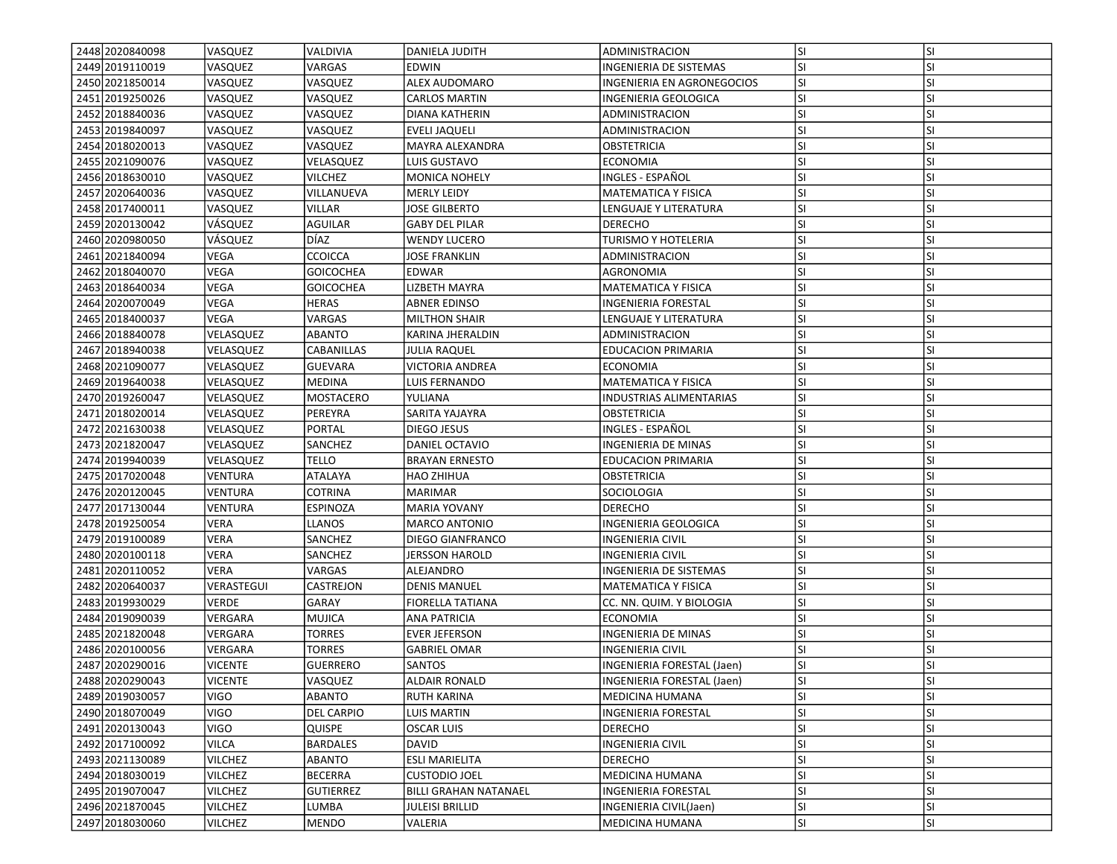| 2448 2020 840098<br>2449 2019 110019 | <b>VASQUEZ</b><br>VASQUEZ | VALDIVIA<br>VARGAS | DANIELA JUDITH<br>EDWIN      | ADMINISTRACION                                       | lsı<br>SI. | <b>SI</b><br>SI |
|--------------------------------------|---------------------------|--------------------|------------------------------|------------------------------------------------------|------------|-----------------|
| 2450 2021850014                      | VASQUEZ                   | VASQUEZ            | <b>ALEX AUDOMARO</b>         | INGENIERIA DE SISTEMAS                               | <b>SI</b>  | <b>SI</b>       |
|                                      |                           |                    |                              | INGENIERIA EN AGRONEGOCIOS                           |            |                 |
| 2451 2019 2500 26                    | VASQUEZ                   | VASQUEZ            | <b>CARLOS MARTIN</b>         | INGENIERIA GEOLOGICA                                 | SI.        | <b>SI</b>       |
| 2452 2018840036                      | VASQUEZ                   | VASQUEZ            | DIANA KATHERIN               | ADMINISTRACION                                       | SI.        | <b>SI</b>       |
| 2453 2019840097                      | VASQUEZ                   | VASQUEZ            | <b>EVELI JAQUELI</b>         | <b>ADMINISTRACION</b>                                | lsı        | <b>SI</b>       |
| 2454 2018 020013                     | VASQUEZ                   | VASQUEZ            | MAYRA ALEXANDRA              | OBSTETRICIA                                          | <b>SI</b>  | SI              |
| 2455 2021090076                      | VASQUEZ                   | VELASQUEZ          | LUIS GUSTAVO                 | <b>ECONOMIA</b>                                      | <b>SI</b>  | <b>SI</b>       |
| 2456 2018 630010                     | VASQUEZ                   | VILCHEZ            | <b>MONICA NOHELY</b>         | INGLES - ESPAÑOL                                     | <b>SI</b>  | <b>SI</b>       |
| 2457 2020640036                      | VASQUEZ                   | VILLANUEVA         | <b>MERLY LEIDY</b>           | <b>MATEMATICA Y FISICA</b>                           | <b>SI</b>  | <b>SI</b>       |
| 2458 2017400011                      | VASQUEZ                   | VILLAR             | JOSE GILBERTO                | LENGUAJE Y LITERATURA                                | SI         | <b>SI</b>       |
| 2459 2020 1300 42                    | <b>VÁSQUEZ</b>            | <b>AGUILAR</b>     | <b>GABY DEL PILAR</b>        | <b>DERECHO</b>                                       | <b>SI</b>  | <b>SI</b>       |
| 2460 2020980050                      | VÁSQUEZ                   | DÍAZ               | <b>WENDY LUCERO</b>          | <b>TURISMO Y HOTELERIA</b>                           | <b>SI</b>  | <b>SI</b>       |
| 2461 2021840094                      | VEGA                      | <b>CCOICCA</b>     | JOSE FRANKLIN                | ADMINISTRACION                                       | SI         | <b>SI</b>       |
| 2462 2018 040 070                    | VEGA                      | <b>GOICOCHEA</b>   | <b>EDWAR</b>                 | AGRONOMIA                                            | <b>SI</b>  | <b>SI</b>       |
| 2463 2018 6400 34                    | VEGA                      | <b>GOICOCHEA</b>   | LIZBETH MAYRA                | <b>MATEMATICA Y FISICA</b>                           | <b>SI</b>  | <b>SI</b>       |
| 2464 2020070049                      | <b>VEGA</b>               | <b>HERAS</b>       | <b>ABNER EDINSO</b>          | INGENIERIA FORESTAL                                  | <b>SI</b>  | <b>SI</b>       |
| 2465 2018400037                      | VEGA                      | VARGAS             | <b>MILTHON SHAIR</b>         | LENGUAJE Y LITERATURA                                | SI         | <b>SI</b>       |
| 2466 2018 840078                     | VELASQUEZ                 | <b>ABANTO</b>      | KARINA JHERALDIN             | ADMINISTRACION                                       | lsı        | <b>SI</b>       |
| 2467 2018 940038                     | VELASQUEZ                 | CABANILLAS         | <b>JULIA RAQUEL</b>          | <b>EDUCACION PRIMARIA</b>                            | <b>SI</b>  | <b>SI</b>       |
| 2468 2021090077                      | VELASQUEZ                 | <b>GUEVARA</b>     | VICTORIA ANDREA              | <b>ECONOMIA</b>                                      | SI         | <b>SI</b>       |
| 2469 2019 640038                     | VELASQUEZ                 | <b>MEDINA</b>      | LUIS FERNANDO                | <b>MATEMATICA Y FISICA</b>                           | <b>SI</b>  | SI              |
| 2470 2019 260047                     | VELASQUEZ                 | MOSTACERO          | YULIANA                      | <b>INDUSTRIAS ALIMENTARIAS</b>                       | SI         | SI              |
| 2471 2018 020014                     | VELASQUEZ                 | PEREYRA            | SARITA YAJAYRA               | OBSTETRICIA                                          | <b>SI</b>  | <b>SI</b>       |
| 2472 2021630038                      | VELASQUEZ                 | <b>PORTAL</b>      | <b>DIEGO JESUS</b>           | INGLES - ESPAÑOL                                     | SI         | <b>SI</b>       |
| 2473 20218 20047                     | VELASQUEZ                 | <b>SANCHEZ</b>     | DANIEL OCTAVIO               | <b>INGENIERIA DE MINAS</b>                           | lsı        | <b>SI</b>       |
| 2474 2019 940039                     | VELASQUEZ                 | TELLO              | <b>BRAYAN ERNESTO</b>        | <b>EDUCACION PRIMARIA</b>                            | <b>SI</b>  | <b>SI</b>       |
| 2475 2017020048                      | <b>VENTURA</b>            | <b>ATALAYA</b>     | HAO ZHIHUA                   | OBSTETRICIA                                          | <b>SI</b>  | <b>SI</b>       |
| 2476 2020 1200 45                    | <b>VENTURA</b>            | COTRINA            | <b>MARIMAR</b>               | SOCIOLOGIA                                           | <b>SI</b>  | <b>SI</b>       |
| 2477 2017 1300 44                    | VENTURA                   | ESPINOZA           | <b>MARIA YOVANY</b>          | <b>DERECHO</b>                                       | SI.        | <b>SI</b>       |
| 2478 2019 250054                     | <b>VERA</b>               | <b>LLANOS</b>      | <b>MARCO ANTONIO</b>         | INGENIERIA GEOLOGICA                                 | <b>SI</b>  | <b>SI</b>       |
| 2479 2019 100089                     | <b>VERA</b>               | <b>SANCHEZ</b>     | DIEGO GIANFRANCO             | <b>INGENIERIA CIVIL</b>                              | <b>SI</b>  | <b>SI</b>       |
| 2480 2020 100118                     | <b>VERA</b>               | SANCHEZ            | <b>JERSSON HAROLD</b>        | <b>INGENIERIA CIVIL</b>                              | lsı        | <b>SI</b>       |
| 2481 2020110052                      | <b>VERA</b>               | <b>VARGAS</b>      | ALEJANDRO                    |                                                      | <b>SI</b>  | <b>SI</b>       |
| 2482 2020 640037                     | <b>VERASTEGUI</b>         | CASTREJON          | <b>DENIS MANUEL</b>          | INGENIERIA DE SISTEMAS<br><b>MATEMATICA Y FISICA</b> | <b>SI</b>  | <b>SI</b>       |
| 2483 2019930029                      | VERDE                     | GARAY              |                              |                                                      | <b>SI</b>  | SI              |
|                                      |                           |                    | <b>FIORELLA TATIANA</b>      | CC. NN. QUIM. Y BIOLOGIA                             |            |                 |
| 2484 2019 090039                     | VERGARA                   | MUJICA             | ANA PATRICIA                 | ECONOMIA                                             | <b>SI</b>  | <b>SI</b>       |
| 2485 20218 2004 8                    | VERGARA                   | TORRES             | <b>EVER JEFERSON</b>         | INGENIERIA DE MINAS                                  | <b>SI</b>  | <b>SI</b>       |
| 2486 2020100056                      | VERGARA                   | TORRES             | <b>GABRIEL OMAR</b>          | <b>INGENIERIA CIVIL</b>                              | SI         | <b>SI</b>       |
| 2487 2020 290016                     | <b>VICENTE</b>            | <b>GUERRERO</b>    | SANTOS                       | INGENIERIA FORESTAL (Jaen)                           | SI         | <b>SI</b>       |
| 2488 2020 2900 43                    | <b>VICENTE</b>            | VASQUEZ            | <b>ALDAIR RONALD</b>         | INGENIERIA FORESTAL (Jaen)                           | lsı        | ΙSΙ             |
| 2489 2019 030057                     | <b>VIGO</b>               | ABANTO             | <b>RUTH KARINA</b>           | MEDICINA HUMANA                                      | lsı.       | <b>SI</b>       |
| 2490 2018070049                      | <b>VIGO</b>               | <b>DEL CARPIO</b>  | <b>LUIS MARTIN</b>           | INGENIERIA FORESTAL                                  | SI.        | SI              |
| 2491 2020 1300 43                    | <b>VIGO</b>               | <b>QUISPE</b>      | <b>OSCAR LUIS</b>            | <b>DERECHO</b>                                       | <b>SI</b>  | SI              |
| 2492 2017100092                      | <b>VILCA</b>              | <b>BARDALES</b>    | <b>DAVID</b>                 | <b>INGENIERIA CIVIL</b>                              | <b>SI</b>  | SI              |
| 2493 2021130089                      | <b>VILCHEZ</b>            | ABANTO             | <b>ESLI MARIELITA</b>        | <b>DERECHO</b>                                       | <b>SI</b>  | SI              |
| 2494 2018 030019                     | <b>VILCHEZ</b>            | <b>BECERRA</b>     | <b>CUSTODIO JOEL</b>         | <b>MEDICINA HUMANA</b>                               | <b>SI</b>  | SI              |
| 2495 2019 070 047                    | <b>VILCHEZ</b>            | <b>GUTIERREZ</b>   | <b>BILLI GRAHAN NATANAEL</b> | <b>INGENIERIA FORESTAL</b>                           | <b>SI</b>  | SI              |
| 2496 2021870045                      | VILCHEZ                   | LUMBA              | <b>JULEISI BRILLID</b>       | INGENIERIA CIVIL(Jaen)                               | SI.        | <b>SI</b>       |
| 2497 2018030060                      | <b>VILCHEZ</b>            | <b>MENDO</b>       | VALERIA                      | MEDICINA HUMANA                                      | SI.        | SI              |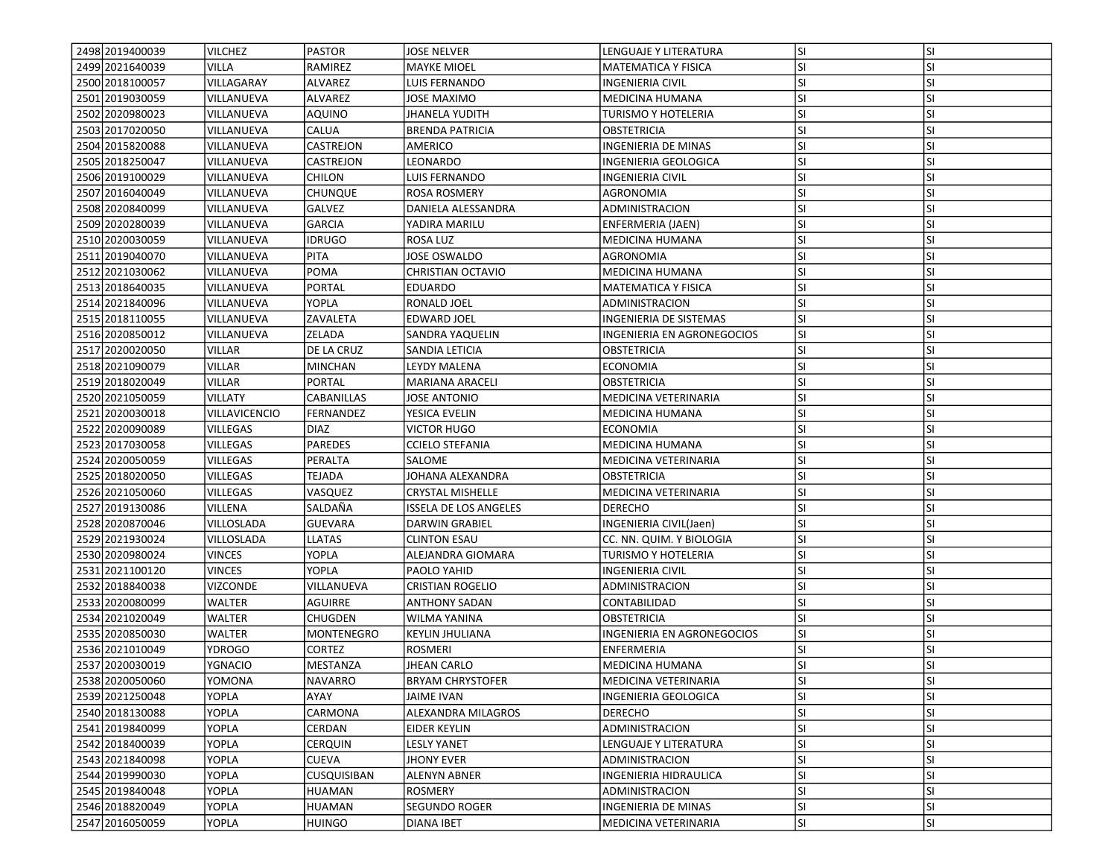| 2498 2019400039   | <b>VILCHEZ</b>  | <b>PASTOR</b>  | <b>JOSE NELVER</b>           | LENGUAJE Y LITERATURA      | <b>SI</b> | lsı       |
|-------------------|-----------------|----------------|------------------------------|----------------------------|-----------|-----------|
| 2499 2021640039   | VILLA           | RAMIREZ        | <b>MAYKE MIOEL</b>           | <b>MATEMATICA Y FISICA</b> | SI        | SI        |
| 2500 2018 1000 57 | VILLAGARAY      | ALVAREZ        | LUIS FERNANDO                | <b>INGENIERIA CIVIL</b>    | SI        | <b>SI</b> |
| 2501 2019030059   | VILLANUEVA      | <b>ALVAREZ</b> | JOSE MAXIMO                  | MEDICINA HUMANA            | SI        | SI        |
| 2502 2020 9800 23 | VILLANUEVA      | <b>AQUINO</b>  | <b>JHANELA YUDITH</b>        | <b>TURISMO Y HOTELERIA</b> | SI        | SI        |
| 2503 2017020050   | VILLANUEVA      | CALUA          | <b>BRENDA PATRICIA</b>       | <b>OBSTETRICIA</b>         | SI        | SI        |
| 2504 2015 820088  | VILLANUEVA      | CASTREJON      | AMERICO                      | INGENIERIA DE MINAS        | SI        | SI        |
| 2505 2018250047   | VILLANUEVA      | CASTREJON      | LEONARDO                     | INGENIERIA GEOLOGICA       | SI        | SI        |
| 2506 2019 100029  | VILLANUEVA      | CHILON         | LUIS FERNANDO                | INGENIERIA CIVIL           | SI        | <b>SI</b> |
| 2507 2016040049   | VILLANUEVA      | CHUNQUE        | <b>ROSA ROSMERY</b>          | AGRONOMIA                  | SI        | <b>SI</b> |
| 2508 2020 840099  | VILLANUEVA      | GALVEZ         | DANIELA ALESSANDRA           | ADMINISTRACION             | SI        | SI        |
| 2509 2020 2800 39 | VILLANUEVA      | <b>GARCIA</b>  | YADIRA MARILU                | ENFERMERIA (JAEN)          | SI        | SI        |
| 2510 2020 030059  | VILLANUEVA      | <b>IDRUGO</b>  | ROSA LUZ                     | MEDICINA HUMANA            | SI        | SI        |
| 2511 2019 040070  | VILLANUEVA      | PITA           | JOSE OSWALDO                 | AGRONOMIA                  | SI        | SI        |
| 2512 2021 030062  | VILLANUEVA      | POMA           | CHRISTIAN OCTAVIO            | <b>MEDICINA HUMANA</b>     | SI        | <b>SI</b> |
| 2513 2018 640035  | VILLANUEVA      | PORTAL         | EDUARDO                      | MATEMATICA Y FISICA        | SI        | <b>SI</b> |
| 2514 2021840096   | VILLANUEVA      | YOPLA          | RONALD JOEL                  | ADMINISTRACION             | SI        | SI        |
| 2515 2018110055   | VILLANUEVA      | ZAVALETA       | <b>EDWARD JOEL</b>           | INGENIERIA DE SISTEMAS     | SI        | SI        |
| 2516 2020850012   | VILLANUEVA      | ZELADA         | SANDRA YAQUELIN              | INGENIERIA EN AGRONEGOCIOS | SI        | SI        |
| 2517 2020020050   | VILLAR          | DE LA CRUZ     | SANDIA LETICIA               | OBSTETRICIA                | SI        | SI        |
| 2518 2021090079   | VILLAR          | <b>MINCHAN</b> | LEYDY MALENA                 | ECONOMIA                   | SI        | SI        |
| 2519 2018 020049  | VILLAR          | PORTAL         | MARIANA ARACELI              | OBSTETRICIA                | SI        | SI        |
| 2520 2021050059   | <b>VILLATY</b>  | CABANILLAS     | JOSE ANTONIO                 | MEDICINA VETERINARIA       | SI        | SI        |
| 2521 2020030018   | VILLAVICENCIO   | FERNANDEZ      | YESICA EVELIN                | MEDICINA HUMANA            | SI        | <b>SI</b> |
| 2522 2020090089   | <b>VILLEGAS</b> | <b>DIAZ</b>    | <b>VICTOR HUGO</b>           | <b>ECONOMIA</b>            | SI        | SI        |
| 2523 2017030058   | <b>VILLEGAS</b> | <b>PAREDES</b> | <b>CCIELO STEFANIA</b>       | <b>MEDICINA HUMANA</b>     | SI        | SI        |
| 2524 2020050059   | VILLEGAS        | PERALTA        | SALOME                       | MEDICINA VETERINARIA       | SI        | SI        |
| 2525 2018020050   | VILLEGAS        | TEJADA         | JOHANA ALEXANDRA             | OBSTETRICIA                | SI        | SI        |
| 2526 2021050060   | VILLEGAS        | VASQUEZ        | <b>CRYSTAL MISHELLE</b>      | MEDICINA VETERINARIA       | SI        | SI        |
| 2527 2019 1300 86 | VILLENA         | SALDAÑA        | <b>ISSELA DE LOS ANGELES</b> | DERECHO                    | SI        | <b>SI</b> |
| 2528 2020870046   | VILLOSLADA      | <b>GUEVARA</b> | DARWIN GRABIEL               | INGENIERIA CIVIL(Jaen)     | SI        | <b>SI</b> |
| 2529 2021930024   | VILLOSLADA      | <b>LLATAS</b>  | <b>CLINTON ESAU</b>          | CC. NN. QUIM. Y BIOLOGIA   | SI        | SI        |
| 2530 2020 9800 24 | <b>VINCES</b>   | YOPLA          | ALEJANDRA GIOMARA            | TURISMO Y HOTELERIA        | SI        | SI        |
| 2531 2021 1001 20 | <b>VINCES</b>   | <b>YOPLA</b>   | PAOLO YAHID                  | <b>INGENIERIA CIVIL</b>    | SI        | <b>SI</b> |
| 2532 2018840038   | VIZCONDE        | VILLANUEVA     | CRISTIAN ROGELIO             | ADMINISTRACION             | SI        | SI        |
| 2533 2020080099   | WALTER          | <b>AGUIRRE</b> | <b>ANTHONY SADAN</b>         | CONTABILIDAD               | SI        | SI        |
| 2534 2021 020049  | WALTER          | CHUGDEN        | WILMA YANINA                 | <b>OBSTETRICIA</b>         | SI        | <b>SI</b> |
| 2535 2020850030   | WALTER          | MONTENEGRO     | <b>KEYLIN JHULIANA</b>       | INGENIERIA EN AGRONEGOCIOS | SI        | SI        |
| 2536 2021010049   | YDROGO          | CORTEZ         | <b>ROSMERI</b>               | ENFERMERIA                 | SI        | <b>SI</b> |
| 2537 2020030019   | <b>YGNACIO</b>  | MESTANZA       | <b>JHEAN CARLO</b>           | MEDICINA HUMANA            | SI        | SI        |
| 2538 2020050060   | YOMONA          | NAVARRO        | <b>BRYAM CHRYSTOFER</b>      | MEDICINA VETERINARIA       | <b>SI</b> | <b>SI</b> |
| 2539 2021250048   | YOPLA           | AYAY           | JAIME IVAN                   | INGENIERIA GEOLOGICA       | SI        | <b>SI</b> |
| 2540 2018130088   | YOPLA           | CARMONA        | ALEXANDRA MILAGROS           | <b>DERECHO</b>             | SI        | SI        |
| 2541 2019 840099  | YOPLA           | CERDAN         | EIDER KEYLIN                 | <b>ADMINISTRACION</b>      | SI        | <b>SI</b> |
| 2542 2018400039   | YOPLA           | <b>CERQUIN</b> | LESLY YANET                  | LENGUAJE Y LITERATURA      | SI        | <b>SI</b> |
| 2543 2021840098   | YOPLA           | CUEVA          | JHONY EVER                   | ADMINISTRACION             | SI        | <b>SI</b> |
| 2544 2019990030   | YOPLA           | CUSQUISIBAN    | <b>ALENYN ABNER</b>          | INGENIERIA HIDRAULICA      | SI        | SI        |
| 2545 2019840048   | YOPLA           | HUAMAN         | ROSMERY                      | ADMINISTRACION             | SI        | <b>SI</b> |
| 2546 2018820049   | YOPLA           | HUAMAN         | <b>SEGUNDO ROGER</b>         | <b>INGENIERIA DE MINAS</b> | <b>SI</b> | <b>SI</b> |
| 2547 2016050059   | YOPLA           | <b>HUINGO</b>  | <b>DIANA IBET</b>            | MEDICINA VETERINARIA       | SI        | SI        |